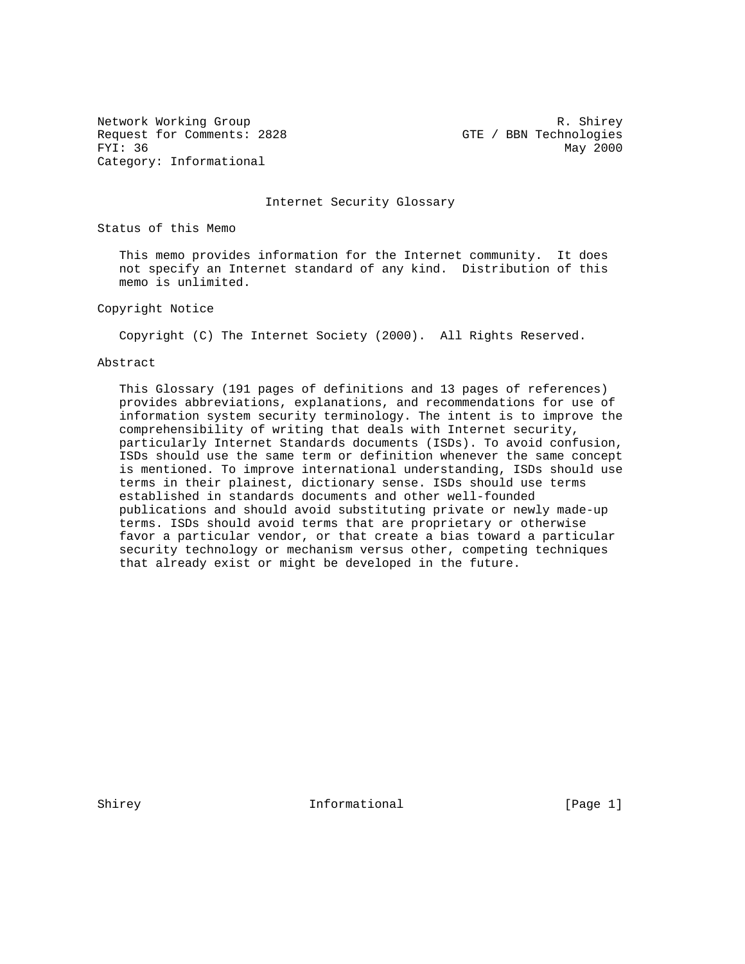Network Working Group and the set of the set of the set of the set of the set of the set of the set of the set of the set of the set of the set of the set of the set of the set of the set of the set of the set of the set o Request for Comments: 2828 GTE / BBN Technologies FYI: 36 May 2000 Category: Informational

Internet Security Glossary

Status of this Memo

 This memo provides information for the Internet community. It does not specify an Internet standard of any kind. Distribution of this memo is unlimited.

Copyright Notice

Copyright (C) The Internet Society (2000). All Rights Reserved.

#### Abstract

 This Glossary (191 pages of definitions and 13 pages of references) provides abbreviations, explanations, and recommendations for use of information system security terminology. The intent is to improve the comprehensibility of writing that deals with Internet security, particularly Internet Standards documents (ISDs). To avoid confusion, ISDs should use the same term or definition whenever the same concept is mentioned. To improve international understanding, ISDs should use terms in their plainest, dictionary sense. ISDs should use terms established in standards documents and other well-founded publications and should avoid substituting private or newly made-up terms. ISDs should avoid terms that are proprietary or otherwise favor a particular vendor, or that create a bias toward a particular security technology or mechanism versus other, competing techniques that already exist or might be developed in the future.

Shirey 11 Informational [Page 1]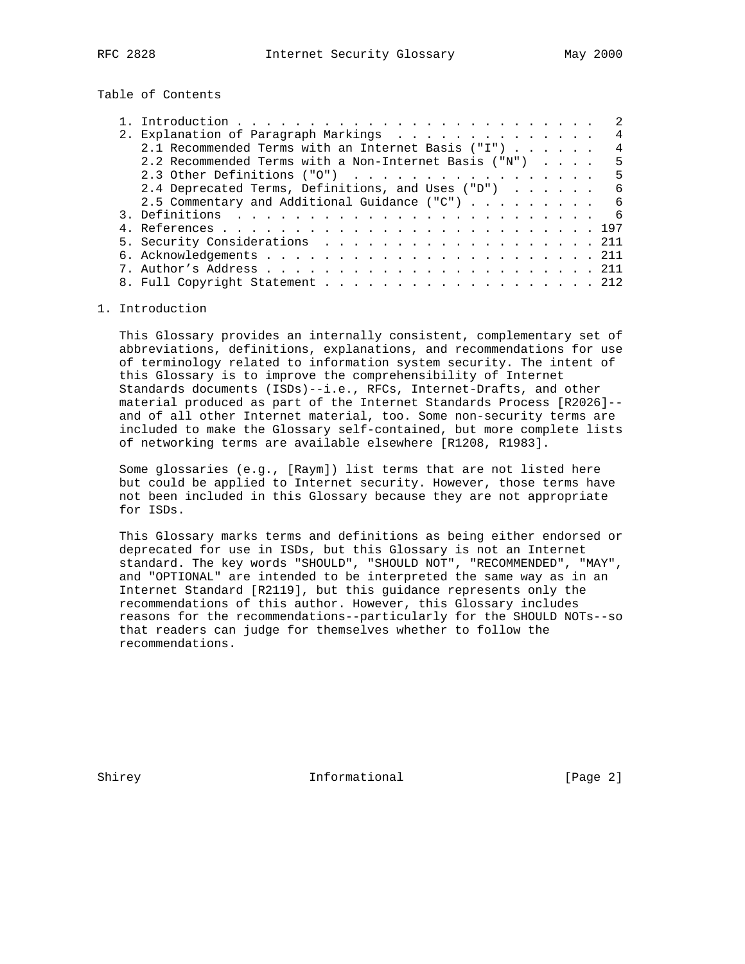Table of Contents

|                                                       |  |  | 2  |
|-------------------------------------------------------|--|--|----|
| 2. Explanation of Paragraph Markings                  |  |  | 4  |
| 2.1 Recommended Terms with an Internet Basis ("I") 4  |  |  |    |
| 2.2 Recommended Terms with a Non-Internet Basis ("N") |  |  | 5  |
| 2.3 Other Definitions ("O")                           |  |  | -5 |
| 2.4 Deprecated Terms, Definitions, and Uses ("D") 6   |  |  |    |
| 2.5 Commentary and Additional Guidance ("C") 6        |  |  |    |
|                                                       |  |  |    |
|                                                       |  |  |    |
| 5. Security Considerations 211                        |  |  |    |
|                                                       |  |  |    |
|                                                       |  |  |    |
|                                                       |  |  |    |

# 1. Introduction

 This Glossary provides an internally consistent, complementary set of abbreviations, definitions, explanations, and recommendations for use of terminology related to information system security. The intent of this Glossary is to improve the comprehensibility of Internet Standards documents (ISDs)--i.e., RFCs, Internet-Drafts, and other material produced as part of the Internet Standards Process [R2026]- and of all other Internet material, too. Some non-security terms are included to make the Glossary self-contained, but more complete lists of networking terms are available elsewhere [R1208, R1983].

 Some glossaries (e.g., [Raym]) list terms that are not listed here but could be applied to Internet security. However, those terms have not been included in this Glossary because they are not appropriate for ISDs.

 This Glossary marks terms and definitions as being either endorsed or deprecated for use in ISDs, but this Glossary is not an Internet standard. The key words "SHOULD", "SHOULD NOT", "RECOMMENDED", "MAY", and "OPTIONAL" are intended to be interpreted the same way as in an Internet Standard [R2119], but this guidance represents only the recommendations of this author. However, this Glossary includes reasons for the recommendations--particularly for the SHOULD NOTs--so that readers can judge for themselves whether to follow the recommendations.

Shirey **Informational** [Page 2]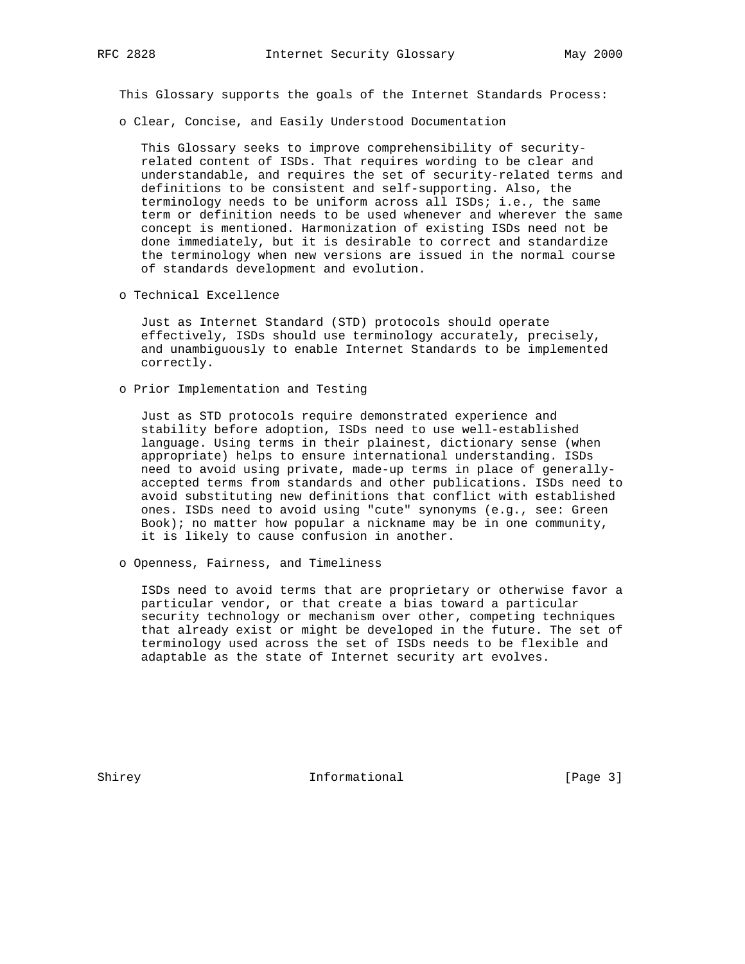This Glossary supports the goals of the Internet Standards Process:

o Clear, Concise, and Easily Understood Documentation

 This Glossary seeks to improve comprehensibility of security related content of ISDs. That requires wording to be clear and understandable, and requires the set of security-related terms and definitions to be consistent and self-supporting. Also, the terminology needs to be uniform across all ISDs; i.e., the same term or definition needs to be used whenever and wherever the same concept is mentioned. Harmonization of existing ISDs need not be done immediately, but it is desirable to correct and standardize the terminology when new versions are issued in the normal course of standards development and evolution.

o Technical Excellence

 Just as Internet Standard (STD) protocols should operate effectively, ISDs should use terminology accurately, precisely, and unambiguously to enable Internet Standards to be implemented correctly.

o Prior Implementation and Testing

 Just as STD protocols require demonstrated experience and stability before adoption, ISDs need to use well-established language. Using terms in their plainest, dictionary sense (when appropriate) helps to ensure international understanding. ISDs need to avoid using private, made-up terms in place of generally accepted terms from standards and other publications. ISDs need to avoid substituting new definitions that conflict with established ones. ISDs need to avoid using "cute" synonyms (e.g., see: Green Book); no matter how popular a nickname may be in one community, it is likely to cause confusion in another.

o Openness, Fairness, and Timeliness

 ISDs need to avoid terms that are proprietary or otherwise favor a particular vendor, or that create a bias toward a particular security technology or mechanism over other, competing techniques that already exist or might be developed in the future. The set of terminology used across the set of ISDs needs to be flexible and adaptable as the state of Internet security art evolves.

Shirey **Informational** [Page 3]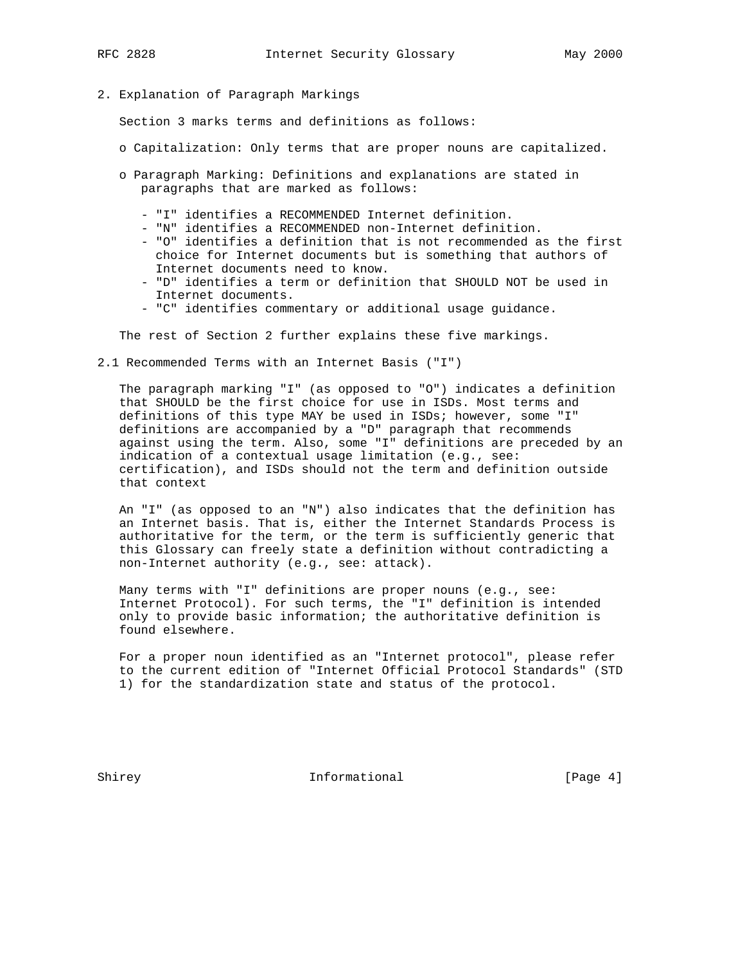2. Explanation of Paragraph Markings

Section 3 marks terms and definitions as follows:

- o Capitalization: Only terms that are proper nouns are capitalized.
- o Paragraph Marking: Definitions and explanations are stated in paragraphs that are marked as follows:
	- "I" identifies a RECOMMENDED Internet definition.
	- "N" identifies a RECOMMENDED non-Internet definition.
	- "O" identifies a definition that is not recommended as the first choice for Internet documents but is something that authors of Internet documents need to know.
	- "D" identifies a term or definition that SHOULD NOT be used in Internet documents.
	- "C" identifies commentary or additional usage guidance.

The rest of Section 2 further explains these five markings.

2.1 Recommended Terms with an Internet Basis ("I")

 The paragraph marking "I" (as opposed to "O") indicates a definition that SHOULD be the first choice for use in ISDs. Most terms and definitions of this type MAY be used in ISDs; however, some "I" definitions are accompanied by a "D" paragraph that recommends against using the term. Also, some "I" definitions are preceded by an indication of a contextual usage limitation (e.g., see: certification), and ISDs should not the term and definition outside that context

 An "I" (as opposed to an "N") also indicates that the definition has an Internet basis. That is, either the Internet Standards Process is authoritative for the term, or the term is sufficiently generic that this Glossary can freely state a definition without contradicting a non-Internet authority (e.g., see: attack).

 Many terms with "I" definitions are proper nouns (e.g., see: Internet Protocol). For such terms, the "I" definition is intended only to provide basic information; the authoritative definition is found elsewhere.

 For a proper noun identified as an "Internet protocol", please refer to the current edition of "Internet Official Protocol Standards" (STD 1) for the standardization state and status of the protocol.

Shirey 10 Informational [Page 4]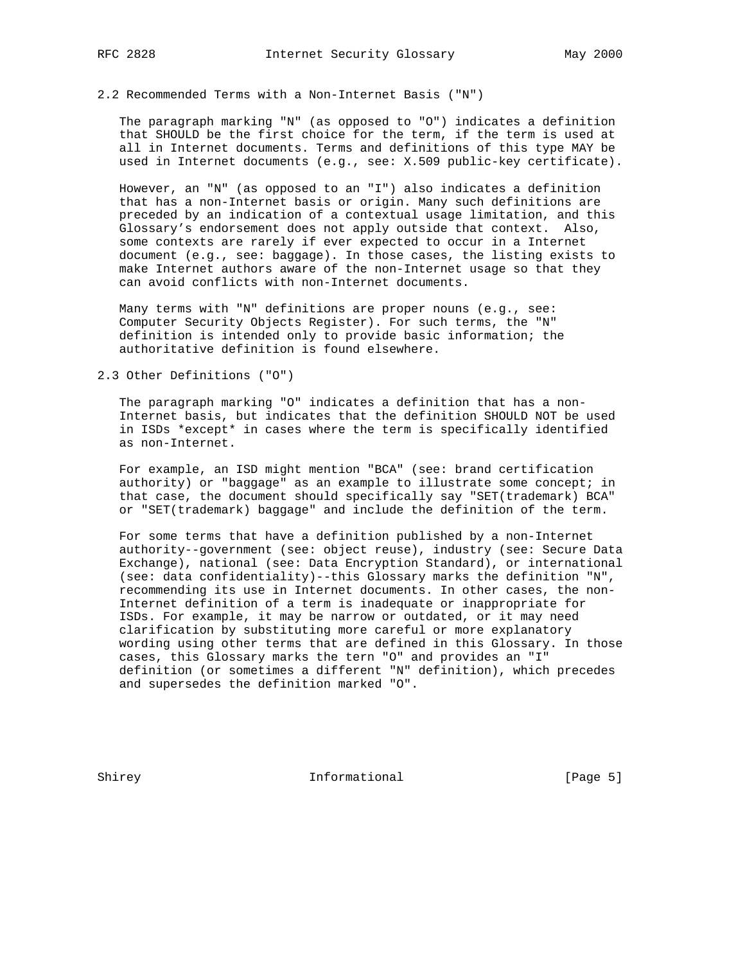# 2.2 Recommended Terms with a Non-Internet Basis ("N")

 The paragraph marking "N" (as opposed to "O") indicates a definition that SHOULD be the first choice for the term, if the term is used at all in Internet documents. Terms and definitions of this type MAY be used in Internet documents (e.g., see: X.509 public-key certificate).

 However, an "N" (as opposed to an "I") also indicates a definition that has a non-Internet basis or origin. Many such definitions are preceded by an indication of a contextual usage limitation, and this Glossary's endorsement does not apply outside that context. Also, some contexts are rarely if ever expected to occur in a Internet document (e.g., see: baggage). In those cases, the listing exists to make Internet authors aware of the non-Internet usage so that they can avoid conflicts with non-Internet documents.

 Many terms with "N" definitions are proper nouns (e.g., see: Computer Security Objects Register). For such terms, the "N" definition is intended only to provide basic information; the authoritative definition is found elsewhere.

2.3 Other Definitions ("O")

 The paragraph marking "O" indicates a definition that has a non- Internet basis, but indicates that the definition SHOULD NOT be used in ISDs \*except\* in cases where the term is specifically identified as non-Internet.

 For example, an ISD might mention "BCA" (see: brand certification authority) or "baggage" as an example to illustrate some concept; in that case, the document should specifically say "SET(trademark) BCA" or "SET(trademark) baggage" and include the definition of the term.

 For some terms that have a definition published by a non-Internet authority--government (see: object reuse), industry (see: Secure Data Exchange), national (see: Data Encryption Standard), or international (see: data confidentiality)--this Glossary marks the definition "N", recommending its use in Internet documents. In other cases, the non- Internet definition of a term is inadequate or inappropriate for ISDs. For example, it may be narrow or outdated, or it may need clarification by substituting more careful or more explanatory wording using other terms that are defined in this Glossary. In those cases, this Glossary marks the tern "O" and provides an "I" definition (or sometimes a different "N" definition), which precedes and supersedes the definition marked "O".

Shirey **Informational** [Page 5]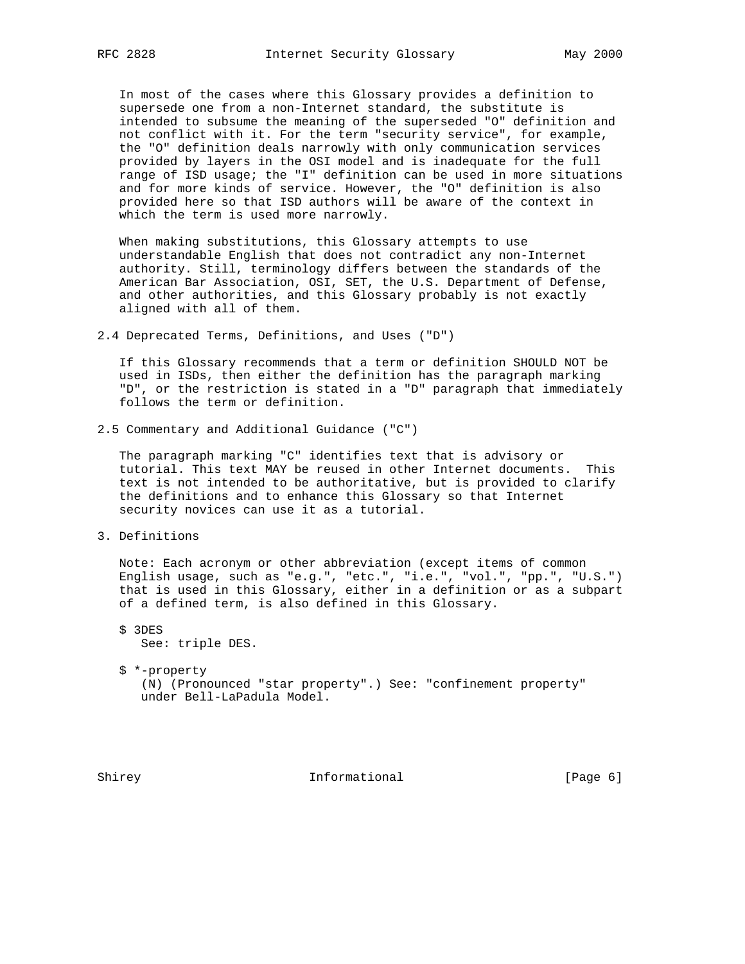In most of the cases where this Glossary provides a definition to supersede one from a non-Internet standard, the substitute is intended to subsume the meaning of the superseded "O" definition and not conflict with it. For the term "security service", for example, the "O" definition deals narrowly with only communication services provided by layers in the OSI model and is inadequate for the full range of ISD usage; the "I" definition can be used in more situations and for more kinds of service. However, the "O" definition is also provided here so that ISD authors will be aware of the context in which the term is used more narrowly.

 When making substitutions, this Glossary attempts to use understandable English that does not contradict any non-Internet authority. Still, terminology differs between the standards of the American Bar Association, OSI, SET, the U.S. Department of Defense, and other authorities, and this Glossary probably is not exactly aligned with all of them.

2.4 Deprecated Terms, Definitions, and Uses ("D")

 If this Glossary recommends that a term or definition SHOULD NOT be used in ISDs, then either the definition has the paragraph marking "D", or the restriction is stated in a "D" paragraph that immediately follows the term or definition.

2.5 Commentary and Additional Guidance ("C")

 The paragraph marking "C" identifies text that is advisory or tutorial. This text MAY be reused in other Internet documents. This text is not intended to be authoritative, but is provided to clarify the definitions and to enhance this Glossary so that Internet security novices can use it as a tutorial.

3. Definitions

 Note: Each acronym or other abbreviation (except items of common English usage, such as "e.g.", "etc.", "i.e.", "vol.", "pp.", "U.S.") that is used in this Glossary, either in a definition or as a subpart of a defined term, is also defined in this Glossary.

 \$ 3DES See: triple DES.

 \$ \*-property (N) (Pronounced "star property".) See: "confinement property" under Bell-LaPadula Model.

Shirey **Informational** [Page 6]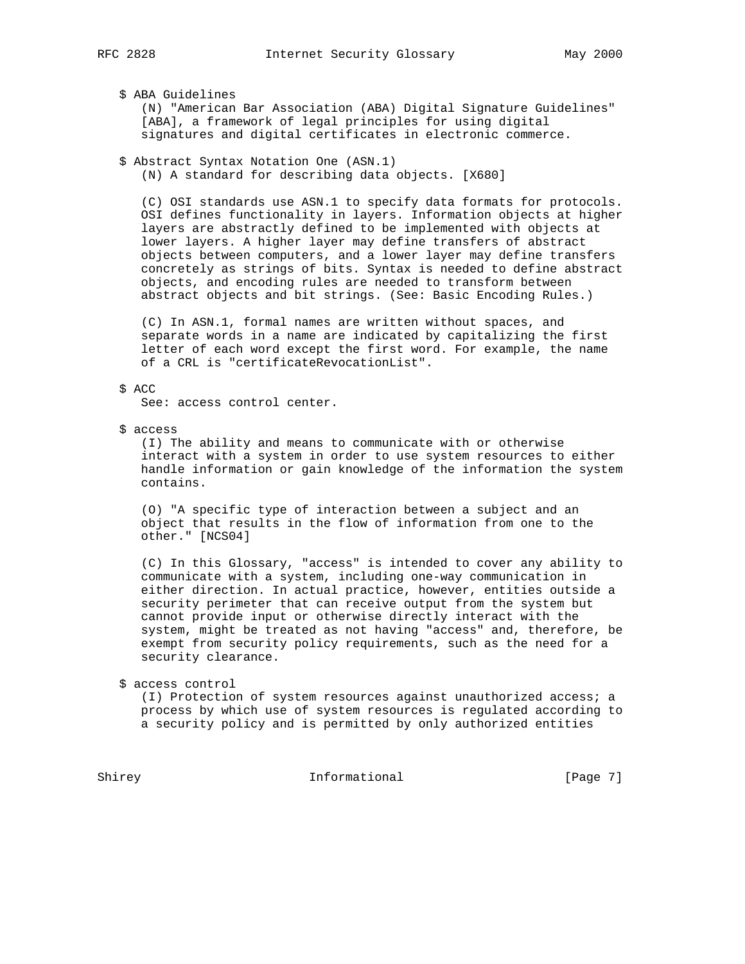# \$ ABA Guidelines

 (N) "American Bar Association (ABA) Digital Signature Guidelines" [ABA], a framework of legal principles for using digital signatures and digital certificates in electronic commerce.

 \$ Abstract Syntax Notation One (ASN.1) (N) A standard for describing data objects. [X680]

 (C) OSI standards use ASN.1 to specify data formats for protocols. OSI defines functionality in layers. Information objects at higher layers are abstractly defined to be implemented with objects at lower layers. A higher layer may define transfers of abstract objects between computers, and a lower layer may define transfers concretely as strings of bits. Syntax is needed to define abstract objects, and encoding rules are needed to transform between abstract objects and bit strings. (See: Basic Encoding Rules.)

 (C) In ASN.1, formal names are written without spaces, and separate words in a name are indicated by capitalizing the first letter of each word except the first word. For example, the name of a CRL is "certificateRevocationList".

#### \$ ACC

See: access control center.

\$ access

 (I) The ability and means to communicate with or otherwise interact with a system in order to use system resources to either handle information or gain knowledge of the information the system contains.

 (O) "A specific type of interaction between a subject and an object that results in the flow of information from one to the other." [NCS04]

 (C) In this Glossary, "access" is intended to cover any ability to communicate with a system, including one-way communication in either direction. In actual practice, however, entities outside a security perimeter that can receive output from the system but cannot provide input or otherwise directly interact with the system, might be treated as not having "access" and, therefore, be exempt from security policy requirements, such as the need for a security clearance.

\$ access control

 (I) Protection of system resources against unauthorized access; a process by which use of system resources is regulated according to a security policy and is permitted by only authorized entities

Shirey **Informational** Informational [Page 7]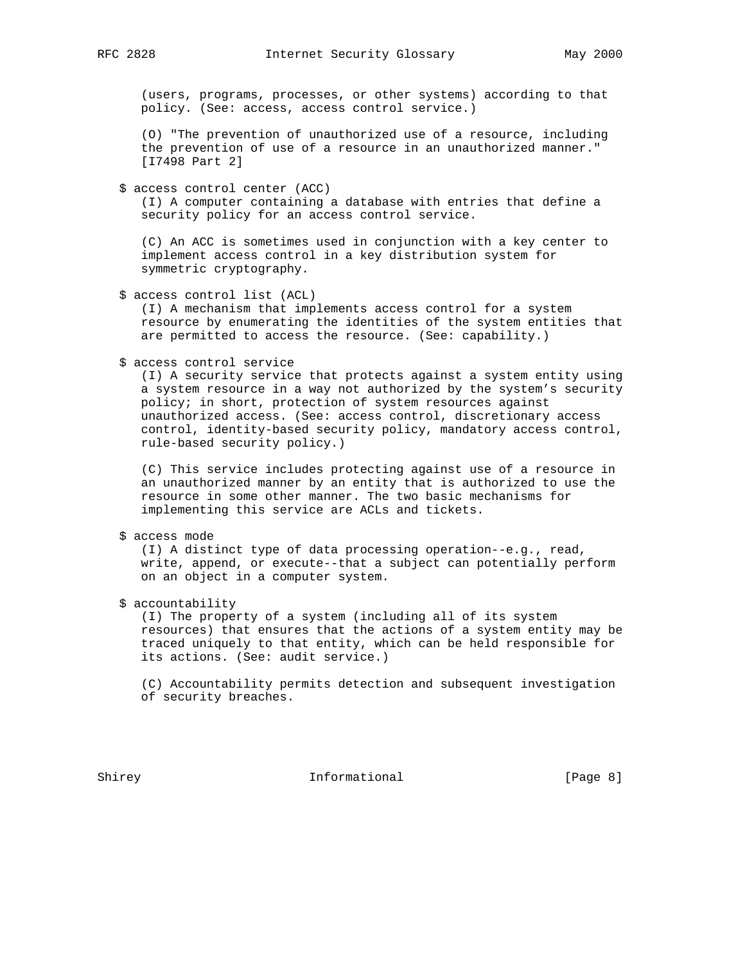(users, programs, processes, or other systems) according to that policy. (See: access, access control service.)

 (O) "The prevention of unauthorized use of a resource, including the prevention of use of a resource in an unauthorized manner." [I7498 Part 2]

\$ access control center (ACC)

 (I) A computer containing a database with entries that define a security policy for an access control service.

 (C) An ACC is sometimes used in conjunction with a key center to implement access control in a key distribution system for symmetric cryptography.

\$ access control list (ACL)

 (I) A mechanism that implements access control for a system resource by enumerating the identities of the system entities that are permitted to access the resource. (See: capability.)

\$ access control service

 (I) A security service that protects against a system entity using a system resource in a way not authorized by the system's security policy; in short, protection of system resources against unauthorized access. (See: access control, discretionary access control, identity-based security policy, mandatory access control, rule-based security policy.)

 (C) This service includes protecting against use of a resource in an unauthorized manner by an entity that is authorized to use the resource in some other manner. The two basic mechanisms for implementing this service are ACLs and tickets.

\$ access mode

 (I) A distinct type of data processing operation--e.g., read, write, append, or execute--that a subject can potentially perform on an object in a computer system.

\$ accountability

 (I) The property of a system (including all of its system resources) that ensures that the actions of a system entity may be traced uniquely to that entity, which can be held responsible for its actions. (See: audit service.)

 (C) Accountability permits detection and subsequent investigation of security breaches.

Shirey **Informational** [Page 8]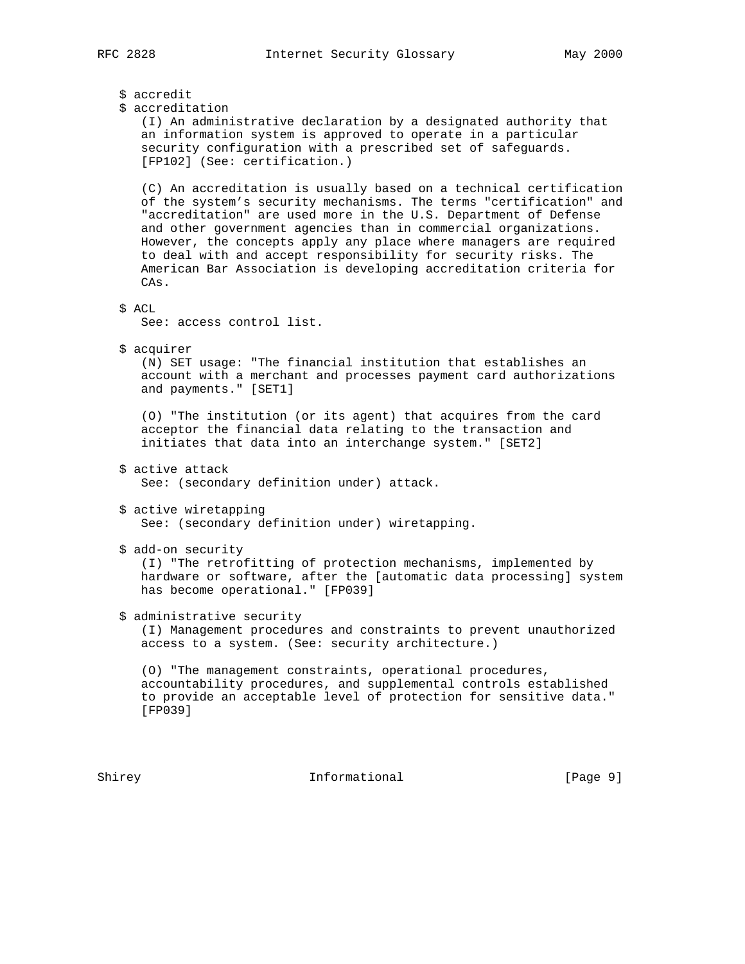\$ accredit \$ accreditation (I) An administrative declaration by a designated authority that an information system is approved to operate in a particular security configuration with a prescribed set of safeguards. [FP102] (See: certification.) (C) An accreditation is usually based on a technical certification of the system's security mechanisms. The terms "certification" and "accreditation" are used more in the U.S. Department of Defense and other government agencies than in commercial organizations. However, the concepts apply any place where managers are required to deal with and accept responsibility for security risks. The American Bar Association is developing accreditation criteria for CAs. \$ ACL See: access control list. \$ acquirer (N) SET usage: "The financial institution that establishes an account with a merchant and processes payment card authorizations and payments." [SET1] (O) "The institution (or its agent) that acquires from the card acceptor the financial data relating to the transaction and initiates that data into an interchange system." [SET2] \$ active attack See: (secondary definition under) attack. \$ active wiretapping See: (secondary definition under) wiretapping. \$ add-on security (I) "The retrofitting of protection mechanisms, implemented by hardware or software, after the [automatic data processing] system has become operational." [FP039] \$ administrative security (I) Management procedures and constraints to prevent unauthorized access to a system. (See: security architecture.) (O) "The management constraints, operational procedures, accountability procedures, and supplemental controls established to provide an acceptable level of protection for sensitive data." [FP039]

Shirey **Informational** Informational [Page 9]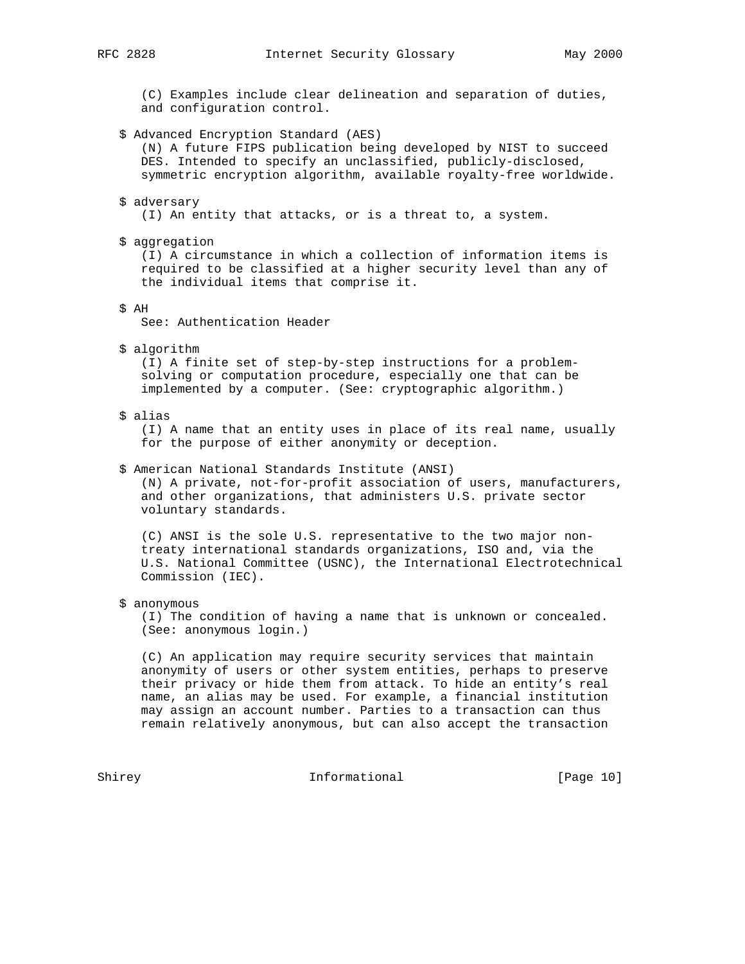(C) Examples include clear delineation and separation of duties, and configuration control.

\$ Advanced Encryption Standard (AES)

 (N) A future FIPS publication being developed by NIST to succeed DES. Intended to specify an unclassified, publicly-disclosed, symmetric encryption algorithm, available royalty-free worldwide.

- \$ adversary (I) An entity that attacks, or is a threat to, a system.
- \$ aggregation

 (I) A circumstance in which a collection of information items is required to be classified at a higher security level than any of the individual items that comprise it.

\$ AH

See: Authentication Header

\$ algorithm

 (I) A finite set of step-by-step instructions for a problem solving or computation procedure, especially one that can be implemented by a computer. (See: cryptographic algorithm.)

\$ alias

 (I) A name that an entity uses in place of its real name, usually for the purpose of either anonymity or deception.

\$ American National Standards Institute (ANSI)

 (N) A private, not-for-profit association of users, manufacturers, and other organizations, that administers U.S. private sector voluntary standards.

 (C) ANSI is the sole U.S. representative to the two major non treaty international standards organizations, ISO and, via the U.S. National Committee (USNC), the International Electrotechnical Commission (IEC).

\$ anonymous

 (I) The condition of having a name that is unknown or concealed. (See: anonymous login.)

 (C) An application may require security services that maintain anonymity of users or other system entities, perhaps to preserve their privacy or hide them from attack. To hide an entity's real name, an alias may be used. For example, a financial institution may assign an account number. Parties to a transaction can thus remain relatively anonymous, but can also accept the transaction

Shirey Informational [Page 10]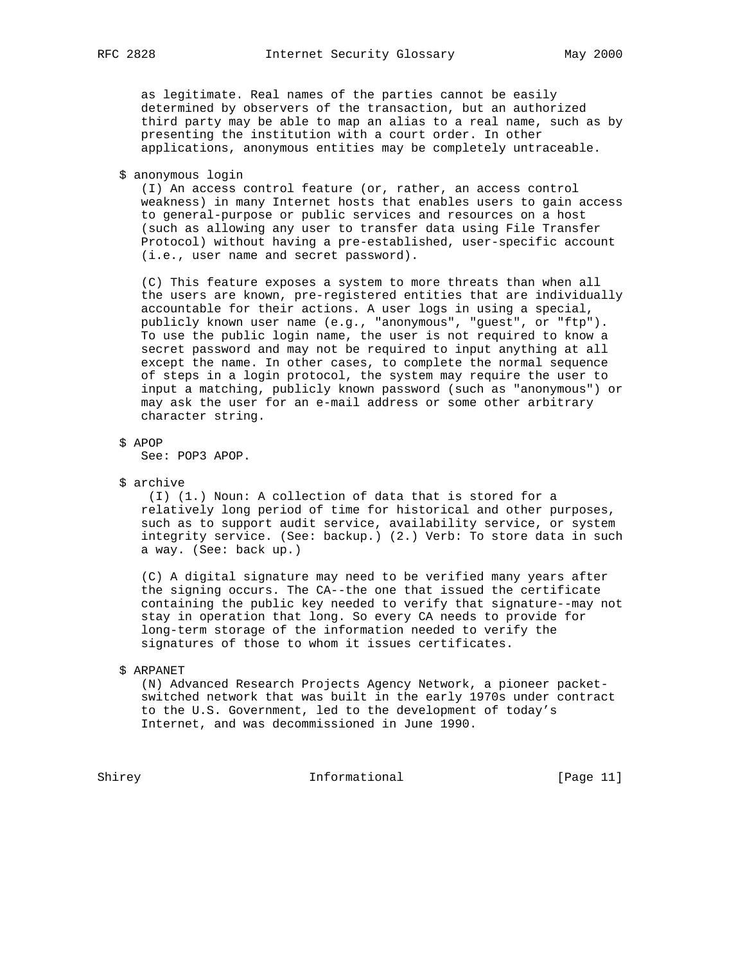as legitimate. Real names of the parties cannot be easily determined by observers of the transaction, but an authorized third party may be able to map an alias to a real name, such as by presenting the institution with a court order. In other applications, anonymous entities may be completely untraceable.

\$ anonymous login

 (I) An access control feature (or, rather, an access control weakness) in many Internet hosts that enables users to gain access to general-purpose or public services and resources on a host (such as allowing any user to transfer data using File Transfer Protocol) without having a pre-established, user-specific account (i.e., user name and secret password).

 (C) This feature exposes a system to more threats than when all the users are known, pre-registered entities that are individually accountable for their actions. A user logs in using a special, publicly known user name (e.g., "anonymous", "guest", or "ftp"). To use the public login name, the user is not required to know a secret password and may not be required to input anything at all except the name. In other cases, to complete the normal sequence of steps in a login protocol, the system may require the user to input a matching, publicly known password (such as "anonymous") or may ask the user for an e-mail address or some other arbitrary character string.

\$ APOP

See: POP3 APOP.

\$ archive

 (I) (1.) Noun: A collection of data that is stored for a relatively long period of time for historical and other purposes, such as to support audit service, availability service, or system integrity service. (See: backup.) (2.) Verb: To store data in such a way. (See: back up.)

 (C) A digital signature may need to be verified many years after the signing occurs. The CA--the one that issued the certificate containing the public key needed to verify that signature--may not stay in operation that long. So every CA needs to provide for long-term storage of the information needed to verify the signatures of those to whom it issues certificates.

#### \$ ARPANET

 (N) Advanced Research Projects Agency Network, a pioneer packet switched network that was built in the early 1970s under contract to the U.S. Government, led to the development of today's Internet, and was decommissioned in June 1990.

Shirey Informational [Page 11]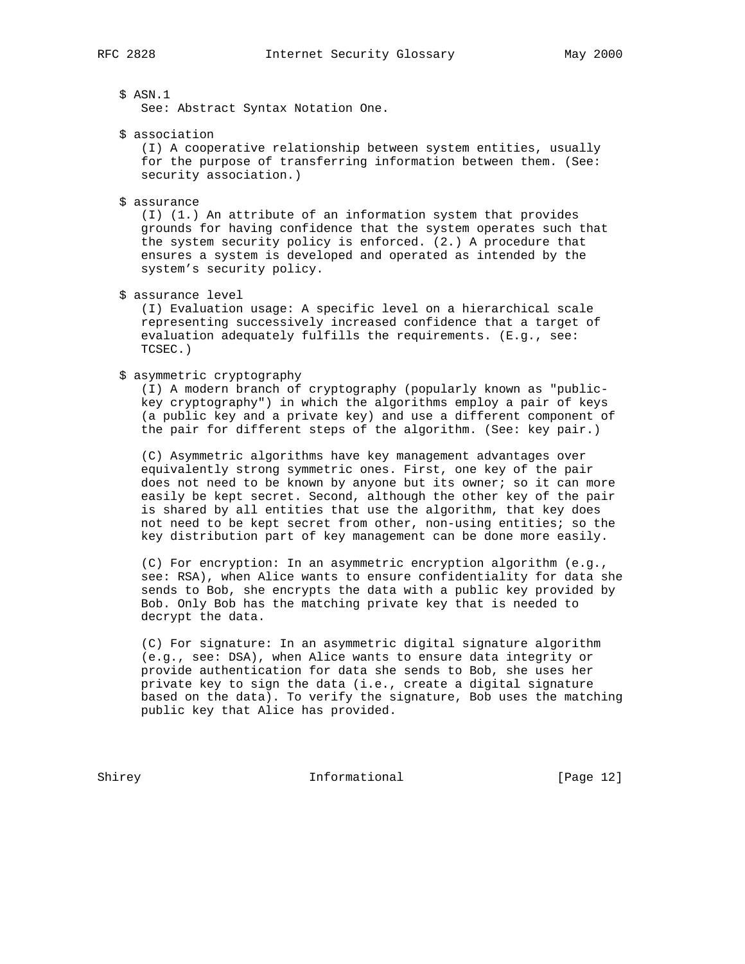# \$ ASN.1

See: Abstract Syntax Notation One.

\$ association

 (I) A cooperative relationship between system entities, usually for the purpose of transferring information between them. (See: security association.)

\$ assurance

 (I) (1.) An attribute of an information system that provides grounds for having confidence that the system operates such that the system security policy is enforced. (2.) A procedure that ensures a system is developed and operated as intended by the system's security policy.

\$ assurance level

 (I) Evaluation usage: A specific level on a hierarchical scale representing successively increased confidence that a target of evaluation adequately fulfills the requirements. (E.g., see: TCSEC.)

# \$ asymmetric cryptography

 (I) A modern branch of cryptography (popularly known as "public key cryptography") in which the algorithms employ a pair of keys (a public key and a private key) and use a different component of the pair for different steps of the algorithm. (See: key pair.)

 (C) Asymmetric algorithms have key management advantages over equivalently strong symmetric ones. First, one key of the pair does not need to be known by anyone but its owner; so it can more easily be kept secret. Second, although the other key of the pair is shared by all entities that use the algorithm, that key does not need to be kept secret from other, non-using entities; so the key distribution part of key management can be done more easily.

 (C) For encryption: In an asymmetric encryption algorithm (e.g., see: RSA), when Alice wants to ensure confidentiality for data she sends to Bob, she encrypts the data with a public key provided by Bob. Only Bob has the matching private key that is needed to decrypt the data.

 (C) For signature: In an asymmetric digital signature algorithm (e.g., see: DSA), when Alice wants to ensure data integrity or provide authentication for data she sends to Bob, she uses her private key to sign the data (i.e., create a digital signature based on the data). To verify the signature, Bob uses the matching public key that Alice has provided.

Shirey **Informational** [Page 12]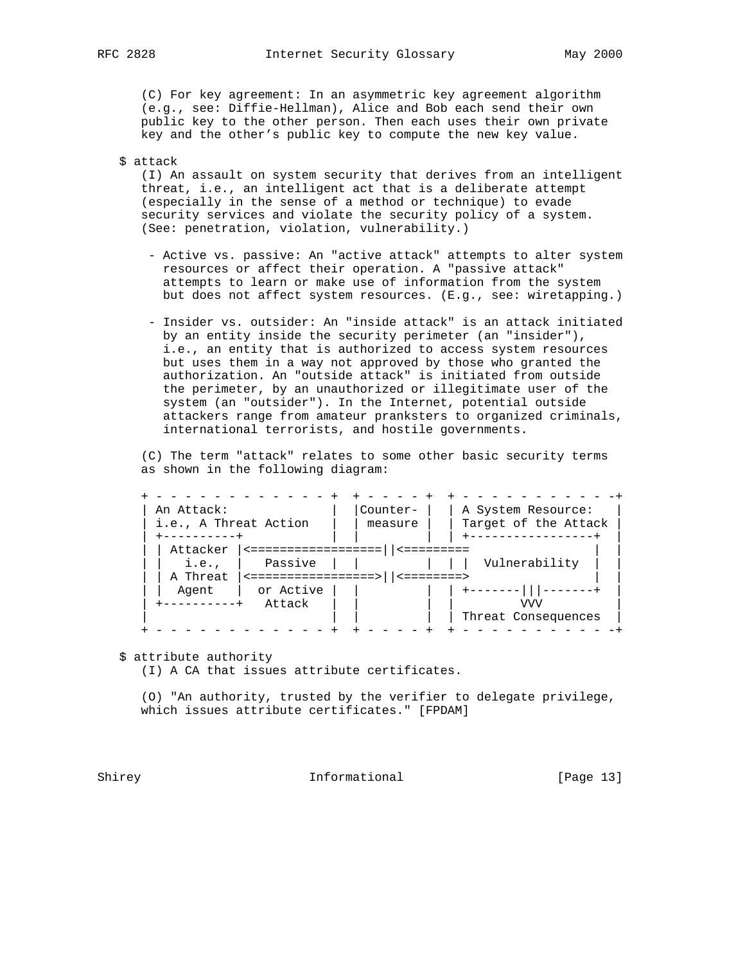(C) For key agreement: In an asymmetric key agreement algorithm (e.g., see: Diffie-Hellman), Alice and Bob each send their own public key to the other person. Then each uses their own private key and the other's public key to compute the new key value.

\$ attack

 (I) An assault on system security that derives from an intelligent threat, i.e., an intelligent act that is a deliberate attempt (especially in the sense of a method or technique) to evade security services and violate the security policy of a system. (See: penetration, violation, vulnerability.)

- Active vs. passive: An "active attack" attempts to alter system resources or affect their operation. A "passive attack" attempts to learn or make use of information from the system but does not affect system resources. (E.g., see: wiretapping.)
- Insider vs. outsider: An "inside attack" is an attack initiated by an entity inside the security perimeter (an "insider"), i.e., an entity that is authorized to access system resources but uses them in a way not approved by those who granted the authorization. An "outside attack" is initiated from outside the perimeter, by an unauthorized or illegitimate user of the system (an "outsider"). In the Internet, potential outside attackers range from amateur pranksters to organized criminals, international terrorists, and hostile governments.

 (C) The term "attack" relates to some other basic security terms as shown in the following diagram:

| An Attack:                    | i.e., A Threat Action           |                         | A System Resource:<br>Target of the Attack |
|-------------------------------|---------------------------------|-------------------------|--------------------------------------------|
| Attacker<br>i.e.,<br>A Threat | Passive<br><==================> | $\le$ = = = = = = = = > | Vulnerability                              |
| Agent<br>---------+           | or Active<br>Attack             |                         | VVV<br>Threat Consequences                 |

\$ attribute authority

(I) A CA that issues attribute certificates.

 (O) "An authority, trusted by the verifier to delegate privilege, which issues attribute certificates." [FPDAM]

Shirey **Informational** Informational [Page 13]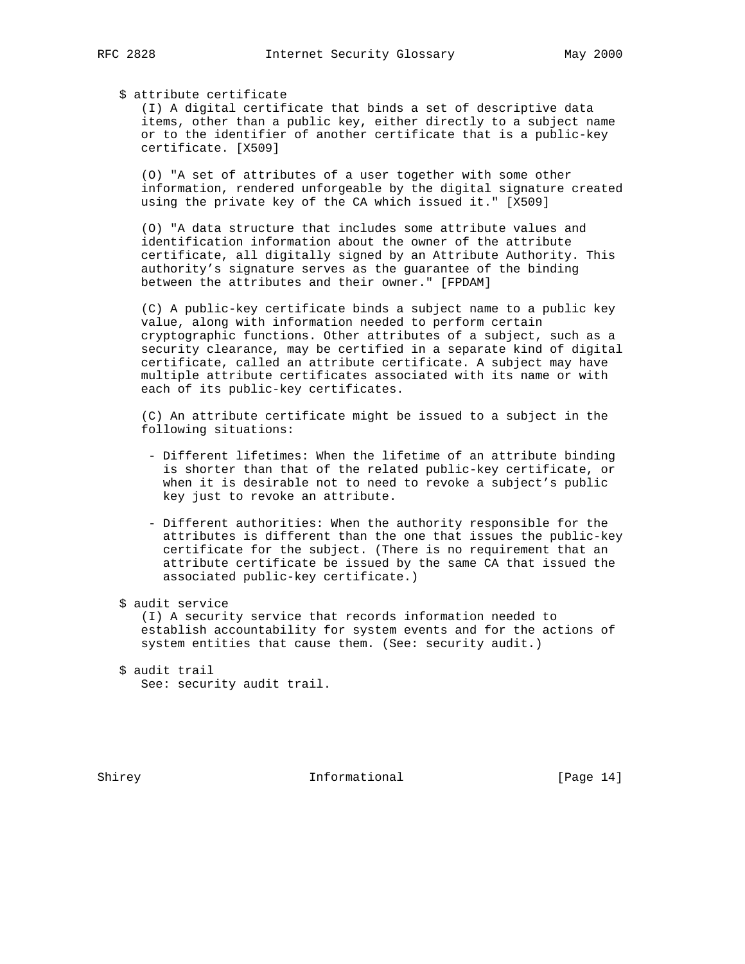\$ attribute certificate

 (I) A digital certificate that binds a set of descriptive data items, other than a public key, either directly to a subject name or to the identifier of another certificate that is a public-key certificate. [X509]

 (O) "A set of attributes of a user together with some other information, rendered unforgeable by the digital signature created using the private key of the CA which issued it." [X509]

 (O) "A data structure that includes some attribute values and identification information about the owner of the attribute certificate, all digitally signed by an Attribute Authority. This authority's signature serves as the guarantee of the binding between the attributes and their owner." [FPDAM]

 (C) A public-key certificate binds a subject name to a public key value, along with information needed to perform certain cryptographic functions. Other attributes of a subject, such as a security clearance, may be certified in a separate kind of digital certificate, called an attribute certificate. A subject may have multiple attribute certificates associated with its name or with each of its public-key certificates.

 (C) An attribute certificate might be issued to a subject in the following situations:

- Different lifetimes: When the lifetime of an attribute binding is shorter than that of the related public-key certificate, or when it is desirable not to need to revoke a subject's public key just to revoke an attribute.
- Different authorities: When the authority responsible for the attributes is different than the one that issues the public-key certificate for the subject. (There is no requirement that an attribute certificate be issued by the same CA that issued the associated public-key certificate.)
- \$ audit service

 (I) A security service that records information needed to establish accountability for system events and for the actions of system entities that cause them. (See: security audit.)

Shirey **Informational** [Page 14]

 <sup>\$</sup> audit trail See: security audit trail.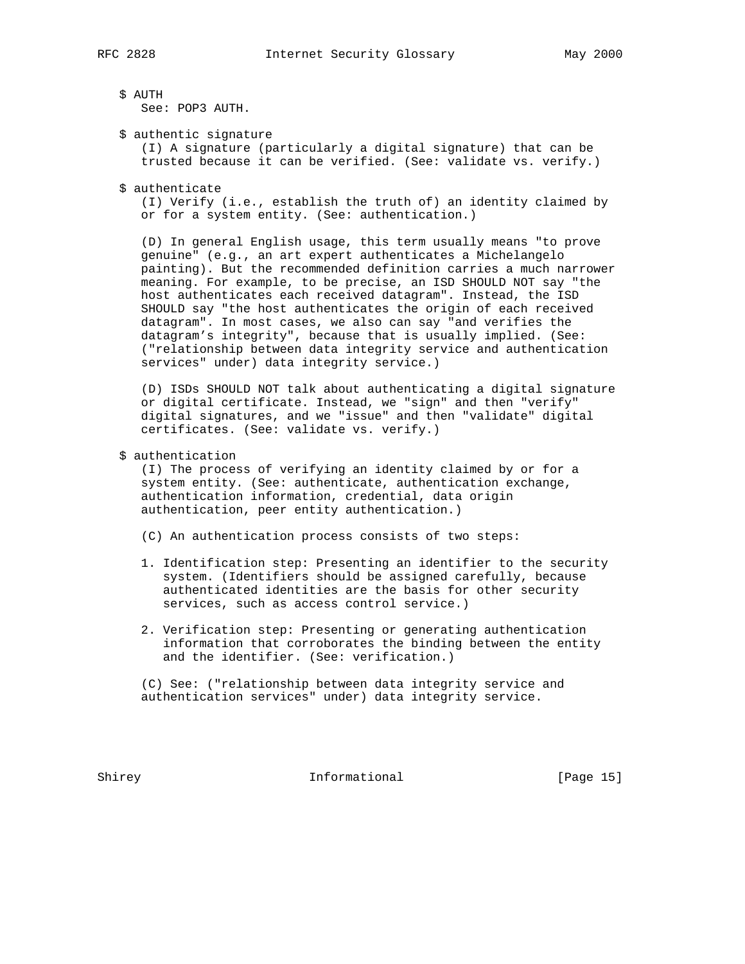\$ AUTH

See: POP3 AUTH.

\$ authentic signature

 (I) A signature (particularly a digital signature) that can be trusted because it can be verified. (See: validate vs. verify.)

\$ authenticate

 (I) Verify (i.e., establish the truth of) an identity claimed by or for a system entity. (See: authentication.)

 (D) In general English usage, this term usually means "to prove genuine" (e.g., an art expert authenticates a Michelangelo painting). But the recommended definition carries a much narrower meaning. For example, to be precise, an ISD SHOULD NOT say "the host authenticates each received datagram". Instead, the ISD SHOULD say "the host authenticates the origin of each received datagram". In most cases, we also can say "and verifies the datagram's integrity", because that is usually implied. (See: ("relationship between data integrity service and authentication services" under) data integrity service.)

 (D) ISDs SHOULD NOT talk about authenticating a digital signature or digital certificate. Instead, we "sign" and then "verify" digital signatures, and we "issue" and then "validate" digital certificates. (See: validate vs. verify.)

\$ authentication

 (I) The process of verifying an identity claimed by or for a system entity. (See: authenticate, authentication exchange, authentication information, credential, data origin authentication, peer entity authentication.)

(C) An authentication process consists of two steps:

- 1. Identification step: Presenting an identifier to the security system. (Identifiers should be assigned carefully, because authenticated identities are the basis for other security services, such as access control service.)
- 2. Verification step: Presenting or generating authentication information that corroborates the binding between the entity and the identifier. (See: verification.)

 (C) See: ("relationship between data integrity service and authentication services" under) data integrity service.

Shirey **Informational** [Page 15]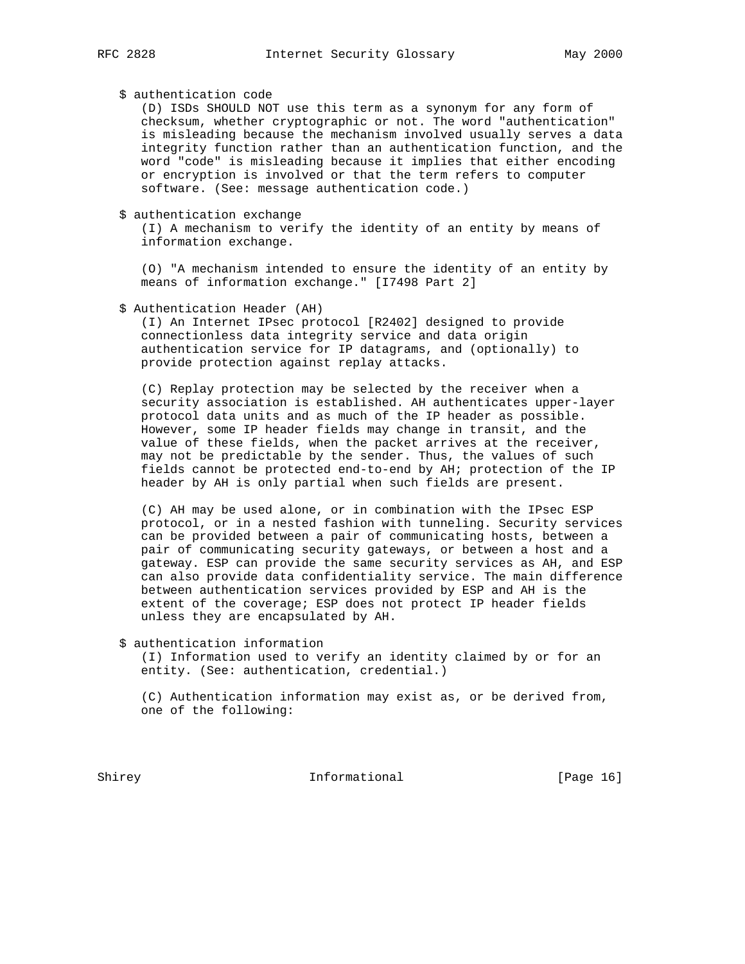\$ authentication code

 (D) ISDs SHOULD NOT use this term as a synonym for any form of checksum, whether cryptographic or not. The word "authentication" is misleading because the mechanism involved usually serves a data integrity function rather than an authentication function, and the word "code" is misleading because it implies that either encoding or encryption is involved or that the term refers to computer software. (See: message authentication code.)

\$ authentication exchange

 (I) A mechanism to verify the identity of an entity by means of information exchange.

 (O) "A mechanism intended to ensure the identity of an entity by means of information exchange." [I7498 Part 2]

\$ Authentication Header (AH)

 (I) An Internet IPsec protocol [R2402] designed to provide connectionless data integrity service and data origin authentication service for IP datagrams, and (optionally) to provide protection against replay attacks.

 (C) Replay protection may be selected by the receiver when a security association is established. AH authenticates upper-layer protocol data units and as much of the IP header as possible. However, some IP header fields may change in transit, and the value of these fields, when the packet arrives at the receiver, may not be predictable by the sender. Thus, the values of such fields cannot be protected end-to-end by AH; protection of the IP header by AH is only partial when such fields are present.

 (C) AH may be used alone, or in combination with the IPsec ESP protocol, or in a nested fashion with tunneling. Security services can be provided between a pair of communicating hosts, between a pair of communicating security gateways, or between a host and a gateway. ESP can provide the same security services as AH, and ESP can also provide data confidentiality service. The main difference between authentication services provided by ESP and AH is the extent of the coverage; ESP does not protect IP header fields unless they are encapsulated by AH.

\$ authentication information

 (I) Information used to verify an identity claimed by or for an entity. (See: authentication, credential.)

 (C) Authentication information may exist as, or be derived from, one of the following:

Shirey **Informational** [Page 16]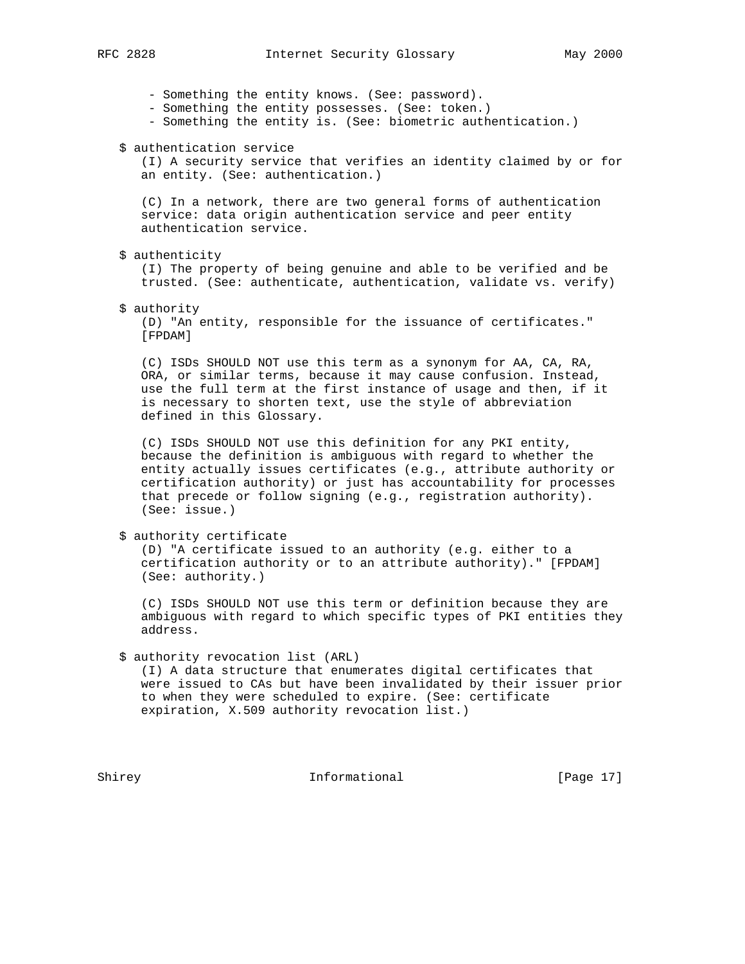- Something the entity knows. (See: password).

- Something the entity possesses. (See: token.)

- Something the entity is. (See: biometric authentication.)

\$ authentication service

 (I) A security service that verifies an identity claimed by or for an entity. (See: authentication.)

 (C) In a network, there are two general forms of authentication service: data origin authentication service and peer entity authentication service.

\$ authenticity

 (I) The property of being genuine and able to be verified and be trusted. (See: authenticate, authentication, validate vs. verify)

\$ authority

 (D) "An entity, responsible for the issuance of certificates." [FPDAM]

 (C) ISDs SHOULD NOT use this term as a synonym for AA, CA, RA, ORA, or similar terms, because it may cause confusion. Instead, use the full term at the first instance of usage and then, if it is necessary to shorten text, use the style of abbreviation defined in this Glossary.

 (C) ISDs SHOULD NOT use this definition for any PKI entity, because the definition is ambiguous with regard to whether the entity actually issues certificates (e.g., attribute authority or certification authority) or just has accountability for processes that precede or follow signing (e.g., registration authority). (See: issue.)

\$ authority certificate

 (D) "A certificate issued to an authority (e.g. either to a certification authority or to an attribute authority)." [FPDAM] (See: authority.)

 (C) ISDs SHOULD NOT use this term or definition because they are ambiguous with regard to which specific types of PKI entities they address.

\$ authority revocation list (ARL)

 (I) A data structure that enumerates digital certificates that were issued to CAs but have been invalidated by their issuer prior to when they were scheduled to expire. (See: certificate expiration, X.509 authority revocation list.)

Shirey **Informational** [Page 17]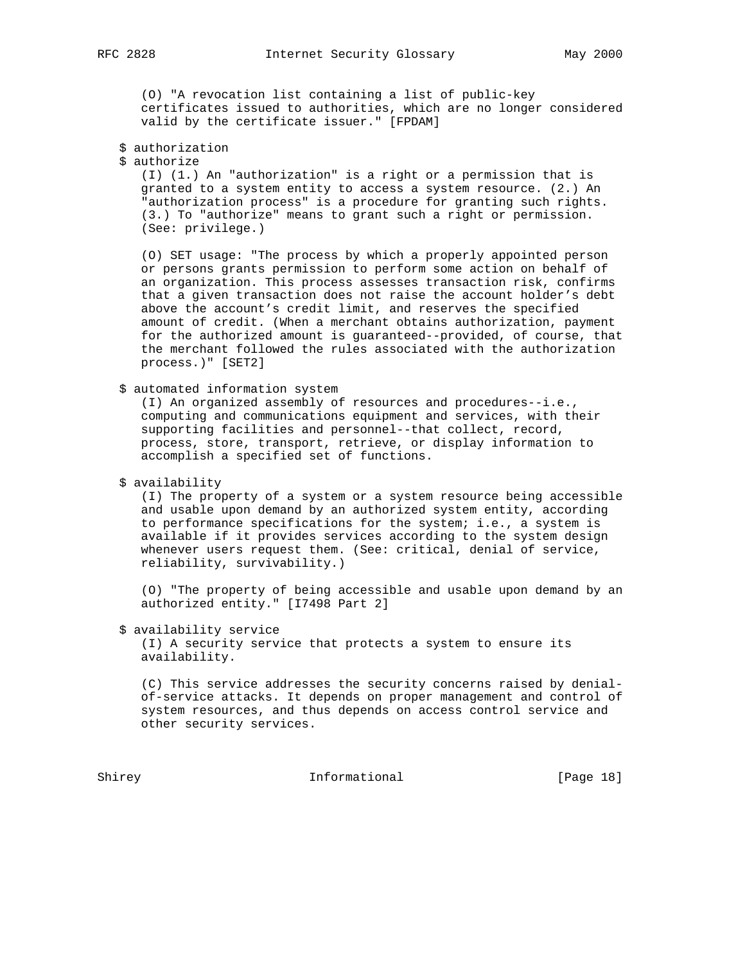(O) "A revocation list containing a list of public-key certificates issued to authorities, which are no longer considered valid by the certificate issuer." [FPDAM]

- \$ authorization
- \$ authorize

 (I) (1.) An "authorization" is a right or a permission that is granted to a system entity to access a system resource. (2.) An "authorization process" is a procedure for granting such rights. (3.) To "authorize" means to grant such a right or permission. (See: privilege.)

 (O) SET usage: "The process by which a properly appointed person or persons grants permission to perform some action on behalf of an organization. This process assesses transaction risk, confirms that a given transaction does not raise the account holder's debt above the account's credit limit, and reserves the specified amount of credit. (When a merchant obtains authorization, payment for the authorized amount is guaranteed--provided, of course, that the merchant followed the rules associated with the authorization process.)" [SET2]

\$ automated information system

 (I) An organized assembly of resources and procedures--i.e., computing and communications equipment and services, with their supporting facilities and personnel--that collect, record, process, store, transport, retrieve, or display information to accomplish a specified set of functions.

\$ availability

 (I) The property of a system or a system resource being accessible and usable upon demand by an authorized system entity, according to performance specifications for the system; i.e., a system is available if it provides services according to the system design whenever users request them. (See: critical, denial of service, reliability, survivability.)

 (O) "The property of being accessible and usable upon demand by an authorized entity." [I7498 Part 2]

\$ availability service

 (I) A security service that protects a system to ensure its availability.

 (C) This service addresses the security concerns raised by denial of-service attacks. It depends on proper management and control of system resources, and thus depends on access control service and other security services.

Shirey **Informational** [Page 18]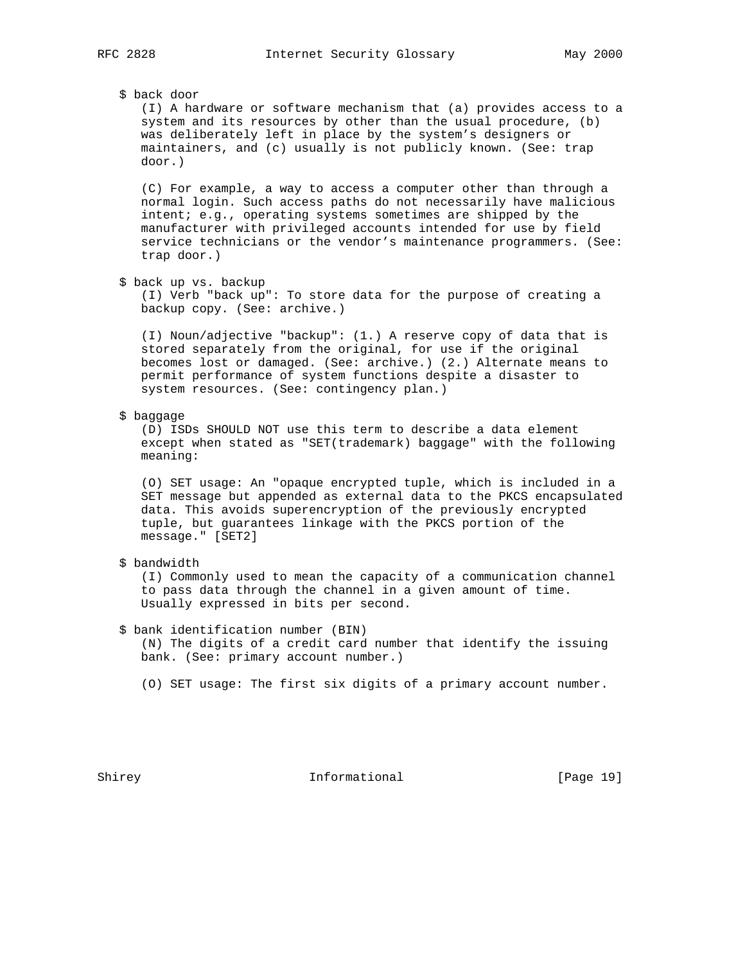# \$ back door

 (I) A hardware or software mechanism that (a) provides access to a system and its resources by other than the usual procedure, (b) was deliberately left in place by the system's designers or maintainers, and (c) usually is not publicly known. (See: trap door.)

 (C) For example, a way to access a computer other than through a normal login. Such access paths do not necessarily have malicious intent; e.g., operating systems sometimes are shipped by the manufacturer with privileged accounts intended for use by field service technicians or the vendor's maintenance programmers. (See: trap door.)

\$ back up vs. backup

 (I) Verb "back up": To store data for the purpose of creating a backup copy. (See: archive.)

 (I) Noun/adjective "backup": (1.) A reserve copy of data that is stored separately from the original, for use if the original becomes lost or damaged. (See: archive.) (2.) Alternate means to permit performance of system functions despite a disaster to system resources. (See: contingency plan.)

#### \$ baggage

 (D) ISDs SHOULD NOT use this term to describe a data element except when stated as "SET(trademark) baggage" with the following meaning:

 (O) SET usage: An "opaque encrypted tuple, which is included in a SET message but appended as external data to the PKCS encapsulated data. This avoids superencryption of the previously encrypted tuple, but guarantees linkage with the PKCS portion of the message." [SET2]

### \$ bandwidth

 (I) Commonly used to mean the capacity of a communication channel to pass data through the channel in a given amount of time. Usually expressed in bits per second.

### \$ bank identification number (BIN)

 (N) The digits of a credit card number that identify the issuing bank. (See: primary account number.)

(O) SET usage: The first six digits of a primary account number.

Shirey **Informational** [Page 19]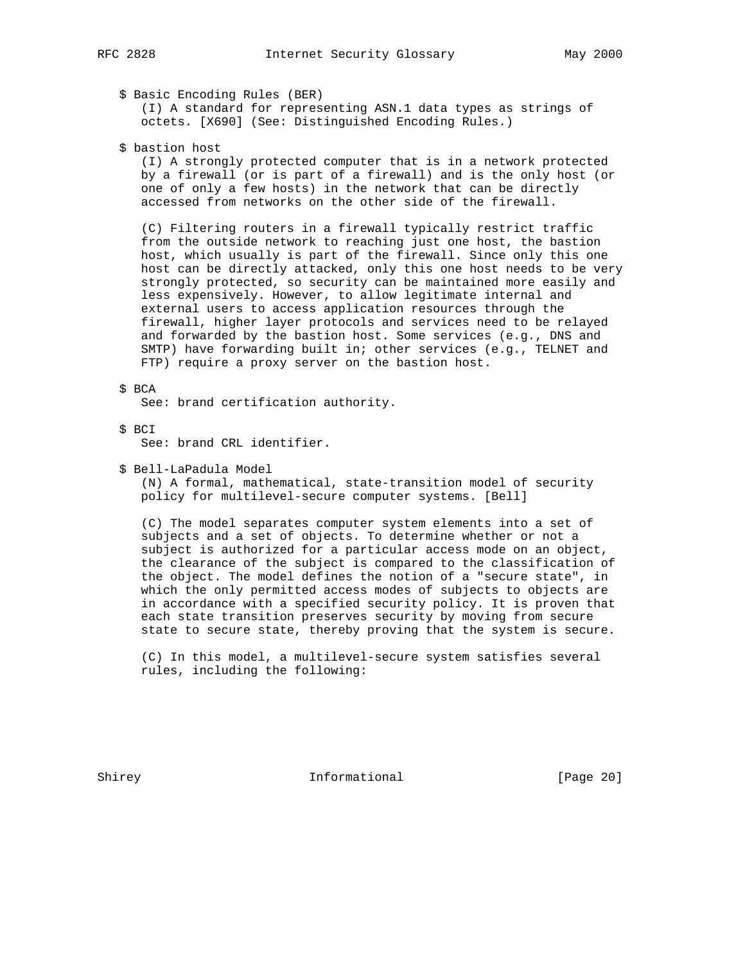# \$ Basic Encoding Rules (BER)

 (I) A standard for representing ASN.1 data types as strings of octets. [X690] (See: Distinguished Encoding Rules.)

\$ bastion host

 (I) A strongly protected computer that is in a network protected by a firewall (or is part of a firewall) and is the only host (or one of only a few hosts) in the network that can be directly accessed from networks on the other side of the firewall.

 (C) Filtering routers in a firewall typically restrict traffic from the outside network to reaching just one host, the bastion host, which usually is part of the firewall. Since only this one host can be directly attacked, only this one host needs to be very strongly protected, so security can be maintained more easily and less expensively. However, to allow legitimate internal and external users to access application resources through the firewall, higher layer protocols and services need to be relayed and forwarded by the bastion host. Some services (e.g., DNS and SMTP) have forwarding built in; other services (e.g., TELNET and FTP) require a proxy server on the bastion host.

\$ BCA

See: brand certification authority.

\$ BCI

See: brand CRL identifier.

\$ Bell-LaPadula Model

 (N) A formal, mathematical, state-transition model of security policy for multilevel-secure computer systems. [Bell]

 (C) The model separates computer system elements into a set of subjects and a set of objects. To determine whether or not a subject is authorized for a particular access mode on an object, the clearance of the subject is compared to the classification of the object. The model defines the notion of a "secure state", in which the only permitted access modes of subjects to objects are in accordance with a specified security policy. It is proven that each state transition preserves security by moving from secure state to secure state, thereby proving that the system is secure.

 (C) In this model, a multilevel-secure system satisfies several rules, including the following:

Shirey **Informational** [Page 20]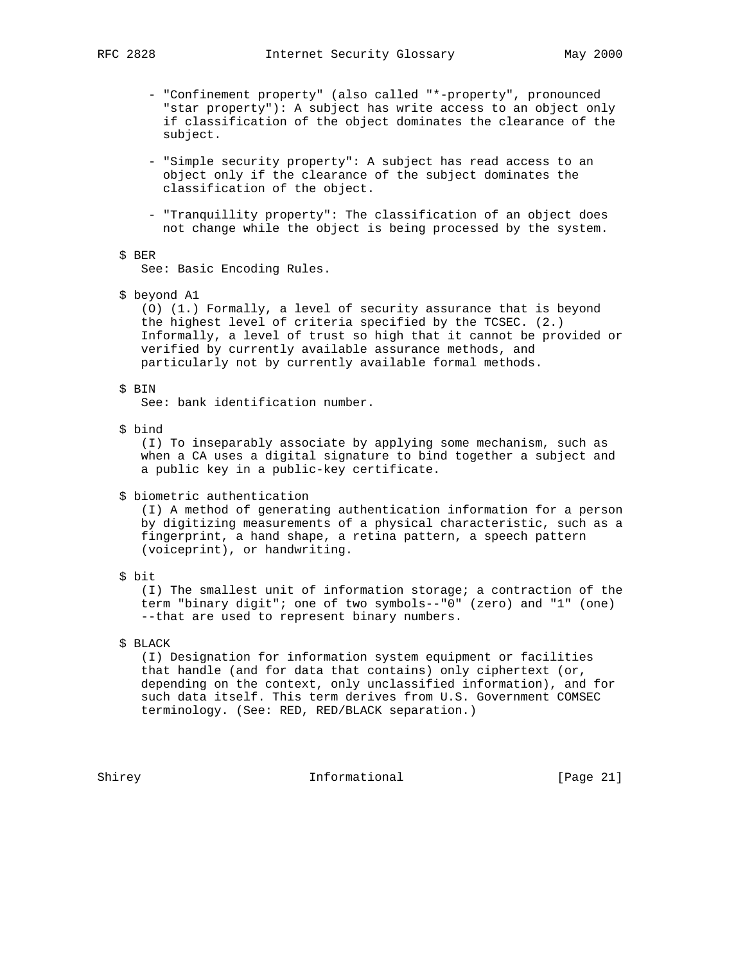- "Confinement property" (also called "\*-property", pronounced "star property"): A subject has write access to an object only if classification of the object dominates the clearance of the subject.
- "Simple security property": A subject has read access to an object only if the clearance of the subject dominates the classification of the object.
- "Tranquillity property": The classification of an object does not change while the object is being processed by the system.

## \$ BER

See: Basic Encoding Rules.

\$ beyond A1

 (O) (1.) Formally, a level of security assurance that is beyond the highest level of criteria specified by the TCSEC. (2.) Informally, a level of trust so high that it cannot be provided or verified by currently available assurance methods, and particularly not by currently available formal methods.

#### \$ BIN

See: bank identification number.

#### \$ bind

 (I) To inseparably associate by applying some mechanism, such as when a CA uses a digital signature to bind together a subject and a public key in a public-key certificate.

\$ biometric authentication

 (I) A method of generating authentication information for a person by digitizing measurements of a physical characteristic, such as a fingerprint, a hand shape, a retina pattern, a speech pattern (voiceprint), or handwriting.

\$ bit

 (I) The smallest unit of information storage; a contraction of the term "binary digit"; one of two symbols--"0" (zero) and "1" (one) --that are used to represent binary numbers.

\$ BLACK

 (I) Designation for information system equipment or facilities that handle (and for data that contains) only ciphertext (or, depending on the context, only unclassified information), and for such data itself. This term derives from U.S. Government COMSEC terminology. (See: RED, RED/BLACK separation.)

Shirey **Informational** [Page 21]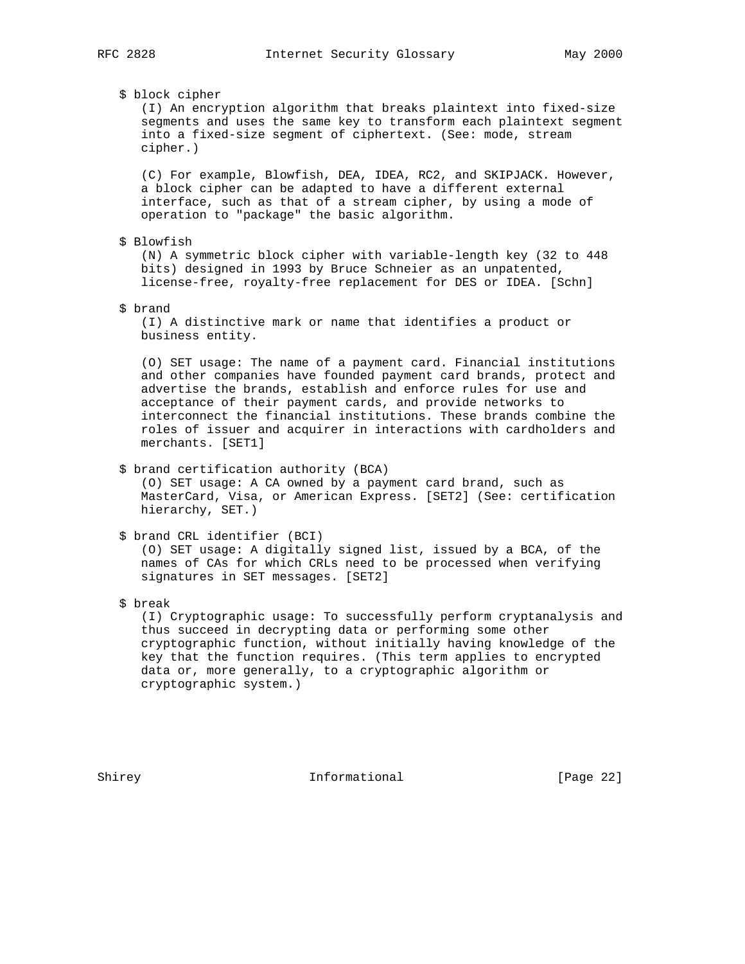\$ block cipher

 (I) An encryption algorithm that breaks plaintext into fixed-size segments and uses the same key to transform each plaintext segment into a fixed-size segment of ciphertext. (See: mode, stream cipher.)

 (C) For example, Blowfish, DEA, IDEA, RC2, and SKIPJACK. However, a block cipher can be adapted to have a different external interface, such as that of a stream cipher, by using a mode of operation to "package" the basic algorithm.

\$ Blowfish

 (N) A symmetric block cipher with variable-length key (32 to 448 bits) designed in 1993 by Bruce Schneier as an unpatented, license-free, royalty-free replacement for DES or IDEA. [Schn]

\$ brand

 (I) A distinctive mark or name that identifies a product or business entity.

 (O) SET usage: The name of a payment card. Financial institutions and other companies have founded payment card brands, protect and advertise the brands, establish and enforce rules for use and acceptance of their payment cards, and provide networks to interconnect the financial institutions. These brands combine the roles of issuer and acquirer in interactions with cardholders and merchants. [SET1]

\$ brand certification authority (BCA)

 (O) SET usage: A CA owned by a payment card brand, such as MasterCard, Visa, or American Express. [SET2] (See: certification hierarchy, SET.)

```
 $ brand CRL identifier (BCI)
```
 (O) SET usage: A digitally signed list, issued by a BCA, of the names of CAs for which CRLs need to be processed when verifying signatures in SET messages. [SET2]

\$ break

 (I) Cryptographic usage: To successfully perform cryptanalysis and thus succeed in decrypting data or performing some other cryptographic function, without initially having knowledge of the key that the function requires. (This term applies to encrypted data or, more generally, to a cryptographic algorithm or cryptographic system.)

Shirey **Informational** [Page 22]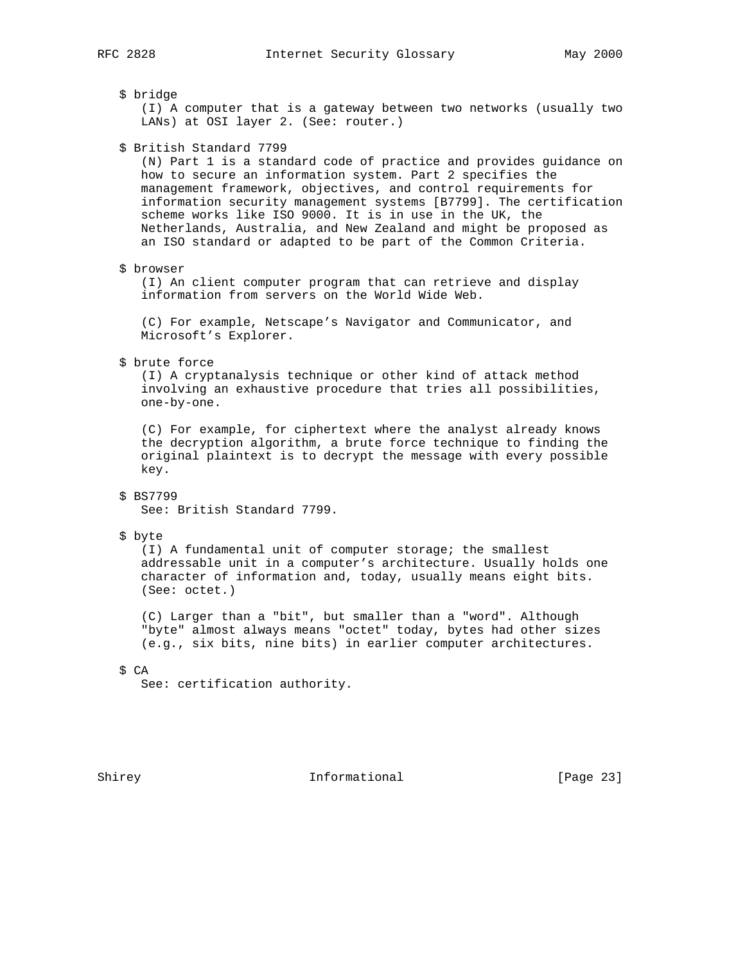# \$ bridge

 (I) A computer that is a gateway between two networks (usually two LANs) at OSI layer 2. (See: router.)

\$ British Standard 7799

 (N) Part 1 is a standard code of practice and provides guidance on how to secure an information system. Part 2 specifies the management framework, objectives, and control requirements for information security management systems [B7799]. The certification scheme works like ISO 9000. It is in use in the UK, the Netherlands, Australia, and New Zealand and might be proposed as an ISO standard or adapted to be part of the Common Criteria.

### \$ browser

 (I) An client computer program that can retrieve and display information from servers on the World Wide Web.

 (C) For example, Netscape's Navigator and Communicator, and Microsoft's Explorer.

\$ brute force

 (I) A cryptanalysis technique or other kind of attack method involving an exhaustive procedure that tries all possibilities, one-by-one.

 (C) For example, for ciphertext where the analyst already knows the decryption algorithm, a brute force technique to finding the original plaintext is to decrypt the message with every possible key.

# \$ BS7799

See: British Standard 7799.

### \$ byte

 (I) A fundamental unit of computer storage; the smallest addressable unit in a computer's architecture. Usually holds one character of information and, today, usually means eight bits. (See: octet.)

 (C) Larger than a "bit", but smaller than a "word". Although "byte" almost always means "octet" today, bytes had other sizes (e.g., six bits, nine bits) in earlier computer architectures.

### \$ CA

See: certification authority.

Shirey **Informational** [Page 23]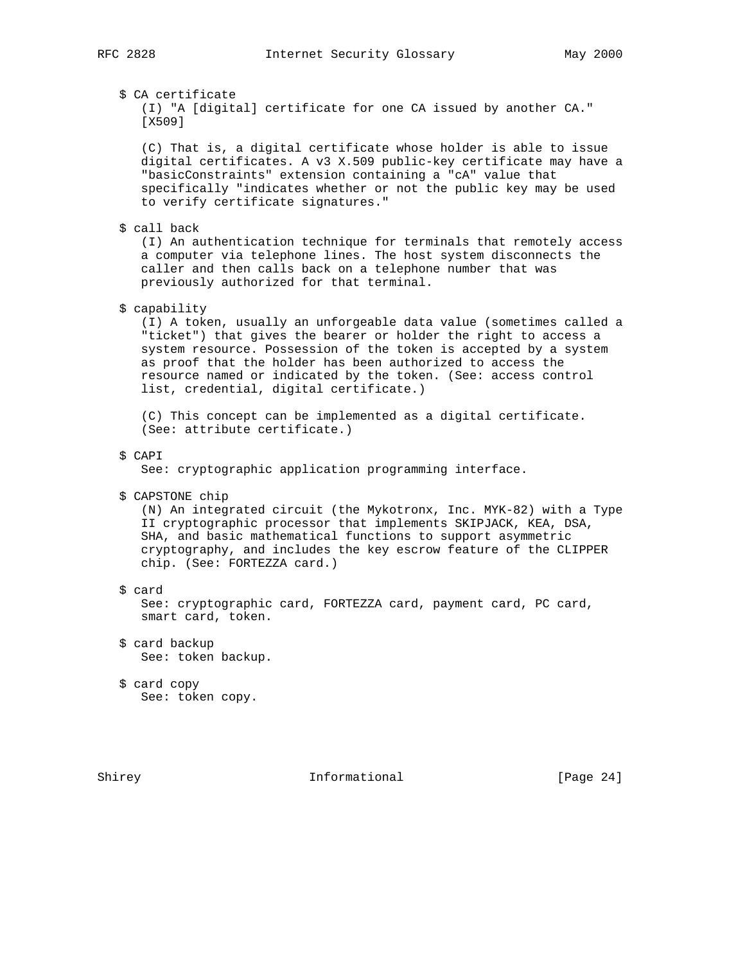\$ CA certificate

```
 (I) "A [digital] certificate for one CA issued by another CA."
[X509]
```
 (C) That is, a digital certificate whose holder is able to issue digital certificates. A v3 X.509 public-key certificate may have a "basicConstraints" extension containing a "cA" value that specifically "indicates whether or not the public key may be used to verify certificate signatures."

\$ call back

 (I) An authentication technique for terminals that remotely access a computer via telephone lines. The host system disconnects the caller and then calls back on a telephone number that was previously authorized for that terminal.

# \$ capability

 (I) A token, usually an unforgeable data value (sometimes called a "ticket") that gives the bearer or holder the right to access a system resource. Possession of the token is accepted by a system as proof that the holder has been authorized to access the resource named or indicated by the token. (See: access control list, credential, digital certificate.)

 (C) This concept can be implemented as a digital certificate. (See: attribute certificate.)

# \$ CAPI

See: cryptographic application programming interface.

\$ CAPSTONE chip

 (N) An integrated circuit (the Mykotronx, Inc. MYK-82) with a Type II cryptographic processor that implements SKIPJACK, KEA, DSA, SHA, and basic mathematical functions to support asymmetric cryptography, and includes the key escrow feature of the CLIPPER chip. (See: FORTEZZA card.)

\$ card

 See: cryptographic card, FORTEZZA card, payment card, PC card, smart card, token.

- \$ card backup See: token backup.
- \$ card copy See: token copy.

Shirey **Informational** [Page 24]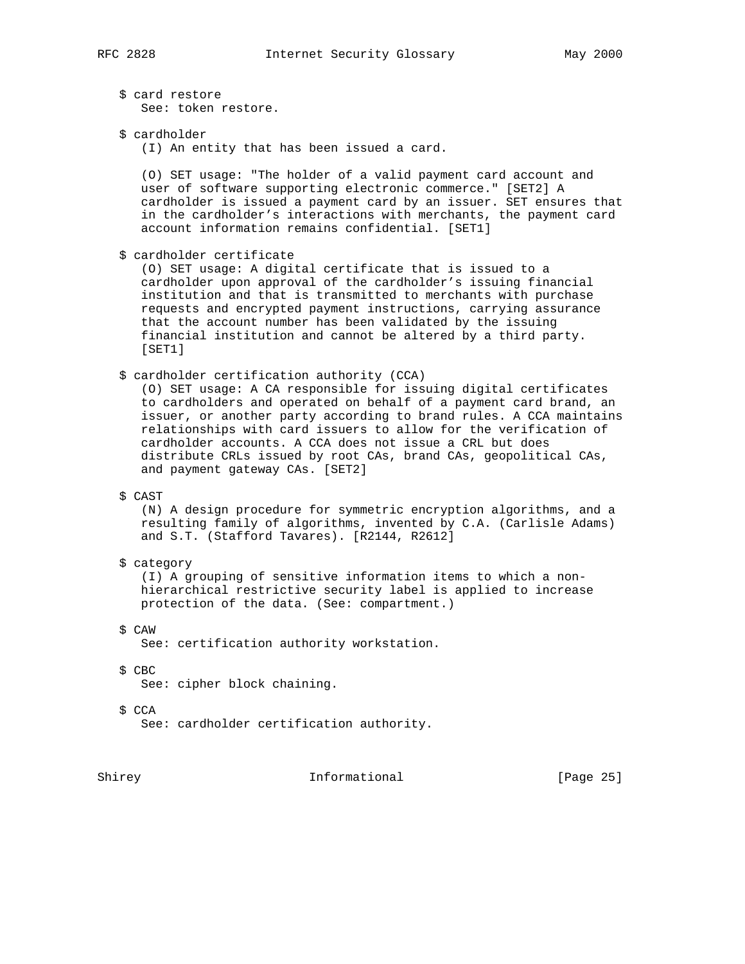\$ card restore See: token restore.

\$ cardholder

(I) An entity that has been issued a card.

 (O) SET usage: "The holder of a valid payment card account and user of software supporting electronic commerce." [SET2] A cardholder is issued a payment card by an issuer. SET ensures that in the cardholder's interactions with merchants, the payment card account information remains confidential. [SET1]

\$ cardholder certificate

 (O) SET usage: A digital certificate that is issued to a cardholder upon approval of the cardholder's issuing financial institution and that is transmitted to merchants with purchase requests and encrypted payment instructions, carrying assurance that the account number has been validated by the issuing financial institution and cannot be altered by a third party. [SET1]

\$ cardholder certification authority (CCA)

 (O) SET usage: A CA responsible for issuing digital certificates to cardholders and operated on behalf of a payment card brand, an issuer, or another party according to brand rules. A CCA maintains relationships with card issuers to allow for the verification of cardholder accounts. A CCA does not issue a CRL but does distribute CRLs issued by root CAs, brand CAs, geopolitical CAs, and payment gateway CAs. [SET2]

# \$ CAST

 (N) A design procedure for symmetric encryption algorithms, and a resulting family of algorithms, invented by C.A. (Carlisle Adams) and S.T. (Stafford Tavares). [R2144, R2612]

\$ category

 (I) A grouping of sensitive information items to which a non hierarchical restrictive security label is applied to increase protection of the data. (See: compartment.)

 \$ CAW See: certification authority workstation.

\$ CBC

See: cipher block chaining.

- \$ CCA
	- See: cardholder certification authority.

Shirey **Informational** [Page 25]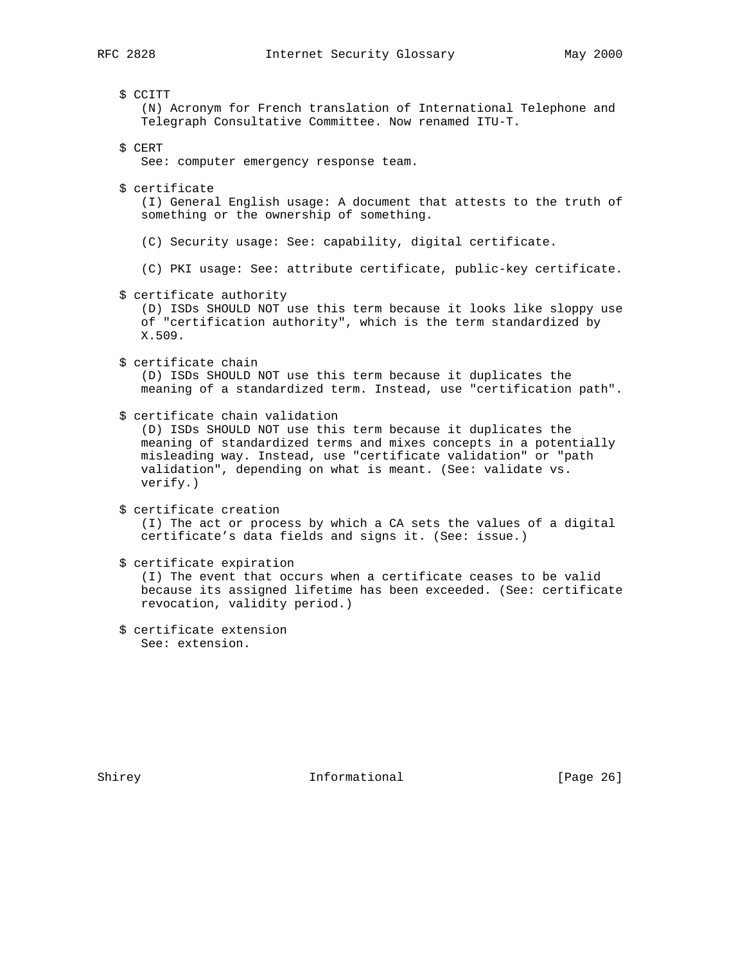### \$ CCITT

 (N) Acronym for French translation of International Telephone and Telegraph Consultative Committee. Now renamed ITU-T.

\$ CERT

See: computer emergency response team.

\$ certificate

 (I) General English usage: A document that attests to the truth of something or the ownership of something.

- (C) Security usage: See: capability, digital certificate.
- (C) PKI usage: See: attribute certificate, public-key certificate.
- \$ certificate authority

 (D) ISDs SHOULD NOT use this term because it looks like sloppy use of "certification authority", which is the term standardized by X.509.

\$ certificate chain

 (D) ISDs SHOULD NOT use this term because it duplicates the meaning of a standardized term. Instead, use "certification path".

\$ certificate chain validation

 (D) ISDs SHOULD NOT use this term because it duplicates the meaning of standardized terms and mixes concepts in a potentially misleading way. Instead, use "certificate validation" or "path validation", depending on what is meant. (See: validate vs. verify.)

```
 $ certificate creation
  (I) The act or process by which a CA sets the values of a digital
  certificate's data fields and signs it. (See: issue.)
```
\$ certificate expiration

 (I) The event that occurs when a certificate ceases to be valid because its assigned lifetime has been exceeded. (See: certificate revocation, validity period.)

 \$ certificate extension See: extension.

Shirey **Informational** [Page 26]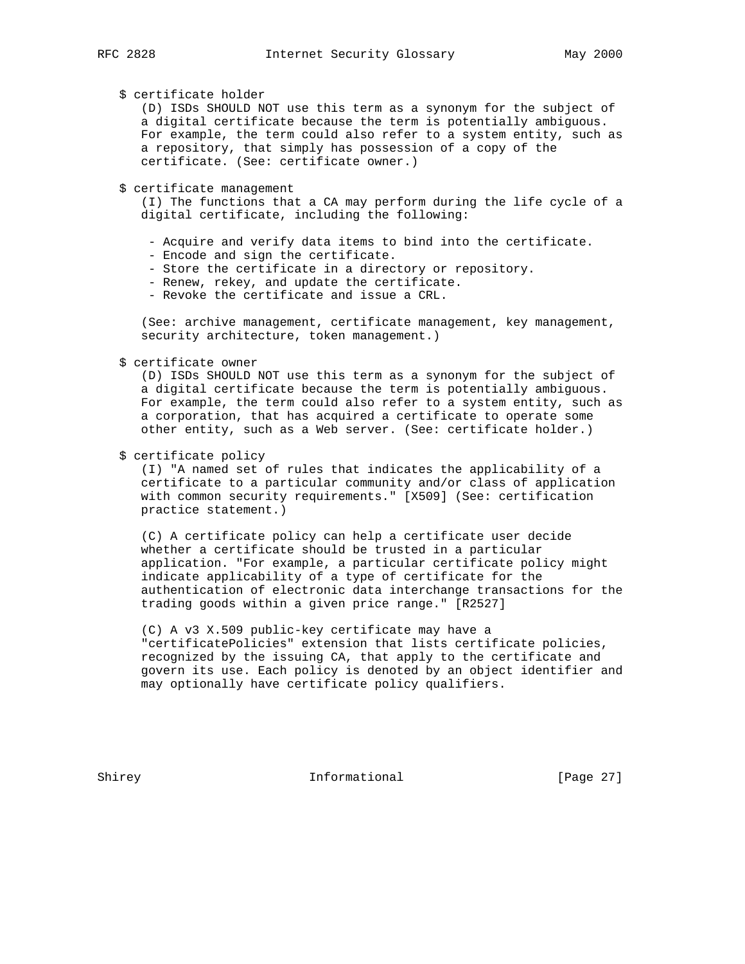# \$ certificate holder

 (D) ISDs SHOULD NOT use this term as a synonym for the subject of a digital certificate because the term is potentially ambiguous. For example, the term could also refer to a system entity, such as a repository, that simply has possession of a copy of the certificate. (See: certificate owner.)

\$ certificate management

 (I) The functions that a CA may perform during the life cycle of a digital certificate, including the following:

- Acquire and verify data items to bind into the certificate.
- Encode and sign the certificate.
- Store the certificate in a directory or repository.
- Renew, rekey, and update the certificate.
- Revoke the certificate and issue a CRL.

 (See: archive management, certificate management, key management, security architecture, token management.)

\$ certificate owner

 (D) ISDs SHOULD NOT use this term as a synonym for the subject of a digital certificate because the term is potentially ambiguous. For example, the term could also refer to a system entity, such as a corporation, that has acquired a certificate to operate some other entity, such as a Web server. (See: certificate holder.)

\$ certificate policy

 (I) "A named set of rules that indicates the applicability of a certificate to a particular community and/or class of application with common security requirements." [X509] (See: certification practice statement.)

 (C) A certificate policy can help a certificate user decide whether a certificate should be trusted in a particular application. "For example, a particular certificate policy might indicate applicability of a type of certificate for the authentication of electronic data interchange transactions for the trading goods within a given price range." [R2527]

 (C) A v3 X.509 public-key certificate may have a "certificatePolicies" extension that lists certificate policies, recognized by the issuing CA, that apply to the certificate and govern its use. Each policy is denoted by an object identifier and may optionally have certificate policy qualifiers.

Shirey **Informational** [Page 27]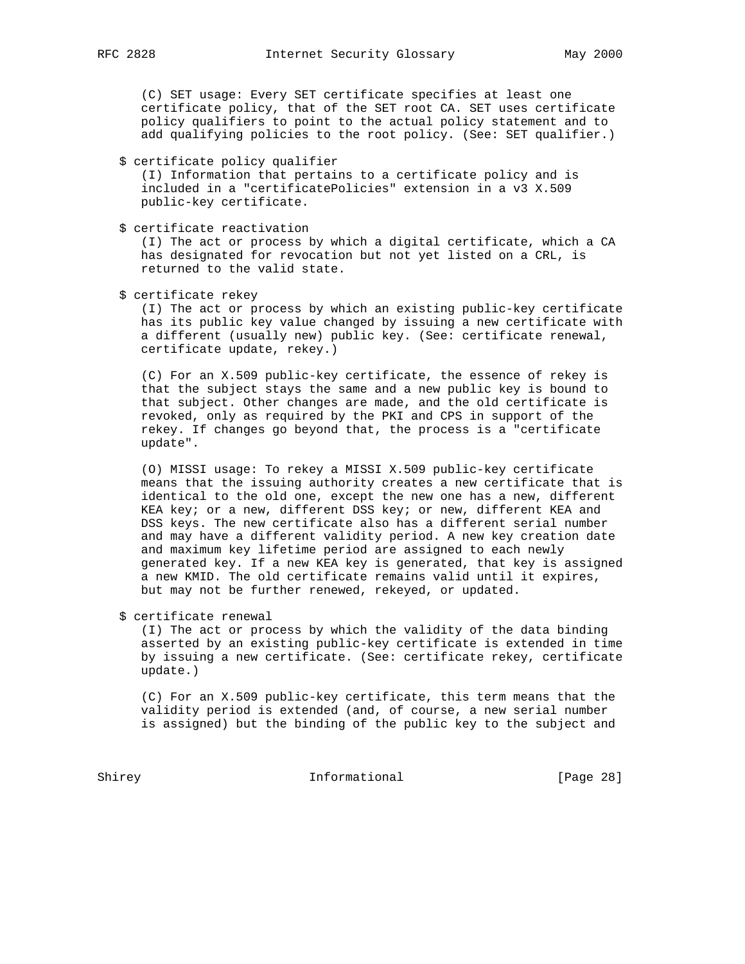(C) SET usage: Every SET certificate specifies at least one certificate policy, that of the SET root CA. SET uses certificate policy qualifiers to point to the actual policy statement and to add qualifying policies to the root policy. (See: SET qualifier.)

\$ certificate policy qualifier

 (I) Information that pertains to a certificate policy and is included in a "certificatePolicies" extension in a v3 X.509 public-key certificate.

\$ certificate reactivation

 (I) The act or process by which a digital certificate, which a CA has designated for revocation but not yet listed on a CRL, is returned to the valid state.

\$ certificate rekey

 (I) The act or process by which an existing public-key certificate has its public key value changed by issuing a new certificate with a different (usually new) public key. (See: certificate renewal, certificate update, rekey.)

 (C) For an X.509 public-key certificate, the essence of rekey is that the subject stays the same and a new public key is bound to that subject. Other changes are made, and the old certificate is revoked, only as required by the PKI and CPS in support of the rekey. If changes go beyond that, the process is a "certificate update".

 (O) MISSI usage: To rekey a MISSI X.509 public-key certificate means that the issuing authority creates a new certificate that is identical to the old one, except the new one has a new, different KEA key; or a new, different DSS key; or new, different KEA and DSS keys. The new certificate also has a different serial number and may have a different validity period. A new key creation date and maximum key lifetime period are assigned to each newly generated key. If a new KEA key is generated, that key is assigned a new KMID. The old certificate remains valid until it expires, but may not be further renewed, rekeyed, or updated.

\$ certificate renewal

 (I) The act or process by which the validity of the data binding asserted by an existing public-key certificate is extended in time by issuing a new certificate. (See: certificate rekey, certificate update.)

 (C) For an X.509 public-key certificate, this term means that the validity period is extended (and, of course, a new serial number is assigned) but the binding of the public key to the subject and

Shirey **Informational** [Page 28]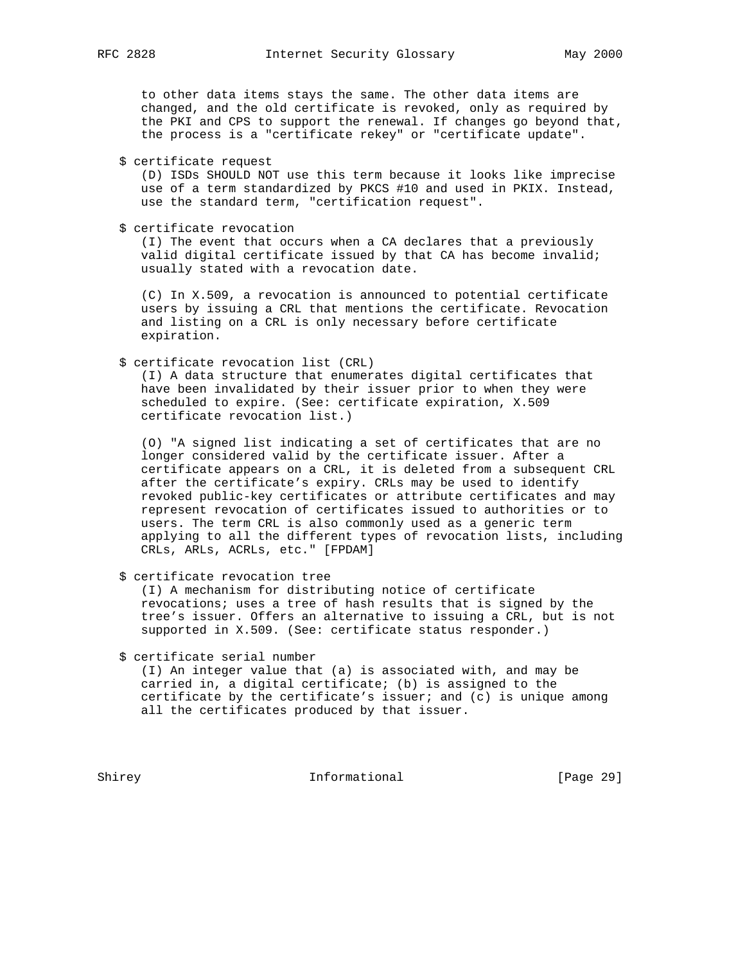to other data items stays the same. The other data items are changed, and the old certificate is revoked, only as required by the PKI and CPS to support the renewal. If changes go beyond that, the process is a "certificate rekey" or "certificate update".

\$ certificate request

 (D) ISDs SHOULD NOT use this term because it looks like imprecise use of a term standardized by PKCS #10 and used in PKIX. Instead, use the standard term, "certification request".

\$ certificate revocation

 (I) The event that occurs when a CA declares that a previously valid digital certificate issued by that CA has become invalid; usually stated with a revocation date.

 (C) In X.509, a revocation is announced to potential certificate users by issuing a CRL that mentions the certificate. Revocation and listing on a CRL is only necessary before certificate expiration.

\$ certificate revocation list (CRL)

 (I) A data structure that enumerates digital certificates that have been invalidated by their issuer prior to when they were scheduled to expire. (See: certificate expiration, X.509 certificate revocation list.)

 (O) "A signed list indicating a set of certificates that are no longer considered valid by the certificate issuer. After a certificate appears on a CRL, it is deleted from a subsequent CRL after the certificate's expiry. CRLs may be used to identify revoked public-key certificates or attribute certificates and may represent revocation of certificates issued to authorities or to users. The term CRL is also commonly used as a generic term applying to all the different types of revocation lists, including CRLs, ARLs, ACRLs, etc." [FPDAM]

\$ certificate revocation tree

 (I) A mechanism for distributing notice of certificate revocations; uses a tree of hash results that is signed by the tree's issuer. Offers an alternative to issuing a CRL, but is not supported in X.509. (See: certificate status responder.)

\$ certificate serial number

 (I) An integer value that (a) is associated with, and may be carried in, a digital certificate; (b) is assigned to the certificate by the certificate's issuer; and (c) is unique among all the certificates produced by that issuer.

Shirey **Informational** [Page 29]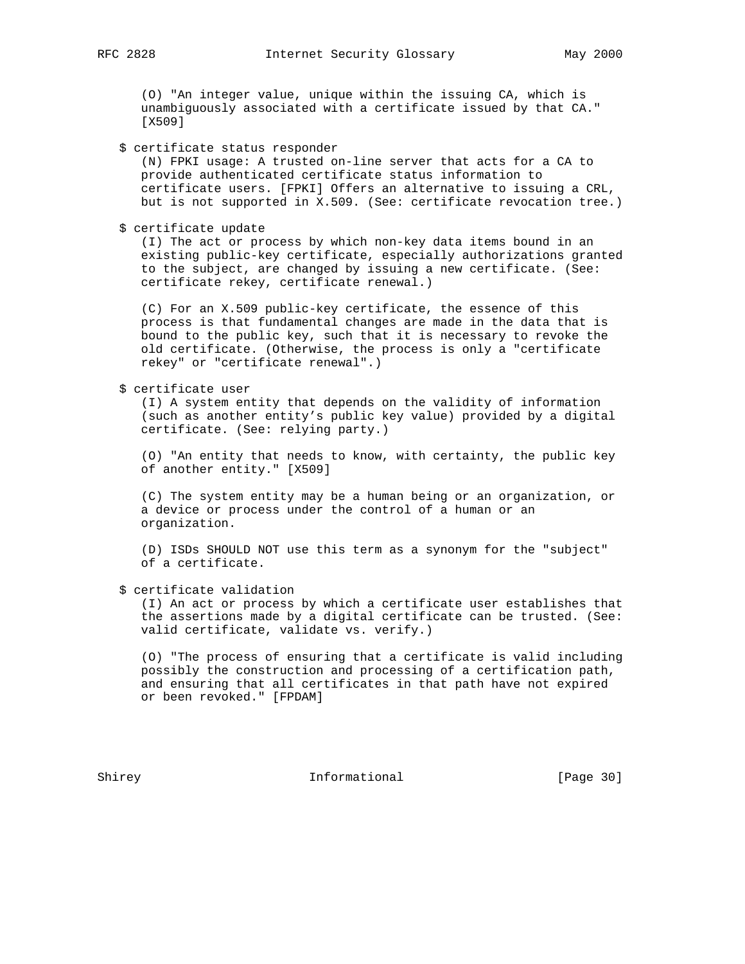(O) "An integer value, unique within the issuing CA, which is unambiguously associated with a certificate issued by that CA." [X509]

### \$ certificate status responder

 (N) FPKI usage: A trusted on-line server that acts for a CA to provide authenticated certificate status information to certificate users. [FPKI] Offers an alternative to issuing a CRL, but is not supported in X.509. (See: certificate revocation tree.)

\$ certificate update

 (I) The act or process by which non-key data items bound in an existing public-key certificate, especially authorizations granted to the subject, are changed by issuing a new certificate. (See: certificate rekey, certificate renewal.)

 (C) For an X.509 public-key certificate, the essence of this process is that fundamental changes are made in the data that is bound to the public key, such that it is necessary to revoke the old certificate. (Otherwise, the process is only a "certificate rekey" or "certificate renewal".)

\$ certificate user

 (I) A system entity that depends on the validity of information (such as another entity's public key value) provided by a digital certificate. (See: relying party.)

 (O) "An entity that needs to know, with certainty, the public key of another entity." [X509]

 (C) The system entity may be a human being or an organization, or a device or process under the control of a human or an organization.

 (D) ISDs SHOULD NOT use this term as a synonym for the "subject" of a certificate.

### \$ certificate validation

 (I) An act or process by which a certificate user establishes that the assertions made by a digital certificate can be trusted. (See: valid certificate, validate vs. verify.)

 (O) "The process of ensuring that a certificate is valid including possibly the construction and processing of a certification path, and ensuring that all certificates in that path have not expired or been revoked." [FPDAM]

Shirey **Informational** [Page 30]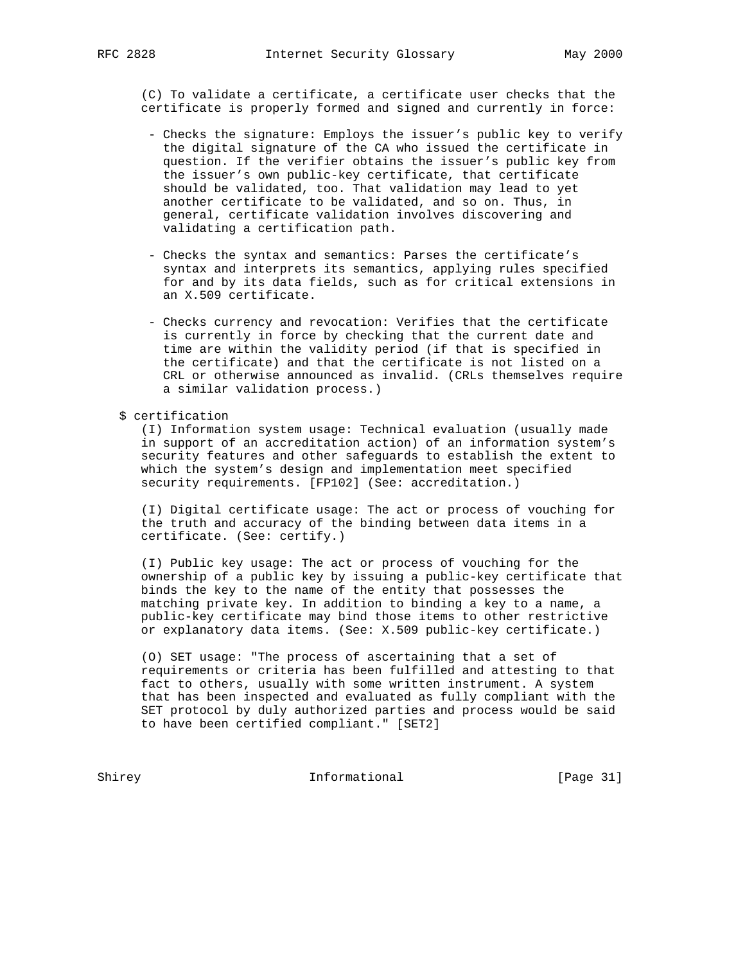(C) To validate a certificate, a certificate user checks that the certificate is properly formed and signed and currently in force:

- Checks the signature: Employs the issuer's public key to verify the digital signature of the CA who issued the certificate in question. If the verifier obtains the issuer's public key from the issuer's own public-key certificate, that certificate should be validated, too. That validation may lead to yet another certificate to be validated, and so on. Thus, in general, certificate validation involves discovering and validating a certification path.
- Checks the syntax and semantics: Parses the certificate's syntax and interprets its semantics, applying rules specified for and by its data fields, such as for critical extensions in an X.509 certificate.
- Checks currency and revocation: Verifies that the certificate is currently in force by checking that the current date and time are within the validity period (if that is specified in the certificate) and that the certificate is not listed on a CRL or otherwise announced as invalid. (CRLs themselves require a similar validation process.)
- \$ certification

 (I) Information system usage: Technical evaluation (usually made in support of an accreditation action) of an information system's security features and other safeguards to establish the extent to which the system's design and implementation meet specified security requirements. [FP102] (See: accreditation.)

 (I) Digital certificate usage: The act or process of vouching for the truth and accuracy of the binding between data items in a certificate. (See: certify.)

 (I) Public key usage: The act or process of vouching for the ownership of a public key by issuing a public-key certificate that binds the key to the name of the entity that possesses the matching private key. In addition to binding a key to a name, a public-key certificate may bind those items to other restrictive or explanatory data items. (See: X.509 public-key certificate.)

 (O) SET usage: "The process of ascertaining that a set of requirements or criteria has been fulfilled and attesting to that fact to others, usually with some written instrument. A system that has been inspected and evaluated as fully compliant with the SET protocol by duly authorized parties and process would be said to have been certified compliant." [SET2]

Shirey Informational [Page 31]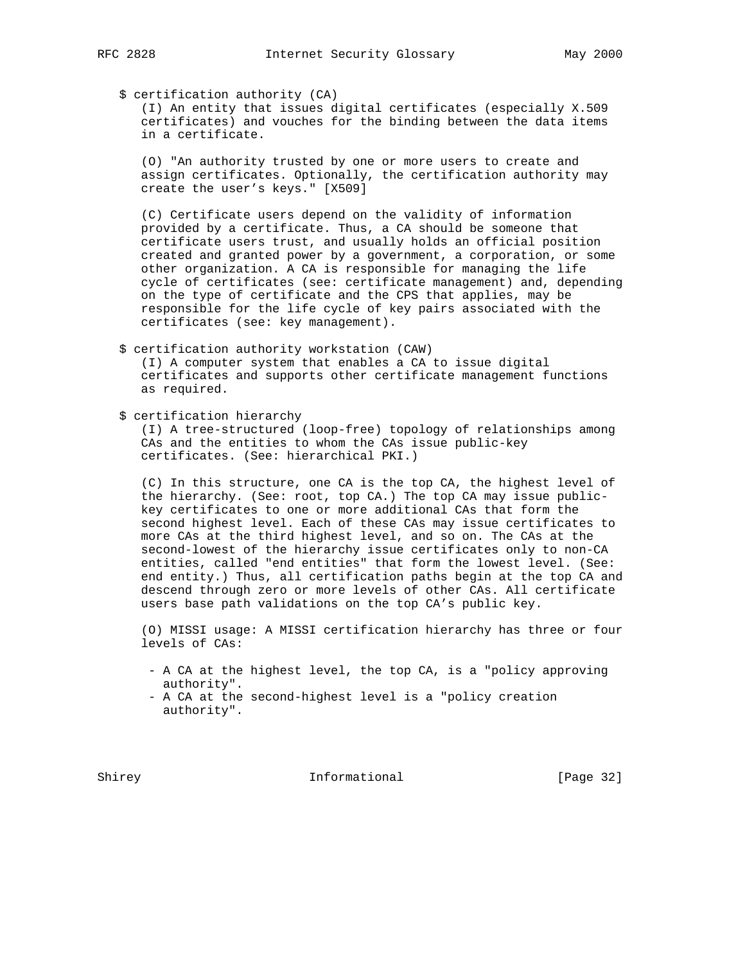# \$ certification authority (CA)

 (I) An entity that issues digital certificates (especially X.509 certificates) and vouches for the binding between the data items in a certificate.

 (O) "An authority trusted by one or more users to create and assign certificates. Optionally, the certification authority may create the user's keys." [X509]

 (C) Certificate users depend on the validity of information provided by a certificate. Thus, a CA should be someone that certificate users trust, and usually holds an official position created and granted power by a government, a corporation, or some other organization. A CA is responsible for managing the life cycle of certificates (see: certificate management) and, depending on the type of certificate and the CPS that applies, may be responsible for the life cycle of key pairs associated with the certificates (see: key management).

- \$ certification authority workstation (CAW) (I) A computer system that enables a CA to issue digital certificates and supports other certificate management functions as required.
- \$ certification hierarchy

 (I) A tree-structured (loop-free) topology of relationships among CAs and the entities to whom the CAs issue public-key certificates. (See: hierarchical PKI.)

 (C) In this structure, one CA is the top CA, the highest level of the hierarchy. (See: root, top CA.) The top CA may issue public key certificates to one or more additional CAs that form the second highest level. Each of these CAs may issue certificates to more CAs at the third highest level, and so on. The CAs at the second-lowest of the hierarchy issue certificates only to non-CA entities, called "end entities" that form the lowest level. (See: end entity.) Thus, all certification paths begin at the top CA and descend through zero or more levels of other CAs. All certificate users base path validations on the top CA's public key.

 (O) MISSI usage: A MISSI certification hierarchy has three or four levels of CAs:

- A CA at the highest level, the top CA, is a "policy approving authority".
- A CA at the second-highest level is a "policy creation authority".

Shirey **Informational** [Page 32]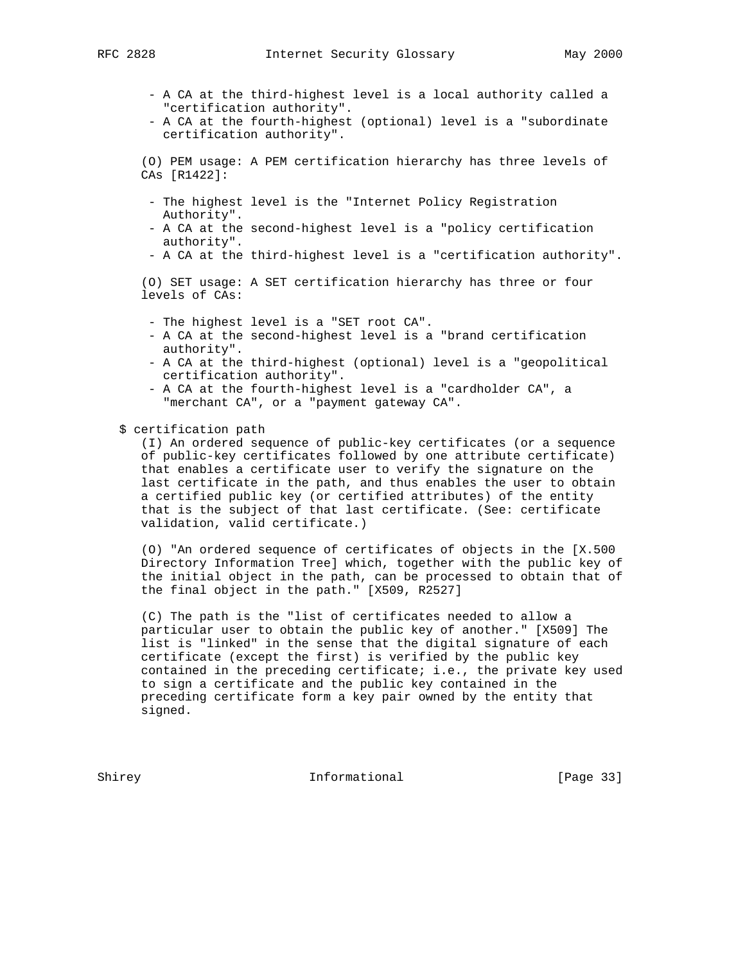- A CA at the third-highest level is a local authority called a "certification authority".
- A CA at the fourth-highest (optional) level is a "subordinate certification authority".

 (O) PEM usage: A PEM certification hierarchy has three levels of CAs [R1422]:

- The highest level is the "Internet Policy Registration Authority".
- A CA at the second-highest level is a "policy certification authority".
- A CA at the third-highest level is a "certification authority".

 (O) SET usage: A SET certification hierarchy has three or four levels of CAs:

- The highest level is a "SET root CA".
- A CA at the second-highest level is a "brand certification authority".
- A CA at the third-highest (optional) level is a "geopolitical certification authority".
- A CA at the fourth-highest level is a "cardholder CA", a "merchant CA", or a "payment gateway CA".

\$ certification path

 (I) An ordered sequence of public-key certificates (or a sequence of public-key certificates followed by one attribute certificate) that enables a certificate user to verify the signature on the last certificate in the path, and thus enables the user to obtain a certified public key (or certified attributes) of the entity that is the subject of that last certificate. (See: certificate validation, valid certificate.)

 (O) "An ordered sequence of certificates of objects in the [X.500 Directory Information Tree] which, together with the public key of the initial object in the path, can be processed to obtain that of the final object in the path." [X509, R2527]

 (C) The path is the "list of certificates needed to allow a particular user to obtain the public key of another." [X509] The list is "linked" in the sense that the digital signature of each certificate (except the first) is verified by the public key contained in the preceding certificate; i.e., the private key used to sign a certificate and the public key contained in the preceding certificate form a key pair owned by the entity that signed.

Shirey **Informational** [Page 33]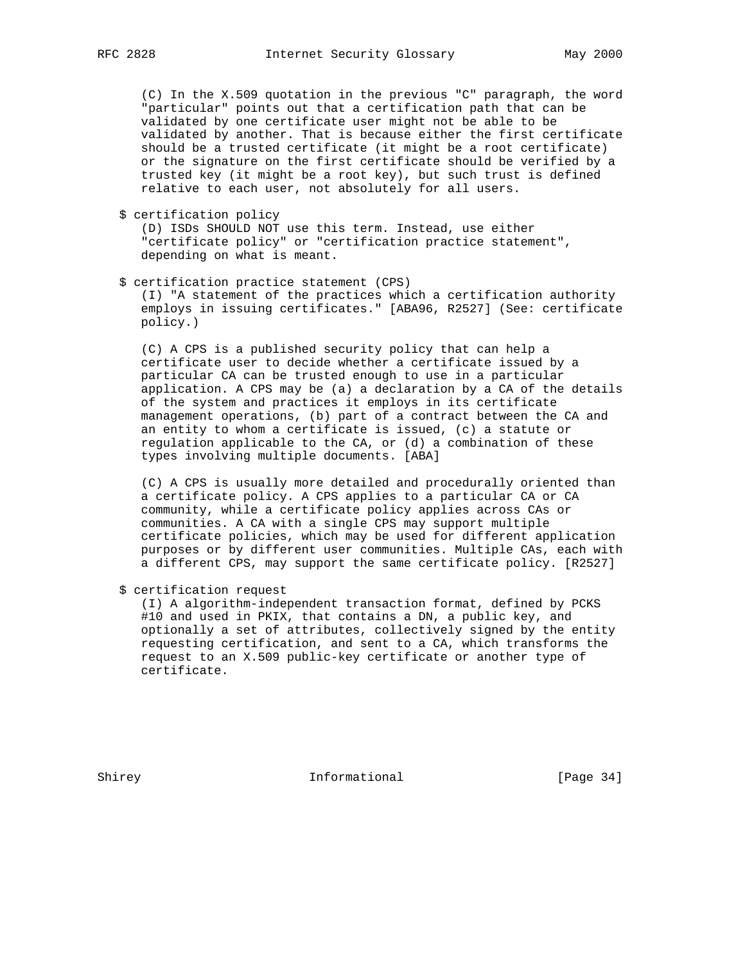(C) In the X.509 quotation in the previous "C" paragraph, the word "particular" points out that a certification path that can be validated by one certificate user might not be able to be validated by another. That is because either the first certificate should be a trusted certificate (it might be a root certificate) or the signature on the first certificate should be verified by a trusted key (it might be a root key), but such trust is defined relative to each user, not absolutely for all users.

\$ certification policy

 (D) ISDs SHOULD NOT use this term. Instead, use either "certificate policy" or "certification practice statement", depending on what is meant.

\$ certification practice statement (CPS)

 (I) "A statement of the practices which a certification authority employs in issuing certificates." [ABA96, R2527] (See: certificate policy.)

 (C) A CPS is a published security policy that can help a certificate user to decide whether a certificate issued by a particular CA can be trusted enough to use in a particular application. A CPS may be (a) a declaration by a CA of the details of the system and practices it employs in its certificate management operations, (b) part of a contract between the CA and an entity to whom a certificate is issued, (c) a statute or regulation applicable to the CA, or (d) a combination of these types involving multiple documents. [ABA]

 (C) A CPS is usually more detailed and procedurally oriented than a certificate policy. A CPS applies to a particular CA or CA community, while a certificate policy applies across CAs or communities. A CA with a single CPS may support multiple certificate policies, which may be used for different application purposes or by different user communities. Multiple CAs, each with a different CPS, may support the same certificate policy. [R2527]

\$ certification request

 (I) A algorithm-independent transaction format, defined by PCKS #10 and used in PKIX, that contains a DN, a public key, and optionally a set of attributes, collectively signed by the entity requesting certification, and sent to a CA, which transforms the request to an X.509 public-key certificate or another type of certificate.

Shirey **Informational** [Page 34]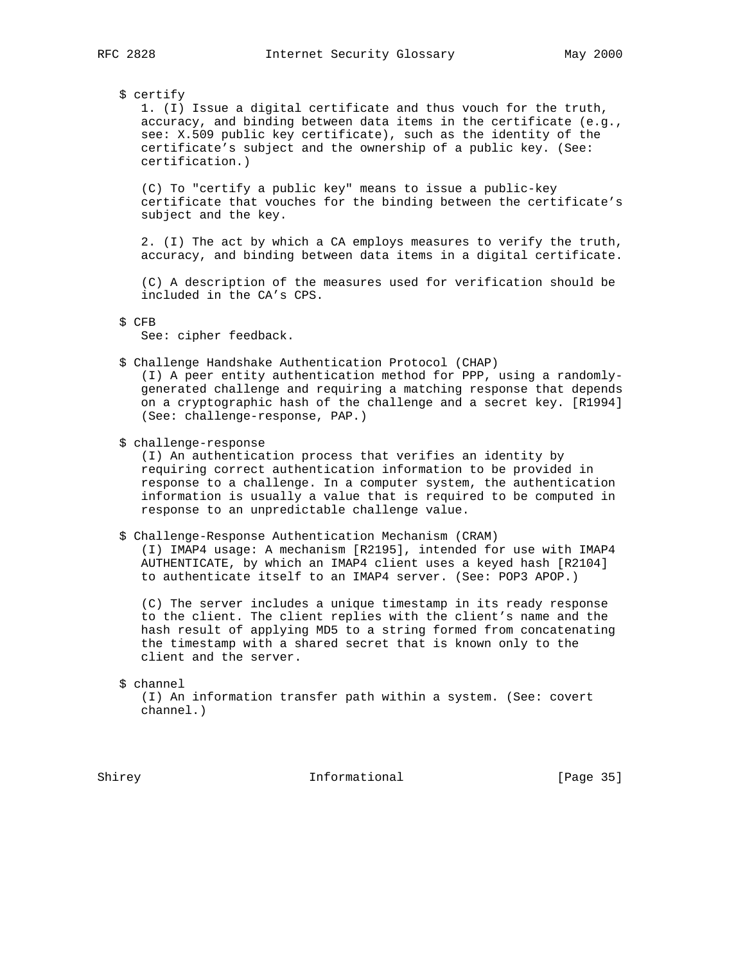### \$ certify

 1. (I) Issue a digital certificate and thus vouch for the truth, accuracy, and binding between data items in the certificate (e.g., see: X.509 public key certificate), such as the identity of the certificate's subject and the ownership of a public key. (See: certification.)

 (C) To "certify a public key" means to issue a public-key certificate that vouches for the binding between the certificate's subject and the key.

 2. (I) The act by which a CA employs measures to verify the truth, accuracy, and binding between data items in a digital certificate.

 (C) A description of the measures used for verification should be included in the CA's CPS.

See: cipher feedback.

\$ Challenge Handshake Authentication Protocol (CHAP)

 (I) A peer entity authentication method for PPP, using a randomly generated challenge and requiring a matching response that depends on a cryptographic hash of the challenge and a secret key. [R1994] (See: challenge-response, PAP.)

\$ challenge-response

 (I) An authentication process that verifies an identity by requiring correct authentication information to be provided in response to a challenge. In a computer system, the authentication information is usually a value that is required to be computed in response to an unpredictable challenge value.

### \$ Challenge-Response Authentication Mechanism (CRAM)

 (I) IMAP4 usage: A mechanism [R2195], intended for use with IMAP4 AUTHENTICATE, by which an IMAP4 client uses a keyed hash [R2104] to authenticate itself to an IMAP4 server. (See: POP3 APOP.)

 (C) The server includes a unique timestamp in its ready response to the client. The client replies with the client's name and the hash result of applying MD5 to a string formed from concatenating the timestamp with a shared secret that is known only to the client and the server.

\$ channel

 (I) An information transfer path within a system. (See: covert channel.)

Shirey **Informational** [Page 35]

 <sup>\$</sup> CFB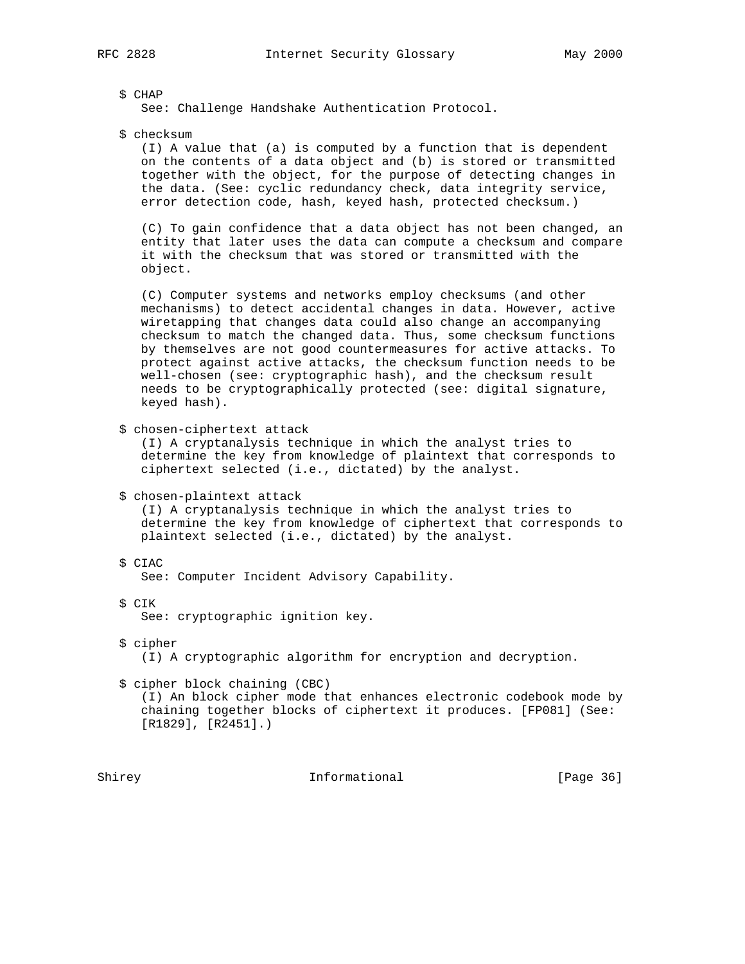\$ CHAP

See: Challenge Handshake Authentication Protocol.

\$ checksum

 (I) A value that (a) is computed by a function that is dependent on the contents of a data object and (b) is stored or transmitted together with the object, for the purpose of detecting changes in the data. (See: cyclic redundancy check, data integrity service, error detection code, hash, keyed hash, protected checksum.)

 (C) To gain confidence that a data object has not been changed, an entity that later uses the data can compute a checksum and compare it with the checksum that was stored or transmitted with the object.

 (C) Computer systems and networks employ checksums (and other mechanisms) to detect accidental changes in data. However, active wiretapping that changes data could also change an accompanying checksum to match the changed data. Thus, some checksum functions by themselves are not good countermeasures for active attacks. To protect against active attacks, the checksum function needs to be well-chosen (see: cryptographic hash), and the checksum result needs to be cryptographically protected (see: digital signature, keyed hash).

\$ chosen-ciphertext attack

 (I) A cryptanalysis technique in which the analyst tries to determine the key from knowledge of plaintext that corresponds to ciphertext selected (i.e., dictated) by the analyst.

\$ chosen-plaintext attack

 (I) A cryptanalysis technique in which the analyst tries to determine the key from knowledge of ciphertext that corresponds to plaintext selected (i.e., dictated) by the analyst.

\$ CIAC

See: Computer Incident Advisory Capability.

\$ CIK

See: cryptographic ignition key.

- \$ cipher (I) A cryptographic algorithm for encryption and decryption.
- \$ cipher block chaining (CBC)

 (I) An block cipher mode that enhances electronic codebook mode by chaining together blocks of ciphertext it produces. [FP081] (See: [R1829], [R2451].)

Shirey **Informational** [Page 36]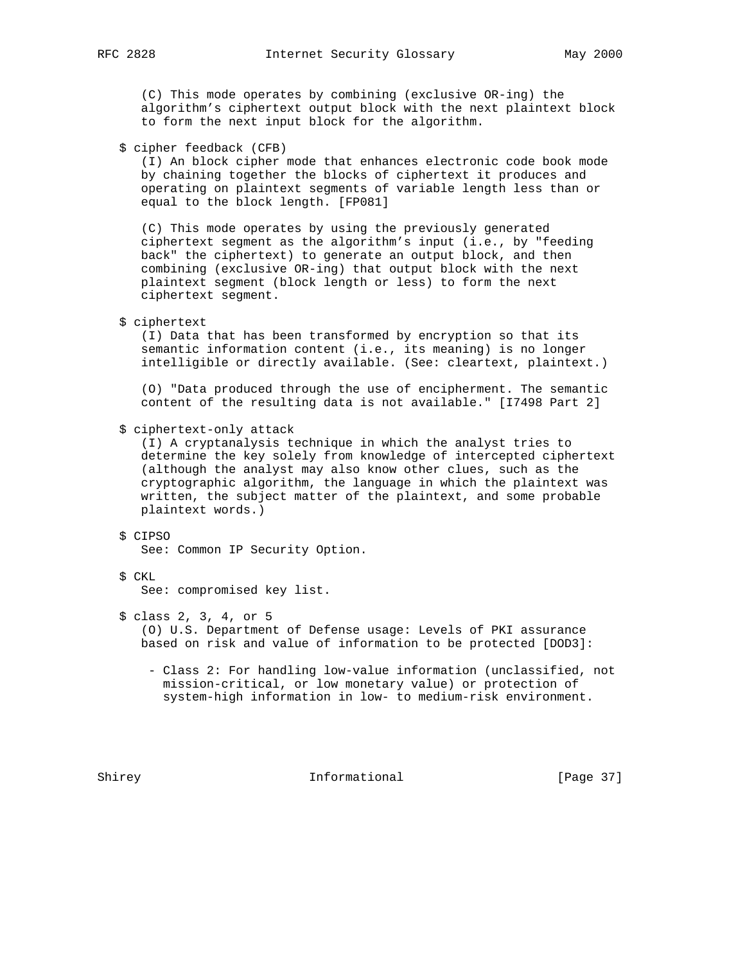(C) This mode operates by combining (exclusive OR-ing) the algorithm's ciphertext output block with the next plaintext block to form the next input block for the algorithm.

\$ cipher feedback (CFB)

 (I) An block cipher mode that enhances electronic code book mode by chaining together the blocks of ciphertext it produces and operating on plaintext segments of variable length less than or equal to the block length. [FP081]

 (C) This mode operates by using the previously generated ciphertext segment as the algorithm's input (i.e., by "feeding back" the ciphertext) to generate an output block, and then combining (exclusive OR-ing) that output block with the next plaintext segment (block length or less) to form the next ciphertext segment.

\$ ciphertext

 (I) Data that has been transformed by encryption so that its semantic information content (i.e., its meaning) is no longer intelligible or directly available. (See: cleartext, plaintext.)

 (O) "Data produced through the use of encipherment. The semantic content of the resulting data is not available." [I7498 Part 2]

\$ ciphertext-only attack

 (I) A cryptanalysis technique in which the analyst tries to determine the key solely from knowledge of intercepted ciphertext (although the analyst may also know other clues, such as the cryptographic algorithm, the language in which the plaintext was written, the subject matter of the plaintext, and some probable plaintext words.)

## \$ CIPSO

See: Common IP Security Option.

# \$ CKL

See: compromised key list.

\$ class 2, 3, 4, or 5

 (O) U.S. Department of Defense usage: Levels of PKI assurance based on risk and value of information to be protected [DOD3]:

 - Class 2: For handling low-value information (unclassified, not mission-critical, or low monetary value) or protection of system-high information in low- to medium-risk environment.

Shirey **Informational** [Page 37]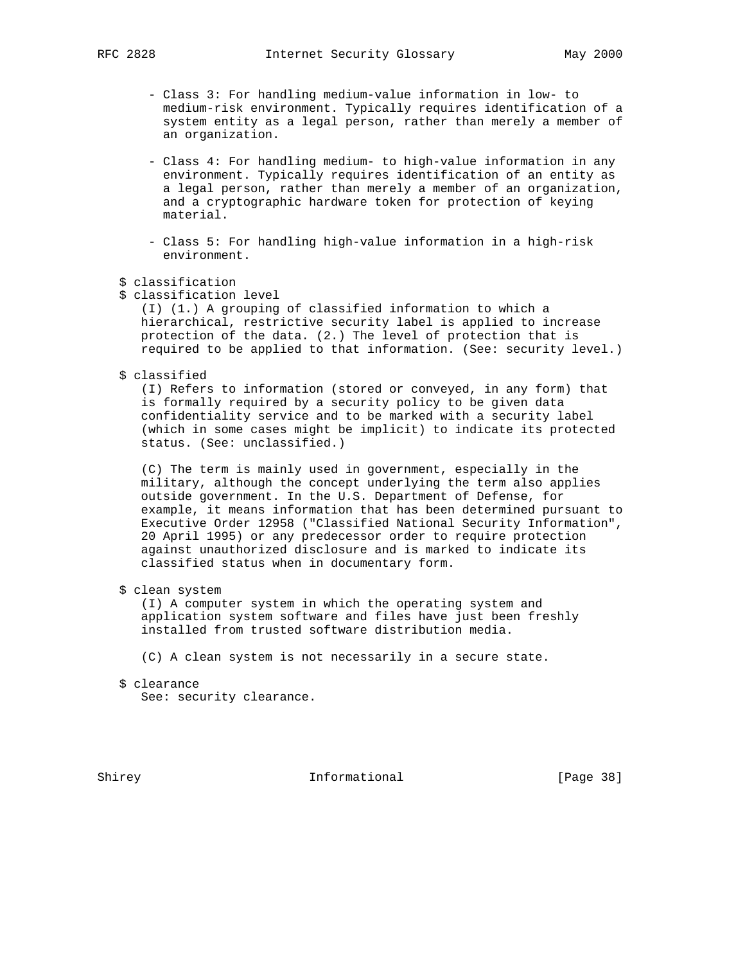- Class 3: For handling medium-value information in low- to medium-risk environment. Typically requires identification of a system entity as a legal person, rather than merely a member of an organization.
- Class 4: For handling medium- to high-value information in any environment. Typically requires identification of an entity as a legal person, rather than merely a member of an organization, and a cryptographic hardware token for protection of keying material.
- Class 5: For handling high-value information in a high-risk environment.
- \$ classification
- \$ classification level

 (I) (1.) A grouping of classified information to which a hierarchical, restrictive security label is applied to increase protection of the data. (2.) The level of protection that is required to be applied to that information. (See: security level.)

\$ classified

 (I) Refers to information (stored or conveyed, in any form) that is formally required by a security policy to be given data confidentiality service and to be marked with a security label (which in some cases might be implicit) to indicate its protected status. (See: unclassified.)

 (C) The term is mainly used in government, especially in the military, although the concept underlying the term also applies outside government. In the U.S. Department of Defense, for example, it means information that has been determined pursuant to Executive Order 12958 ("Classified National Security Information", 20 April 1995) or any predecessor order to require protection against unauthorized disclosure and is marked to indicate its classified status when in documentary form.

\$ clean system

 (I) A computer system in which the operating system and application system software and files have just been freshly installed from trusted software distribution media.

- (C) A clean system is not necessarily in a secure state.
- \$ clearance

See: security clearance.

Shirey **Informational** [Page 38]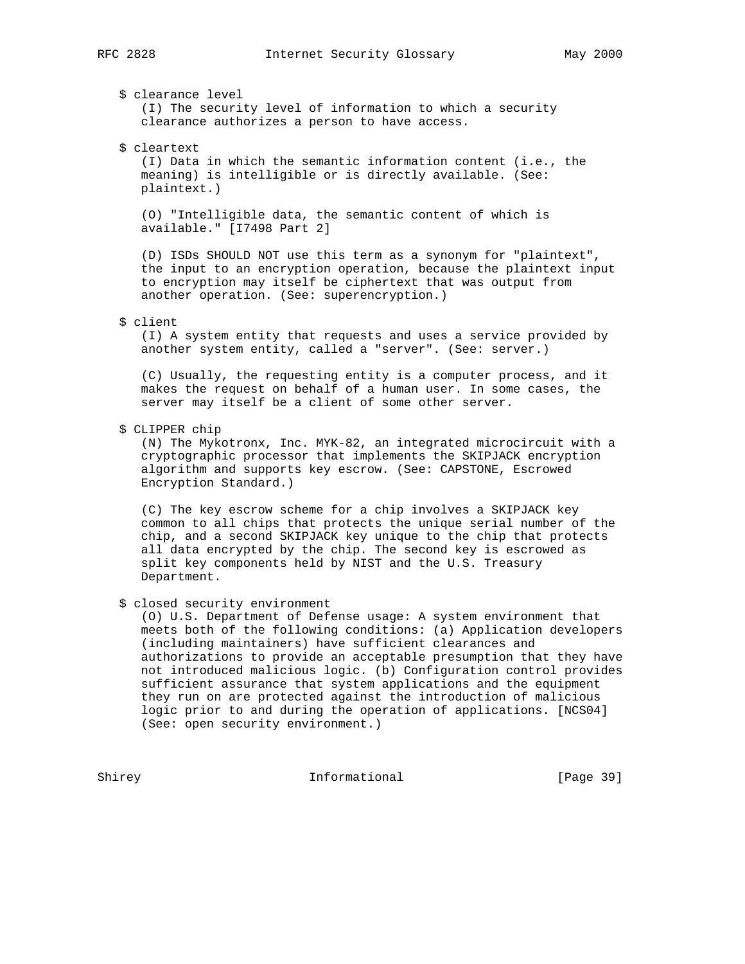\$ clearance level (I) The security level of information to which a security

clearance authorizes a person to have access.

# \$ cleartext

 (I) Data in which the semantic information content (i.e., the meaning) is intelligible or is directly available. (See: plaintext.)

 (O) "Intelligible data, the semantic content of which is available." [I7498 Part 2]

 (D) ISDs SHOULD NOT use this term as a synonym for "plaintext", the input to an encryption operation, because the plaintext input to encryption may itself be ciphertext that was output from another operation. (See: superencryption.)

## \$ client

 (I) A system entity that requests and uses a service provided by another system entity, called a "server". (See: server.)

 (C) Usually, the requesting entity is a computer process, and it makes the request on behalf of a human user. In some cases, the server may itself be a client of some other server.

# \$ CLIPPER chip

 (N) The Mykotronx, Inc. MYK-82, an integrated microcircuit with a cryptographic processor that implements the SKIPJACK encryption algorithm and supports key escrow. (See: CAPSTONE, Escrowed Encryption Standard.)

 (C) The key escrow scheme for a chip involves a SKIPJACK key common to all chips that protects the unique serial number of the chip, and a second SKIPJACK key unique to the chip that protects all data encrypted by the chip. The second key is escrowed as split key components held by NIST and the U.S. Treasury Department.

\$ closed security environment

 (O) U.S. Department of Defense usage: A system environment that meets both of the following conditions: (a) Application developers (including maintainers) have sufficient clearances and authorizations to provide an acceptable presumption that they have not introduced malicious logic. (b) Configuration control provides sufficient assurance that system applications and the equipment they run on are protected against the introduction of malicious logic prior to and during the operation of applications. [NCS04] (See: open security environment.)

Shirey **Informational** [Page 39]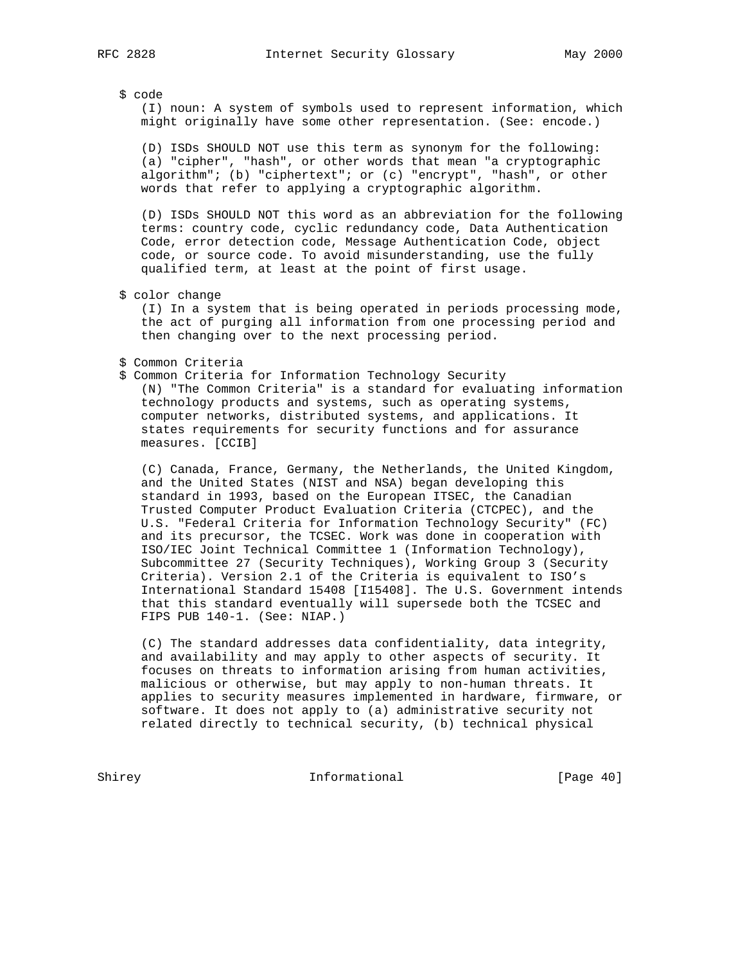\$ code

 (I) noun: A system of symbols used to represent information, which might originally have some other representation. (See: encode.)

 (D) ISDs SHOULD NOT use this term as synonym for the following: (a) "cipher", "hash", or other words that mean "a cryptographic algorithm"; (b) "ciphertext"; or (c) "encrypt", "hash", or other words that refer to applying a cryptographic algorithm.

 (D) ISDs SHOULD NOT this word as an abbreviation for the following terms: country code, cyclic redundancy code, Data Authentication Code, error detection code, Message Authentication Code, object code, or source code. To avoid misunderstanding, use the fully qualified term, at least at the point of first usage.

\$ color change

 (I) In a system that is being operated in periods processing mode, the act of purging all information from one processing period and then changing over to the next processing period.

\$ Common Criteria

 \$ Common Criteria for Information Technology Security (N) "The Common Criteria" is a standard for evaluating information technology products and systems, such as operating systems, computer networks, distributed systems, and applications. It states requirements for security functions and for assurance measures. [CCIB]

 (C) Canada, France, Germany, the Netherlands, the United Kingdom, and the United States (NIST and NSA) began developing this standard in 1993, based on the European ITSEC, the Canadian Trusted Computer Product Evaluation Criteria (CTCPEC), and the U.S. "Federal Criteria for Information Technology Security" (FC) and its precursor, the TCSEC. Work was done in cooperation with ISO/IEC Joint Technical Committee 1 (Information Technology), Subcommittee 27 (Security Techniques), Working Group 3 (Security Criteria). Version 2.1 of the Criteria is equivalent to ISO's International Standard 15408 [I15408]. The U.S. Government intends that this standard eventually will supersede both the TCSEC and FIPS PUB 140-1. (See: NIAP.)

 (C) The standard addresses data confidentiality, data integrity, and availability and may apply to other aspects of security. It focuses on threats to information arising from human activities, malicious or otherwise, but may apply to non-human threats. It applies to security measures implemented in hardware, firmware, or software. It does not apply to (a) administrative security not related directly to technical security, (b) technical physical

Shirey Informational [Page 40]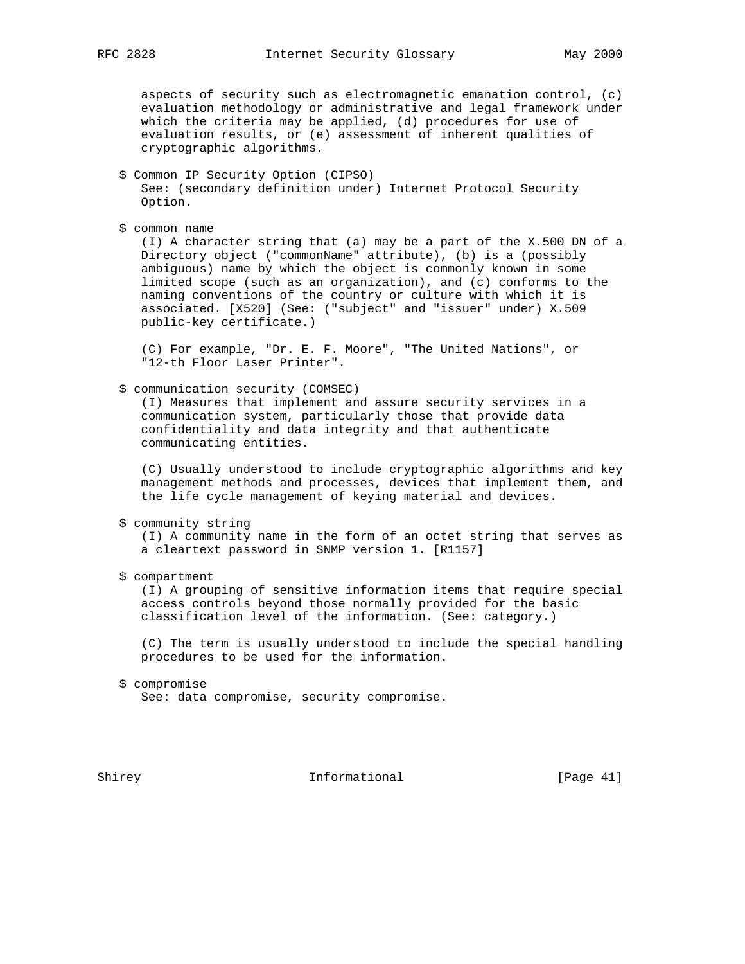aspects of security such as electromagnetic emanation control, (c) evaluation methodology or administrative and legal framework under which the criteria may be applied, (d) procedures for use of evaluation results, or (e) assessment of inherent qualities of cryptographic algorithms.

- \$ Common IP Security Option (CIPSO) See: (secondary definition under) Internet Protocol Security Option.
- \$ common name

 (I) A character string that (a) may be a part of the X.500 DN of a Directory object ("commonName" attribute), (b) is a (possibly ambiguous) name by which the object is commonly known in some limited scope (such as an organization), and (c) conforms to the naming conventions of the country or culture with which it is associated. [X520] (See: ("subject" and "issuer" under) X.509 public-key certificate.)

 (C) For example, "Dr. E. F. Moore", "The United Nations", or "12-th Floor Laser Printer".

\$ communication security (COMSEC)

 (I) Measures that implement and assure security services in a communication system, particularly those that provide data confidentiality and data integrity and that authenticate communicating entities.

 (C) Usually understood to include cryptographic algorithms and key management methods and processes, devices that implement them, and the life cycle management of keying material and devices.

\$ community string

 (I) A community name in the form of an octet string that serves as a cleartext password in SNMP version 1. [R1157]

\$ compartment

 (I) A grouping of sensitive information items that require special access controls beyond those normally provided for the basic classification level of the information. (See: category.)

 (C) The term is usually understood to include the special handling procedures to be used for the information.

 \$ compromise See: data compromise, security compromise.

Shirey **Informational** [Page 41]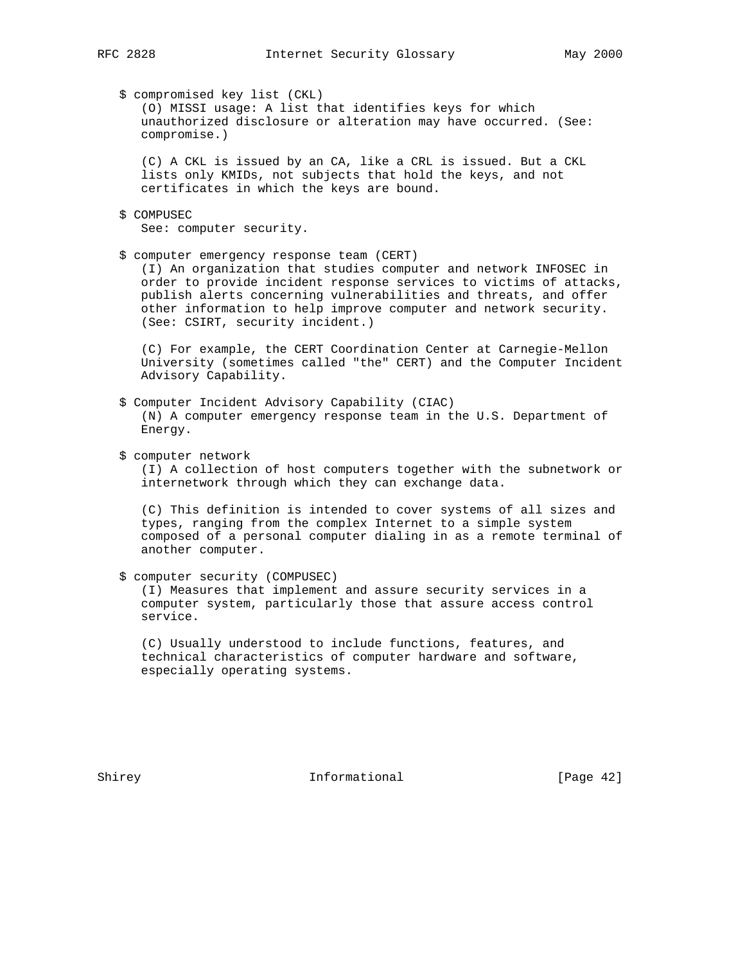\$ compromised key list (CKL)

 (O) MISSI usage: A list that identifies keys for which unauthorized disclosure or alteration may have occurred. (See: compromise.)

 (C) A CKL is issued by an CA, like a CRL is issued. But a CKL lists only KMIDs, not subjects that hold the keys, and not certificates in which the keys are bound.

- \$ COMPUSEC See: computer security.
- \$ computer emergency response team (CERT)

 (I) An organization that studies computer and network INFOSEC in order to provide incident response services to victims of attacks, publish alerts concerning vulnerabilities and threats, and offer other information to help improve computer and network security. (See: CSIRT, security incident.)

 (C) For example, the CERT Coordination Center at Carnegie-Mellon University (sometimes called "the" CERT) and the Computer Incident Advisory Capability.

- \$ Computer Incident Advisory Capability (CIAC) (N) A computer emergency response team in the U.S. Department of Energy.
- \$ computer network

 (I) A collection of host computers together with the subnetwork or internetwork through which they can exchange data.

 (C) This definition is intended to cover systems of all sizes and types, ranging from the complex Internet to a simple system composed of a personal computer dialing in as a remote terminal of another computer.

 \$ computer security (COMPUSEC) (I) Measures that implement and assure security services in a computer system, particularly those that assure access control service.

 (C) Usually understood to include functions, features, and technical characteristics of computer hardware and software, especially operating systems.

Shirey **Informational** [Page 42]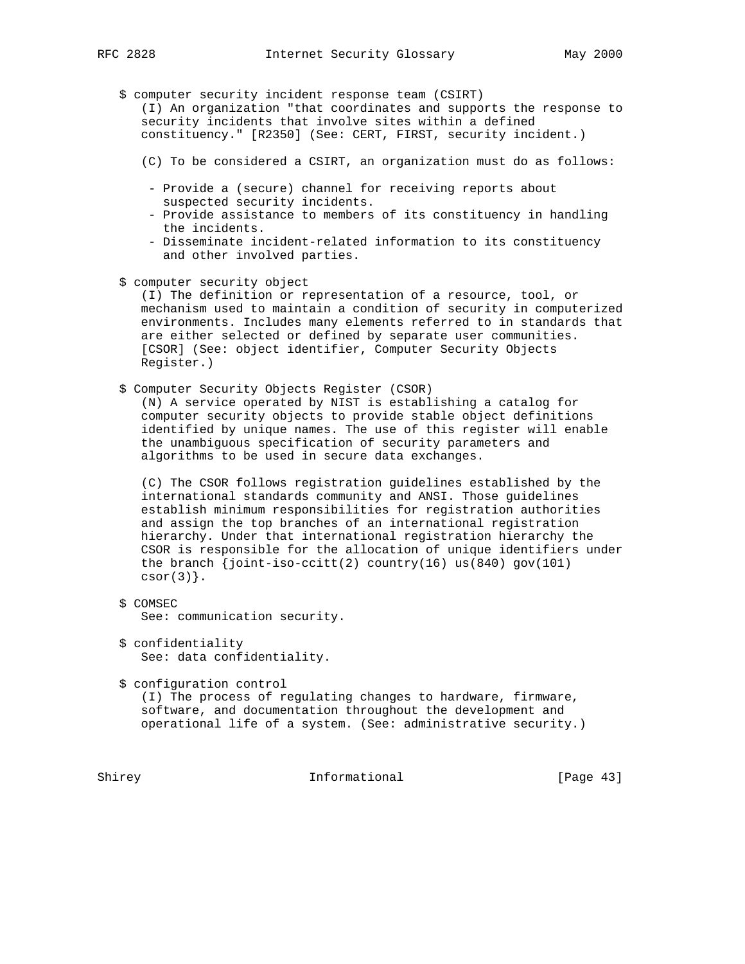- - \$ computer security incident response team (CSIRT) (I) An organization "that coordinates and supports the response to security incidents that involve sites within a defined constituency." [R2350] (See: CERT, FIRST, security incident.)
		- (C) To be considered a CSIRT, an organization must do as follows:
		- Provide a (secure) channel for receiving reports about suspected security incidents.
		- Provide assistance to members of its constituency in handling the incidents.
		- Disseminate incident-related information to its constituency and other involved parties.
	- \$ computer security object

 (I) The definition or representation of a resource, tool, or mechanism used to maintain a condition of security in computerized environments. Includes many elements referred to in standards that are either selected or defined by separate user communities. [CSOR] (See: object identifier, Computer Security Objects Register.)

\$ Computer Security Objects Register (CSOR)

 (N) A service operated by NIST is establishing a catalog for computer security objects to provide stable object definitions identified by unique names. The use of this register will enable the unambiguous specification of security parameters and algorithms to be used in secure data exchanges.

 (C) The CSOR follows registration guidelines established by the international standards community and ANSI. Those guidelines establish minimum responsibilities for registration authorities and assign the top branches of an international registration hierarchy. Under that international registration hierarchy the CSOR is responsible for the allocation of unique identifiers under the branch  $\{joint-iso-ccitt(2) country(16) us(840).gov(101)$  $csor(3)$ .

- \$ COMSEC See: communication security.
- \$ confidentiality See: data confidentiality.
- \$ configuration control

 (I) The process of regulating changes to hardware, firmware, software, and documentation throughout the development and operational life of a system. (See: administrative security.)

Shirey **Informational** [Page 43]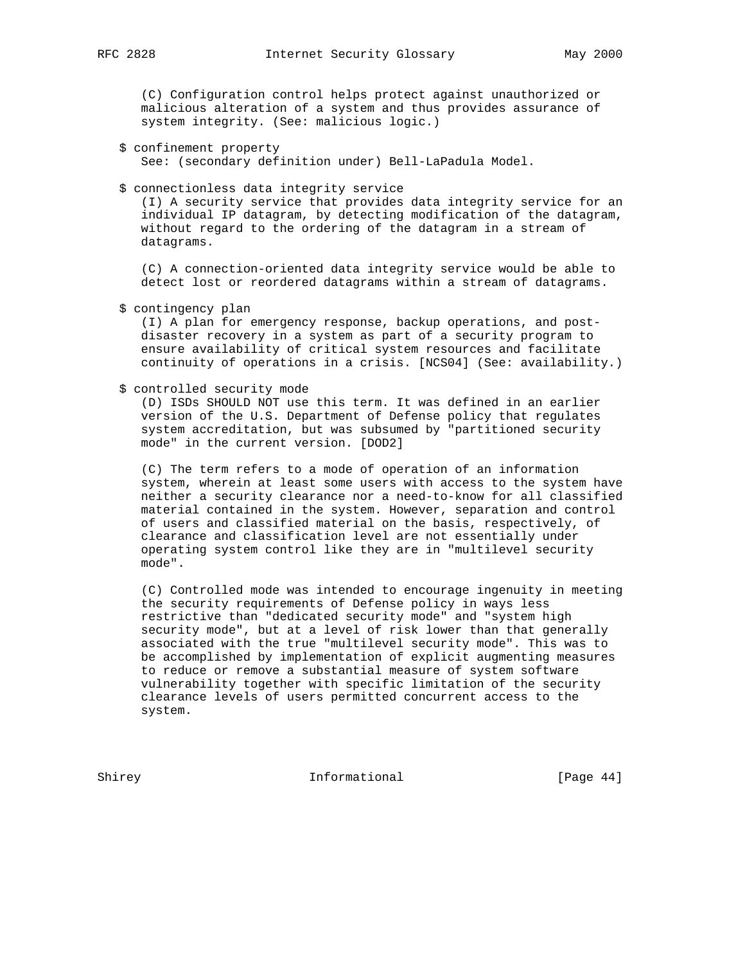(C) Configuration control helps protect against unauthorized or malicious alteration of a system and thus provides assurance of system integrity. (See: malicious logic.)

- \$ confinement property See: (secondary definition under) Bell-LaPadula Model.
- \$ connectionless data integrity service

 (I) A security service that provides data integrity service for an individual IP datagram, by detecting modification of the datagram, without regard to the ordering of the datagram in a stream of datagrams.

 (C) A connection-oriented data integrity service would be able to detect lost or reordered datagrams within a stream of datagrams.

\$ contingency plan

 (I) A plan for emergency response, backup operations, and post disaster recovery in a system as part of a security program to ensure availability of critical system resources and facilitate continuity of operations in a crisis. [NCS04] (See: availability.)

#### \$ controlled security mode

 (D) ISDs SHOULD NOT use this term. It was defined in an earlier version of the U.S. Department of Defense policy that regulates system accreditation, but was subsumed by "partitioned security mode" in the current version. [DOD2]

 (C) The term refers to a mode of operation of an information system, wherein at least some users with access to the system have neither a security clearance nor a need-to-know for all classified material contained in the system. However, separation and control of users and classified material on the basis, respectively, of clearance and classification level are not essentially under operating system control like they are in "multilevel security mode".

 (C) Controlled mode was intended to encourage ingenuity in meeting the security requirements of Defense policy in ways less restrictive than "dedicated security mode" and "system high security mode", but at a level of risk lower than that generally associated with the true "multilevel security mode". This was to be accomplished by implementation of explicit augmenting measures to reduce or remove a substantial measure of system software vulnerability together with specific limitation of the security clearance levels of users permitted concurrent access to the system.

Shirey **Informational** [Page 44]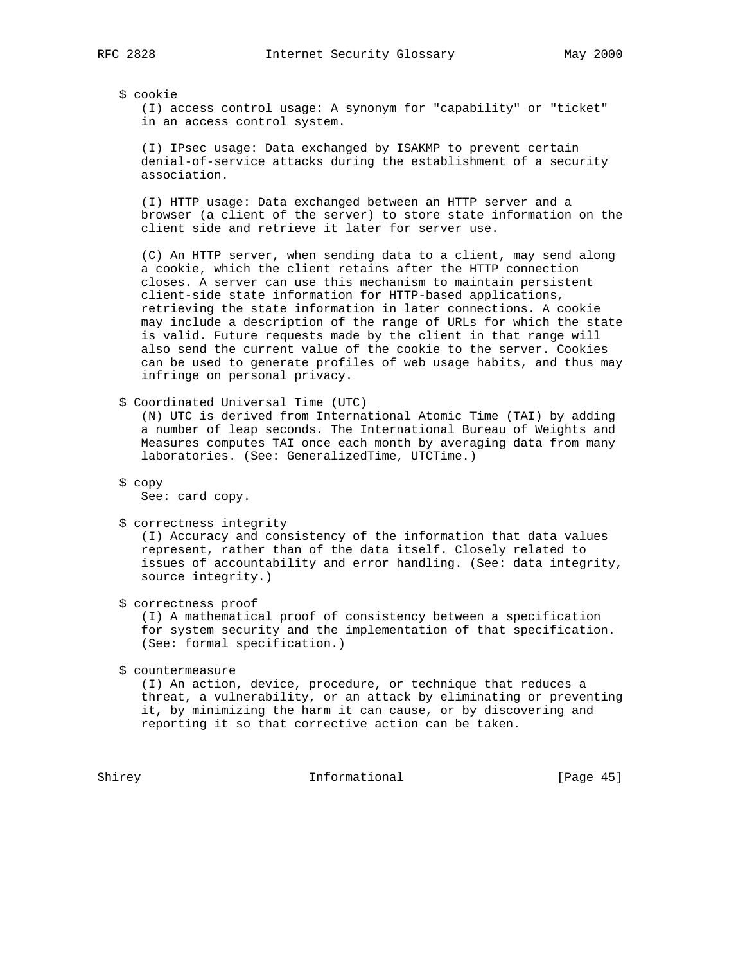## \$ cookie

 (I) access control usage: A synonym for "capability" or "ticket" in an access control system.

 (I) IPsec usage: Data exchanged by ISAKMP to prevent certain denial-of-service attacks during the establishment of a security association.

 (I) HTTP usage: Data exchanged between an HTTP server and a browser (a client of the server) to store state information on the client side and retrieve it later for server use.

 (C) An HTTP server, when sending data to a client, may send along a cookie, which the client retains after the HTTP connection closes. A server can use this mechanism to maintain persistent client-side state information for HTTP-based applications, retrieving the state information in later connections. A cookie may include a description of the range of URLs for which the state is valid. Future requests made by the client in that range will also send the current value of the cookie to the server. Cookies can be used to generate profiles of web usage habits, and thus may infringe on personal privacy.

\$ Coordinated Universal Time (UTC)

 (N) UTC is derived from International Atomic Time (TAI) by adding a number of leap seconds. The International Bureau of Weights and Measures computes TAI once each month by averaging data from many laboratories. (See: GeneralizedTime, UTCTime.)

\$ copy

See: card copy.

\$ correctness integrity

 (I) Accuracy and consistency of the information that data values represent, rather than of the data itself. Closely related to issues of accountability and error handling. (See: data integrity, source integrity.)

\$ correctness proof

 (I) A mathematical proof of consistency between a specification for system security and the implementation of that specification. (See: formal specification.)

\$ countermeasure

 (I) An action, device, procedure, or technique that reduces a threat, a vulnerability, or an attack by eliminating or preventing it, by minimizing the harm it can cause, or by discovering and reporting it so that corrective action can be taken.

Shirey **Informational** [Page 45]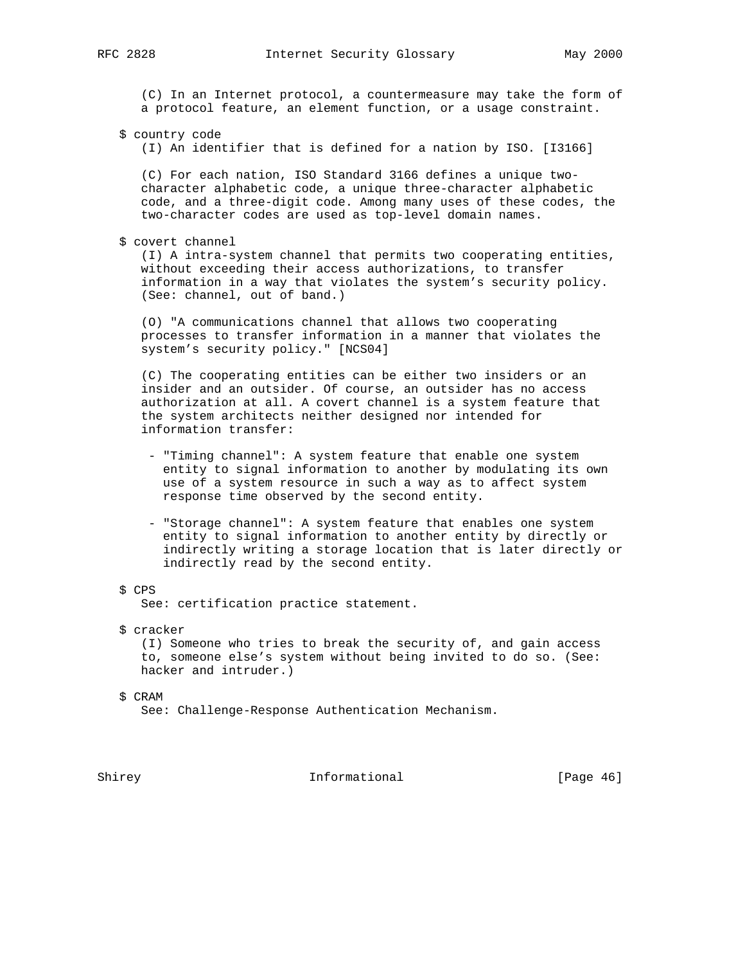(C) In an Internet protocol, a countermeasure may take the form of a protocol feature, an element function, or a usage constraint.

\$ country code

(I) An identifier that is defined for a nation by ISO. [I3166]

 (C) For each nation, ISO Standard 3166 defines a unique two character alphabetic code, a unique three-character alphabetic code, and a three-digit code. Among many uses of these codes, the two-character codes are used as top-level domain names.

\$ covert channel

 (I) A intra-system channel that permits two cooperating entities, without exceeding their access authorizations, to transfer information in a way that violates the system's security policy. (See: channel, out of band.)

 (O) "A communications channel that allows two cooperating processes to transfer information in a manner that violates the system's security policy." [NCS04]

 (C) The cooperating entities can be either two insiders or an insider and an outsider. Of course, an outsider has no access authorization at all. A covert channel is a system feature that the system architects neither designed nor intended for information transfer:

- "Timing channel": A system feature that enable one system entity to signal information to another by modulating its own use of a system resource in such a way as to affect system response time observed by the second entity.
- "Storage channel": A system feature that enables one system entity to signal information to another entity by directly or indirectly writing a storage location that is later directly or indirectly read by the second entity.
- \$ CPS

See: certification practice statement.

\$ cracker

 (I) Someone who tries to break the security of, and gain access to, someone else's system without being invited to do so. (See: hacker and intruder.)

\$ CRAM

See: Challenge-Response Authentication Mechanism.

Shirey **Informational** [Page 46]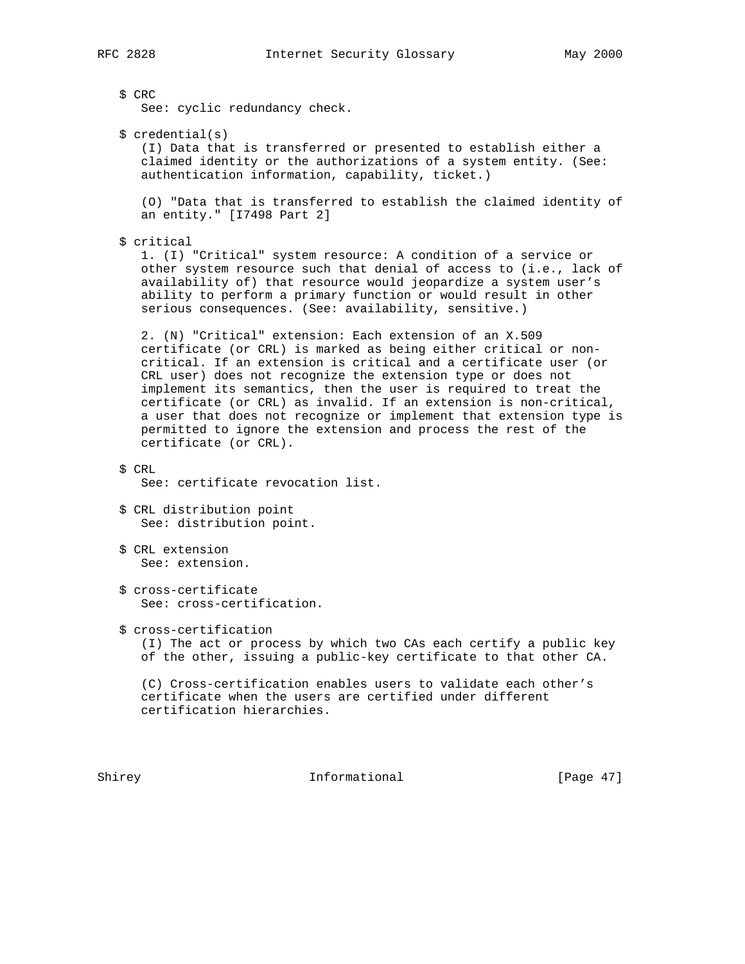\$ CRC See: cyclic redundancy check. \$ credential(s) (I) Data that is transferred or presented to establish either a claimed identity or the authorizations of a system entity. (See: authentication information, capability, ticket.) (O) "Data that is transferred to establish the claimed identity of an entity." [I7498 Part 2] \$ critical 1. (I) "Critical" system resource: A condition of a service or other system resource such that denial of access to (i.e., lack of availability of) that resource would jeopardize a system user's ability to perform a primary function or would result in other serious consequences. (See: availability, sensitive.) 2. (N) "Critical" extension: Each extension of an X.509 certificate (or CRL) is marked as being either critical or non critical. If an extension is critical and a certificate user (or CRL user) does not recognize the extension type or does not implement its semantics, then the user is required to treat the certificate (or CRL) as invalid. If an extension is non-critical, a user that does not recognize or implement that extension type is permitted to ignore the extension and process the rest of the certificate (or CRL). \$ CRL See: certificate revocation list. \$ CRL distribution point See: distribution point. \$ CRL extension See: extension. \$ cross-certificate See: cross-certification. \$ cross-certification (I) The act or process by which two CAs each certify a public key of the other, issuing a public-key certificate to that other CA. (C) Cross-certification enables users to validate each other's certificate when the users are certified under different certification hierarchies.

Shirey **Informational** [Page 47]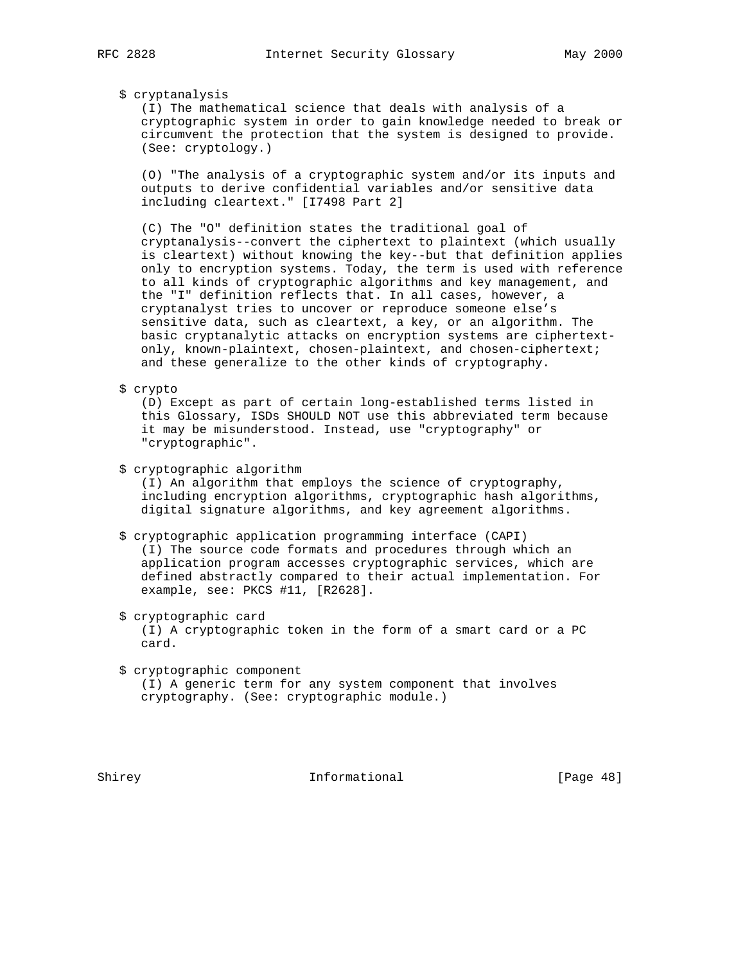## \$ cryptanalysis

 (I) The mathematical science that deals with analysis of a cryptographic system in order to gain knowledge needed to break or circumvent the protection that the system is designed to provide. (See: cryptology.)

 (O) "The analysis of a cryptographic system and/or its inputs and outputs to derive confidential variables and/or sensitive data including cleartext." [I7498 Part 2]

 (C) The "O" definition states the traditional goal of cryptanalysis--convert the ciphertext to plaintext (which usually is cleartext) without knowing the key--but that definition applies only to encryption systems. Today, the term is used with reference to all kinds of cryptographic algorithms and key management, and the "I" definition reflects that. In all cases, however, a cryptanalyst tries to uncover or reproduce someone else's sensitive data, such as cleartext, a key, or an algorithm. The basic cryptanalytic attacks on encryption systems are ciphertext only, known-plaintext, chosen-plaintext, and chosen-ciphertext; and these generalize to the other kinds of cryptography.

### \$ crypto

 (D) Except as part of certain long-established terms listed in this Glossary, ISDs SHOULD NOT use this abbreviated term because it may be misunderstood. Instead, use "cryptography" or "cryptographic".

\$ cryptographic algorithm

 (I) An algorithm that employs the science of cryptography, including encryption algorithms, cryptographic hash algorithms, digital signature algorithms, and key agreement algorithms.

#### \$ cryptographic application programming interface (CAPI)

 (I) The source code formats and procedures through which an application program accesses cryptographic services, which are defined abstractly compared to their actual implementation. For example, see: PKCS #11, [R2628].

\$ cryptographic card

 (I) A cryptographic token in the form of a smart card or a PC card.

 \$ cryptographic component (I) A generic term for any system component that involves cryptography. (See: cryptographic module.)

Shirey **Informational** [Page 48]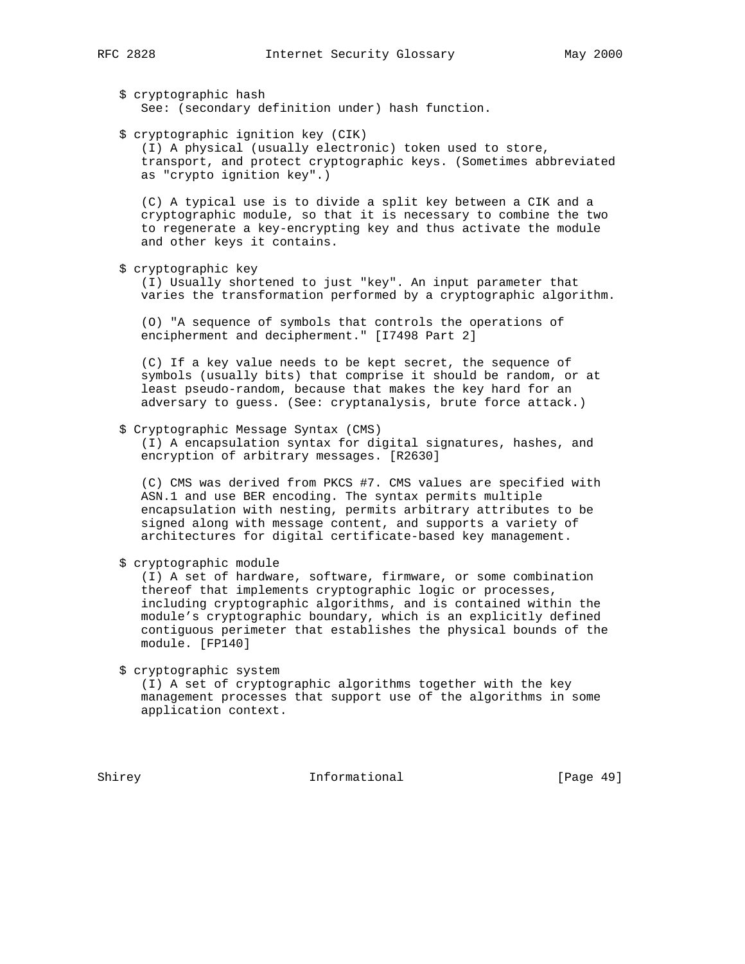\$ cryptographic hash See: (secondary definition under) hash function.

\$ cryptographic ignition key (CIK)

 (I) A physical (usually electronic) token used to store, transport, and protect cryptographic keys. (Sometimes abbreviated as "crypto ignition key".)

 (C) A typical use is to divide a split key between a CIK and a cryptographic module, so that it is necessary to combine the two to regenerate a key-encrypting key and thus activate the module and other keys it contains.

\$ cryptographic key

 (I) Usually shortened to just "key". An input parameter that varies the transformation performed by a cryptographic algorithm.

 (O) "A sequence of symbols that controls the operations of encipherment and decipherment." [I7498 Part 2]

 (C) If a key value needs to be kept secret, the sequence of symbols (usually bits) that comprise it should be random, or at least pseudo-random, because that makes the key hard for an adversary to guess. (See: cryptanalysis, brute force attack.)

#### \$ Cryptographic Message Syntax (CMS)

 (I) A encapsulation syntax for digital signatures, hashes, and encryption of arbitrary messages. [R2630]

 (C) CMS was derived from PKCS #7. CMS values are specified with ASN.1 and use BER encoding. The syntax permits multiple encapsulation with nesting, permits arbitrary attributes to be signed along with message content, and supports a variety of architectures for digital certificate-based key management.

\$ cryptographic module

 (I) A set of hardware, software, firmware, or some combination thereof that implements cryptographic logic or processes, including cryptographic algorithms, and is contained within the module's cryptographic boundary, which is an explicitly defined contiguous perimeter that establishes the physical bounds of the module. [FP140]

\$ cryptographic system

 (I) A set of cryptographic algorithms together with the key management processes that support use of the algorithms in some application context.

Shirey **Informational** [Page 49]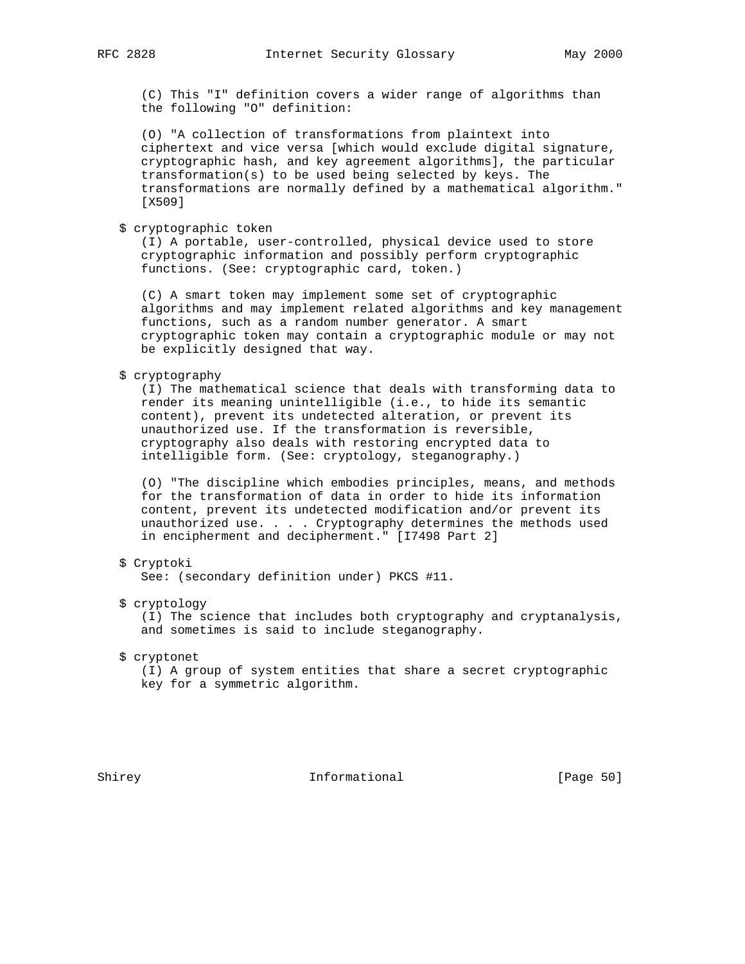(C) This "I" definition covers a wider range of algorithms than the following "O" definition:

 (O) "A collection of transformations from plaintext into ciphertext and vice versa [which would exclude digital signature, cryptographic hash, and key agreement algorithms], the particular transformation(s) to be used being selected by keys. The transformations are normally defined by a mathematical algorithm." [X509]

\$ cryptographic token

 (I) A portable, user-controlled, physical device used to store cryptographic information and possibly perform cryptographic functions. (See: cryptographic card, token.)

 (C) A smart token may implement some set of cryptographic algorithms and may implement related algorithms and key management functions, such as a random number generator. A smart cryptographic token may contain a cryptographic module or may not be explicitly designed that way.

## \$ cryptography

 (I) The mathematical science that deals with transforming data to render its meaning unintelligible (i.e., to hide its semantic content), prevent its undetected alteration, or prevent its unauthorized use. If the transformation is reversible, cryptography also deals with restoring encrypted data to intelligible form. (See: cryptology, steganography.)

 (O) "The discipline which embodies principles, means, and methods for the transformation of data in order to hide its information content, prevent its undetected modification and/or prevent its unauthorized use. . . . Cryptography determines the methods used in encipherment and decipherment." [I7498 Part 2]

## \$ Cryptoki

See: (secondary definition under) PKCS #11.

## \$ cryptology

 (I) The science that includes both cryptography and cryptanalysis, and sometimes is said to include steganography.

\$ cryptonet

 (I) A group of system entities that share a secret cryptographic key for a symmetric algorithm.

Shirey **Informational** [Page 50]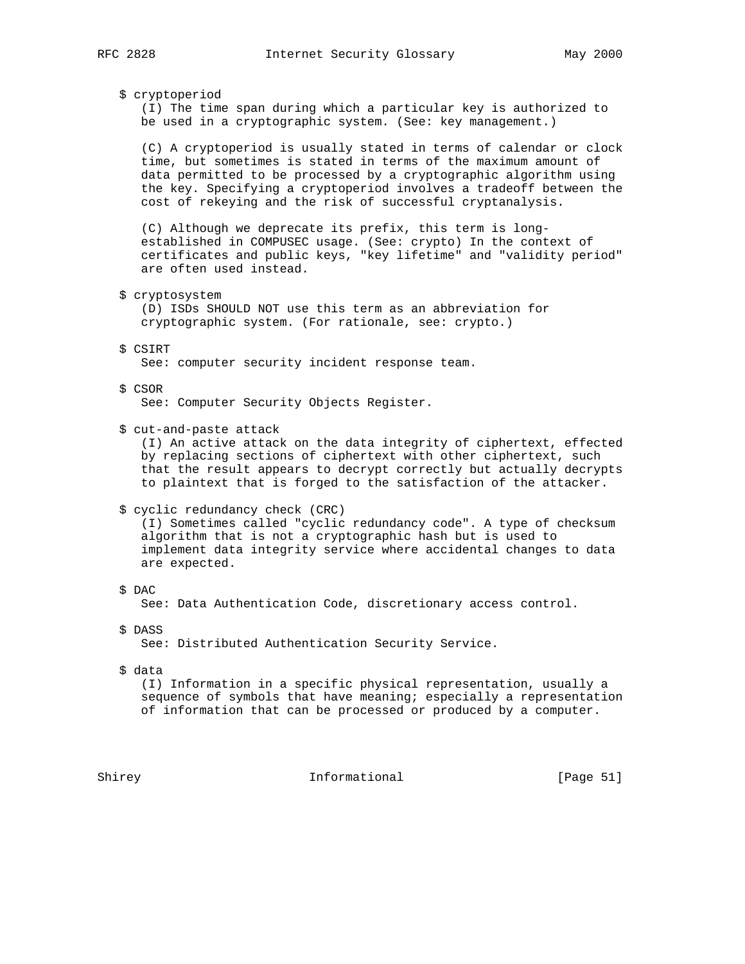#### \$ cryptoperiod

 (I) The time span during which a particular key is authorized to be used in a cryptographic system. (See: key management.)

 (C) A cryptoperiod is usually stated in terms of calendar or clock time, but sometimes is stated in terms of the maximum amount of data permitted to be processed by a cryptographic algorithm using the key. Specifying a cryptoperiod involves a tradeoff between the cost of rekeying and the risk of successful cryptanalysis.

 (C) Although we deprecate its prefix, this term is long established in COMPUSEC usage. (See: crypto) In the context of certificates and public keys, "key lifetime" and "validity period" are often used instead.

\$ cryptosystem

 (D) ISDs SHOULD NOT use this term as an abbreviation for cryptographic system. (For rationale, see: crypto.)

#### \$ CSIRT

See: computer security incident response team.

#### \$ CSOR

See: Computer Security Objects Register.

\$ cut-and-paste attack

 (I) An active attack on the data integrity of ciphertext, effected by replacing sections of ciphertext with other ciphertext, such that the result appears to decrypt correctly but actually decrypts to plaintext that is forged to the satisfaction of the attacker.

#### \$ cyclic redundancy check (CRC)

 (I) Sometimes called "cyclic redundancy code". A type of checksum algorithm that is not a cryptographic hash but is used to implement data integrity service where accidental changes to data are expected.

#### \$ DAC

See: Data Authentication Code, discretionary access control.

\$ DASS

See: Distributed Authentication Security Service.

\$ data

 (I) Information in a specific physical representation, usually a sequence of symbols that have meaning; especially a representation of information that can be processed or produced by a computer.

Shirey **Informational** [Page 51]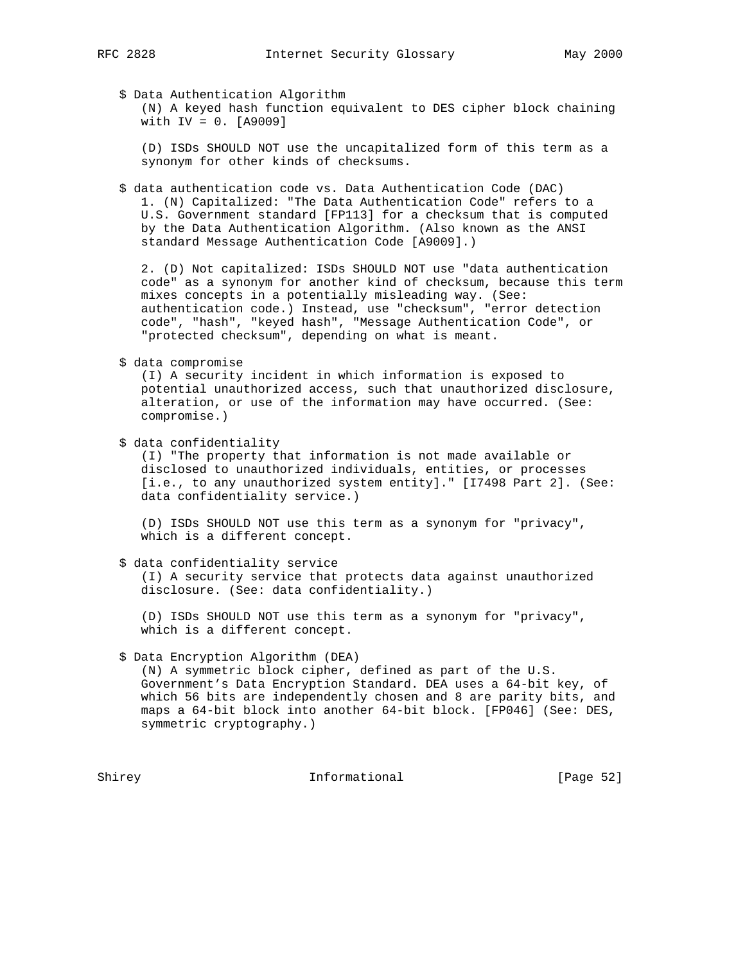\$ Data Authentication Algorithm

 (N) A keyed hash function equivalent to DES cipher block chaining with IV = 0. [A9009]

 (D) ISDs SHOULD NOT use the uncapitalized form of this term as a synonym for other kinds of checksums.

 \$ data authentication code vs. Data Authentication Code (DAC) 1. (N) Capitalized: "The Data Authentication Code" refers to a U.S. Government standard [FP113] for a checksum that is computed by the Data Authentication Algorithm. (Also known as the ANSI standard Message Authentication Code [A9009].)

 2. (D) Not capitalized: ISDs SHOULD NOT use "data authentication code" as a synonym for another kind of checksum, because this term mixes concepts in a potentially misleading way. (See: authentication code.) Instead, use "checksum", "error detection code", "hash", "keyed hash", "Message Authentication Code", or "protected checksum", depending on what is meant.

\$ data compromise

 (I) A security incident in which information is exposed to potential unauthorized access, such that unauthorized disclosure, alteration, or use of the information may have occurred. (See: compromise.)

\$ data confidentiality

 (I) "The property that information is not made available or disclosed to unauthorized individuals, entities, or processes [i.e., to any unauthorized system entity]." [I7498 Part 2]. (See: data confidentiality service.)

 (D) ISDs SHOULD NOT use this term as a synonym for "privacy", which is a different concept.

\$ data confidentiality service

 (I) A security service that protects data against unauthorized disclosure. (See: data confidentiality.)

 (D) ISDs SHOULD NOT use this term as a synonym for "privacy", which is a different concept.

## \$ Data Encryption Algorithm (DEA)

 (N) A symmetric block cipher, defined as part of the U.S. Government's Data Encryption Standard. DEA uses a 64-bit key, of which 56 bits are independently chosen and 8 are parity bits, and maps a 64-bit block into another 64-bit block. [FP046] (See: DES, symmetric cryptography.)

Shirey **Informational** [Page 52]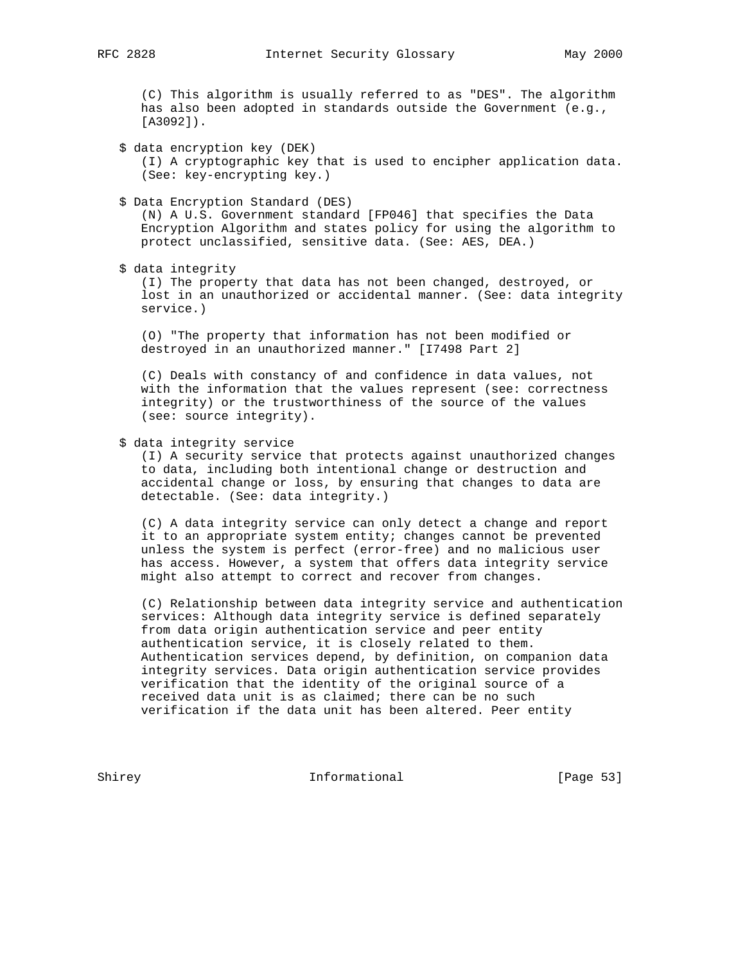(C) This algorithm is usually referred to as "DES". The algorithm has also been adopted in standards outside the Government (e.g., [A3092]).

\$ data encryption key (DEK)

 (I) A cryptographic key that is used to encipher application data. (See: key-encrypting key.)

\$ Data Encryption Standard (DES)

 (N) A U.S. Government standard [FP046] that specifies the Data Encryption Algorithm and states policy for using the algorithm to protect unclassified, sensitive data. (See: AES, DEA.)

\$ data integrity

 (I) The property that data has not been changed, destroyed, or lost in an unauthorized or accidental manner. (See: data integrity service.)

 (O) "The property that information has not been modified or destroyed in an unauthorized manner." [I7498 Part 2]

 (C) Deals with constancy of and confidence in data values, not with the information that the values represent (see: correctness integrity) or the trustworthiness of the source of the values (see: source integrity).

\$ data integrity service

 (I) A security service that protects against unauthorized changes to data, including both intentional change or destruction and accidental change or loss, by ensuring that changes to data are detectable. (See: data integrity.)

 (C) A data integrity service can only detect a change and report it to an appropriate system entity; changes cannot be prevented unless the system is perfect (error-free) and no malicious user has access. However, a system that offers data integrity service might also attempt to correct and recover from changes.

 (C) Relationship between data integrity service and authentication services: Although data integrity service is defined separately from data origin authentication service and peer entity authentication service, it is closely related to them. Authentication services depend, by definition, on companion data integrity services. Data origin authentication service provides verification that the identity of the original source of a received data unit is as claimed; there can be no such verification if the data unit has been altered. Peer entity

Shirey **Informational** [Page 53]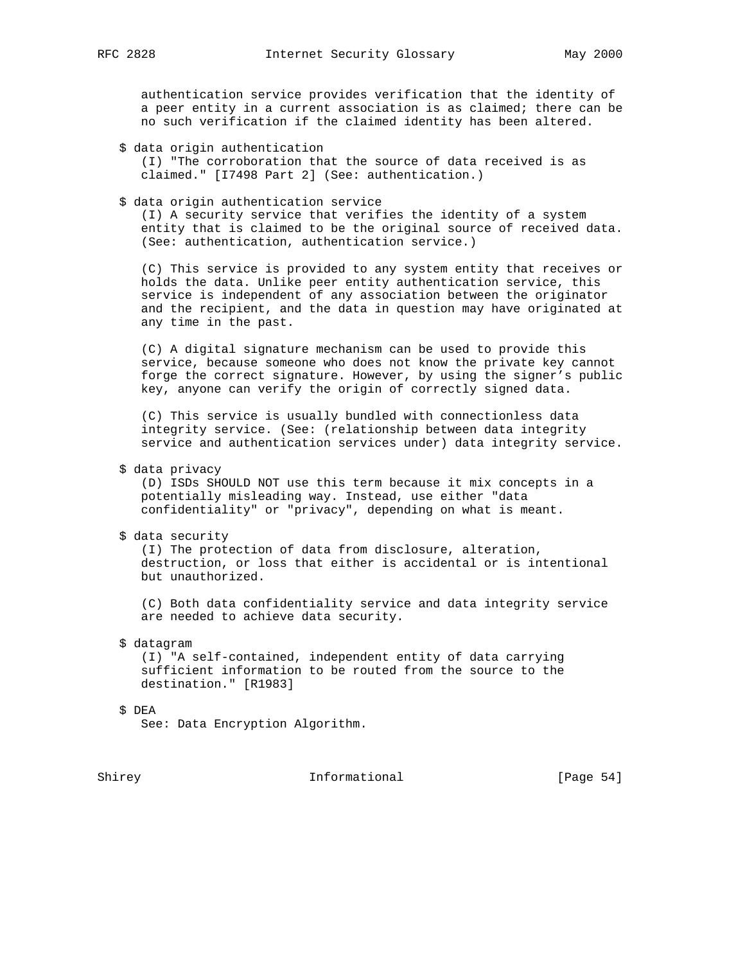authentication service provides verification that the identity of a peer entity in a current association is as claimed; there can be no such verification if the claimed identity has been altered.

\$ data origin authentication

 (I) "The corroboration that the source of data received is as claimed." [I7498 Part 2] (See: authentication.)

\$ data origin authentication service

 (I) A security service that verifies the identity of a system entity that is claimed to be the original source of received data. (See: authentication, authentication service.)

 (C) This service is provided to any system entity that receives or holds the data. Unlike peer entity authentication service, this service is independent of any association between the originator and the recipient, and the data in question may have originated at any time in the past.

 (C) A digital signature mechanism can be used to provide this service, because someone who does not know the private key cannot forge the correct signature. However, by using the signer's public key, anyone can verify the origin of correctly signed data.

 (C) This service is usually bundled with connectionless data integrity service. (See: (relationship between data integrity service and authentication services under) data integrity service.

\$ data privacy

 (D) ISDs SHOULD NOT use this term because it mix concepts in a potentially misleading way. Instead, use either "data confidentiality" or "privacy", depending on what is meant.

\$ data security

 (I) The protection of data from disclosure, alteration, destruction, or loss that either is accidental or is intentional but unauthorized.

 (C) Both data confidentiality service and data integrity service are needed to achieve data security.

\$ datagram

 (I) "A self-contained, independent entity of data carrying sufficient information to be routed from the source to the destination." [R1983]

## \$ DEA

See: Data Encryption Algorithm.

Shirey **Informational** [Page 54]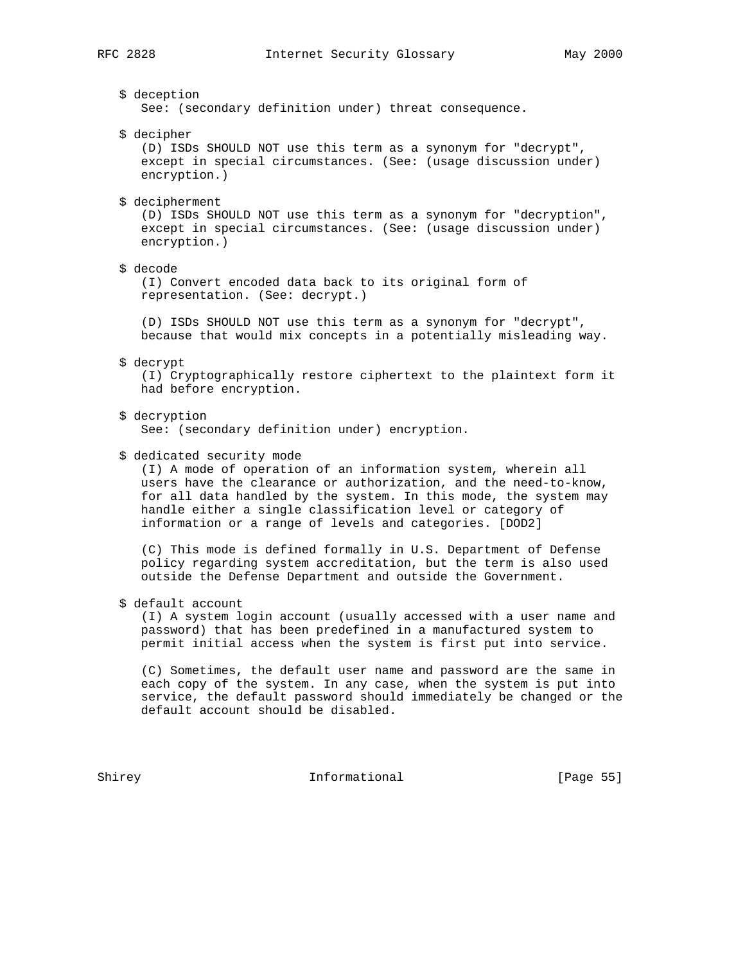## \$ deception

See: (secondary definition under) threat consequence.

\$ decipher

 (D) ISDs SHOULD NOT use this term as a synonym for "decrypt", except in special circumstances. (See: (usage discussion under) encryption.)

\$ decipherment

 (D) ISDs SHOULD NOT use this term as a synonym for "decryption", except in special circumstances. (See: (usage discussion under) encryption.)

\$ decode

 (I) Convert encoded data back to its original form of representation. (See: decrypt.)

 (D) ISDs SHOULD NOT use this term as a synonym for "decrypt", because that would mix concepts in a potentially misleading way.

\$ decrypt

 (I) Cryptographically restore ciphertext to the plaintext form it had before encryption.

\$ decryption

See: (secondary definition under) encryption.

\$ dedicated security mode

 (I) A mode of operation of an information system, wherein all users have the clearance or authorization, and the need-to-know, for all data handled by the system. In this mode, the system may handle either a single classification level or category of information or a range of levels and categories. [DOD2]

 (C) This mode is defined formally in U.S. Department of Defense policy regarding system accreditation, but the term is also used outside the Defense Department and outside the Government.

\$ default account

 (I) A system login account (usually accessed with a user name and password) that has been predefined in a manufactured system to permit initial access when the system is first put into service.

 (C) Sometimes, the default user name and password are the same in each copy of the system. In any case, when the system is put into service, the default password should immediately be changed or the default account should be disabled.

Shirey **Informational** [Page 55]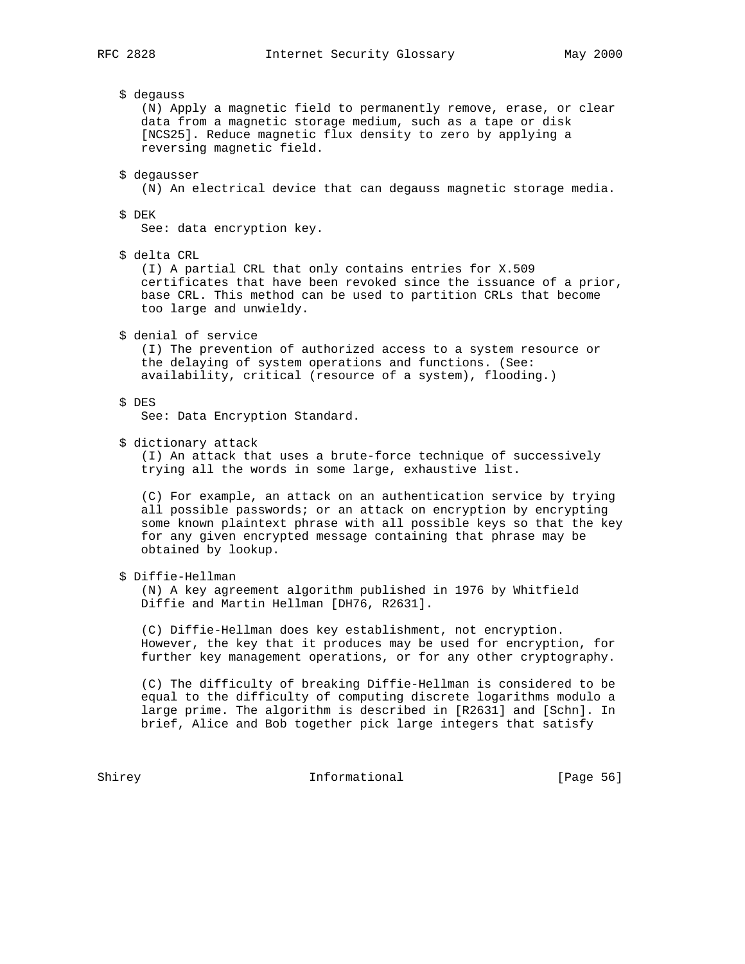\$ degauss

 (N) Apply a magnetic field to permanently remove, erase, or clear data from a magnetic storage medium, such as a tape or disk [NCS25]. Reduce magnetic flux density to zero by applying a reversing magnetic field.

\$ degausser

(N) An electrical device that can degauss magnetic storage media.

### \$ DEK

See: data encryption key.

\$ delta CRL

 (I) A partial CRL that only contains entries for X.509 certificates that have been revoked since the issuance of a prior, base CRL. This method can be used to partition CRLs that become too large and unwieldy.

\$ denial of service

 (I) The prevention of authorized access to a system resource or the delaying of system operations and functions. (See: availability, critical (resource of a system), flooding.)

\$ DES

See: Data Encryption Standard.

\$ dictionary attack

 (I) An attack that uses a brute-force technique of successively trying all the words in some large, exhaustive list.

 (C) For example, an attack on an authentication service by trying all possible passwords; or an attack on encryption by encrypting some known plaintext phrase with all possible keys so that the key for any given encrypted message containing that phrase may be obtained by lookup.

\$ Diffie-Hellman

 (N) A key agreement algorithm published in 1976 by Whitfield Diffie and Martin Hellman [DH76, R2631].

 (C) Diffie-Hellman does key establishment, not encryption. However, the key that it produces may be used for encryption, for further key management operations, or for any other cryptography.

 (C) The difficulty of breaking Diffie-Hellman is considered to be equal to the difficulty of computing discrete logarithms modulo a large prime. The algorithm is described in [R2631] and [Schn]. In brief, Alice and Bob together pick large integers that satisfy

Shirey **Informational** [Page 56]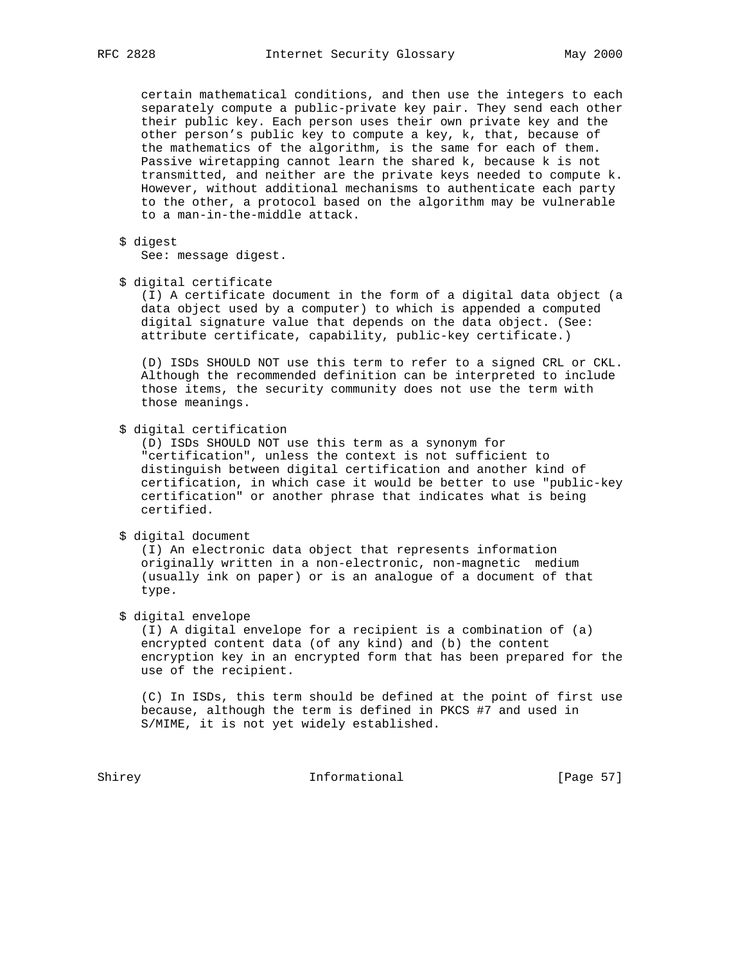certain mathematical conditions, and then use the integers to each separately compute a public-private key pair. They send each other their public key. Each person uses their own private key and the other person's public key to compute a key, k, that, because of the mathematics of the algorithm, is the same for each of them. Passive wiretapping cannot learn the shared k, because k is not transmitted, and neither are the private keys needed to compute k. However, without additional mechanisms to authenticate each party to the other, a protocol based on the algorithm may be vulnerable to a man-in-the-middle attack.

\$ digest

See: message digest.

\$ digital certificate

 (I) A certificate document in the form of a digital data object (a data object used by a computer) to which is appended a computed digital signature value that depends on the data object. (See: attribute certificate, capability, public-key certificate.)

 (D) ISDs SHOULD NOT use this term to refer to a signed CRL or CKL. Although the recommended definition can be interpreted to include those items, the security community does not use the term with those meanings.

\$ digital certification

 (D) ISDs SHOULD NOT use this term as a synonym for "certification", unless the context is not sufficient to distinguish between digital certification and another kind of certification, in which case it would be better to use "public-key certification" or another phrase that indicates what is being certified.

\$ digital document

 (I) An electronic data object that represents information originally written in a non-electronic, non-magnetic medium (usually ink on paper) or is an analogue of a document of that type.

\$ digital envelope

 (I) A digital envelope for a recipient is a combination of (a) encrypted content data (of any kind) and (b) the content encryption key in an encrypted form that has been prepared for the use of the recipient.

 (C) In ISDs, this term should be defined at the point of first use because, although the term is defined in PKCS #7 and used in S/MIME, it is not yet widely established.

Shirey **Informational** [Page 57]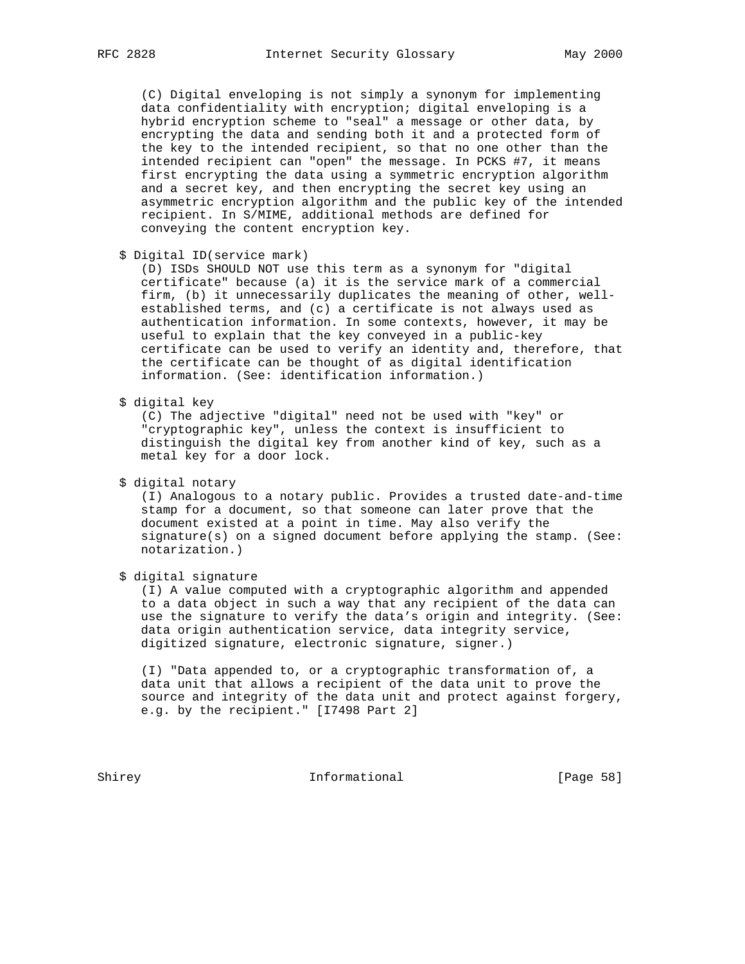(C) Digital enveloping is not simply a synonym for implementing data confidentiality with encryption; digital enveloping is a hybrid encryption scheme to "seal" a message or other data, by encrypting the data and sending both it and a protected form of the key to the intended recipient, so that no one other than the intended recipient can "open" the message. In PCKS #7, it means first encrypting the data using a symmetric encryption algorithm and a secret key, and then encrypting the secret key using an asymmetric encryption algorithm and the public key of the intended recipient. In S/MIME, additional methods are defined for conveying the content encryption key.

\$ Digital ID(service mark)

 (D) ISDs SHOULD NOT use this term as a synonym for "digital certificate" because (a) it is the service mark of a commercial firm, (b) it unnecessarily duplicates the meaning of other, well established terms, and (c) a certificate is not always used as authentication information. In some contexts, however, it may be useful to explain that the key conveyed in a public-key certificate can be used to verify an identity and, therefore, that the certificate can be thought of as digital identification information. (See: identification information.)

\$ digital key

 (C) The adjective "digital" need not be used with "key" or "cryptographic key", unless the context is insufficient to distinguish the digital key from another kind of key, such as a metal key for a door lock.

\$ digital notary

 (I) Analogous to a notary public. Provides a trusted date-and-time stamp for a document, so that someone can later prove that the document existed at a point in time. May also verify the signature(s) on a signed document before applying the stamp. (See: notarization.)

\$ digital signature

 (I) A value computed with a cryptographic algorithm and appended to a data object in such a way that any recipient of the data can use the signature to verify the data's origin and integrity. (See: data origin authentication service, data integrity service, digitized signature, electronic signature, signer.)

 (I) "Data appended to, or a cryptographic transformation of, a data unit that allows a recipient of the data unit to prove the source and integrity of the data unit and protect against forgery, e.g. by the recipient." [I7498 Part 2]

Shirey **Informational** [Page 58]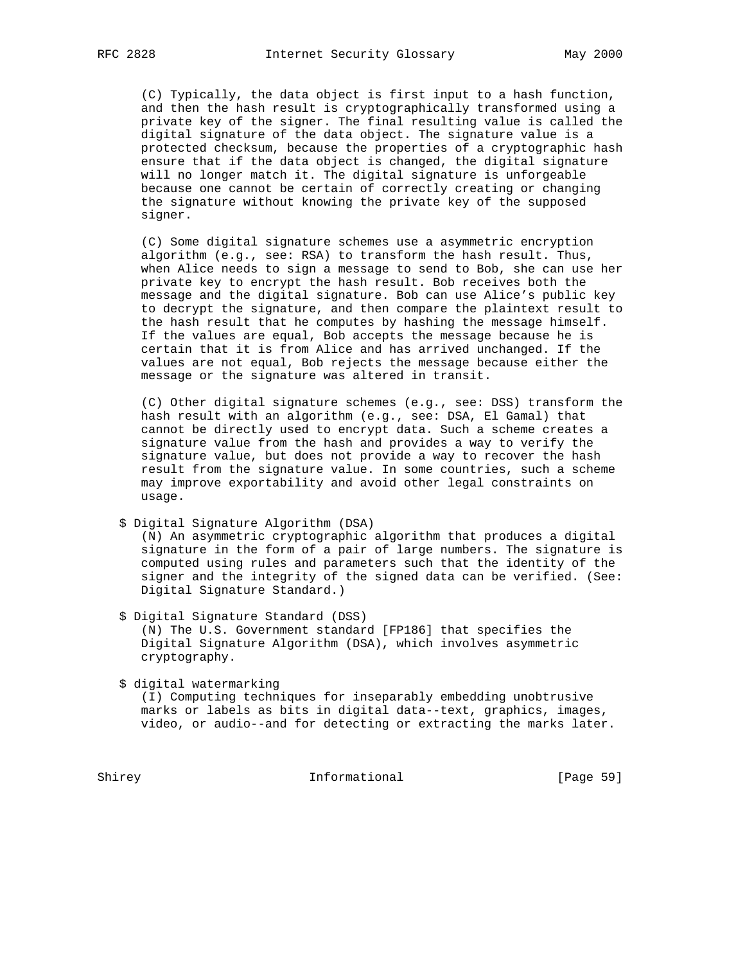(C) Typically, the data object is first input to a hash function, and then the hash result is cryptographically transformed using a private key of the signer. The final resulting value is called the digital signature of the data object. The signature value is a protected checksum, because the properties of a cryptographic hash ensure that if the data object is changed, the digital signature will no longer match it. The digital signature is unforgeable because one cannot be certain of correctly creating or changing the signature without knowing the private key of the supposed signer.

 (C) Some digital signature schemes use a asymmetric encryption algorithm (e.g., see: RSA) to transform the hash result. Thus, when Alice needs to sign a message to send to Bob, she can use her private key to encrypt the hash result. Bob receives both the message and the digital signature. Bob can use Alice's public key to decrypt the signature, and then compare the plaintext result to the hash result that he computes by hashing the message himself. If the values are equal, Bob accepts the message because he is certain that it is from Alice and has arrived unchanged. If the values are not equal, Bob rejects the message because either the message or the signature was altered in transit.

 (C) Other digital signature schemes (e.g., see: DSS) transform the hash result with an algorithm (e.g., see: DSA, El Gamal) that cannot be directly used to encrypt data. Such a scheme creates a signature value from the hash and provides a way to verify the signature value, but does not provide a way to recover the hash result from the signature value. In some countries, such a scheme may improve exportability and avoid other legal constraints on usage.

\$ Digital Signature Algorithm (DSA)

 (N) An asymmetric cryptographic algorithm that produces a digital signature in the form of a pair of large numbers. The signature is computed using rules and parameters such that the identity of the signer and the integrity of the signed data can be verified. (See: Digital Signature Standard.)

 \$ Digital Signature Standard (DSS) (N) The U.S. Government standard [FP186] that specifies the Digital Signature Algorithm (DSA), which involves asymmetric cryptography.

\$ digital watermarking

 (I) Computing techniques for inseparably embedding unobtrusive marks or labels as bits in digital data--text, graphics, images, video, or audio--and for detecting or extracting the marks later.

Shirey **Informational** [Page 59]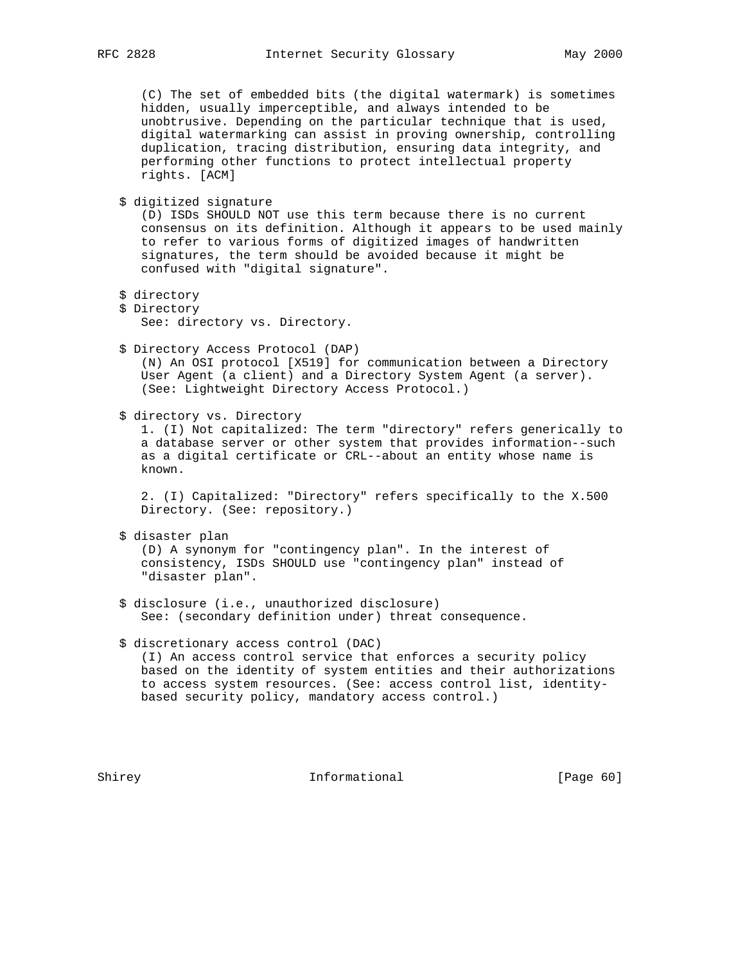(C) The set of embedded bits (the digital watermark) is sometimes hidden, usually imperceptible, and always intended to be unobtrusive. Depending on the particular technique that is used, digital watermarking can assist in proving ownership, controlling duplication, tracing distribution, ensuring data integrity, and performing other functions to protect intellectual property rights. [ACM]

\$ digitized signature

 (D) ISDs SHOULD NOT use this term because there is no current consensus on its definition. Although it appears to be used mainly to refer to various forms of digitized images of handwritten signatures, the term should be avoided because it might be confused with "digital signature".

- \$ directory
- \$ Directory See: directory vs. Directory.
- \$ Directory Access Protocol (DAP) (N) An OSI protocol [X519] for communication between a Directory User Agent (a client) and a Directory System Agent (a server). (See: Lightweight Directory Access Protocol.)
- \$ directory vs. Directory

 1. (I) Not capitalized: The term "directory" refers generically to a database server or other system that provides information--such as a digital certificate or CRL--about an entity whose name is known.

 2. (I) Capitalized: "Directory" refers specifically to the X.500 Directory. (See: repository.)

\$ disaster plan

 (D) A synonym for "contingency plan". In the interest of consistency, ISDs SHOULD use "contingency plan" instead of "disaster plan".

 \$ disclosure (i.e., unauthorized disclosure) See: (secondary definition under) threat consequence.

# \$ discretionary access control (DAC) (I) An access control service that enforces a security policy based on the identity of system entities and their authorizations to access system resources. (See: access control list, identity based security policy, mandatory access control.)

Shirey **Informational** [Page 60]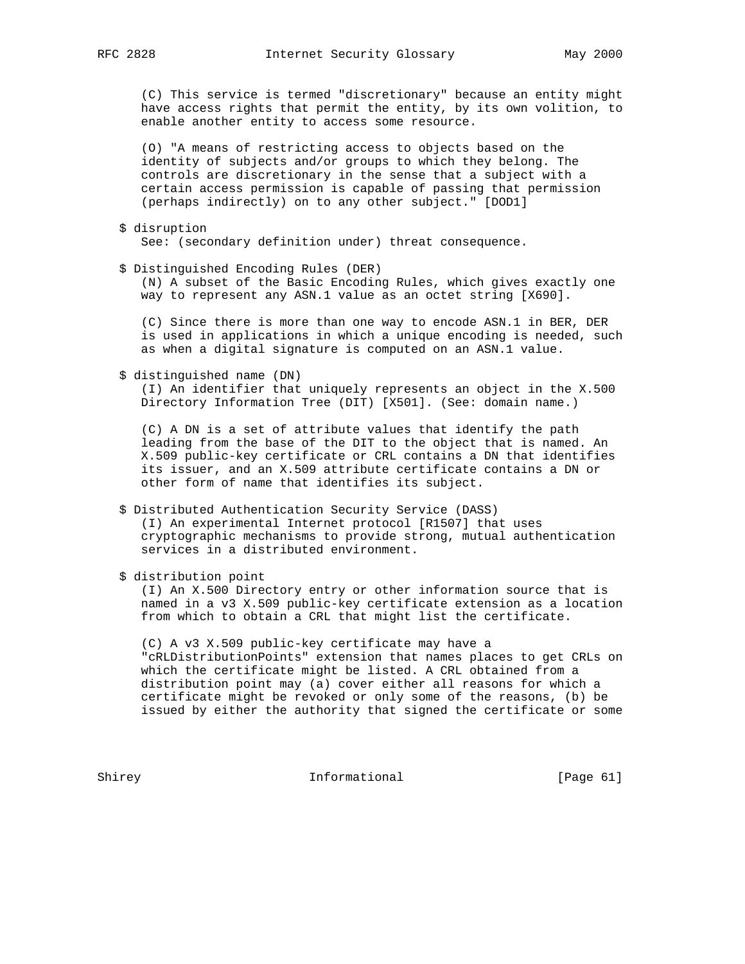(C) This service is termed "discretionary" because an entity might have access rights that permit the entity, by its own volition, to enable another entity to access some resource.

 (O) "A means of restricting access to objects based on the identity of subjects and/or groups to which they belong. The controls are discretionary in the sense that a subject with a certain access permission is capable of passing that permission (perhaps indirectly) on to any other subject." [DOD1]

- \$ disruption See: (secondary definition under) threat consequence.
- \$ Distinguished Encoding Rules (DER)

 (N) A subset of the Basic Encoding Rules, which gives exactly one way to represent any ASN.1 value as an octet string [X690].

 (C) Since there is more than one way to encode ASN.1 in BER, DER is used in applications in which a unique encoding is needed, such as when a digital signature is computed on an ASN.1 value.

\$ distinguished name (DN)

 (I) An identifier that uniquely represents an object in the X.500 Directory Information Tree (DIT) [X501]. (See: domain name.)

 (C) A DN is a set of attribute values that identify the path leading from the base of the DIT to the object that is named. An X.509 public-key certificate or CRL contains a DN that identifies its issuer, and an X.509 attribute certificate contains a DN or other form of name that identifies its subject.

- \$ Distributed Authentication Security Service (DASS) (I) An experimental Internet protocol [R1507] that uses cryptographic mechanisms to provide strong, mutual authentication services in a distributed environment.
- \$ distribution point

 (I) An X.500 Directory entry or other information source that is named in a v3 X.509 public-key certificate extension as a location from which to obtain a CRL that might list the certificate.

 (C) A v3 X.509 public-key certificate may have a "cRLDistributionPoints" extension that names places to get CRLs on which the certificate might be listed. A CRL obtained from a distribution point may (a) cover either all reasons for which a certificate might be revoked or only some of the reasons, (b) be issued by either the authority that signed the certificate or some

Shirey **Informational** [Page 61]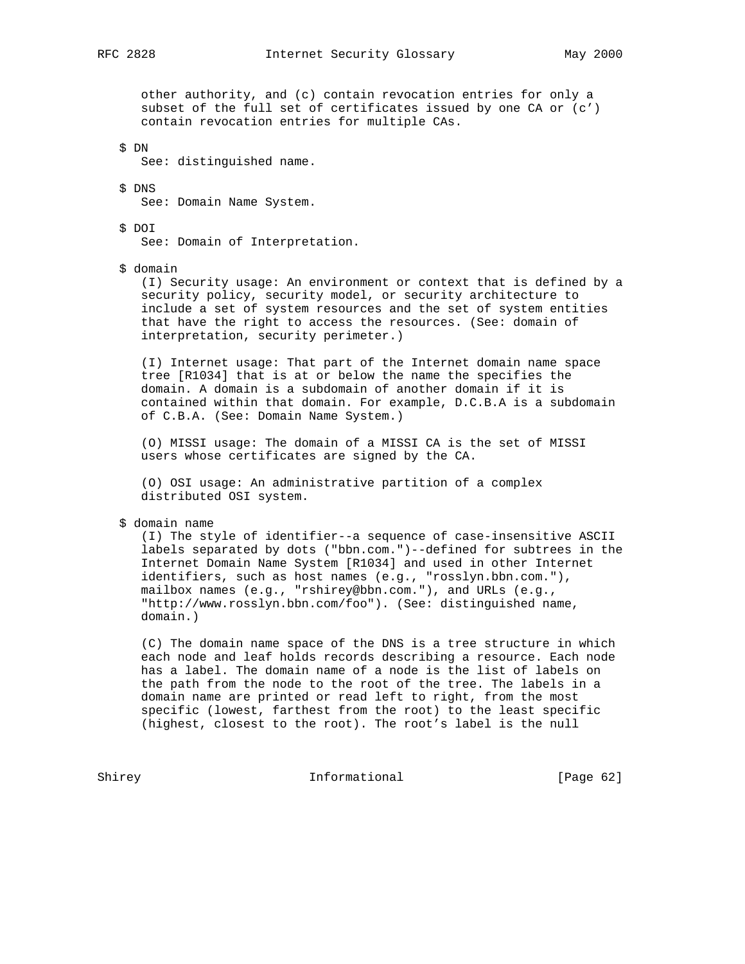other authority, and (c) contain revocation entries for only a subset of the full set of certificates issued by one CA or (c') contain revocation entries for multiple CAs.

\$ DN

See: distinguished name.

 \$ DNS See: Domain Name System.

\$ DOI

See: Domain of Interpretation.

\$ domain

 (I) Security usage: An environment or context that is defined by a security policy, security model, or security architecture to include a set of system resources and the set of system entities that have the right to access the resources. (See: domain of interpretation, security perimeter.)

 (I) Internet usage: That part of the Internet domain name space tree [R1034] that is at or below the name the specifies the domain. A domain is a subdomain of another domain if it is contained within that domain. For example, D.C.B.A is a subdomain of C.B.A. (See: Domain Name System.)

 (O) MISSI usage: The domain of a MISSI CA is the set of MISSI users whose certificates are signed by the CA.

 (O) OSI usage: An administrative partition of a complex distributed OSI system.

\$ domain name

 (I) The style of identifier--a sequence of case-insensitive ASCII labels separated by dots ("bbn.com.")--defined for subtrees in the Internet Domain Name System [R1034] and used in other Internet identifiers, such as host names (e.g., "rosslyn.bbn.com."), mailbox names (e.g., "rshirey@bbn.com."), and URLs (e.g., "http://www.rosslyn.bbn.com/foo"). (See: distinguished name, domain.)

 (C) The domain name space of the DNS is a tree structure in which each node and leaf holds records describing a resource. Each node has a label. The domain name of a node is the list of labels on the path from the node to the root of the tree. The labels in a domain name are printed or read left to right, from the most specific (lowest, farthest from the root) to the least specific (highest, closest to the root). The root's label is the null

Shirey **Informational** [Page 62]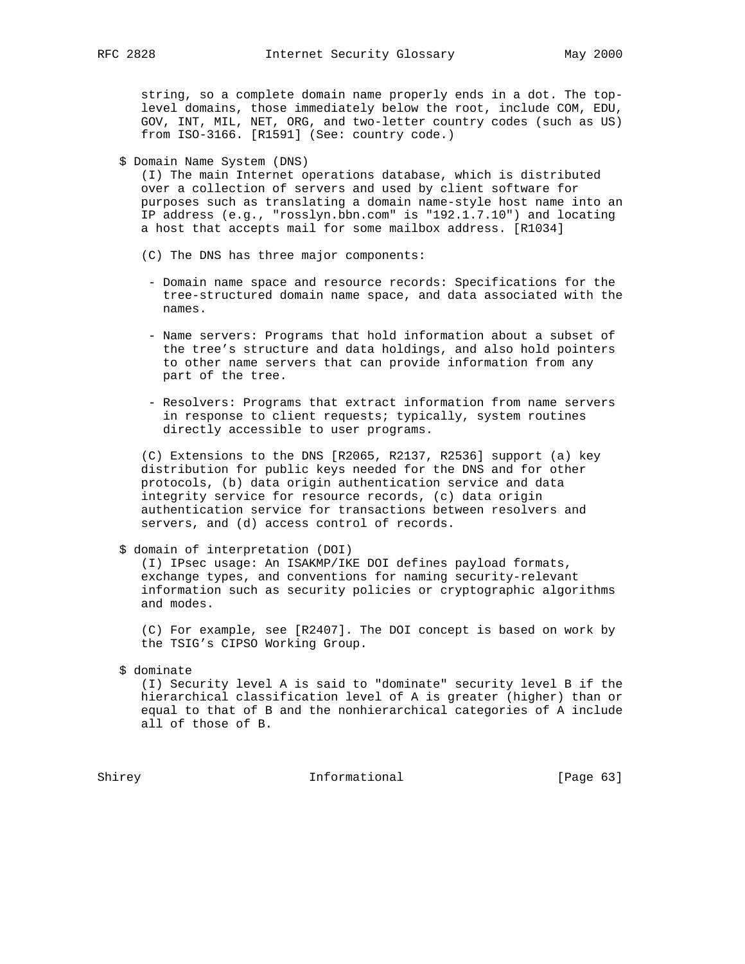string, so a complete domain name properly ends in a dot. The top level domains, those immediately below the root, include COM, EDU, GOV, INT, MIL, NET, ORG, and two-letter country codes (such as US) from ISO-3166. [R1591] (See: country code.)

\$ Domain Name System (DNS)

 (I) The main Internet operations database, which is distributed over a collection of servers and used by client software for purposes such as translating a domain name-style host name into an IP address (e.g., "rosslyn.bbn.com" is "192.1.7.10") and locating a host that accepts mail for some mailbox address. [R1034]

- (C) The DNS has three major components:
- Domain name space and resource records: Specifications for the tree-structured domain name space, and data associated with the names.
- Name servers: Programs that hold information about a subset of the tree's structure and data holdings, and also hold pointers to other name servers that can provide information from any part of the tree.
- Resolvers: Programs that extract information from name servers in response to client requests; typically, system routines directly accessible to user programs.

 (C) Extensions to the DNS [R2065, R2137, R2536] support (a) key distribution for public keys needed for the DNS and for other protocols, (b) data origin authentication service and data integrity service for resource records, (c) data origin authentication service for transactions between resolvers and servers, and (d) access control of records.

\$ domain of interpretation (DOI)

 (I) IPsec usage: An ISAKMP/IKE DOI defines payload formats, exchange types, and conventions for naming security-relevant information such as security policies or cryptographic algorithms and modes.

 (C) For example, see [R2407]. The DOI concept is based on work by the TSIG's CIPSO Working Group.

## \$ dominate

 (I) Security level A is said to "dominate" security level B if the hierarchical classification level of A is greater (higher) than or equal to that of B and the nonhierarchical categories of A include all of those of B.

Shirey **Informational** [Page 63]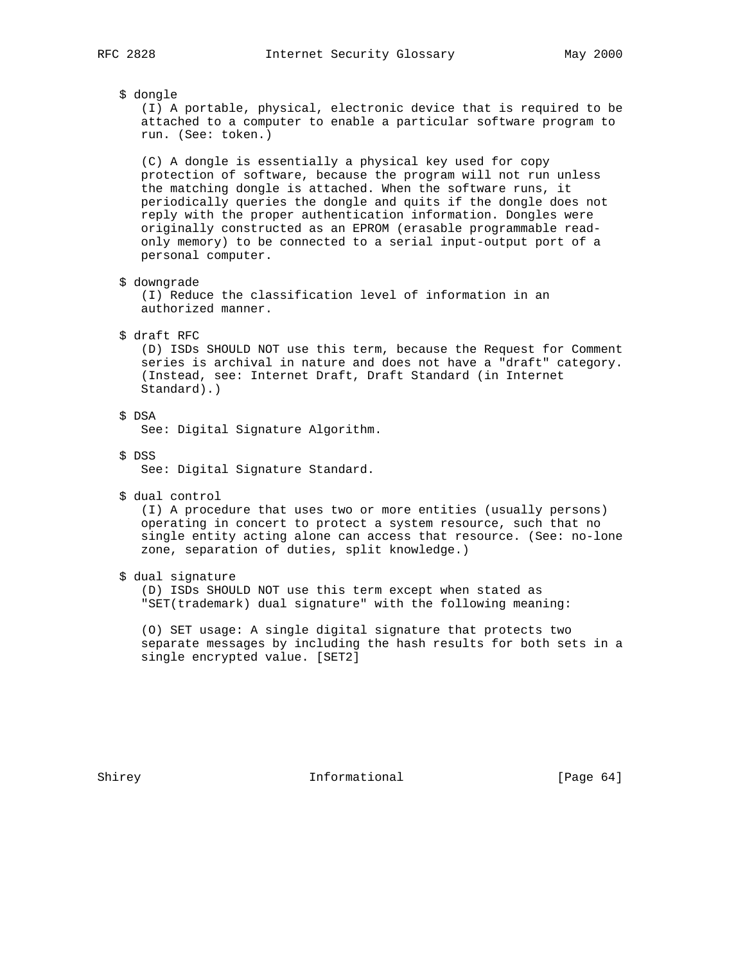# \$ dongle

 (I) A portable, physical, electronic device that is required to be attached to a computer to enable a particular software program to run. (See: token.)

 (C) A dongle is essentially a physical key used for copy protection of software, because the program will not run unless the matching dongle is attached. When the software runs, it periodically queries the dongle and quits if the dongle does not reply with the proper authentication information. Dongles were originally constructed as an EPROM (erasable programmable read only memory) to be connected to a serial input-output port of a personal computer.

\$ downgrade

 (I) Reduce the classification level of information in an authorized manner.

## \$ draft RFC

 (D) ISDs SHOULD NOT use this term, because the Request for Comment series is archival in nature and does not have a "draft" category. (Instead, see: Internet Draft, Draft Standard (in Internet Standard).)

## \$ DSA

See: Digital Signature Algorithm.

\$ DSS

See: Digital Signature Standard.

\$ dual control

 (I) A procedure that uses two or more entities (usually persons) operating in concert to protect a system resource, such that no single entity acting alone can access that resource. (See: no-lone zone, separation of duties, split knowledge.)

\$ dual signature

 (D) ISDs SHOULD NOT use this term except when stated as "SET(trademark) dual signature" with the following meaning:

 (O) SET usage: A single digital signature that protects two separate messages by including the hash results for both sets in a single encrypted value. [SET2]

Shirey **Informational** [Page 64]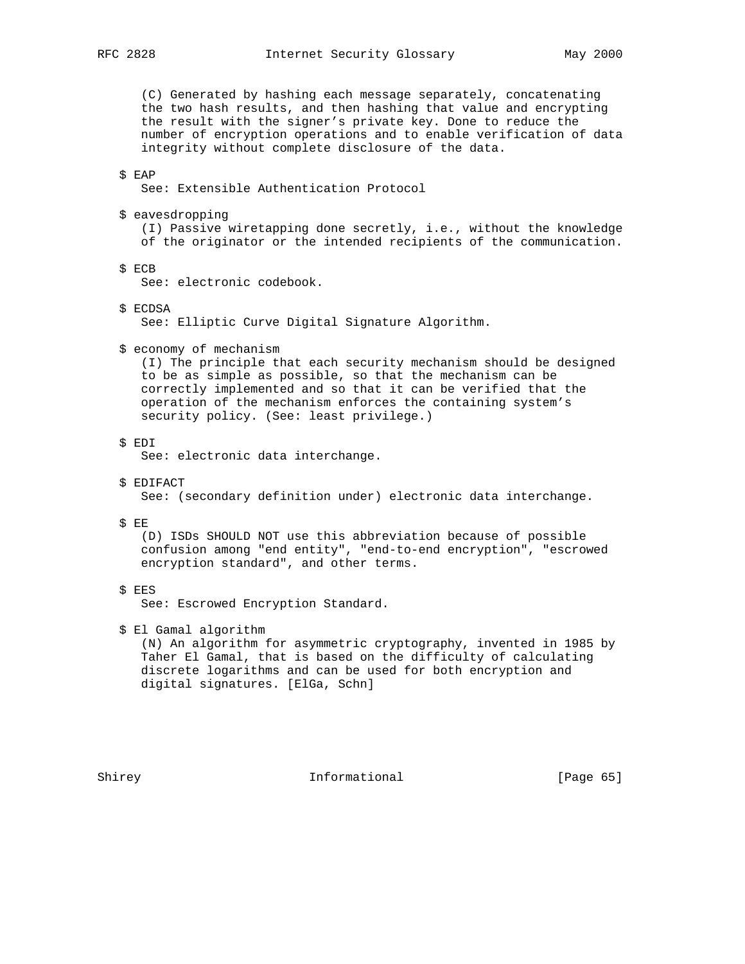(C) Generated by hashing each message separately, concatenating the two hash results, and then hashing that value and encrypting the result with the signer's private key. Done to reduce the number of encryption operations and to enable verification of data integrity without complete disclosure of the data.

# \$ EAP

See: Extensible Authentication Protocol

\$ eavesdropping

 (I) Passive wiretapping done secretly, i.e., without the knowledge of the originator or the intended recipients of the communication.

\$ ECB

See: electronic codebook.

\$ ECDSA

See: Elliptic Curve Digital Signature Algorithm.

\$ economy of mechanism

 (I) The principle that each security mechanism should be designed to be as simple as possible, so that the mechanism can be correctly implemented and so that it can be verified that the operation of the mechanism enforces the containing system's security policy. (See: least privilege.)

\$ EDI

See: electronic data interchange.

\$ EDIFACT

See: (secondary definition under) electronic data interchange.

\$ EE

 (D) ISDs SHOULD NOT use this abbreviation because of possible confusion among "end entity", "end-to-end encryption", "escrowed encryption standard", and other terms.

\$ EES

See: Escrowed Encryption Standard.

\$ El Gamal algorithm

 (N) An algorithm for asymmetric cryptography, invented in 1985 by Taher El Gamal, that is based on the difficulty of calculating discrete logarithms and can be used for both encryption and digital signatures. [ElGa, Schn]

Shirey **Informational** [Page 65]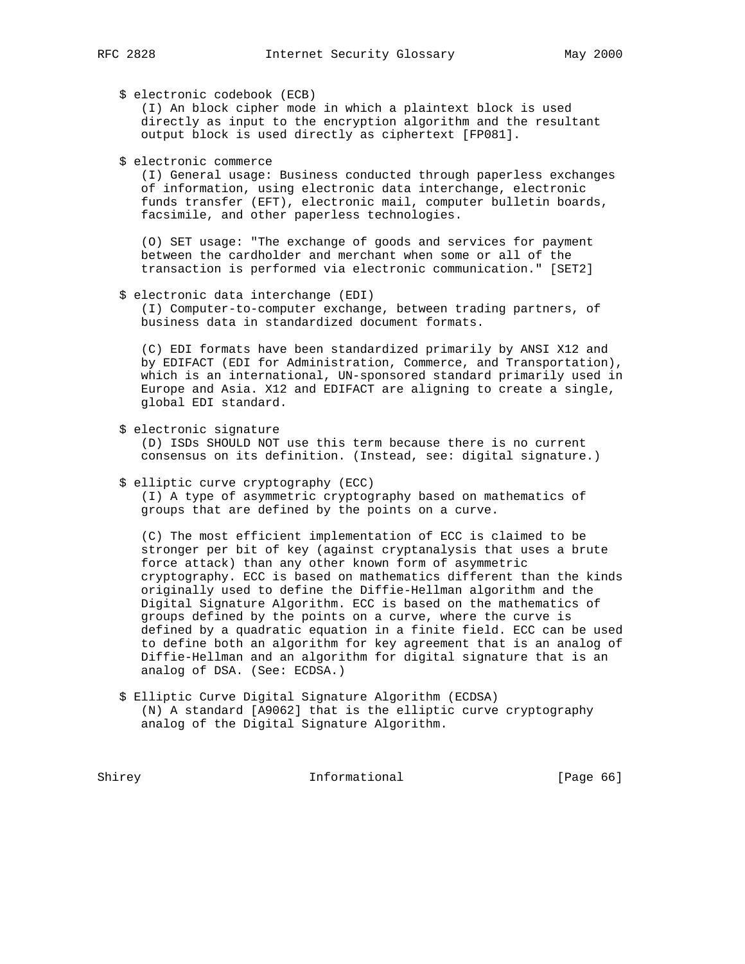\$ electronic codebook (ECB)

 (I) An block cipher mode in which a plaintext block is used directly as input to the encryption algorithm and the resultant output block is used directly as ciphertext [FP081].

\$ electronic commerce

 (I) General usage: Business conducted through paperless exchanges of information, using electronic data interchange, electronic funds transfer (EFT), electronic mail, computer bulletin boards, facsimile, and other paperless technologies.

 (O) SET usage: "The exchange of goods and services for payment between the cardholder and merchant when some or all of the transaction is performed via electronic communication." [SET2]

\$ electronic data interchange (EDI)

 (I) Computer-to-computer exchange, between trading partners, of business data in standardized document formats.

 (C) EDI formats have been standardized primarily by ANSI X12 and by EDIFACT (EDI for Administration, Commerce, and Transportation), which is an international, UN-sponsored standard primarily used in Europe and Asia. X12 and EDIFACT are aligning to create a single, global EDI standard.

\$ electronic signature

 (D) ISDs SHOULD NOT use this term because there is no current consensus on its definition. (Instead, see: digital signature.)

\$ elliptic curve cryptography (ECC)

 (I) A type of asymmetric cryptography based on mathematics of groups that are defined by the points on a curve.

 (C) The most efficient implementation of ECC is claimed to be stronger per bit of key (against cryptanalysis that uses a brute force attack) than any other known form of asymmetric cryptography. ECC is based on mathematics different than the kinds originally used to define the Diffie-Hellman algorithm and the Digital Signature Algorithm. ECC is based on the mathematics of groups defined by the points on a curve, where the curve is defined by a quadratic equation in a finite field. ECC can be used to define both an algorithm for key agreement that is an analog of Diffie-Hellman and an algorithm for digital signature that is an analog of DSA. (See: ECDSA.)

 \$ Elliptic Curve Digital Signature Algorithm (ECDSA) (N) A standard [A9062] that is the elliptic curve cryptography analog of the Digital Signature Algorithm.

Shirey **Informational** [Page 66]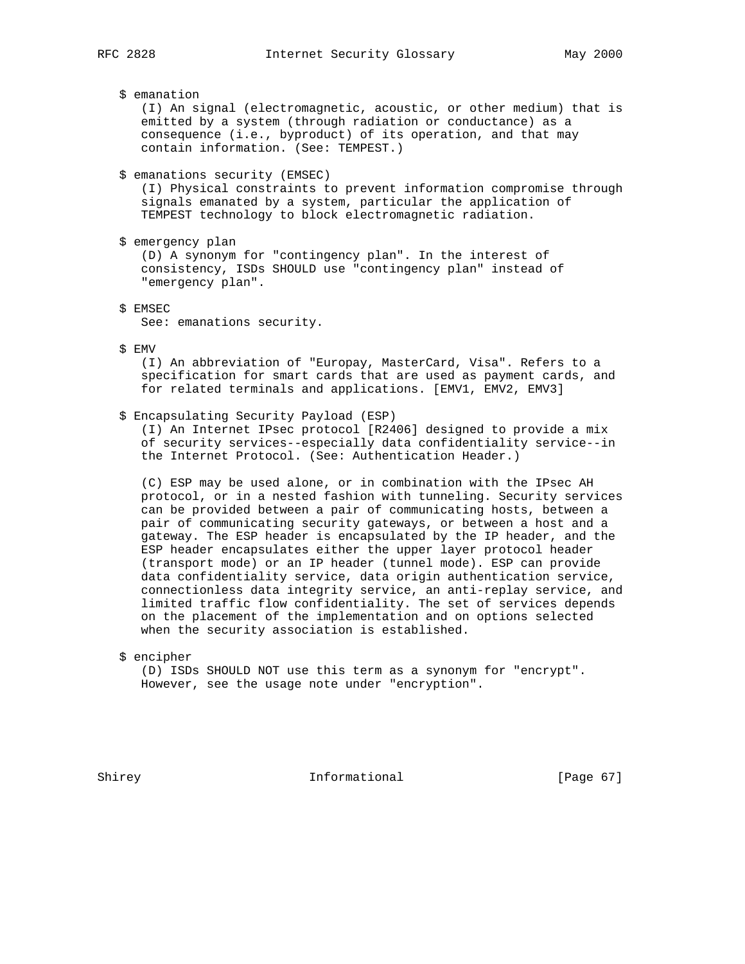\$ emanation

 (I) An signal (electromagnetic, acoustic, or other medium) that is emitted by a system (through radiation or conductance) as a consequence (i.e., byproduct) of its operation, and that may contain information. (See: TEMPEST.)

\$ emanations security (EMSEC)

 (I) Physical constraints to prevent information compromise through signals emanated by a system, particular the application of TEMPEST technology to block electromagnetic radiation.

\$ emergency plan

 (D) A synonym for "contingency plan". In the interest of consistency, ISDs SHOULD use "contingency plan" instead of "emergency plan".

\$ EMSEC

See: emanations security.

\$ EMV

 (I) An abbreviation of "Europay, MasterCard, Visa". Refers to a specification for smart cards that are used as payment cards, and for related terminals and applications. [EMV1, EMV2, EMV3]

#### \$ Encapsulating Security Payload (ESP)

 (I) An Internet IPsec protocol [R2406] designed to provide a mix of security services--especially data confidentiality service--in the Internet Protocol. (See: Authentication Header.)

 (C) ESP may be used alone, or in combination with the IPsec AH protocol, or in a nested fashion with tunneling. Security services can be provided between a pair of communicating hosts, between a pair of communicating security gateways, or between a host and a gateway. The ESP header is encapsulated by the IP header, and the ESP header encapsulates either the upper layer protocol header (transport mode) or an IP header (tunnel mode). ESP can provide data confidentiality service, data origin authentication service, connectionless data integrity service, an anti-replay service, and limited traffic flow confidentiality. The set of services depends on the placement of the implementation and on options selected when the security association is established.

\$ encipher

 (D) ISDs SHOULD NOT use this term as a synonym for "encrypt". However, see the usage note under "encryption".

Shirey **Informational** [Page 67]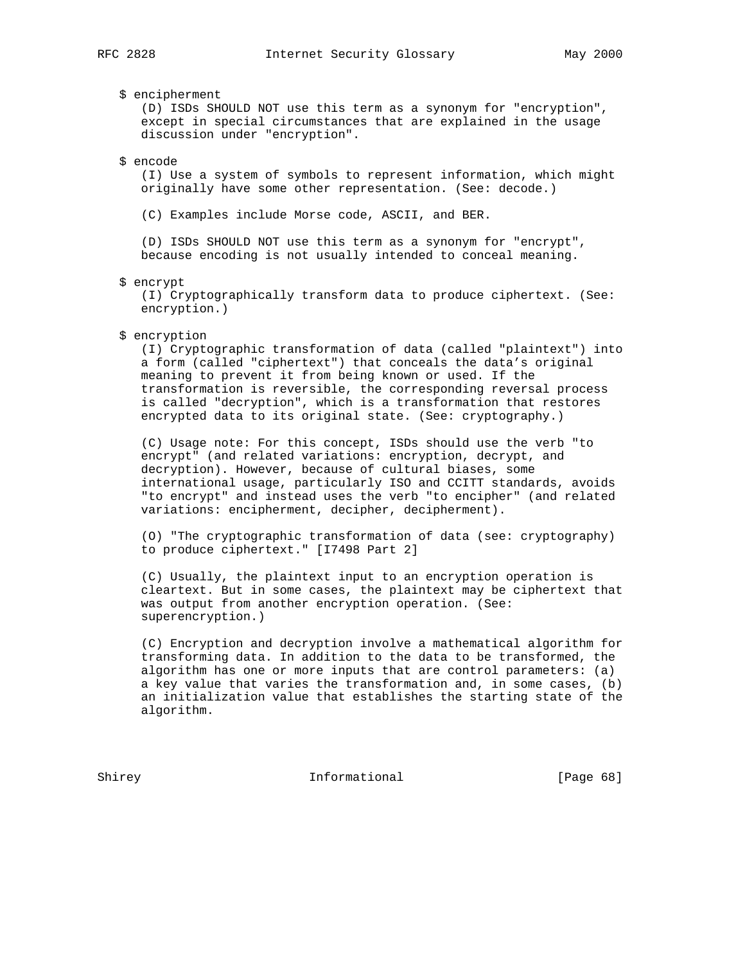\$ encipherment

 (D) ISDs SHOULD NOT use this term as a synonym for "encryption", except in special circumstances that are explained in the usage discussion under "encryption".

\$ encode

 (I) Use a system of symbols to represent information, which might originally have some other representation. (See: decode.)

(C) Examples include Morse code, ASCII, and BER.

 (D) ISDs SHOULD NOT use this term as a synonym for "encrypt", because encoding is not usually intended to conceal meaning.

\$ encrypt

 (I) Cryptographically transform data to produce ciphertext. (See: encryption.)

\$ encryption

 (I) Cryptographic transformation of data (called "plaintext") into a form (called "ciphertext") that conceals the data's original meaning to prevent it from being known or used. If the transformation is reversible, the corresponding reversal process is called "decryption", which is a transformation that restores encrypted data to its original state. (See: cryptography.)

 (C) Usage note: For this concept, ISDs should use the verb "to encrypt" (and related variations: encryption, decrypt, and decryption). However, because of cultural biases, some international usage, particularly ISO and CCITT standards, avoids "to encrypt" and instead uses the verb "to encipher" (and related variations: encipherment, decipher, decipherment).

 (O) "The cryptographic transformation of data (see: cryptography) to produce ciphertext." [I7498 Part 2]

 (C) Usually, the plaintext input to an encryption operation is cleartext. But in some cases, the plaintext may be ciphertext that was output from another encryption operation. (See: superencryption.)

 (C) Encryption and decryption involve a mathematical algorithm for transforming data. In addition to the data to be transformed, the algorithm has one or more inputs that are control parameters: (a) a key value that varies the transformation and, in some cases, (b) an initialization value that establishes the starting state of the algorithm.

Shirey **Informational** [Page 68]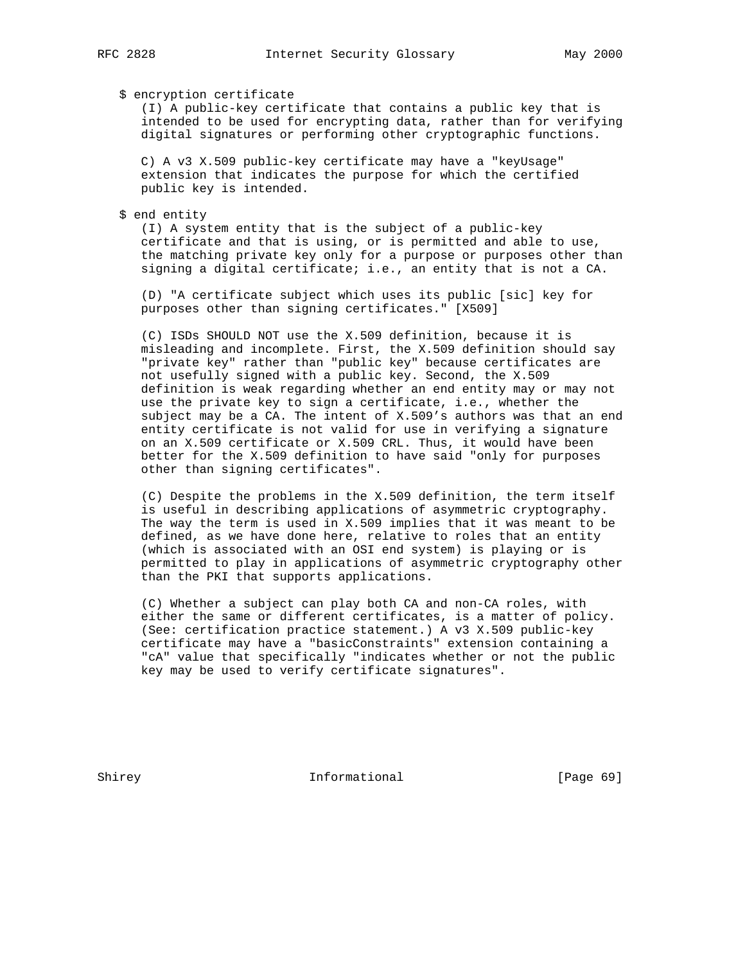## \$ encryption certificate

 (I) A public-key certificate that contains a public key that is intended to be used for encrypting data, rather than for verifying digital signatures or performing other cryptographic functions.

 C) A v3 X.509 public-key certificate may have a "keyUsage" extension that indicates the purpose for which the certified public key is intended.

## \$ end entity

 (I) A system entity that is the subject of a public-key certificate and that is using, or is permitted and able to use, the matching private key only for a purpose or purposes other than signing a digital certificate; i.e., an entity that is not a CA.

 (D) "A certificate subject which uses its public [sic] key for purposes other than signing certificates." [X509]

 (C) ISDs SHOULD NOT use the X.509 definition, because it is misleading and incomplete. First, the X.509 definition should say "private key" rather than "public key" because certificates are not usefully signed with a public key. Second, the X.509 definition is weak regarding whether an end entity may or may not use the private key to sign a certificate, i.e., whether the subject may be a CA. The intent of X.509's authors was that an end entity certificate is not valid for use in verifying a signature on an X.509 certificate or X.509 CRL. Thus, it would have been better for the X.509 definition to have said "only for purposes other than signing certificates".

 (C) Despite the problems in the X.509 definition, the term itself is useful in describing applications of asymmetric cryptography. The way the term is used in X.509 implies that it was meant to be defined, as we have done here, relative to roles that an entity (which is associated with an OSI end system) is playing or is permitted to play in applications of asymmetric cryptography other than the PKI that supports applications.

 (C) Whether a subject can play both CA and non-CA roles, with either the same or different certificates, is a matter of policy. (See: certification practice statement.) A v3 X.509 public-key certificate may have a "basicConstraints" extension containing a "cA" value that specifically "indicates whether or not the public key may be used to verify certificate signatures".

Shirey **Informational** [Page 69]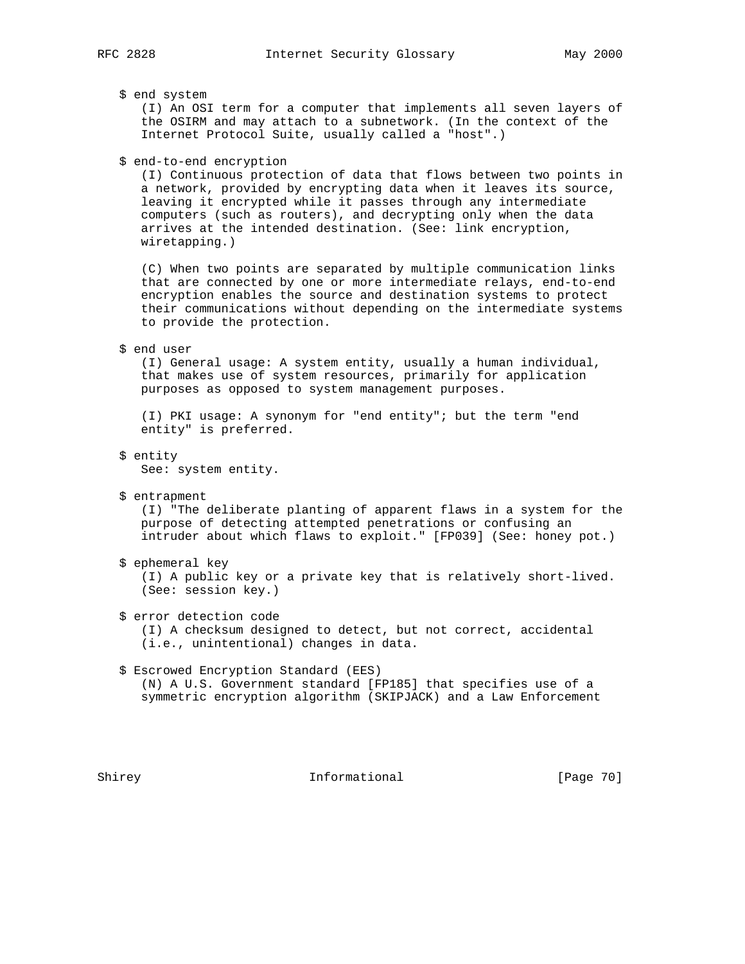## \$ end system

 (I) An OSI term for a computer that implements all seven layers of the OSIRM and may attach to a subnetwork. (In the context of the Internet Protocol Suite, usually called a "host".)

### \$ end-to-end encryption

 (I) Continuous protection of data that flows between two points in a network, provided by encrypting data when it leaves its source, leaving it encrypted while it passes through any intermediate computers (such as routers), and decrypting only when the data arrives at the intended destination. (See: link encryption, wiretapping.)

 (C) When two points are separated by multiple communication links that are connected by one or more intermediate relays, end-to-end encryption enables the source and destination systems to protect their communications without depending on the intermediate systems to provide the protection.

#### \$ end user

 (I) General usage: A system entity, usually a human individual, that makes use of system resources, primarily for application purposes as opposed to system management purposes.

 (I) PKI usage: A synonym for "end entity"; but the term "end entity" is preferred.

\$ entity

See: system entity.

\$ entrapment

 (I) "The deliberate planting of apparent flaws in a system for the purpose of detecting attempted penetrations or confusing an intruder about which flaws to exploit." [FP039] (See: honey pot.)

\$ ephemeral key

 (I) A public key or a private key that is relatively short-lived. (See: session key.)

 \$ error detection code (I) A checksum designed to detect, but not correct, accidental

(i.e., unintentional) changes in data.

# \$ Escrowed Encryption Standard (EES) (N) A U.S. Government standard [FP185] that specifies use of a symmetric encryption algorithm (SKIPJACK) and a Law Enforcement

Shirey **Informational** [Page 70]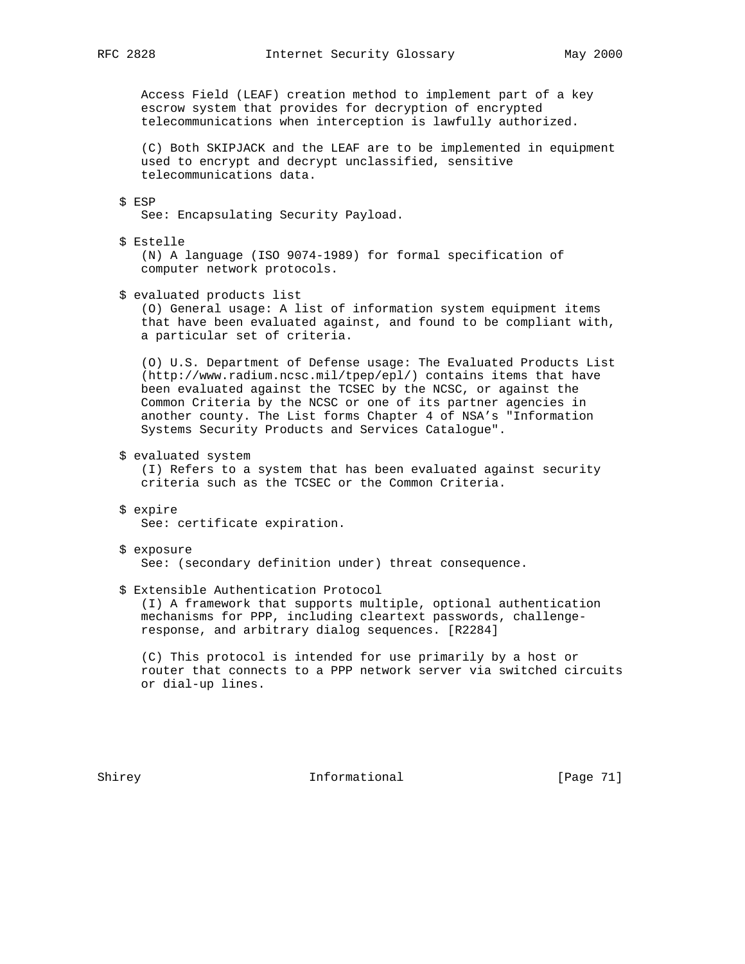Access Field (LEAF) creation method to implement part of a key escrow system that provides for decryption of encrypted telecommunications when interception is lawfully authorized.

 (C) Both SKIPJACK and the LEAF are to be implemented in equipment used to encrypt and decrypt unclassified, sensitive telecommunications data.

\$ ESP

See: Encapsulating Security Payload.

\$ Estelle

 (N) A language (ISO 9074-1989) for formal specification of computer network protocols.

\$ evaluated products list

 (O) General usage: A list of information system equipment items that have been evaluated against, and found to be compliant with, a particular set of criteria.

 (O) U.S. Department of Defense usage: The Evaluated Products List (http://www.radium.ncsc.mil/tpep/epl/) contains items that have been evaluated against the TCSEC by the NCSC, or against the Common Criteria by the NCSC or one of its partner agencies in another county. The List forms Chapter 4 of NSA's "Information Systems Security Products and Services Catalogue".

\$ evaluated system

 (I) Refers to a system that has been evaluated against security criteria such as the TCSEC or the Common Criteria.

- \$ expire See: certificate expiration.
- \$ exposure See: (secondary definition under) threat consequence.
- \$ Extensible Authentication Protocol (I) A framework that supports multiple, optional authentication mechanisms for PPP, including cleartext passwords, challenge-

response, and arbitrary dialog sequences. [R2284]

 (C) This protocol is intended for use primarily by a host or router that connects to a PPP network server via switched circuits or dial-up lines.

Shirey **Informational** [Page 71]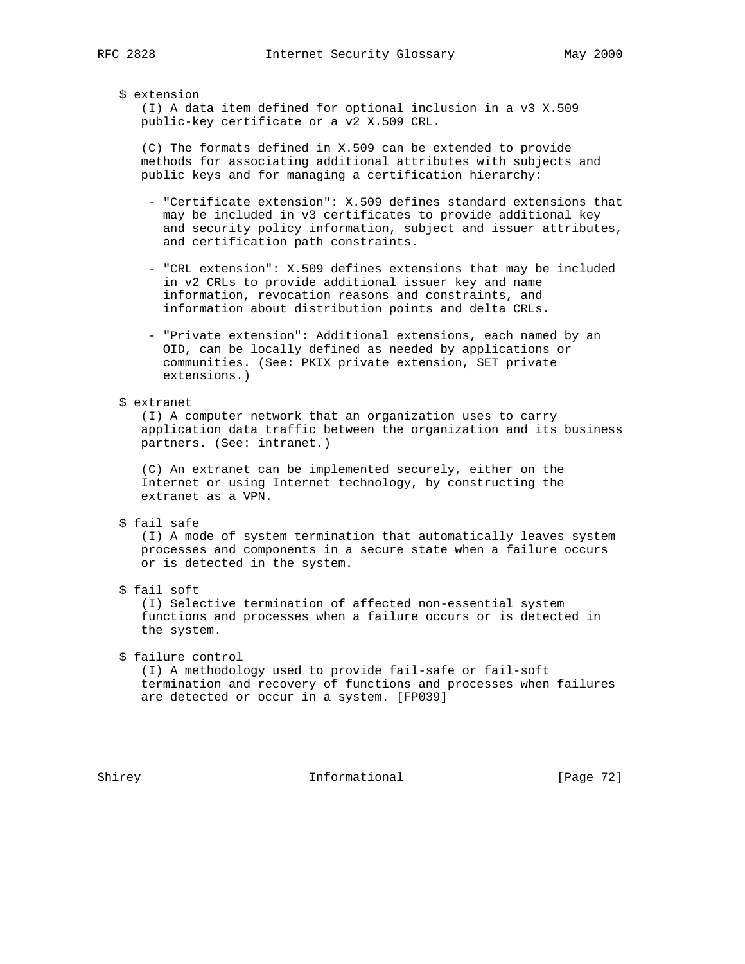## \$ extension

 (I) A data item defined for optional inclusion in a v3 X.509 public-key certificate or a v2 X.509 CRL.

 (C) The formats defined in X.509 can be extended to provide methods for associating additional attributes with subjects and public keys and for managing a certification hierarchy:

- "Certificate extension": X.509 defines standard extensions that may be included in v3 certificates to provide additional key and security policy information, subject and issuer attributes, and certification path constraints.
- "CRL extension": X.509 defines extensions that may be included in v2 CRLs to provide additional issuer key and name information, revocation reasons and constraints, and information about distribution points and delta CRLs.
- "Private extension": Additional extensions, each named by an OID, can be locally defined as needed by applications or communities. (See: PKIX private extension, SET private extensions.)

# \$ extranet

 (I) A computer network that an organization uses to carry application data traffic between the organization and its business partners. (See: intranet.)

 (C) An extranet can be implemented securely, either on the Internet or using Internet technology, by constructing the extranet as a VPN.

\$ fail safe

 (I) A mode of system termination that automatically leaves system processes and components in a secure state when a failure occurs or is detected in the system.

\$ fail soft

 (I) Selective termination of affected non-essential system functions and processes when a failure occurs or is detected in the system.

\$ failure control

 (I) A methodology used to provide fail-safe or fail-soft termination and recovery of functions and processes when failures are detected or occur in a system. [FP039]

Shirey **Informational** [Page 72]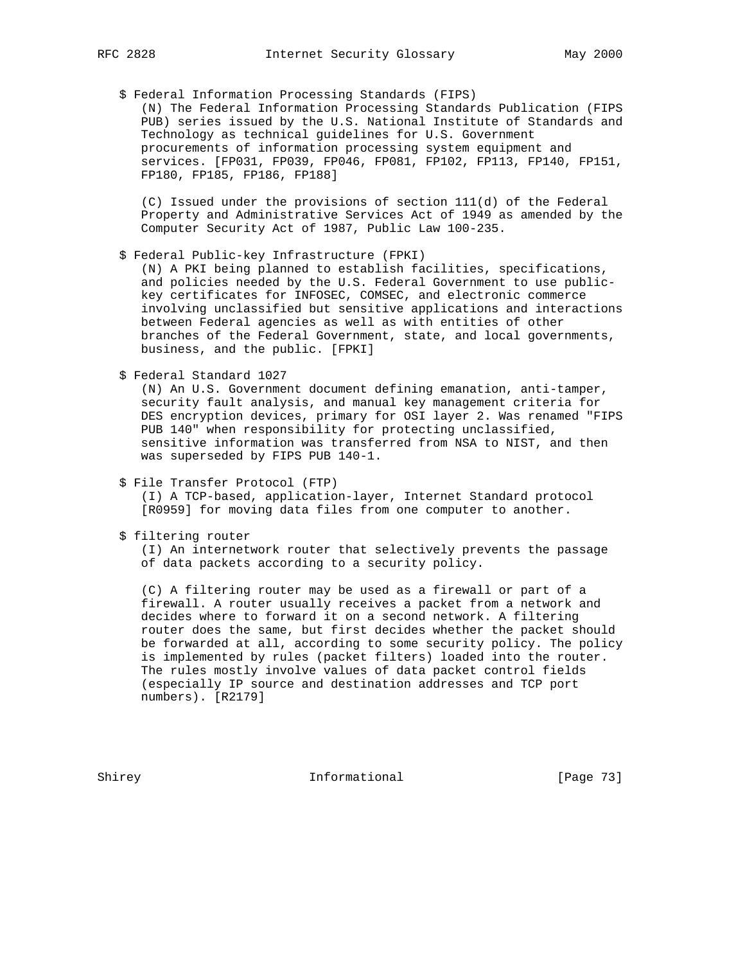## \$ Federal Information Processing Standards (FIPS)

 (N) The Federal Information Processing Standards Publication (FIPS PUB) series issued by the U.S. National Institute of Standards and Technology as technical guidelines for U.S. Government procurements of information processing system equipment and services. [FP031, FP039, FP046, FP081, FP102, FP113, FP140, FP151, FP180, FP185, FP186, FP188]

 (C) Issued under the provisions of section 111(d) of the Federal Property and Administrative Services Act of 1949 as amended by the Computer Security Act of 1987, Public Law 100-235.

\$ Federal Public-key Infrastructure (FPKI)

 (N) A PKI being planned to establish facilities, specifications, and policies needed by the U.S. Federal Government to use public key certificates for INFOSEC, COMSEC, and electronic commerce involving unclassified but sensitive applications and interactions between Federal agencies as well as with entities of other branches of the Federal Government, state, and local governments, business, and the public. [FPKI]

\$ Federal Standard 1027

 (N) An U.S. Government document defining emanation, anti-tamper, security fault analysis, and manual key management criteria for DES encryption devices, primary for OSI layer 2. Was renamed "FIPS PUB 140" when responsibility for protecting unclassified, sensitive information was transferred from NSA to NIST, and then was superseded by FIPS PUB 140-1.

\$ File Transfer Protocol (FTP)

 (I) A TCP-based, application-layer, Internet Standard protocol [R0959] for moving data files from one computer to another.

\$ filtering router

 (I) An internetwork router that selectively prevents the passage of data packets according to a security policy.

 (C) A filtering router may be used as a firewall or part of a firewall. A router usually receives a packet from a network and decides where to forward it on a second network. A filtering router does the same, but first decides whether the packet should be forwarded at all, according to some security policy. The policy is implemented by rules (packet filters) loaded into the router. The rules mostly involve values of data packet control fields (especially IP source and destination addresses and TCP port numbers). [R2179]

Shirey **Informational** [Page 73]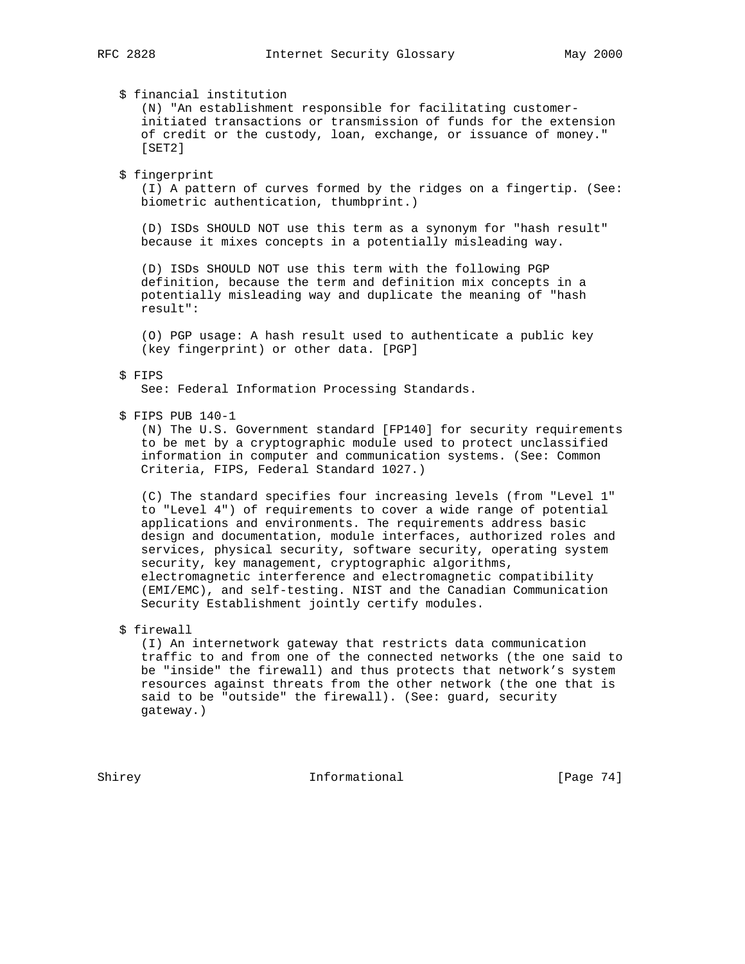\$ financial institution

 (N) "An establishment responsible for facilitating customer initiated transactions or transmission of funds for the extension of credit or the custody, loan, exchange, or issuance of money." [SET2]

\$ fingerprint

 (I) A pattern of curves formed by the ridges on a fingertip. (See: biometric authentication, thumbprint.)

 (D) ISDs SHOULD NOT use this term as a synonym for "hash result" because it mixes concepts in a potentially misleading way.

 (D) ISDs SHOULD NOT use this term with the following PGP definition, because the term and definition mix concepts in a potentially misleading way and duplicate the meaning of "hash result":

 (O) PGP usage: A hash result used to authenticate a public key (key fingerprint) or other data. [PGP]

## \$ FIPS

See: Federal Information Processing Standards.

\$ FIPS PUB 140-1

 (N) The U.S. Government standard [FP140] for security requirements to be met by a cryptographic module used to protect unclassified information in computer and communication systems. (See: Common Criteria, FIPS, Federal Standard 1027.)

 (C) The standard specifies four increasing levels (from "Level 1" to "Level 4") of requirements to cover a wide range of potential applications and environments. The requirements address basic design and documentation, module interfaces, authorized roles and services, physical security, software security, operating system security, key management, cryptographic algorithms, electromagnetic interference and electromagnetic compatibility (EMI/EMC), and self-testing. NIST and the Canadian Communication Security Establishment jointly certify modules.

\$ firewall

 (I) An internetwork gateway that restricts data communication traffic to and from one of the connected networks (the one said to be "inside" the firewall) and thus protects that network's system resources against threats from the other network (the one that is said to be "outside" the firewall). (See: guard, security gateway.)

Shirey Informational [Page 74]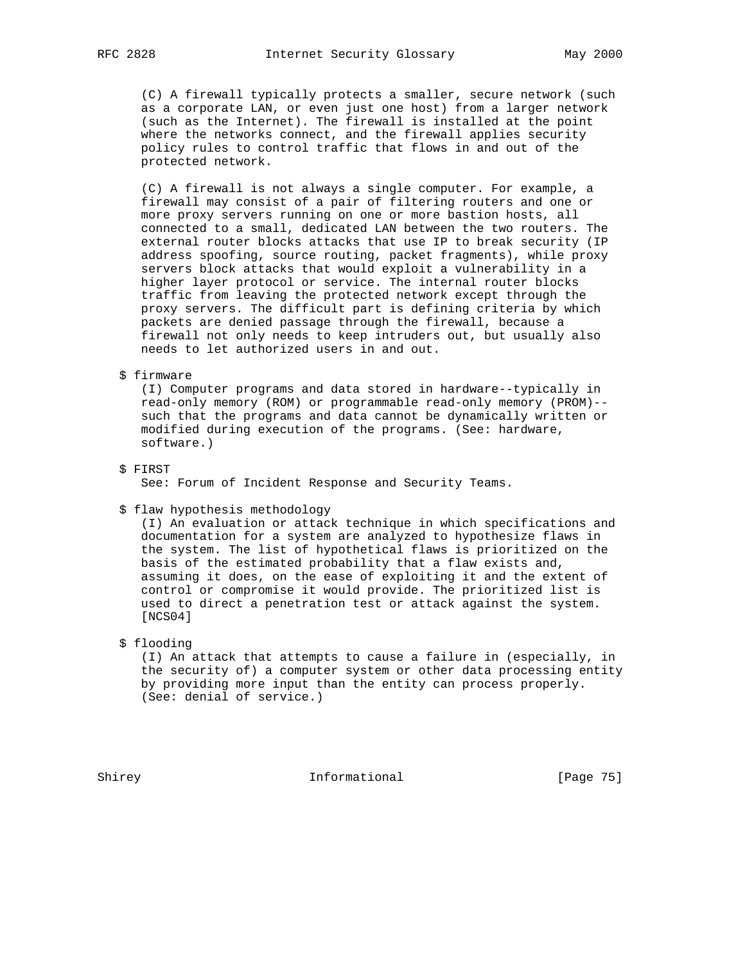(C) A firewall typically protects a smaller, secure network (such as a corporate LAN, or even just one host) from a larger network (such as the Internet). The firewall is installed at the point where the networks connect, and the firewall applies security policy rules to control traffic that flows in and out of the protected network.

 (C) A firewall is not always a single computer. For example, a firewall may consist of a pair of filtering routers and one or more proxy servers running on one or more bastion hosts, all connected to a small, dedicated LAN between the two routers. The external router blocks attacks that use IP to break security (IP address spoofing, source routing, packet fragments), while proxy servers block attacks that would exploit a vulnerability in a higher layer protocol or service. The internal router blocks traffic from leaving the protected network except through the proxy servers. The difficult part is defining criteria by which packets are denied passage through the firewall, because a firewall not only needs to keep intruders out, but usually also needs to let authorized users in and out.

#### \$ firmware

 (I) Computer programs and data stored in hardware--typically in read-only memory (ROM) or programmable read-only memory (PROM)- such that the programs and data cannot be dynamically written or modified during execution of the programs. (See: hardware, software.)

## \$ FIRST See: Forum of Incident Response and Security Teams.

#### \$ flaw hypothesis methodology

 (I) An evaluation or attack technique in which specifications and documentation for a system are analyzed to hypothesize flaws in the system. The list of hypothetical flaws is prioritized on the basis of the estimated probability that a flaw exists and, assuming it does, on the ease of exploiting it and the extent of control or compromise it would provide. The prioritized list is used to direct a penetration test or attack against the system. [NCS04]

## \$ flooding

 (I) An attack that attempts to cause a failure in (especially, in the security of) a computer system or other data processing entity by providing more input than the entity can process properly. (See: denial of service.)

Shirey **Informational** Informational [Page 75]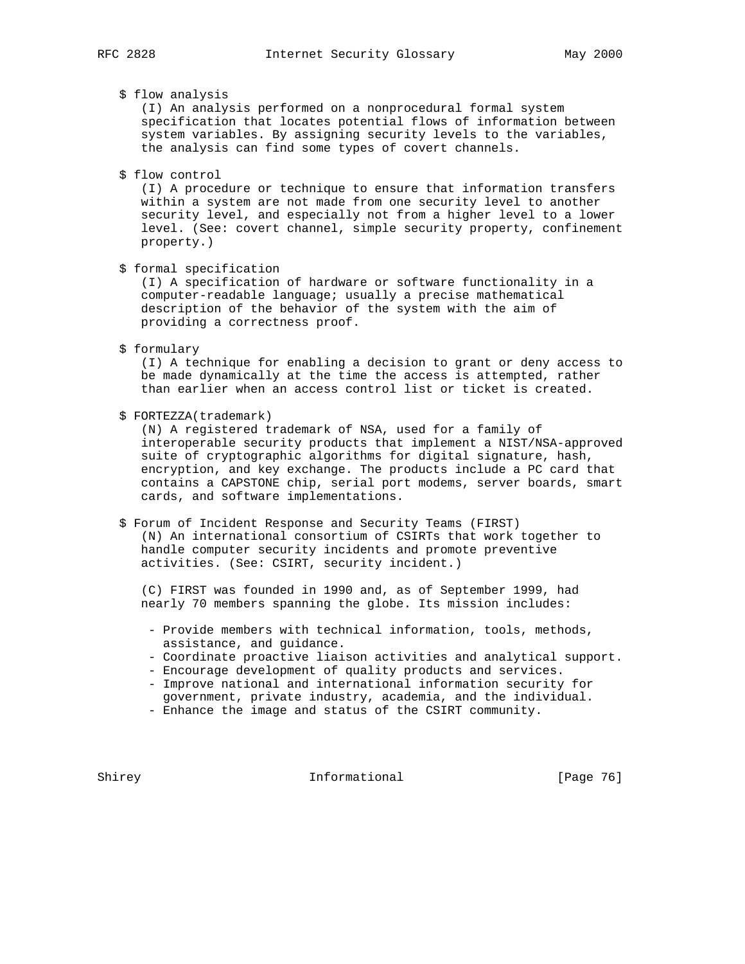## \$ flow analysis

 (I) An analysis performed on a nonprocedural formal system specification that locates potential flows of information between system variables. By assigning security levels to the variables, the analysis can find some types of covert channels.

\$ flow control

 (I) A procedure or technique to ensure that information transfers within a system are not made from one security level to another security level, and especially not from a higher level to a lower level. (See: covert channel, simple security property, confinement property.)

\$ formal specification

 (I) A specification of hardware or software functionality in a computer-readable language; usually a precise mathematical description of the behavior of the system with the aim of providing a correctness proof.

\$ formulary

 (I) A technique for enabling a decision to grant or deny access to be made dynamically at the time the access is attempted, rather than earlier when an access control list or ticket is created.

\$ FORTEZZA(trademark)

 (N) A registered trademark of NSA, used for a family of interoperable security products that implement a NIST/NSA-approved suite of cryptographic algorithms for digital signature, hash, encryption, and key exchange. The products include a PC card that contains a CAPSTONE chip, serial port modems, server boards, smart cards, and software implementations.

 \$ Forum of Incident Response and Security Teams (FIRST) (N) An international consortium of CSIRTs that work together to handle computer security incidents and promote preventive activities. (See: CSIRT, security incident.)

 (C) FIRST was founded in 1990 and, as of September 1999, had nearly 70 members spanning the globe. Its mission includes:

- Provide members with technical information, tools, methods, assistance, and guidance.
- Coordinate proactive liaison activities and analytical support.
- Encourage development of quality products and services.
- Improve national and international information security for government, private industry, academia, and the individual.
- Enhance the image and status of the CSIRT community.

Shirey **Informational** [Page 76]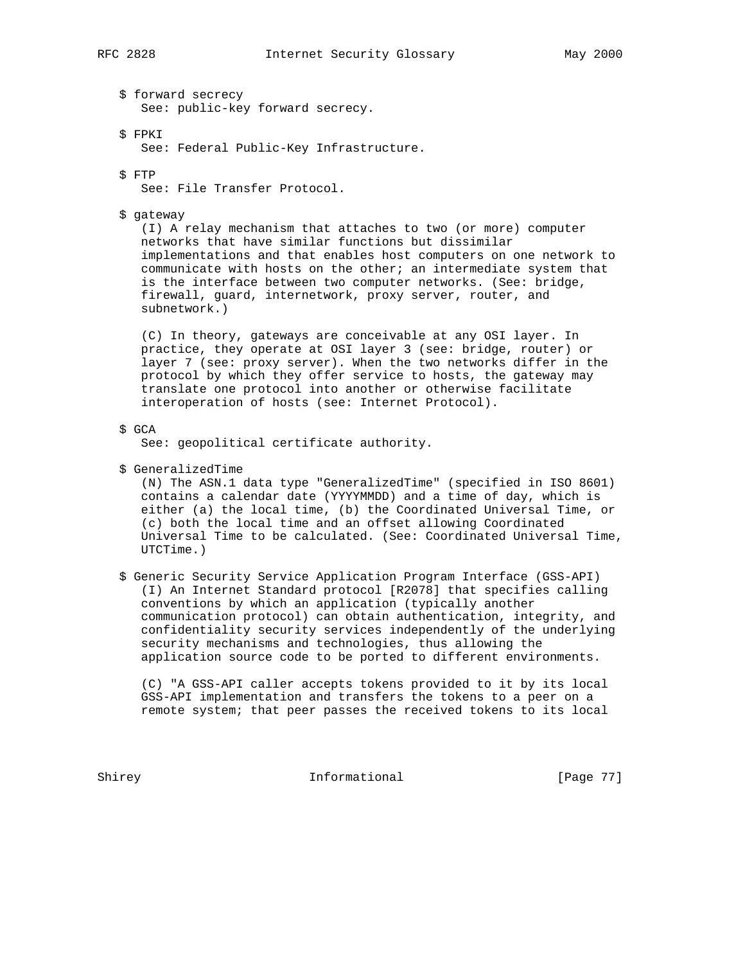\$ forward secrecy See: public-key forward secrecy.

\$ FPKI

See: Federal Public-Key Infrastructure.

\$ FTP

See: File Transfer Protocol.

\$ gateway

 (I) A relay mechanism that attaches to two (or more) computer networks that have similar functions but dissimilar implementations and that enables host computers on one network to communicate with hosts on the other; an intermediate system that is the interface between two computer networks. (See: bridge, firewall, guard, internetwork, proxy server, router, and subnetwork.)

 (C) In theory, gateways are conceivable at any OSI layer. In practice, they operate at OSI layer 3 (see: bridge, router) or layer 7 (see: proxy server). When the two networks differ in the protocol by which they offer service to hosts, the gateway may translate one protocol into another or otherwise facilitate interoperation of hosts (see: Internet Protocol).

\$ GCA

See: geopolitical certificate authority.

\$ GeneralizedTime

 (N) The ASN.1 data type "GeneralizedTime" (specified in ISO 8601) contains a calendar date (YYYYMMDD) and a time of day, which is either (a) the local time, (b) the Coordinated Universal Time, or (c) both the local time and an offset allowing Coordinated Universal Time to be calculated. (See: Coordinated Universal Time, UTCTime.)

 \$ Generic Security Service Application Program Interface (GSS-API) (I) An Internet Standard protocol [R2078] that specifies calling conventions by which an application (typically another communication protocol) can obtain authentication, integrity, and confidentiality security services independently of the underlying security mechanisms and technologies, thus allowing the application source code to be ported to different environments.

 (C) "A GSS-API caller accepts tokens provided to it by its local GSS-API implementation and transfers the tokens to a peer on a remote system; that peer passes the received tokens to its local

Shirey **Informational Informational** [Page 77]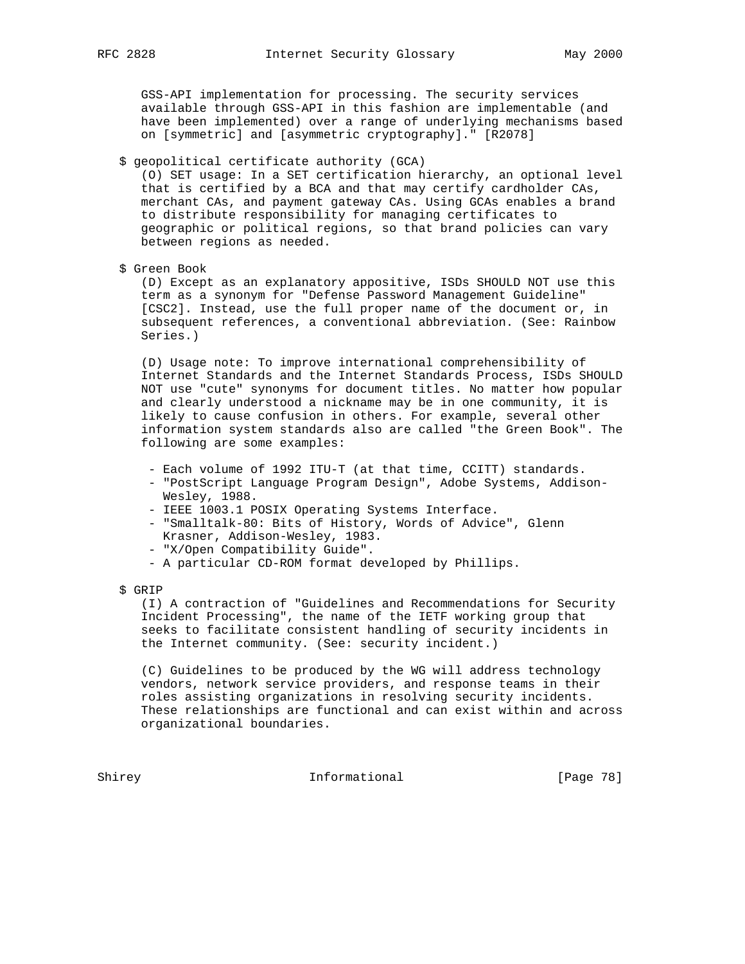GSS-API implementation for processing. The security services available through GSS-API in this fashion are implementable (and have been implemented) over a range of underlying mechanisms based on [symmetric] and [asymmetric cryptography]." [R2078]

\$ geopolitical certificate authority (GCA)

 (O) SET usage: In a SET certification hierarchy, an optional level that is certified by a BCA and that may certify cardholder CAs, merchant CAs, and payment gateway CAs. Using GCAs enables a brand to distribute responsibility for managing certificates to geographic or political regions, so that brand policies can vary between regions as needed.

\$ Green Book

 (D) Except as an explanatory appositive, ISDs SHOULD NOT use this term as a synonym for "Defense Password Management Guideline" [CSC2]. Instead, use the full proper name of the document or, in subsequent references, a conventional abbreviation. (See: Rainbow Series.)

 (D) Usage note: To improve international comprehensibility of Internet Standards and the Internet Standards Process, ISDs SHOULD NOT use "cute" synonyms for document titles. No matter how popular and clearly understood a nickname may be in one community, it is likely to cause confusion in others. For example, several other information system standards also are called "the Green Book". The following are some examples:

- Each volume of 1992 ITU-T (at that time, CCITT) standards.
- "PostScript Language Program Design", Adobe Systems, Addison- Wesley, 1988.
- IEEE 1003.1 POSIX Operating Systems Interface.
- "Smalltalk-80: Bits of History, Words of Advice", Glenn Krasner, Addison-Wesley, 1983.
- "X/Open Compatibility Guide".
- A particular CD-ROM format developed by Phillips.
- \$ GRIP

 (I) A contraction of "Guidelines and Recommendations for Security Incident Processing", the name of the IETF working group that seeks to facilitate consistent handling of security incidents in the Internet community. (See: security incident.)

 (C) Guidelines to be produced by the WG will address technology vendors, network service providers, and response teams in their roles assisting organizations in resolving security incidents. These relationships are functional and can exist within and across organizational boundaries.

Shirey Informational [Page 78]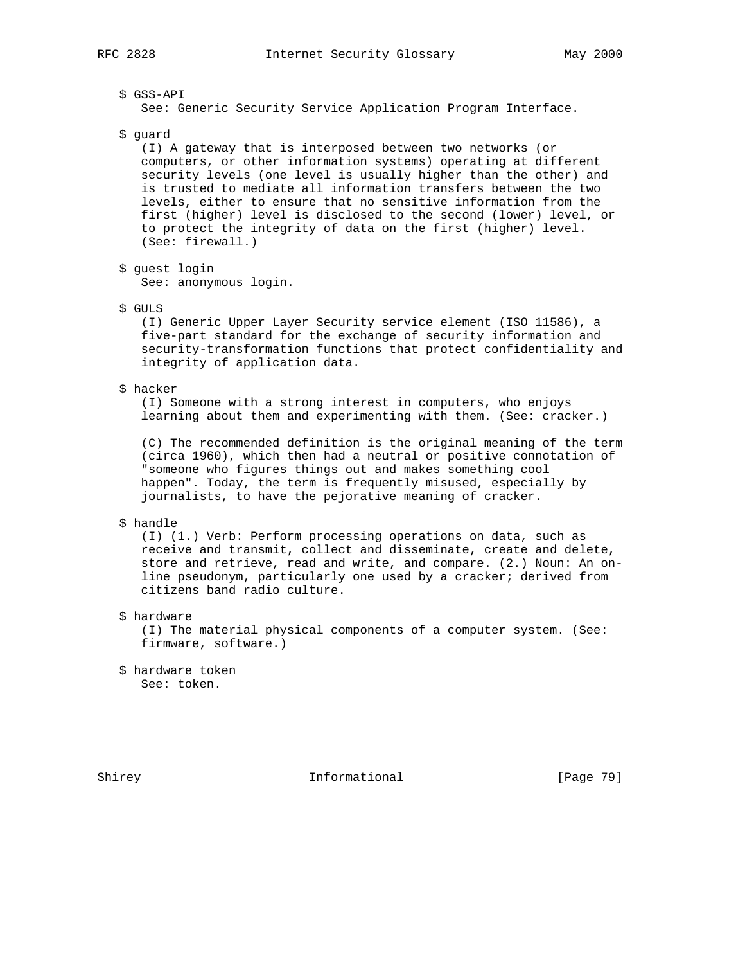# \$ GSS-API

See: Generic Security Service Application Program Interface.

\$ guard

 (I) A gateway that is interposed between two networks (or computers, or other information systems) operating at different security levels (one level is usually higher than the other) and is trusted to mediate all information transfers between the two levels, either to ensure that no sensitive information from the first (higher) level is disclosed to the second (lower) level, or to protect the integrity of data on the first (higher) level. (See: firewall.)

\$ guest login

See: anonymous login.

\$ GULS

 (I) Generic Upper Layer Security service element (ISO 11586), a five-part standard for the exchange of security information and security-transformation functions that protect confidentiality and integrity of application data.

\$ hacker

 (I) Someone with a strong interest in computers, who enjoys learning about them and experimenting with them. (See: cracker.)

 (C) The recommended definition is the original meaning of the term (circa 1960), which then had a neutral or positive connotation of "someone who figures things out and makes something cool happen". Today, the term is frequently misused, especially by journalists, to have the pejorative meaning of cracker.

## \$ handle

 (I) (1.) Verb: Perform processing operations on data, such as receive and transmit, collect and disseminate, create and delete, store and retrieve, read and write, and compare. (2.) Noun: An on line pseudonym, particularly one used by a cracker; derived from citizens band radio culture.

\$ hardware

 (I) The material physical components of a computer system. (See: firmware, software.)

 \$ hardware token See: token.

Shirey **Informational** [Page 79]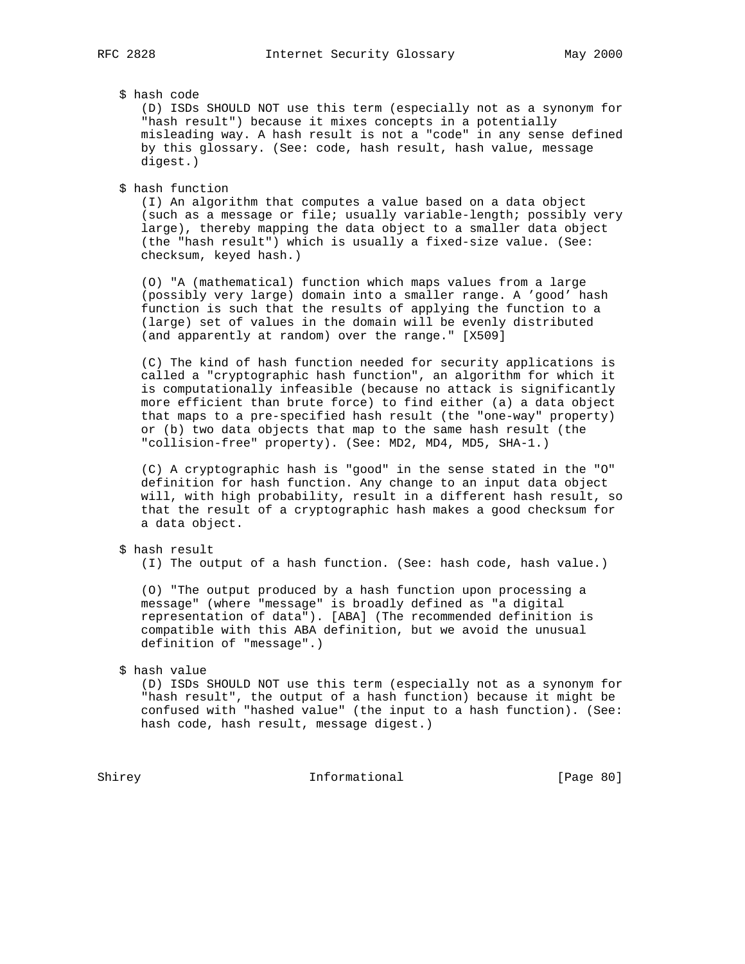# \$ hash code

 (D) ISDs SHOULD NOT use this term (especially not as a synonym for "hash result") because it mixes concepts in a potentially misleading way. A hash result is not a "code" in any sense defined by this glossary. (See: code, hash result, hash value, message digest.)

\$ hash function

 (I) An algorithm that computes a value based on a data object (such as a message or file; usually variable-length; possibly very large), thereby mapping the data object to a smaller data object (the "hash result") which is usually a fixed-size value. (See: checksum, keyed hash.)

 (O) "A (mathematical) function which maps values from a large (possibly very large) domain into a smaller range. A 'good' hash function is such that the results of applying the function to a (large) set of values in the domain will be evenly distributed (and apparently at random) over the range." [X509]

 (C) The kind of hash function needed for security applications is called a "cryptographic hash function", an algorithm for which it is computationally infeasible (because no attack is significantly more efficient than brute force) to find either (a) a data object that maps to a pre-specified hash result (the "one-way" property) or (b) two data objects that map to the same hash result (the "collision-free" property). (See: MD2, MD4, MD5, SHA-1.)

 (C) A cryptographic hash is "good" in the sense stated in the "O" definition for hash function. Any change to an input data object will, with high probability, result in a different hash result, so that the result of a cryptographic hash makes a good checksum for a data object.

## \$ hash result

(I) The output of a hash function. (See: hash code, hash value.)

 (O) "The output produced by a hash function upon processing a message" (where "message" is broadly defined as "a digital representation of data"). [ABA] (The recommended definition is compatible with this ABA definition, but we avoid the unusual definition of "message".)

#### \$ hash value

 (D) ISDs SHOULD NOT use this term (especially not as a synonym for "hash result", the output of a hash function) because it might be confused with "hashed value" (the input to a hash function). (See: hash code, hash result, message digest.)

Shirey Informational [Page 80]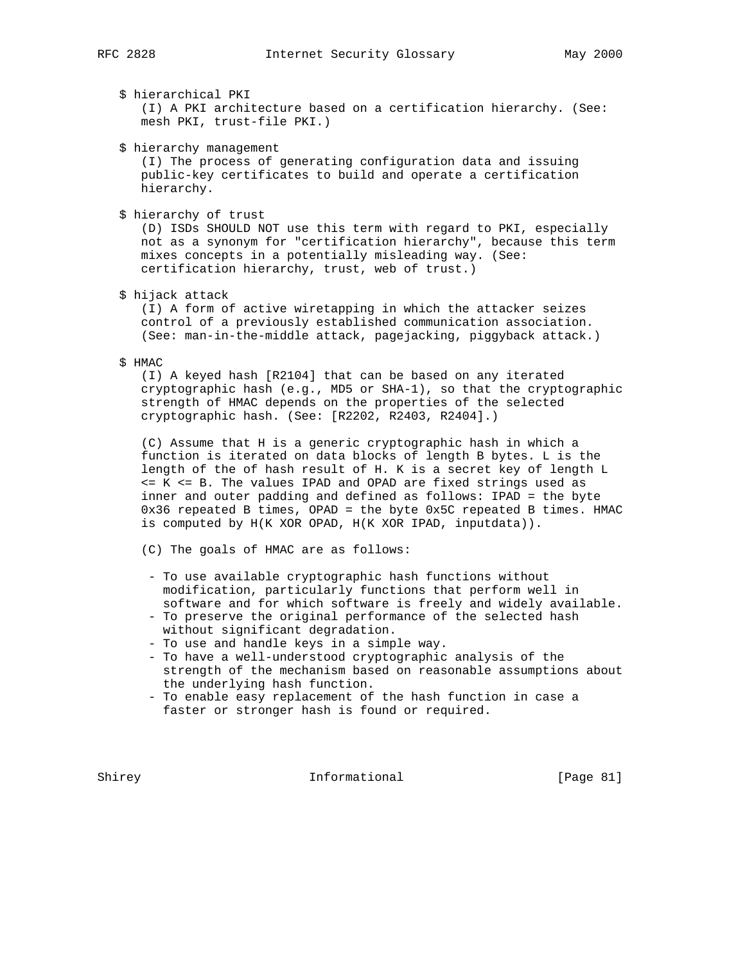\$ hierarchical PKI

 (I) A PKI architecture based on a certification hierarchy. (See: mesh PKI, trust-file PKI.)

\$ hierarchy management

 (I) The process of generating configuration data and issuing public-key certificates to build and operate a certification hierarchy.

\$ hierarchy of trust

 (D) ISDs SHOULD NOT use this term with regard to PKI, especially not as a synonym for "certification hierarchy", because this term mixes concepts in a potentially misleading way. (See: certification hierarchy, trust, web of trust.)

\$ hijack attack

 (I) A form of active wiretapping in which the attacker seizes control of a previously established communication association. (See: man-in-the-middle attack, pagejacking, piggyback attack.)

\$ HMAC

 (I) A keyed hash [R2104] that can be based on any iterated cryptographic hash (e.g., MD5 or SHA-1), so that the cryptographic strength of HMAC depends on the properties of the selected cryptographic hash. (See: [R2202, R2403, R2404].)

 (C) Assume that H is a generic cryptographic hash in which a function is iterated on data blocks of length B bytes. L is the length of the of hash result of H. K is a secret key of length L <= K <= B. The values IPAD and OPAD are fixed strings used as inner and outer padding and defined as follows: IPAD = the byte 0x36 repeated B times, OPAD = the byte 0x5C repeated B times. HMAC is computed by H(K XOR OPAD, H(K XOR IPAD, inputdata)).

(C) The goals of HMAC are as follows:

- To use available cryptographic hash functions without modification, particularly functions that perform well in software and for which software is freely and widely available.
- To preserve the original performance of the selected hash without significant degradation.
- To use and handle keys in a simple way.
- To have a well-understood cryptographic analysis of the strength of the mechanism based on reasonable assumptions about the underlying hash function.
- To enable easy replacement of the hash function in case a faster or stronger hash is found or required.

Shirey 1nformational [Page 81]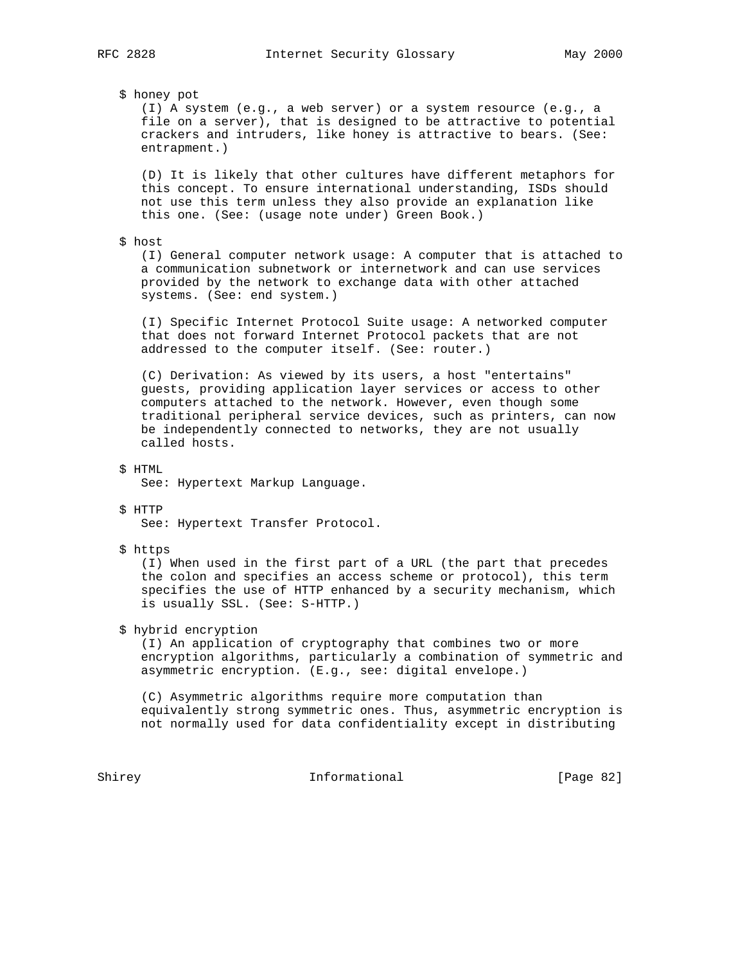\$ honey pot

 (I) A system (e.g., a web server) or a system resource (e.g., a file on a server), that is designed to be attractive to potential crackers and intruders, like honey is attractive to bears. (See: entrapment.)

 (D) It is likely that other cultures have different metaphors for this concept. To ensure international understanding, ISDs should not use this term unless they also provide an explanation like this one. (See: (usage note under) Green Book.)

\$ host

 (I) General computer network usage: A computer that is attached to a communication subnetwork or internetwork and can use services provided by the network to exchange data with other attached systems. (See: end system.)

 (I) Specific Internet Protocol Suite usage: A networked computer that does not forward Internet Protocol packets that are not addressed to the computer itself. (See: router.)

 (C) Derivation: As viewed by its users, a host "entertains" guests, providing application layer services or access to other computers attached to the network. However, even though some traditional peripheral service devices, such as printers, can now be independently connected to networks, they are not usually called hosts.

\$ HTML

See: Hypertext Markup Language.

#### \$ HTTP

See: Hypertext Transfer Protocol.

\$ https

 (I) When used in the first part of a URL (the part that precedes the colon and specifies an access scheme or protocol), this term specifies the use of HTTP enhanced by a security mechanism, which is usually SSL. (See: S-HTTP.)

#### \$ hybrid encryption

 (I) An application of cryptography that combines two or more encryption algorithms, particularly a combination of symmetric and asymmetric encryption. (E.g., see: digital envelope.)

 (C) Asymmetric algorithms require more computation than equivalently strong symmetric ones. Thus, asymmetric encryption is not normally used for data confidentiality except in distributing

Shirey **Informational** [Page 82]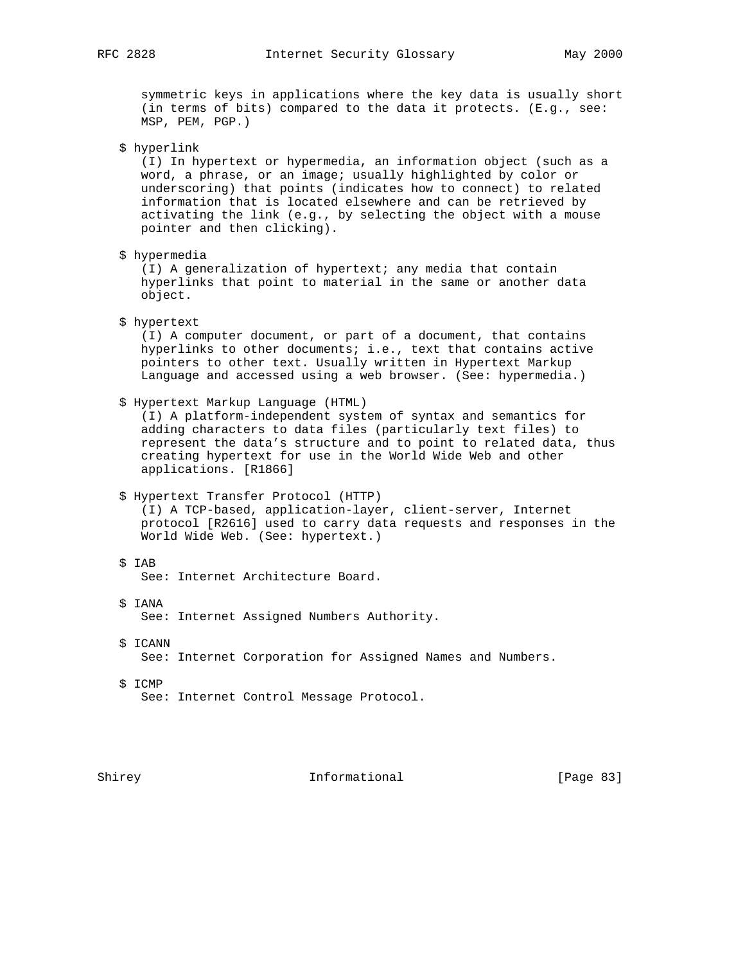symmetric keys in applications where the key data is usually short (in terms of bits) compared to the data it protects. (E.g., see: MSP, PEM, PGP.)

\$ hyperlink

 (I) In hypertext or hypermedia, an information object (such as a word, a phrase, or an image; usually highlighted by color or underscoring) that points (indicates how to connect) to related information that is located elsewhere and can be retrieved by activating the link (e.g., by selecting the object with a mouse pointer and then clicking).

\$ hypermedia

 (I) A generalization of hypertext; any media that contain hyperlinks that point to material in the same or another data object.

\$ hypertext

 (I) A computer document, or part of a document, that contains hyperlinks to other documents; i.e., text that contains active pointers to other text. Usually written in Hypertext Markup Language and accessed using a web browser. (See: hypermedia.)

\$ Hypertext Markup Language (HTML)

 (I) A platform-independent system of syntax and semantics for adding characters to data files (particularly text files) to represent the data's structure and to point to related data, thus creating hypertext for use in the World Wide Web and other applications. [R1866]

\$ Hypertext Transfer Protocol (HTTP)

 (I) A TCP-based, application-layer, client-server, Internet protocol [R2616] used to carry data requests and responses in the World Wide Web. (See: hypertext.)

\$ IAB

See: Internet Architecture Board.

- \$ IANA See: Internet Assigned Numbers Authority.
- \$ ICANN

See: Internet Corporation for Assigned Names and Numbers.

 \$ ICMP See: Internet Control Message Protocol.

Shirey **Informational** [Page 83]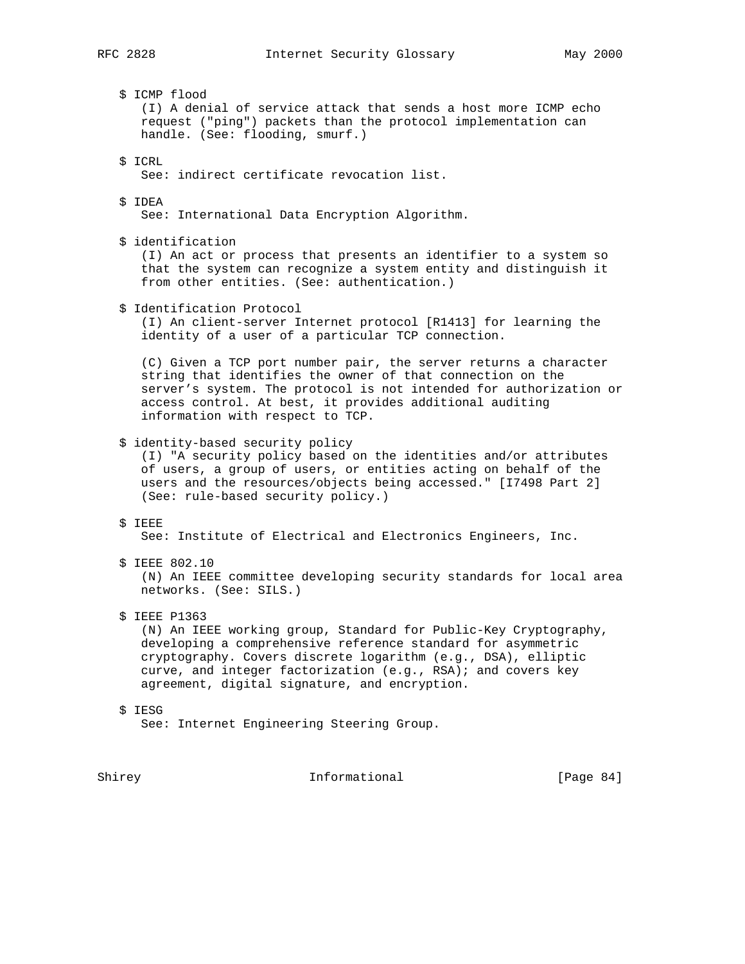- - \$ ICMP flood (I) A denial of service attack that sends a host more ICMP echo request ("ping") packets than the protocol implementation can handle. (See: flooding, smurf.)
	- \$ ICRL

See: indirect certificate revocation list.

\$ IDEA

See: International Data Encryption Algorithm.

\$ identification

 (I) An act or process that presents an identifier to a system so that the system can recognize a system entity and distinguish it from other entities. (See: authentication.)

\$ Identification Protocol

 (I) An client-server Internet protocol [R1413] for learning the identity of a user of a particular TCP connection.

 (C) Given a TCP port number pair, the server returns a character string that identifies the owner of that connection on the server's system. The protocol is not intended for authorization or access control. At best, it provides additional auditing information with respect to TCP.

\$ identity-based security policy

 (I) "A security policy based on the identities and/or attributes of users, a group of users, or entities acting on behalf of the users and the resources/objects being accessed." [I7498 Part 2] (See: rule-based security policy.)

\$ IEEE

See: Institute of Electrical and Electronics Engineers, Inc.

\$ IEEE 802.10

 (N) An IEEE committee developing security standards for local area networks. (See: SILS.)

\$ IEEE P1363

 (N) An IEEE working group, Standard for Public-Key Cryptography, developing a comprehensive reference standard for asymmetric cryptography. Covers discrete logarithm (e.g., DSA), elliptic curve, and integer factorization (e.g., RSA); and covers key agreement, digital signature, and encryption.

 \$ IESG See: Internet Engineering Steering Group.

Shirey **Informational** [Page 84]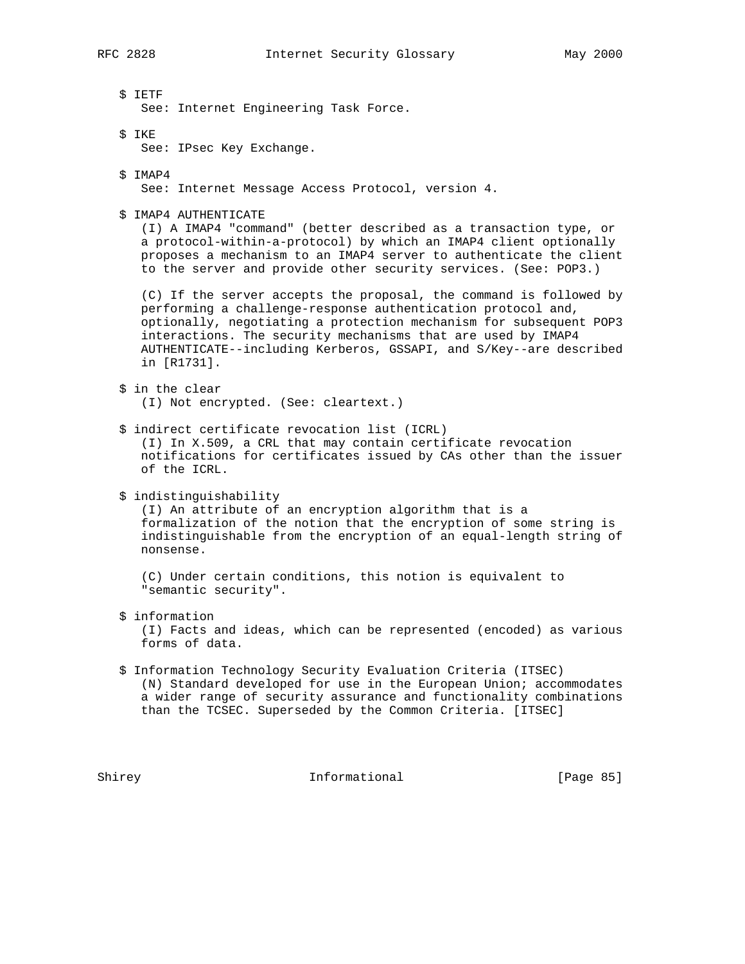- \$ IETF See: Internet Engineering Task Force.
- \$ IKE

See: IPsec Key Exchange.

\$ IMAP4

See: Internet Message Access Protocol, version 4.

\$ IMAP4 AUTHENTICATE

 (I) A IMAP4 "command" (better described as a transaction type, or a protocol-within-a-protocol) by which an IMAP4 client optionally proposes a mechanism to an IMAP4 server to authenticate the client to the server and provide other security services. (See: POP3.)

 (C) If the server accepts the proposal, the command is followed by performing a challenge-response authentication protocol and, optionally, negotiating a protection mechanism for subsequent POP3 interactions. The security mechanisms that are used by IMAP4 AUTHENTICATE--including Kerberos, GSSAPI, and S/Key--are described in [R1731].

- \$ in the clear (I) Not encrypted. (See: cleartext.)
- \$ indirect certificate revocation list (ICRL) (I) In X.509, a CRL that may contain certificate revocation notifications for certificates issued by CAs other than the issuer of the ICRL.
- \$ indistinguishability

 (I) An attribute of an encryption algorithm that is a formalization of the notion that the encryption of some string is indistinguishable from the encryption of an equal-length string of nonsense.

 (C) Under certain conditions, this notion is equivalent to "semantic security".

\$ information

 (I) Facts and ideas, which can be represented (encoded) as various forms of data.

 \$ Information Technology Security Evaluation Criteria (ITSEC) (N) Standard developed for use in the European Union; accommodates a wider range of security assurance and functionality combinations than the TCSEC. Superseded by the Common Criteria. [ITSEC]

Shirey **Informational** [Page 85]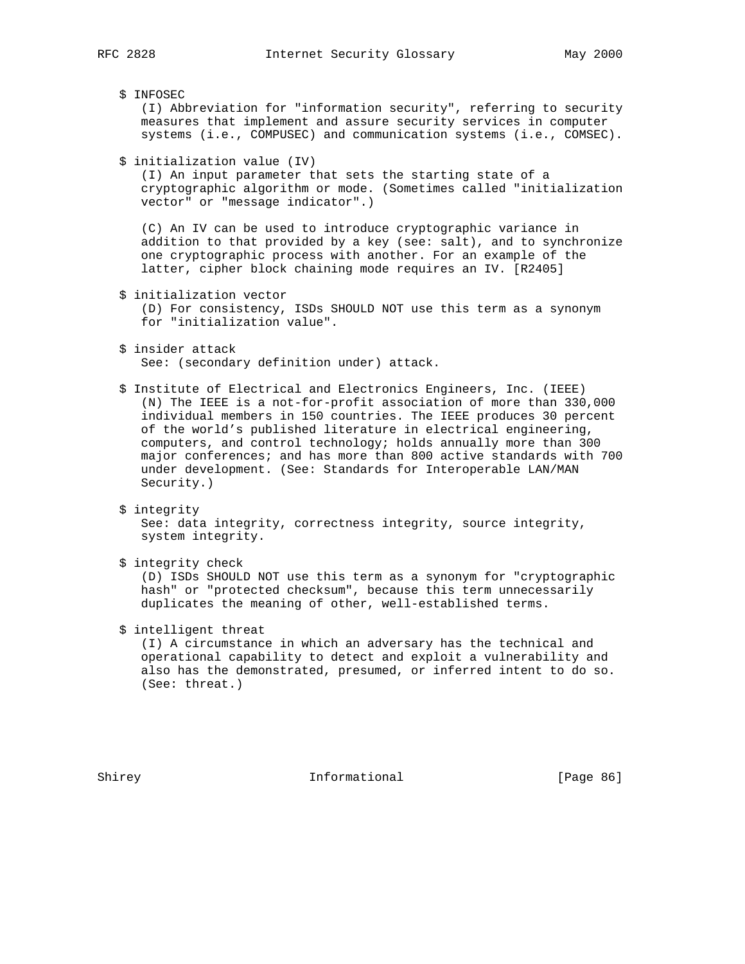\$ INFOSEC (I) Abbreviation for "information security", referring to security measures that implement and assure security services in computer systems (i.e., COMPUSEC) and communication systems (i.e., COMSEC). \$ initialization value (IV) (I) An input parameter that sets the starting state of a cryptographic algorithm or mode. (Sometimes called "initialization vector" or "message indicator".) (C) An IV can be used to introduce cryptographic variance in addition to that provided by a key (see: salt), and to synchronize one cryptographic process with another. For an example of the latter, cipher block chaining mode requires an IV. [R2405] \$ initialization vector (D) For consistency, ISDs SHOULD NOT use this term as a synonym for "initialization value". \$ insider attack See: (secondary definition under) attack. \$ Institute of Electrical and Electronics Engineers, Inc. (IEEE) (N) The IEEE is a not-for-profit association of more than 330,000 individual members in 150 countries. The IEEE produces 30 percent of the world's published literature in electrical engineering, computers, and control technology; holds annually more than 300 major conferences; and has more than 800 active standards with 700 under development. (See: Standards for Interoperable LAN/MAN

\$ integrity

 See: data integrity, correctness integrity, source integrity, system integrity.

\$ integrity check

Security.)

 (D) ISDs SHOULD NOT use this term as a synonym for "cryptographic hash" or "protected checksum", because this term unnecessarily duplicates the meaning of other, well-established terms.

\$ intelligent threat

 (I) A circumstance in which an adversary has the technical and operational capability to detect and exploit a vulnerability and also has the demonstrated, presumed, or inferred intent to do so. (See: threat.)

Shirey **Informational** [Page 86]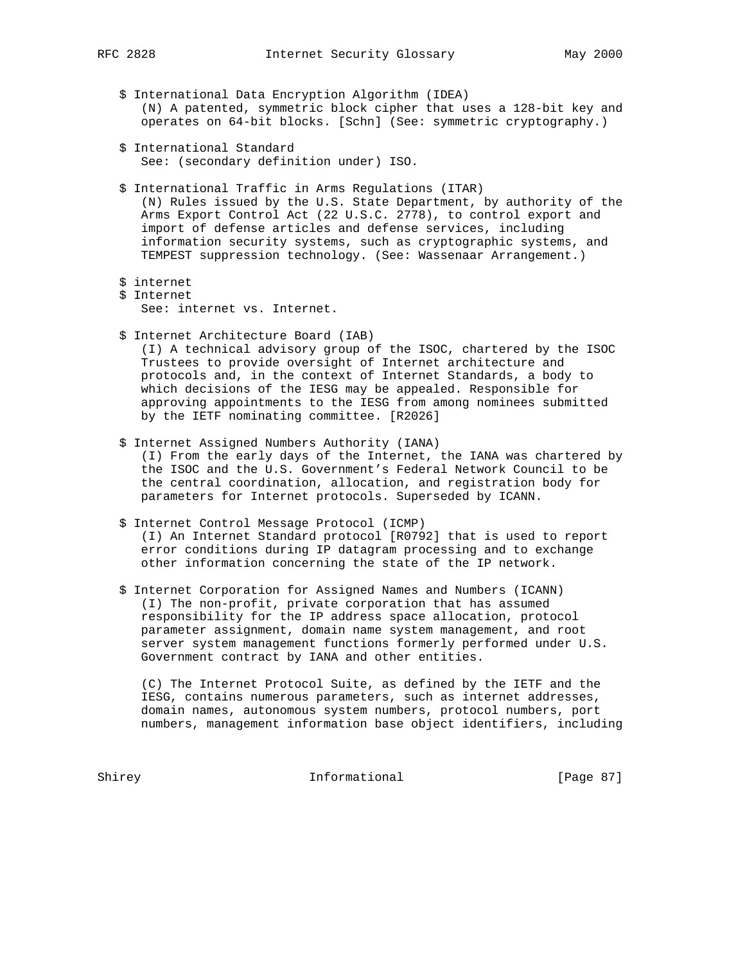- - \$ International Data Encryption Algorithm (IDEA) (N) A patented, symmetric block cipher that uses a 128-bit key and operates on 64-bit blocks. [Schn] (See: symmetric cryptography.)
	- \$ International Standard See: (secondary definition under) ISO.
	- \$ International Traffic in Arms Regulations (ITAR) (N) Rules issued by the U.S. State Department, by authority of the Arms Export Control Act (22 U.S.C. 2778), to control export and import of defense articles and defense services, including information security systems, such as cryptographic systems, and TEMPEST suppression technology. (See: Wassenaar Arrangement.)
	- \$ internet
	- \$ Internet See: internet vs. Internet.
	- \$ Internet Architecture Board (IAB)

 (I) A technical advisory group of the ISOC, chartered by the ISOC Trustees to provide oversight of Internet architecture and protocols and, in the context of Internet Standards, a body to which decisions of the IESG may be appealed. Responsible for approving appointments to the IESG from among nominees submitted by the IETF nominating committee. [R2026]

\$ Internet Assigned Numbers Authority (IANA)

 (I) From the early days of the Internet, the IANA was chartered by the ISOC and the U.S. Government's Federal Network Council to be the central coordination, allocation, and registration body for parameters for Internet protocols. Superseded by ICANN.

# \$ Internet Control Message Protocol (ICMP)

 (I) An Internet Standard protocol [R0792] that is used to report error conditions during IP datagram processing and to exchange other information concerning the state of the IP network.

 \$ Internet Corporation for Assigned Names and Numbers (ICANN) (I) The non-profit, private corporation that has assumed responsibility for the IP address space allocation, protocol parameter assignment, domain name system management, and root server system management functions formerly performed under U.S. Government contract by IANA and other entities.

 (C) The Internet Protocol Suite, as defined by the IETF and the IESG, contains numerous parameters, such as internet addresses, domain names, autonomous system numbers, protocol numbers, port numbers, management information base object identifiers, including

Shirey Informational [Page 87]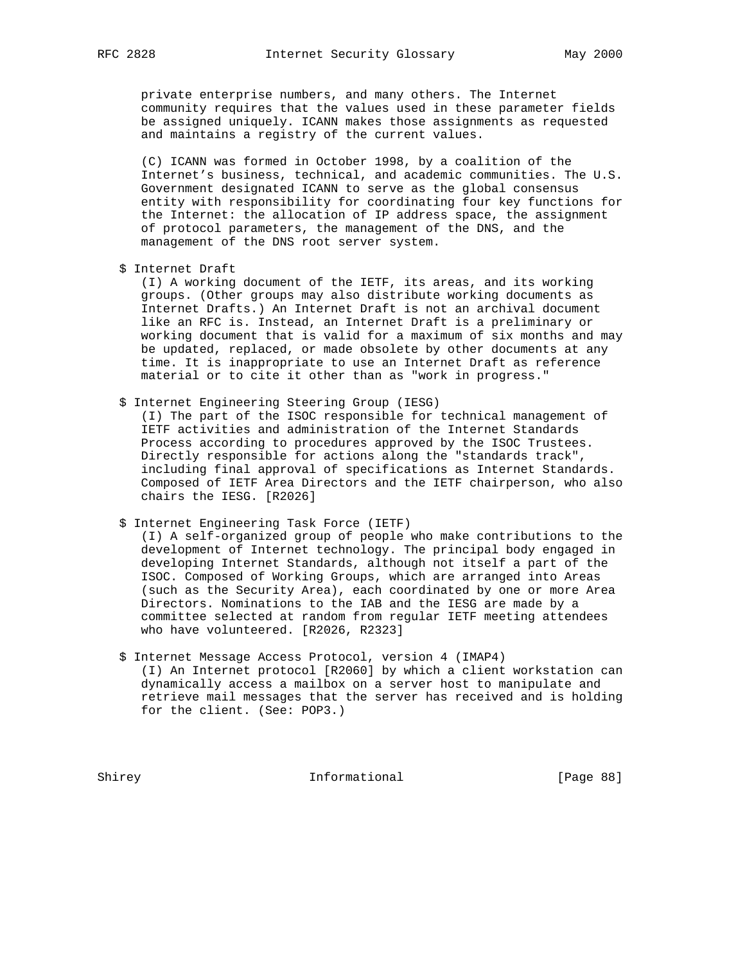private enterprise numbers, and many others. The Internet community requires that the values used in these parameter fields be assigned uniquely. ICANN makes those assignments as requested and maintains a registry of the current values.

 (C) ICANN was formed in October 1998, by a coalition of the Internet's business, technical, and academic communities. The U.S. Government designated ICANN to serve as the global consensus entity with responsibility for coordinating four key functions for the Internet: the allocation of IP address space, the assignment of protocol parameters, the management of the DNS, and the management of the DNS root server system.

\$ Internet Draft

 (I) A working document of the IETF, its areas, and its working groups. (Other groups may also distribute working documents as Internet Drafts.) An Internet Draft is not an archival document like an RFC is. Instead, an Internet Draft is a preliminary or working document that is valid for a maximum of six months and may be updated, replaced, or made obsolete by other documents at any time. It is inappropriate to use an Internet Draft as reference material or to cite it other than as "work in progress."

\$ Internet Engineering Steering Group (IESG)

 (I) The part of the ISOC responsible for technical management of IETF activities and administration of the Internet Standards Process according to procedures approved by the ISOC Trustees. Directly responsible for actions along the "standards track", including final approval of specifications as Internet Standards. Composed of IETF Area Directors and the IETF chairperson, who also chairs the IESG. [R2026]

\$ Internet Engineering Task Force (IETF)

 (I) A self-organized group of people who make contributions to the development of Internet technology. The principal body engaged in developing Internet Standards, although not itself a part of the ISOC. Composed of Working Groups, which are arranged into Areas (such as the Security Area), each coordinated by one or more Area Directors. Nominations to the IAB and the IESG are made by a committee selected at random from regular IETF meeting attendees who have volunteered. [R2026, R2323]

 \$ Internet Message Access Protocol, version 4 (IMAP4) (I) An Internet protocol [R2060] by which a client workstation can dynamically access a mailbox on a server host to manipulate and retrieve mail messages that the server has received and is holding for the client. (See: POP3.)

Shirey **Informational** [Page 88]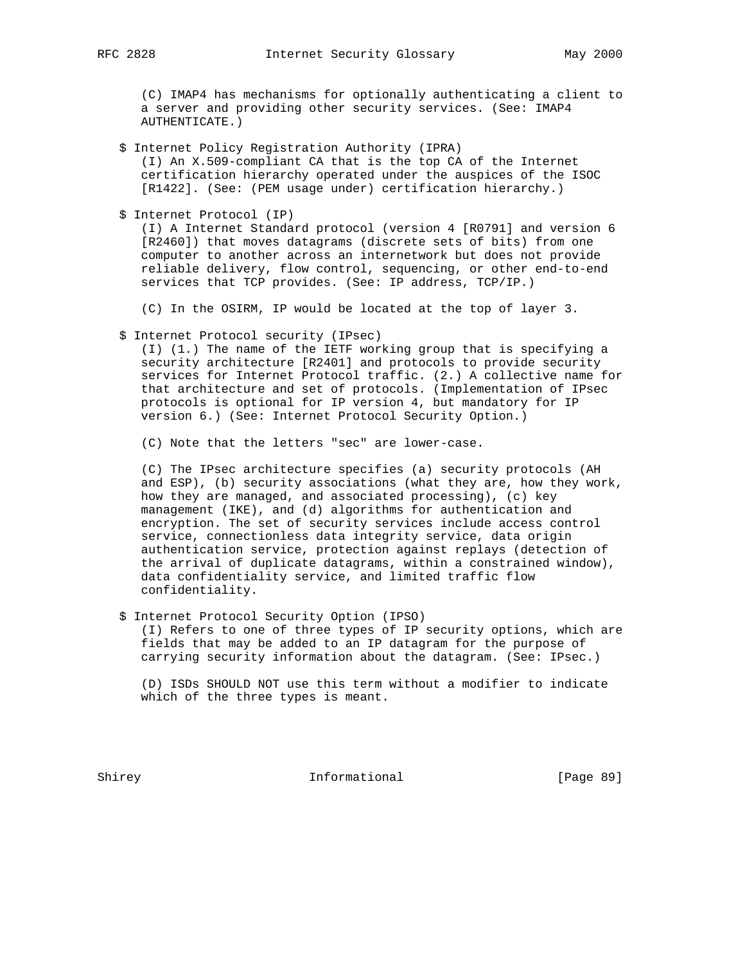(C) IMAP4 has mechanisms for optionally authenticating a client to a server and providing other security services. (See: IMAP4 AUTHENTICATE.)

- \$ Internet Policy Registration Authority (IPRA) (I) An X.509-compliant CA that is the top CA of the Internet certification hierarchy operated under the auspices of the ISOC [R1422]. (See: (PEM usage under) certification hierarchy.)
- \$ Internet Protocol (IP)

 (I) A Internet Standard protocol (version 4 [R0791] and version 6 [R2460]) that moves datagrams (discrete sets of bits) from one computer to another across an internetwork but does not provide reliable delivery, flow control, sequencing, or other end-to-end services that TCP provides. (See: IP address, TCP/IP.)

(C) In the OSIRM, IP would be located at the top of layer 3.

\$ Internet Protocol security (IPsec)

 (I) (1.) The name of the IETF working group that is specifying a security architecture [R2401] and protocols to provide security services for Internet Protocol traffic. (2.) A collective name for that architecture and set of protocols. (Implementation of IPsec protocols is optional for IP version 4, but mandatory for IP version 6.) (See: Internet Protocol Security Option.)

(C) Note that the letters "sec" are lower-case.

 (C) The IPsec architecture specifies (a) security protocols (AH and ESP), (b) security associations (what they are, how they work, how they are managed, and associated processing), (c) key management (IKE), and (d) algorithms for authentication and encryption. The set of security services include access control service, connectionless data integrity service, data origin authentication service, protection against replays (detection of the arrival of duplicate datagrams, within a constrained window), data confidentiality service, and limited traffic flow confidentiality.

\$ Internet Protocol Security Option (IPSO)

 (I) Refers to one of three types of IP security options, which are fields that may be added to an IP datagram for the purpose of carrying security information about the datagram. (See: IPsec.)

 (D) ISDs SHOULD NOT use this term without a modifier to indicate which of the three types is meant.

Shirey **Informational** [Page 89]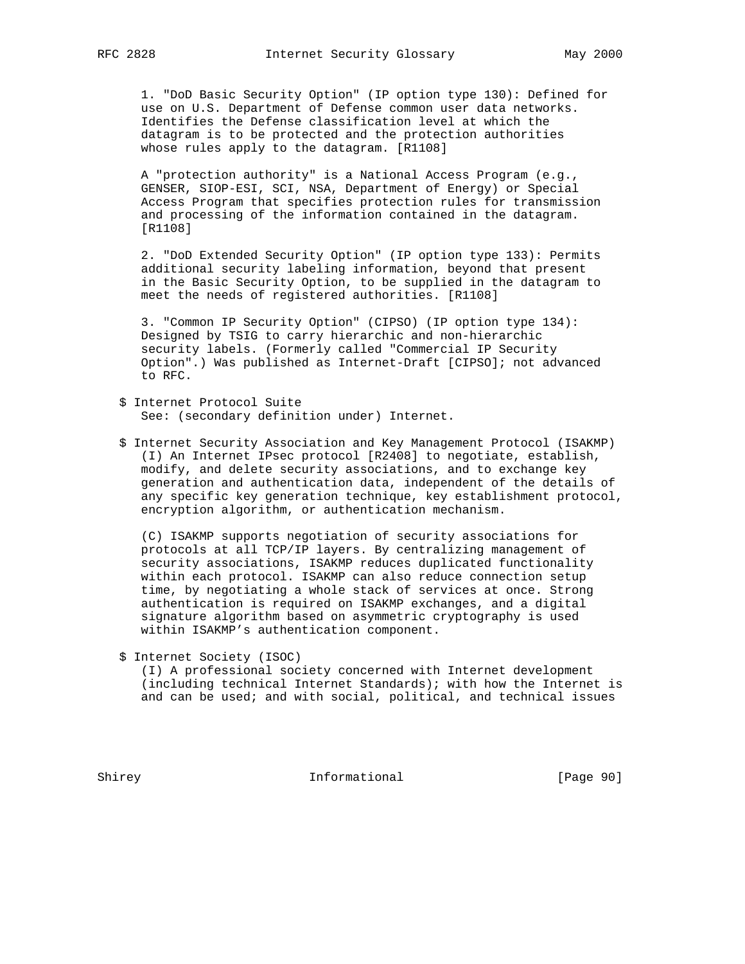1. "DoD Basic Security Option" (IP option type 130): Defined for use on U.S. Department of Defense common user data networks. Identifies the Defense classification level at which the datagram is to be protected and the protection authorities whose rules apply to the datagram. [R1108]

 A "protection authority" is a National Access Program (e.g., GENSER, SIOP-ESI, SCI, NSA, Department of Energy) or Special Access Program that specifies protection rules for transmission and processing of the information contained in the datagram. [R1108]

 2. "DoD Extended Security Option" (IP option type 133): Permits additional security labeling information, beyond that present in the Basic Security Option, to be supplied in the datagram to meet the needs of registered authorities. [R1108]

 3. "Common IP Security Option" (CIPSO) (IP option type 134): Designed by TSIG to carry hierarchic and non-hierarchic security labels. (Formerly called "Commercial IP Security Option".) Was published as Internet-Draft [CIPSO]; not advanced to RFC.

- \$ Internet Protocol Suite See: (secondary definition under) Internet.
- \$ Internet Security Association and Key Management Protocol (ISAKMP) (I) An Internet IPsec protocol [R2408] to negotiate, establish, modify, and delete security associations, and to exchange key generation and authentication data, independent of the details of any specific key generation technique, key establishment protocol, encryption algorithm, or authentication mechanism.

 (C) ISAKMP supports negotiation of security associations for protocols at all TCP/IP layers. By centralizing management of security associations, ISAKMP reduces duplicated functionality within each protocol. ISAKMP can also reduce connection setup time, by negotiating a whole stack of services at once. Strong authentication is required on ISAKMP exchanges, and a digital signature algorithm based on asymmetric cryptography is used within ISAKMP's authentication component.

\$ Internet Society (ISOC)

 (I) A professional society concerned with Internet development (including technical Internet Standards); with how the Internet is and can be used; and with social, political, and technical issues

Shirey **Informational** [Page 90]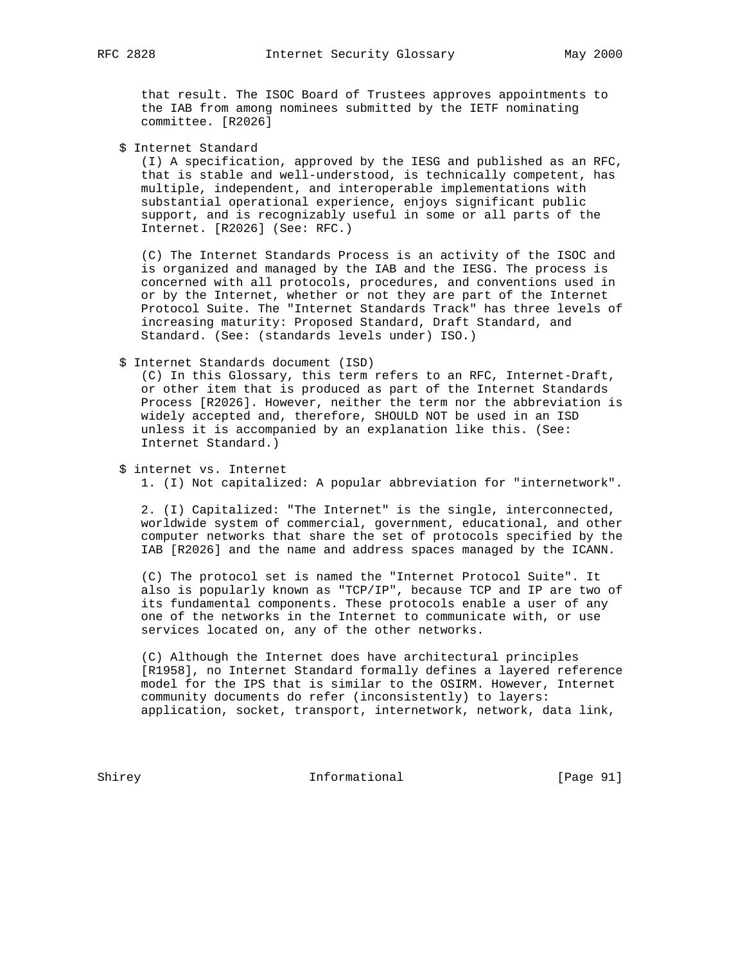that result. The ISOC Board of Trustees approves appointments to the IAB from among nominees submitted by the IETF nominating committee. [R2026]

\$ Internet Standard

 (I) A specification, approved by the IESG and published as an RFC, that is stable and well-understood, is technically competent, has multiple, independent, and interoperable implementations with substantial operational experience, enjoys significant public support, and is recognizably useful in some or all parts of the Internet. [R2026] (See: RFC.)

 (C) The Internet Standards Process is an activity of the ISOC and is organized and managed by the IAB and the IESG. The process is concerned with all protocols, procedures, and conventions used in or by the Internet, whether or not they are part of the Internet Protocol Suite. The "Internet Standards Track" has three levels of increasing maturity: Proposed Standard, Draft Standard, and Standard. (See: (standards levels under) ISO.)

#### \$ Internet Standards document (ISD)

 (C) In this Glossary, this term refers to an RFC, Internet-Draft, or other item that is produced as part of the Internet Standards Process [R2026]. However, neither the term nor the abbreviation is widely accepted and, therefore, SHOULD NOT be used in an ISD unless it is accompanied by an explanation like this. (See: Internet Standard.)

## \$ internet vs. Internet 1. (I) Not capitalized: A popular abbreviation for "internetwork".

 2. (I) Capitalized: "The Internet" is the single, interconnected, worldwide system of commercial, government, educational, and other computer networks that share the set of protocols specified by the IAB [R2026] and the name and address spaces managed by the ICANN.

 (C) The protocol set is named the "Internet Protocol Suite". It also is popularly known as "TCP/IP", because TCP and IP are two of its fundamental components. These protocols enable a user of any one of the networks in the Internet to communicate with, or use services located on, any of the other networks.

 (C) Although the Internet does have architectural principles [R1958], no Internet Standard formally defines a layered reference model for the IPS that is similar to the OSIRM. However, Internet community documents do refer (inconsistently) to layers: application, socket, transport, internetwork, network, data link,

Shirey Informational [Page 91]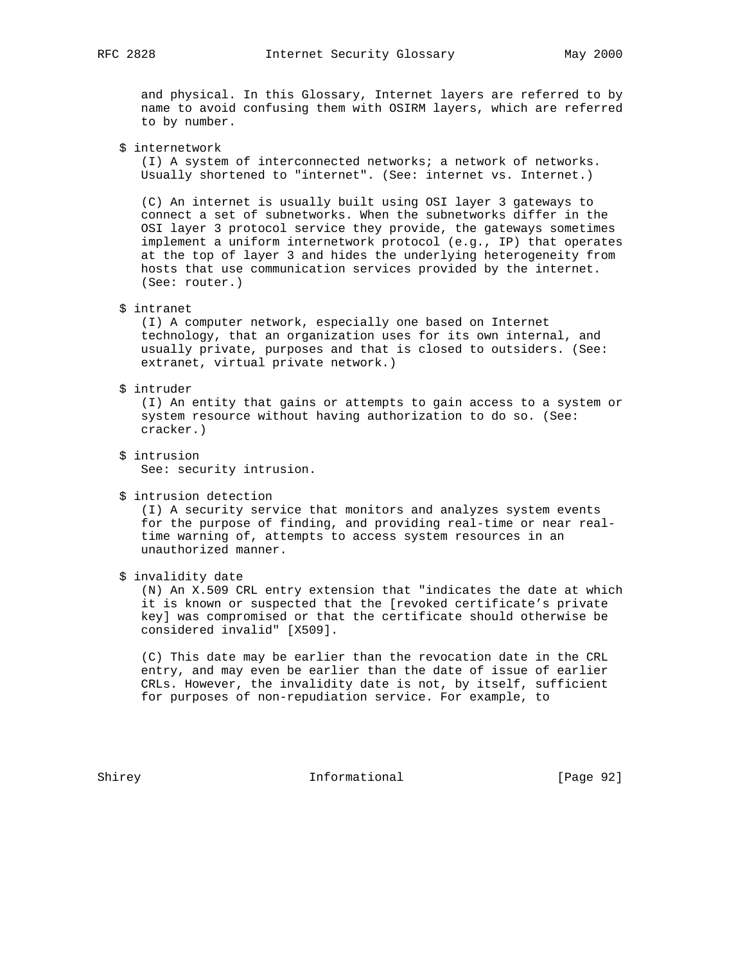and physical. In this Glossary, Internet layers are referred to by name to avoid confusing them with OSIRM layers, which are referred to by number.

## \$ internetwork

 (I) A system of interconnected networks; a network of networks. Usually shortened to "internet". (See: internet vs. Internet.)

 (C) An internet is usually built using OSI layer 3 gateways to connect a set of subnetworks. When the subnetworks differ in the OSI layer 3 protocol service they provide, the gateways sometimes implement a uniform internetwork protocol (e.g., IP) that operates at the top of layer 3 and hides the underlying heterogeneity from hosts that use communication services provided by the internet. (See: router.)

## \$ intranet

 (I) A computer network, especially one based on Internet technology, that an organization uses for its own internal, and usually private, purposes and that is closed to outsiders. (See: extranet, virtual private network.)

## \$ intruder

 (I) An entity that gains or attempts to gain access to a system or system resource without having authorization to do so. (See: cracker.)

 \$ intrusion See: security intrusion.

#### \$ intrusion detection

 (I) A security service that monitors and analyzes system events for the purpose of finding, and providing real-time or near real time warning of, attempts to access system resources in an unauthorized manner.

\$ invalidity date

 (N) An X.509 CRL entry extension that "indicates the date at which it is known or suspected that the [revoked certificate's private key] was compromised or that the certificate should otherwise be considered invalid" [X509].

 (C) This date may be earlier than the revocation date in the CRL entry, and may even be earlier than the date of issue of earlier CRLs. However, the invalidity date is not, by itself, sufficient for purposes of non-repudiation service. For example, to

Shirey **Informational** [Page 92]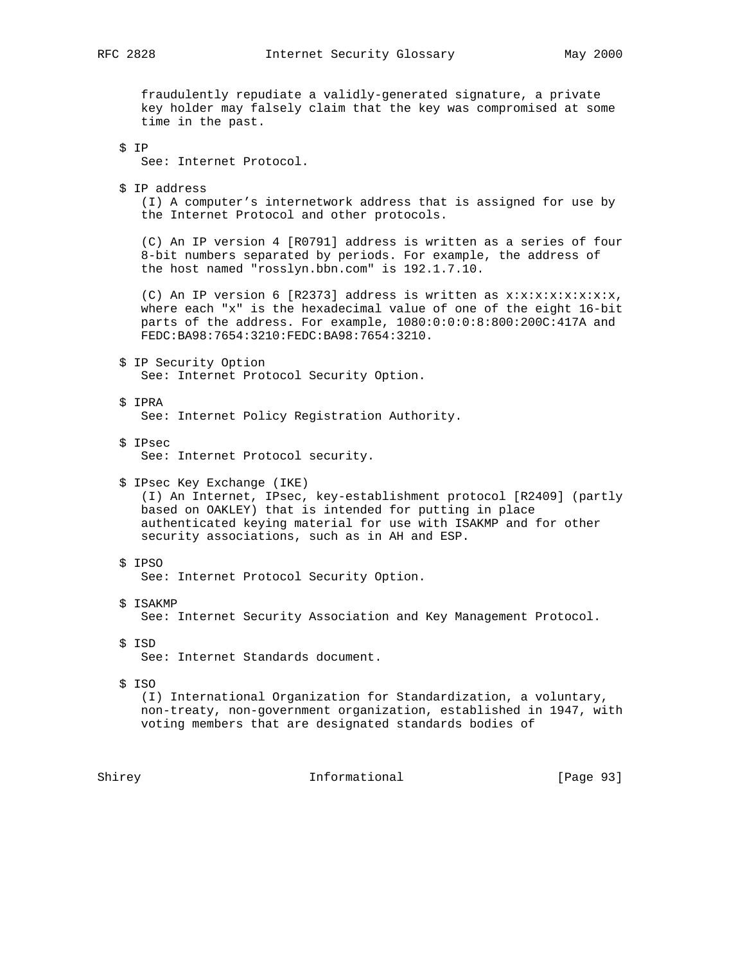fraudulently repudiate a validly-generated signature, a private key holder may falsely claim that the key was compromised at some time in the past.

\$ IP

See: Internet Protocol.

\$ IP address

 (I) A computer's internetwork address that is assigned for use by the Internet Protocol and other protocols.

 (C) An IP version 4 [R0791] address is written as a series of four 8-bit numbers separated by periods. For example, the address of the host named "rosslyn.bbn.com" is 192.1.7.10.

(C) An IP version 6 [R2373] address is written as  $x:x:x:x:x:x:x,x,$  where each "x" is the hexadecimal value of one of the eight 16-bit parts of the address. For example, 1080:0:0:0:8:800:200C:417A and FEDC:BA98:7654:3210:FEDC:BA98:7654:3210.

- \$ IP Security Option See: Internet Protocol Security Option.
- \$ IPRA See: Internet Policy Registration Authority.
- \$ IPsec See: Internet Protocol security.

 \$ IPsec Key Exchange (IKE) (I) An Internet, IPsec, key-establishment protocol [R2409] (partly based on OAKLEY) that is intended for putting in place authenticated keying material for use with ISAKMP and for other security associations, such as in AH and ESP.

\$ IPSO

See: Internet Protocol Security Option.

- \$ ISAKMP See: Internet Security Association and Key Management Protocol.
- \$ ISD

See: Internet Standards document.

 $$TSO$ 

 (I) International Organization for Standardization, a voluntary, non-treaty, non-government organization, established in 1947, with voting members that are designated standards bodies of

Shirey **Informational** [Page 93]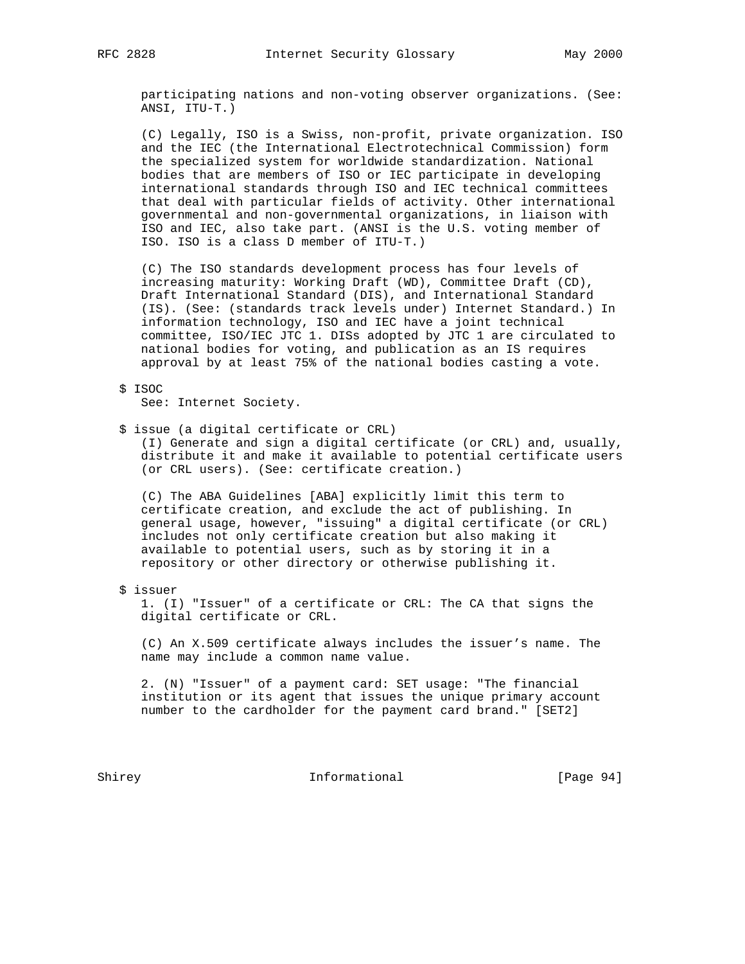participating nations and non-voting observer organizations. (See: ANSI, ITU-T.)

 (C) Legally, ISO is a Swiss, non-profit, private organization. ISO and the IEC (the International Electrotechnical Commission) form the specialized system for worldwide standardization. National bodies that are members of ISO or IEC participate in developing international standards through ISO and IEC technical committees that deal with particular fields of activity. Other international governmental and non-governmental organizations, in liaison with ISO and IEC, also take part. (ANSI is the U.S. voting member of ISO. ISO is a class D member of ITU-T.)

 (C) The ISO standards development process has four levels of increasing maturity: Working Draft (WD), Committee Draft (CD), Draft International Standard (DIS), and International Standard (IS). (See: (standards track levels under) Internet Standard.) In information technology, ISO and IEC have a joint technical committee, ISO/IEC JTC 1. DISs adopted by JTC 1 are circulated to national bodies for voting, and publication as an IS requires approval by at least 75% of the national bodies casting a vote.

 \$ ISOC See: Internet Society.

\$ issue (a digital certificate or CRL)

 (I) Generate and sign a digital certificate (or CRL) and, usually, distribute it and make it available to potential certificate users (or CRL users). (See: certificate creation.)

 (C) The ABA Guidelines [ABA] explicitly limit this term to certificate creation, and exclude the act of publishing. In general usage, however, "issuing" a digital certificate (or CRL) includes not only certificate creation but also making it available to potential users, such as by storing it in a repository or other directory or otherwise publishing it.

\$ issuer

 1. (I) "Issuer" of a certificate or CRL: The CA that signs the digital certificate or CRL.

 (C) An X.509 certificate always includes the issuer's name. The name may include a common name value.

 2. (N) "Issuer" of a payment card: SET usage: "The financial institution or its agent that issues the unique primary account number to the cardholder for the payment card brand." [SET2]

Shirey **Informational** [Page 94]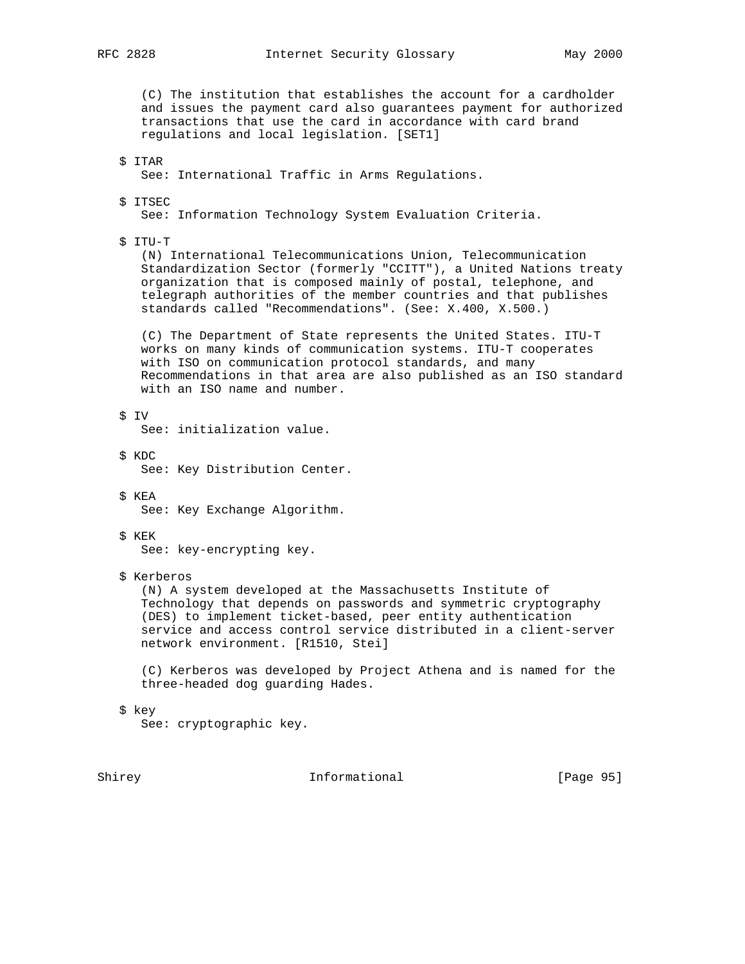(C) The institution that establishes the account for a cardholder and issues the payment card also guarantees payment for authorized transactions that use the card in accordance with card brand regulations and local legislation. [SET1] \$ ITAR See: International Traffic in Arms Regulations. \$ ITSEC See: Information Technology System Evaluation Criteria. \$ ITU-T (N) International Telecommunications Union, Telecommunication Standardization Sector (formerly "CCITT"), a United Nations treaty organization that is composed mainly of postal, telephone, and telegraph authorities of the member countries and that publishes standards called "Recommendations". (See: X.400, X.500.) (C) The Department of State represents the United States. ITU-T works on many kinds of communication systems. ITU-T cooperates with ISO on communication protocol standards, and many Recommendations in that area are also published as an ISO standard with an ISO name and number. \$ IV See: initialization value. \$ KDC See: Key Distribution Center. \$ KEA See: Key Exchange Algorithm. \$ KEK See: key-encrypting key. \$ Kerberos (N) A system developed at the Massachusetts Institute of Technology that depends on passwords and symmetric cryptography (DES) to implement ticket-based, peer entity authentication service and access control service distributed in a client-server network environment. [R1510, Stei]

 (C) Kerberos was developed by Project Athena and is named for the three-headed dog guarding Hades.

\$ key

See: cryptographic key.

Shirey **Informational** [Page 95]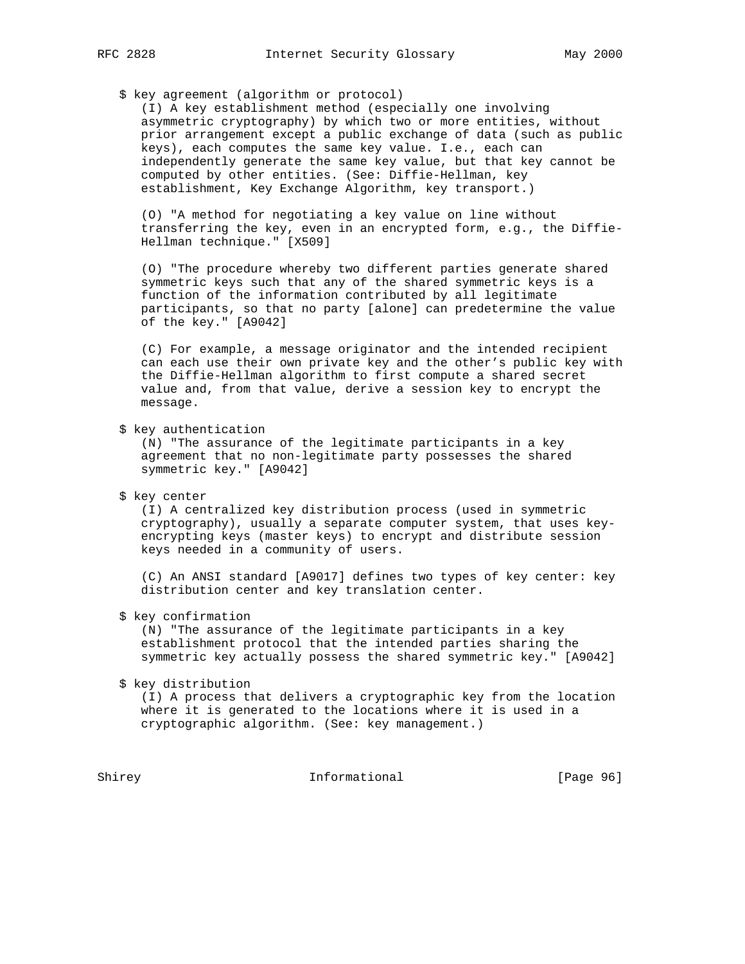\$ key agreement (algorithm or protocol)

 (I) A key establishment method (especially one involving asymmetric cryptography) by which two or more entities, without prior arrangement except a public exchange of data (such as public keys), each computes the same key value. I.e., each can independently generate the same key value, but that key cannot be computed by other entities. (See: Diffie-Hellman, key establishment, Key Exchange Algorithm, key transport.)

 (O) "A method for negotiating a key value on line without transferring the key, even in an encrypted form, e.g., the Diffie- Hellman technique." [X509]

 (O) "The procedure whereby two different parties generate shared symmetric keys such that any of the shared symmetric keys is a function of the information contributed by all legitimate participants, so that no party [alone] can predetermine the value of the key." [A9042]

 (C) For example, a message originator and the intended recipient can each use their own private key and the other's public key with the Diffie-Hellman algorithm to first compute a shared secret value and, from that value, derive a session key to encrypt the message.

\$ key authentication

 (N) "The assurance of the legitimate participants in a key agreement that no non-legitimate party possesses the shared symmetric key." [A9042]

\$ key center

 (I) A centralized key distribution process (used in symmetric cryptography), usually a separate computer system, that uses key encrypting keys (master keys) to encrypt and distribute session keys needed in a community of users.

 (C) An ANSI standard [A9017] defines two types of key center: key distribution center and key translation center.

\$ key confirmation

 (N) "The assurance of the legitimate participants in a key establishment protocol that the intended parties sharing the symmetric key actually possess the shared symmetric key." [A9042]

\$ key distribution

 (I) A process that delivers a cryptographic key from the location where it is generated to the locations where it is used in a cryptographic algorithm. (See: key management.)

Shirey **Informational** [Page 96]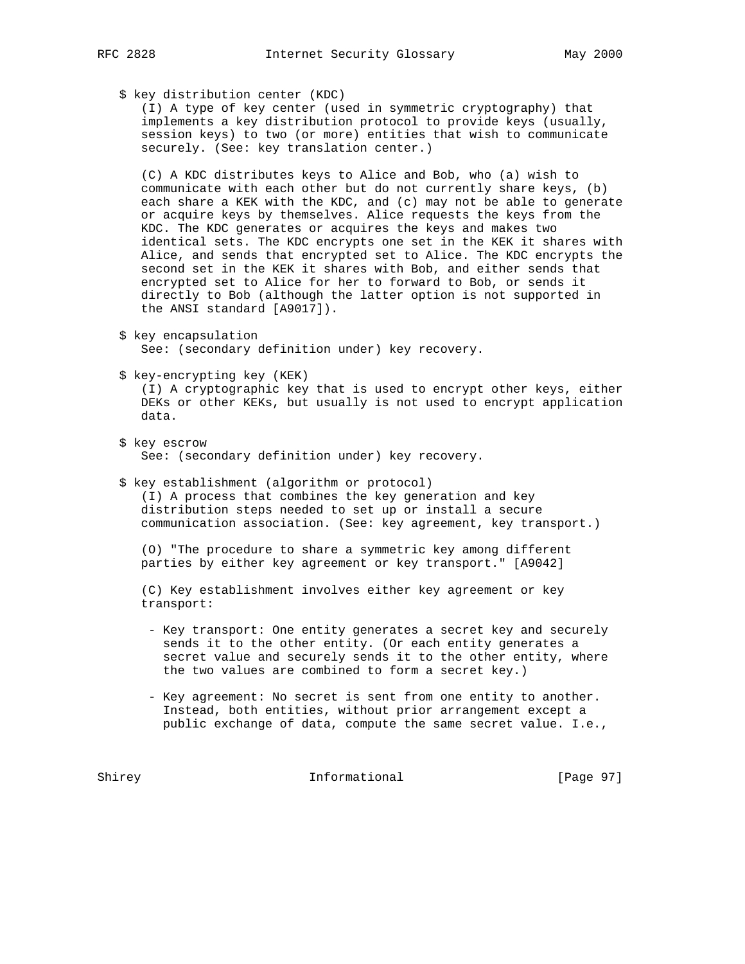- - \$ key distribution center (KDC)

 (I) A type of key center (used in symmetric cryptography) that implements a key distribution protocol to provide keys (usually, session keys) to two (or more) entities that wish to communicate securely. (See: key translation center.)

 (C) A KDC distributes keys to Alice and Bob, who (a) wish to communicate with each other but do not currently share keys, (b) each share a KEK with the KDC, and (c) may not be able to generate or acquire keys by themselves. Alice requests the keys from the KDC. The KDC generates or acquires the keys and makes two identical sets. The KDC encrypts one set in the KEK it shares with Alice, and sends that encrypted set to Alice. The KDC encrypts the second set in the KEK it shares with Bob, and either sends that encrypted set to Alice for her to forward to Bob, or sends it directly to Bob (although the latter option is not supported in the ANSI standard [A9017]).

- \$ key encapsulation See: (secondary definition under) key recovery.
- \$ key-encrypting key (KEK)

 (I) A cryptographic key that is used to encrypt other keys, either DEKs or other KEKs, but usually is not used to encrypt application data.

- \$ key escrow See: (secondary definition under) key recovery.
- \$ key establishment (algorithm or protocol)

 (I) A process that combines the key generation and key distribution steps needed to set up or install a secure communication association. (See: key agreement, key transport.)

 (O) "The procedure to share a symmetric key among different parties by either key agreement or key transport." [A9042]

 (C) Key establishment involves either key agreement or key transport:

- Key transport: One entity generates a secret key and securely sends it to the other entity. (Or each entity generates a secret value and securely sends it to the other entity, where the two values are combined to form a secret key.)
- Key agreement: No secret is sent from one entity to another. Instead, both entities, without prior arrangement except a public exchange of data, compute the same secret value. I.e.,

Shirey Informational [Page 97]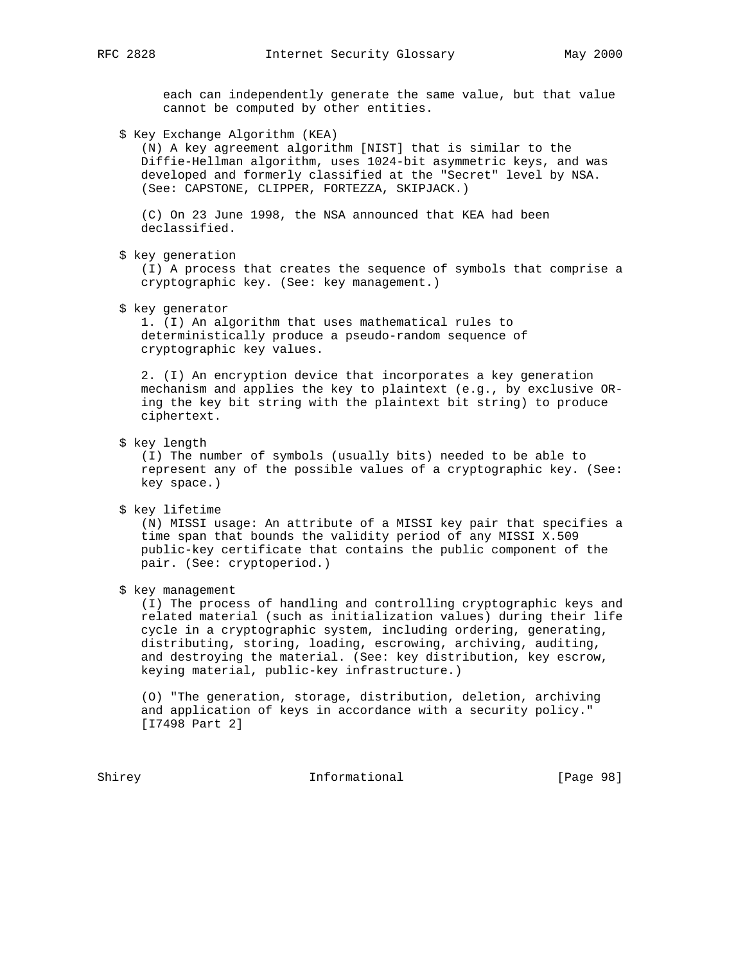each can independently generate the same value, but that value cannot be computed by other entities.

\$ Key Exchange Algorithm (KEA)

 (N) A key agreement algorithm [NIST] that is similar to the Diffie-Hellman algorithm, uses 1024-bit asymmetric keys, and was developed and formerly classified at the "Secret" level by NSA. (See: CAPSTONE, CLIPPER, FORTEZZA, SKIPJACK.)

 (C) On 23 June 1998, the NSA announced that KEA had been declassified.

\$ key generation

 (I) A process that creates the sequence of symbols that comprise a cryptographic key. (See: key management.)

\$ key generator

 1. (I) An algorithm that uses mathematical rules to deterministically produce a pseudo-random sequence of cryptographic key values.

 2. (I) An encryption device that incorporates a key generation mechanism and applies the key to plaintext (e.g., by exclusive OR ing the key bit string with the plaintext bit string) to produce ciphertext.

\$ key length

 (I) The number of symbols (usually bits) needed to be able to represent any of the possible values of a cryptographic key. (See: key space.)

\$ key lifetime

 (N) MISSI usage: An attribute of a MISSI key pair that specifies a time span that bounds the validity period of any MISSI X.509 public-key certificate that contains the public component of the pair. (See: cryptoperiod.)

\$ key management

 (I) The process of handling and controlling cryptographic keys and related material (such as initialization values) during their life cycle in a cryptographic system, including ordering, generating, distributing, storing, loading, escrowing, archiving, auditing, and destroying the material. (See: key distribution, key escrow, keying material, public-key infrastructure.)

 (O) "The generation, storage, distribution, deletion, archiving and application of keys in accordance with a security policy." [I7498 Part 2]

Shirey **Informational** [Page 98]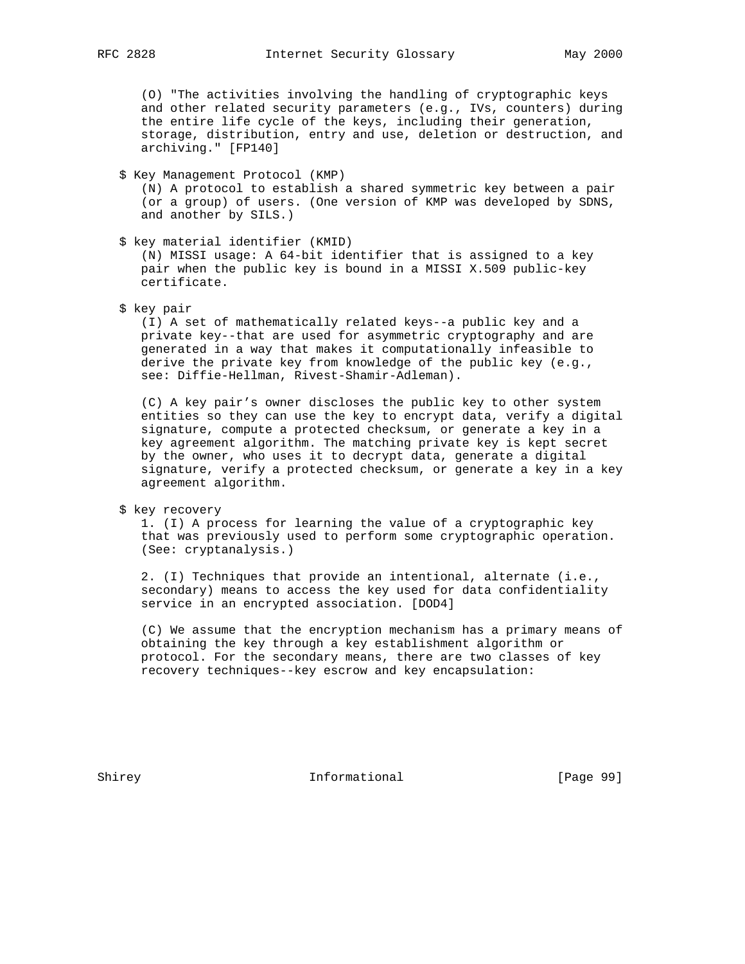(O) "The activities involving the handling of cryptographic keys and other related security parameters (e.g., IVs, counters) during the entire life cycle of the keys, including their generation, storage, distribution, entry and use, deletion or destruction, and archiving." [FP140]

## \$ Key Management Protocol (KMP)

 (N) A protocol to establish a shared symmetric key between a pair (or a group) of users. (One version of KMP was developed by SDNS, and another by SILS.)

\$ key material identifier (KMID)

 (N) MISSI usage: A 64-bit identifier that is assigned to a key pair when the public key is bound in a MISSI X.509 public-key certificate.

\$ key pair

 (I) A set of mathematically related keys--a public key and a private key--that are used for asymmetric cryptography and are generated in a way that makes it computationally infeasible to derive the private key from knowledge of the public key (e.g., see: Diffie-Hellman, Rivest-Shamir-Adleman).

 (C) A key pair's owner discloses the public key to other system entities so they can use the key to encrypt data, verify a digital signature, compute a protected checksum, or generate a key in a key agreement algorithm. The matching private key is kept secret by the owner, who uses it to decrypt data, generate a digital signature, verify a protected checksum, or generate a key in a key agreement algorithm.

\$ key recovery

 1. (I) A process for learning the value of a cryptographic key that was previously used to perform some cryptographic operation. (See: cryptanalysis.)

 2. (I) Techniques that provide an intentional, alternate (i.e., secondary) means to access the key used for data confidentiality service in an encrypted association. [DOD4]

 (C) We assume that the encryption mechanism has a primary means of obtaining the key through a key establishment algorithm or protocol. For the secondary means, there are two classes of key recovery techniques--key escrow and key encapsulation:

Shirey **Informational** [Page 99]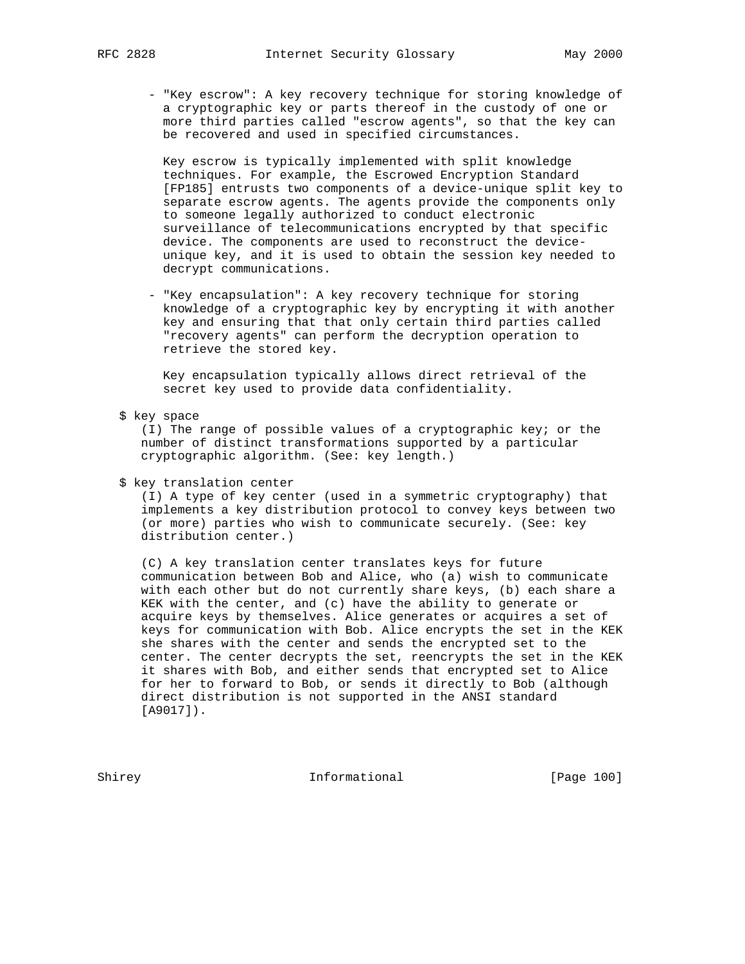- "Key escrow": A key recovery technique for storing knowledge of a cryptographic key or parts thereof in the custody of one or more third parties called "escrow agents", so that the key can be recovered and used in specified circumstances.

 Key escrow is typically implemented with split knowledge techniques. For example, the Escrowed Encryption Standard [FP185] entrusts two components of a device-unique split key to separate escrow agents. The agents provide the components only to someone legally authorized to conduct electronic surveillance of telecommunications encrypted by that specific device. The components are used to reconstruct the device unique key, and it is used to obtain the session key needed to decrypt communications.

 - "Key encapsulation": A key recovery technique for storing knowledge of a cryptographic key by encrypting it with another key and ensuring that that only certain third parties called "recovery agents" can perform the decryption operation to retrieve the stored key.

 Key encapsulation typically allows direct retrieval of the secret key used to provide data confidentiality.

\$ key space

 (I) The range of possible values of a cryptographic key; or the number of distinct transformations supported by a particular cryptographic algorithm. (See: key length.)

\$ key translation center

 (I) A type of key center (used in a symmetric cryptography) that implements a key distribution protocol to convey keys between two (or more) parties who wish to communicate securely. (See: key distribution center.)

 (C) A key translation center translates keys for future communication between Bob and Alice, who (a) wish to communicate with each other but do not currently share keys, (b) each share a KEK with the center, and (c) have the ability to generate or acquire keys by themselves. Alice generates or acquires a set of keys for communication with Bob. Alice encrypts the set in the KEK she shares with the center and sends the encrypted set to the center. The center decrypts the set, reencrypts the set in the KEK it shares with Bob, and either sends that encrypted set to Alice for her to forward to Bob, or sends it directly to Bob (although direct distribution is not supported in the ANSI standard [A9017]).

Shirey **Informational** [Page 100]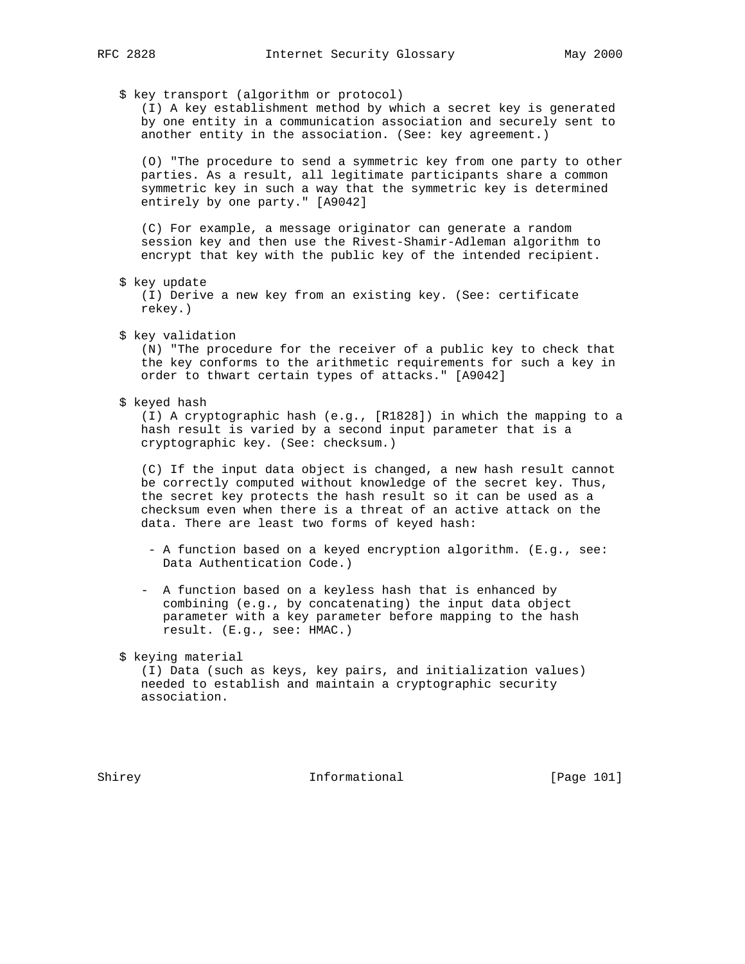\$ key transport (algorithm or protocol)

 (I) A key establishment method by which a secret key is generated by one entity in a communication association and securely sent to another entity in the association. (See: key agreement.)

 (O) "The procedure to send a symmetric key from one party to other parties. As a result, all legitimate participants share a common symmetric key in such a way that the symmetric key is determined entirely by one party." [A9042]

 (C) For example, a message originator can generate a random session key and then use the Rivest-Shamir-Adleman algorithm to encrypt that key with the public key of the intended recipient.

\$ key update

 (I) Derive a new key from an existing key. (See: certificate rekey.)

\$ key validation

 (N) "The procedure for the receiver of a public key to check that the key conforms to the arithmetic requirements for such a key in order to thwart certain types of attacks." [A9042]

\$ keyed hash

 (I) A cryptographic hash (e.g., [R1828]) in which the mapping to a hash result is varied by a second input parameter that is a cryptographic key. (See: checksum.)

 (C) If the input data object is changed, a new hash result cannot be correctly computed without knowledge of the secret key. Thus, the secret key protects the hash result so it can be used as a checksum even when there is a threat of an active attack on the data. There are least two forms of keyed hash:

- A function based on a keyed encryption algorithm. (E.g., see: Data Authentication Code.)
- A function based on a keyless hash that is enhanced by combining (e.g., by concatenating) the input data object parameter with a key parameter before mapping to the hash result. (E.g., see: HMAC.)

\$ keying material

 (I) Data (such as keys, key pairs, and initialization values) needed to establish and maintain a cryptographic security association.

Shirey **Informational** [Page 101]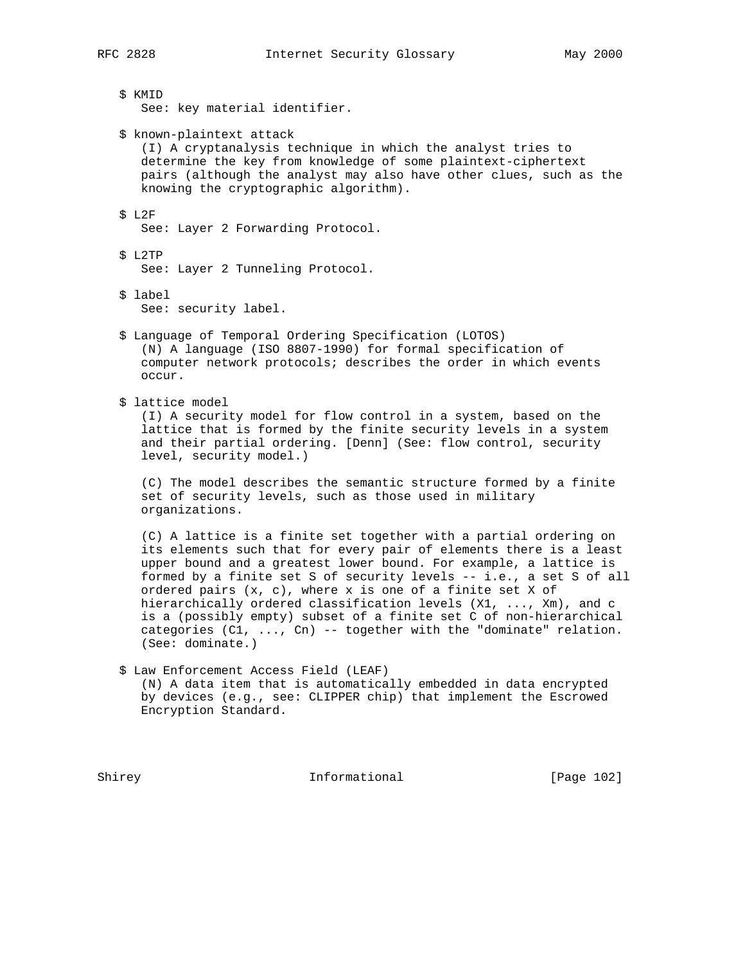\$ KMID See: key material identifier.

\$ known-plaintext attack

 (I) A cryptanalysis technique in which the analyst tries to determine the key from knowledge of some plaintext-ciphertext pairs (although the analyst may also have other clues, such as the knowing the cryptographic algorithm).

## \$ L2F

See: Layer 2 Forwarding Protocol.

# \$ L2TP

See: Layer 2 Tunneling Protocol.

\$ label

See: security label.

- \$ Language of Temporal Ordering Specification (LOTOS) (N) A language (ISO 8807-1990) for formal specification of computer network protocols; describes the order in which events occur.
- \$ lattice model

 (I) A security model for flow control in a system, based on the lattice that is formed by the finite security levels in a system and their partial ordering. [Denn] (See: flow control, security level, security model.)

 (C) The model describes the semantic structure formed by a finite set of security levels, such as those used in military organizations.

 (C) A lattice is a finite set together with a partial ordering on its elements such that for every pair of elements there is a least upper bound and a greatest lower bound. For example, a lattice is formed by a finite set S of security levels -- i.e., a set S of all ordered pairs (x, c), where x is one of a finite set X of hierarchically ordered classification levels (X1, ..., Xm), and c is a (possibly empty) subset of a finite set C of non-hierarchical categories  $(Cl, ..., Cn)$  -- together with the "dominate" relation. (See: dominate.)

 \$ Law Enforcement Access Field (LEAF) (N) A data item that is automatically embedded in data encrypted by devices (e.g., see: CLIPPER chip) that implement the Escrowed Encryption Standard.

Shirey **Informational** [Page 102]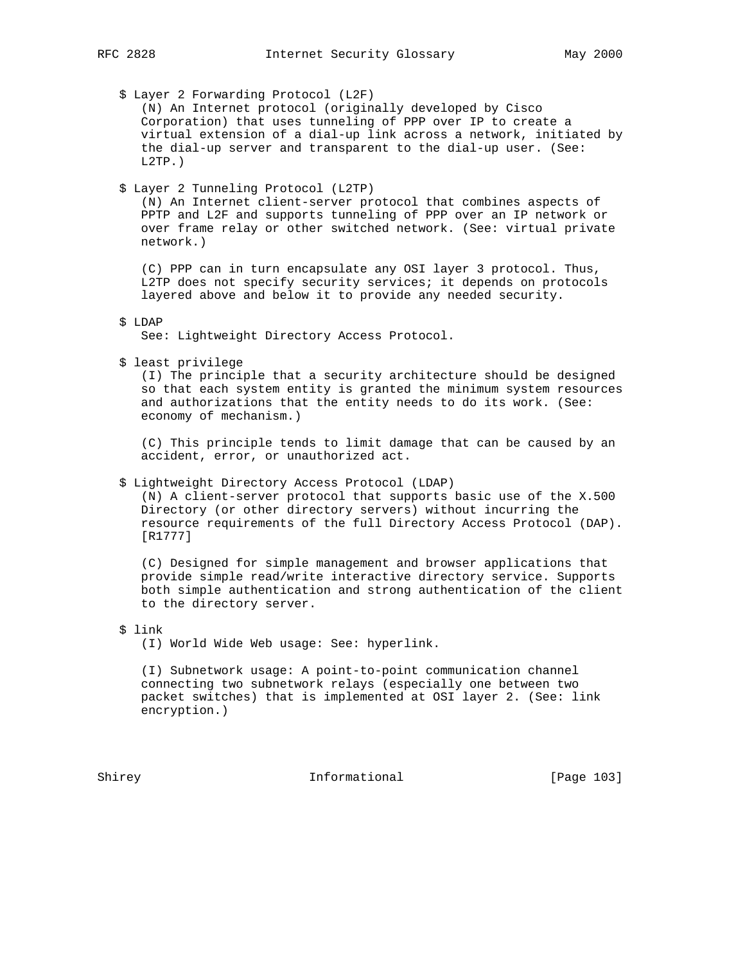\$ Layer 2 Forwarding Protocol (L2F)

 (N) An Internet protocol (originally developed by Cisco Corporation) that uses tunneling of PPP over IP to create a virtual extension of a dial-up link across a network, initiated by the dial-up server and transparent to the dial-up user. (See: L2TP.)

\$ Layer 2 Tunneling Protocol (L2TP)

 (N) An Internet client-server protocol that combines aspects of PPTP and L2F and supports tunneling of PPP over an IP network or over frame relay or other switched network. (See: virtual private network.)

 (C) PPP can in turn encapsulate any OSI layer 3 protocol. Thus, L2TP does not specify security services; it depends on protocols layered above and below it to provide any needed security.

## \$ LDAP

See: Lightweight Directory Access Protocol.

\$ least privilege

 (I) The principle that a security architecture should be designed so that each system entity is granted the minimum system resources and authorizations that the entity needs to do its work. (See: economy of mechanism.)

 (C) This principle tends to limit damage that can be caused by an accident, error, or unauthorized act.

#### \$ Lightweight Directory Access Protocol (LDAP)

 (N) A client-server protocol that supports basic use of the X.500 Directory (or other directory servers) without incurring the resource requirements of the full Directory Access Protocol (DAP). [R1777]

 (C) Designed for simple management and browser applications that provide simple read/write interactive directory service. Supports both simple authentication and strong authentication of the client to the directory server.

## \$ link

(I) World Wide Web usage: See: hyperlink.

 (I) Subnetwork usage: A point-to-point communication channel connecting two subnetwork relays (especially one between two packet switches) that is implemented at OSI layer 2. (See: link encryption.)

Shirey **Informational** [Page 103]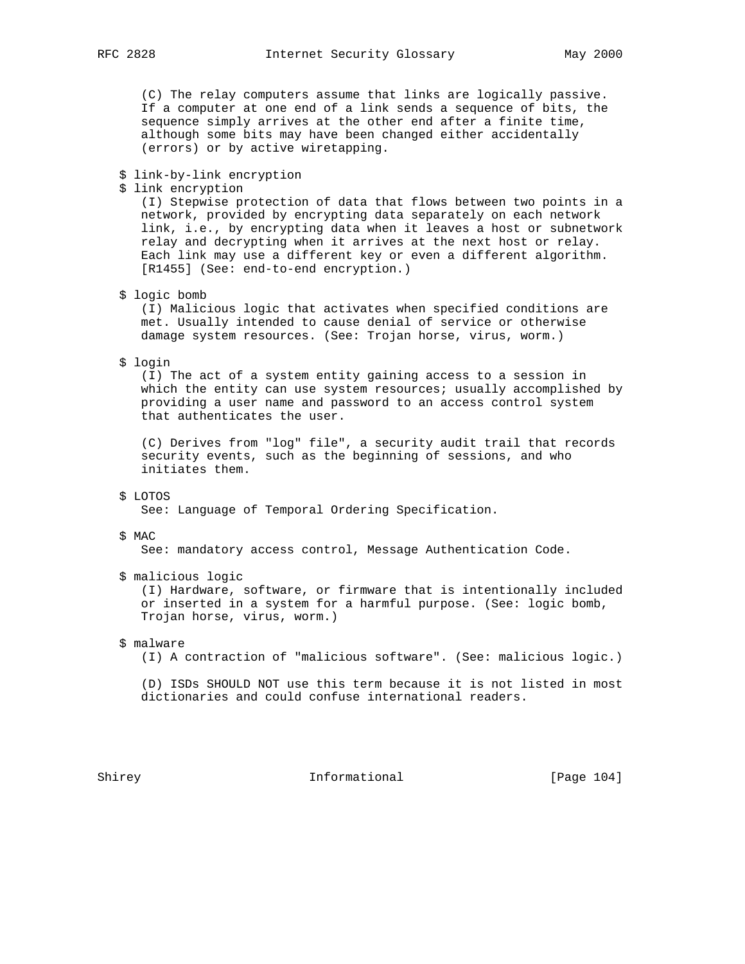(C) The relay computers assume that links are logically passive. If a computer at one end of a link sends a sequence of bits, the sequence simply arrives at the other end after a finite time, although some bits may have been changed either accidentally (errors) or by active wiretapping.

#### \$ link-by-link encryption

\$ link encryption

 (I) Stepwise protection of data that flows between two points in a network, provided by encrypting data separately on each network link, i.e., by encrypting data when it leaves a host or subnetwork relay and decrypting when it arrives at the next host or relay. Each link may use a different key or even a different algorithm. [R1455] (See: end-to-end encryption.)

### \$ logic bomb

 (I) Malicious logic that activates when specified conditions are met. Usually intended to cause denial of service or otherwise damage system resources. (See: Trojan horse, virus, worm.)

\$ login

 (I) The act of a system entity gaining access to a session in which the entity can use system resources; usually accomplished by providing a user name and password to an access control system that authenticates the user.

 (C) Derives from "log" file", a security audit trail that records security events, such as the beginning of sessions, and who initiates them.

#### \$ LOTOS

See: Language of Temporal Ordering Specification.

#### \$ MAC

See: mandatory access control, Message Authentication Code.

\$ malicious logic

 (I) Hardware, software, or firmware that is intentionally included or inserted in a system for a harmful purpose. (See: logic bomb, Trojan horse, virus, worm.)

\$ malware

(I) A contraction of "malicious software". (See: malicious logic.)

 (D) ISDs SHOULD NOT use this term because it is not listed in most dictionaries and could confuse international readers.

Shirey **Informational** [Page 104]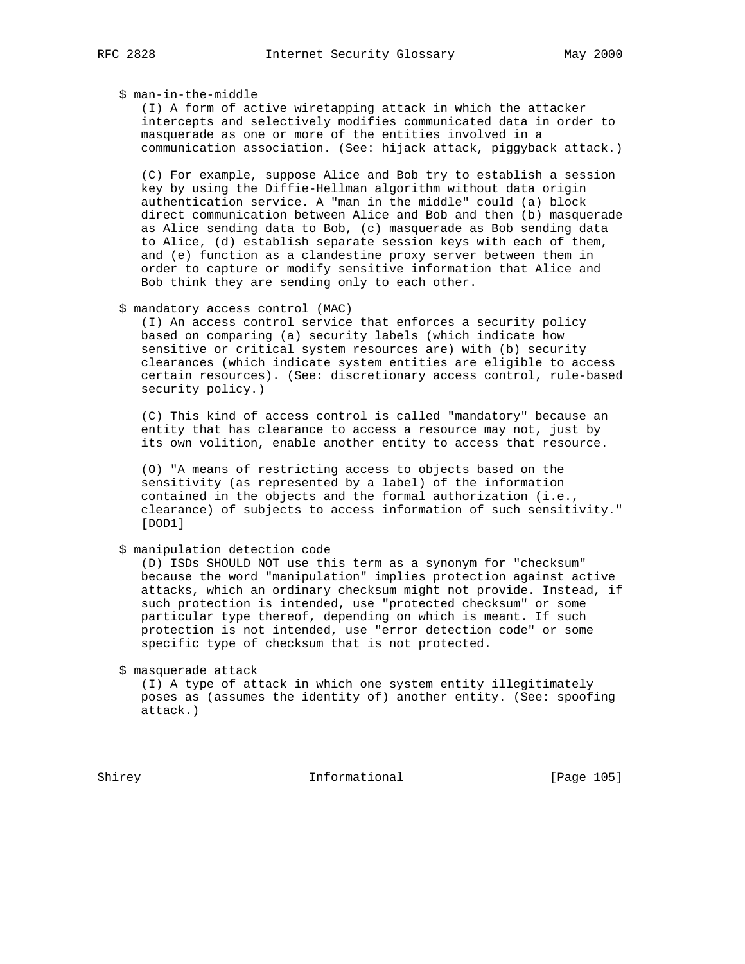## \$ man-in-the-middle

 (I) A form of active wiretapping attack in which the attacker intercepts and selectively modifies communicated data in order to masquerade as one or more of the entities involved in a communication association. (See: hijack attack, piggyback attack.)

 (C) For example, suppose Alice and Bob try to establish a session key by using the Diffie-Hellman algorithm without data origin authentication service. A "man in the middle" could (a) block direct communication between Alice and Bob and then (b) masquerade as Alice sending data to Bob, (c) masquerade as Bob sending data to Alice, (d) establish separate session keys with each of them, and (e) function as a clandestine proxy server between them in order to capture or modify sensitive information that Alice and Bob think they are sending only to each other.

#### \$ mandatory access control (MAC)

 (I) An access control service that enforces a security policy based on comparing (a) security labels (which indicate how sensitive or critical system resources are) with (b) security clearances (which indicate system entities are eligible to access certain resources). (See: discretionary access control, rule-based security policy.)

 (C) This kind of access control is called "mandatory" because an entity that has clearance to access a resource may not, just by its own volition, enable another entity to access that resource.

 (O) "A means of restricting access to objects based on the sensitivity (as represented by a label) of the information contained in the objects and the formal authorization (i.e., clearance) of subjects to access information of such sensitivity." [DOD1]

\$ manipulation detection code

 (D) ISDs SHOULD NOT use this term as a synonym for "checksum" because the word "manipulation" implies protection against active attacks, which an ordinary checksum might not provide. Instead, if such protection is intended, use "protected checksum" or some particular type thereof, depending on which is meant. If such protection is not intended, use "error detection code" or some specific type of checksum that is not protected.

\$ masquerade attack

 (I) A type of attack in which one system entity illegitimately poses as (assumes the identity of) another entity. (See: spoofing attack.)

Shirey **Informational** [Page 105]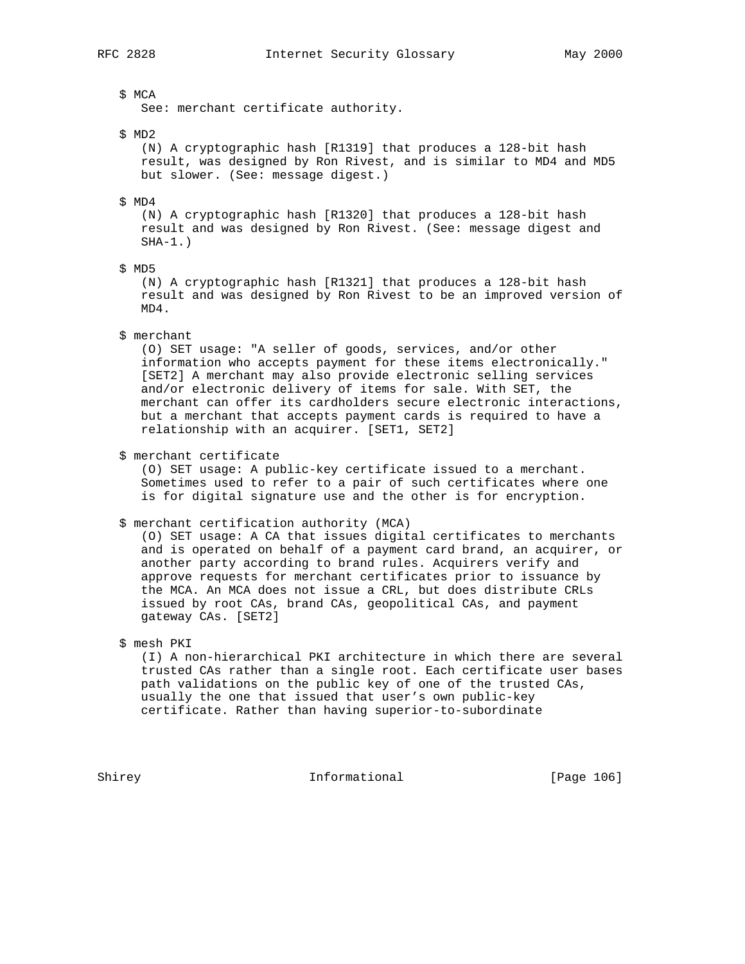## \$ MCA

See: merchant certificate authority.

\$ MD2

 (N) A cryptographic hash [R1319] that produces a 128-bit hash result, was designed by Ron Rivest, and is similar to MD4 and MD5 but slower. (See: message digest.)

\$ MD4

 (N) A cryptographic hash [R1320] that produces a 128-bit hash result and was designed by Ron Rivest. (See: message digest and  $SHA-1.$ )

\$ MD5

 (N) A cryptographic hash [R1321] that produces a 128-bit hash result and was designed by Ron Rivest to be an improved version of MD4.

\$ merchant

 (O) SET usage: "A seller of goods, services, and/or other information who accepts payment for these items electronically." [SET2] A merchant may also provide electronic selling services and/or electronic delivery of items for sale. With SET, the merchant can offer its cardholders secure electronic interactions, but a merchant that accepts payment cards is required to have a relationship with an acquirer. [SET1, SET2]

\$ merchant certificate

 (O) SET usage: A public-key certificate issued to a merchant. Sometimes used to refer to a pair of such certificates where one is for digital signature use and the other is for encryption.

\$ merchant certification authority (MCA)

 (O) SET usage: A CA that issues digital certificates to merchants and is operated on behalf of a payment card brand, an acquirer, or another party according to brand rules. Acquirers verify and approve requests for merchant certificates prior to issuance by the MCA. An MCA does not issue a CRL, but does distribute CRLs issued by root CAs, brand CAs, geopolitical CAs, and payment gateway CAs. [SET2]

\$ mesh PKI

 (I) A non-hierarchical PKI architecture in which there are several trusted CAs rather than a single root. Each certificate user bases path validations on the public key of one of the trusted CAs, usually the one that issued that user's own public-key certificate. Rather than having superior-to-subordinate

Shirey **Informational** [Page 106]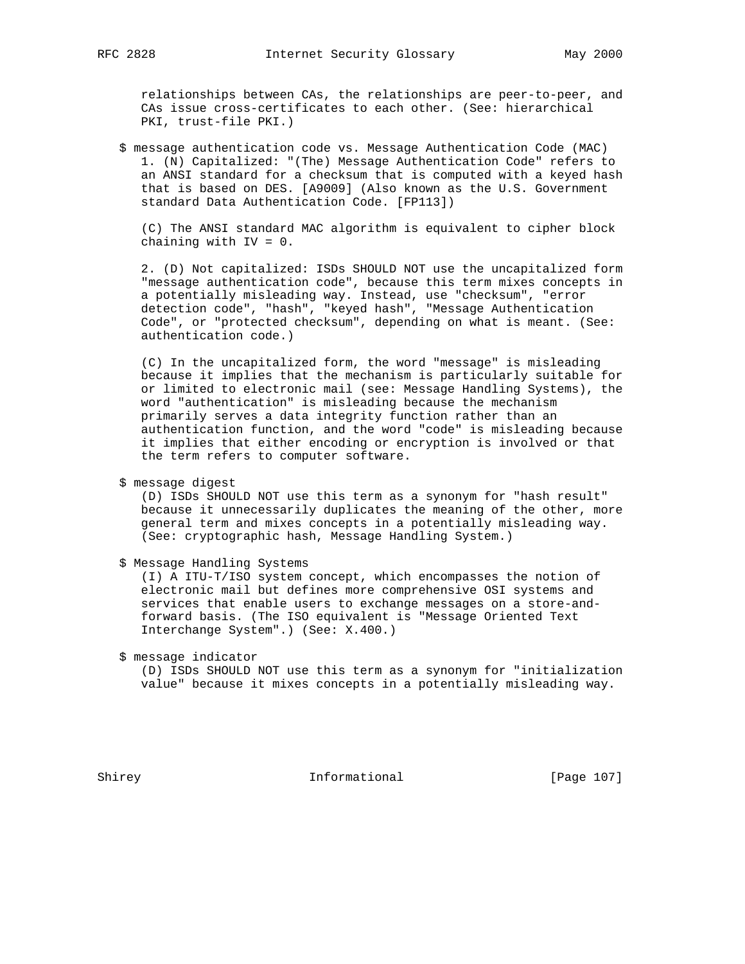relationships between CAs, the relationships are peer-to-peer, and CAs issue cross-certificates to each other. (See: hierarchical PKI, trust-file PKI.)

 \$ message authentication code vs. Message Authentication Code (MAC) 1. (N) Capitalized: "(The) Message Authentication Code" refers to an ANSI standard for a checksum that is computed with a keyed hash that is based on DES. [A9009] (Also known as the U.S. Government standard Data Authentication Code. [FP113])

 (C) The ANSI standard MAC algorithm is equivalent to cipher block chaining with IV = 0.

 2. (D) Not capitalized: ISDs SHOULD NOT use the uncapitalized form "message authentication code", because this term mixes concepts in a potentially misleading way. Instead, use "checksum", "error detection code", "hash", "keyed hash", "Message Authentication Code", or "protected checksum", depending on what is meant. (See: authentication code.)

 (C) In the uncapitalized form, the word "message" is misleading because it implies that the mechanism is particularly suitable for or limited to electronic mail (see: Message Handling Systems), the word "authentication" is misleading because the mechanism primarily serves a data integrity function rather than an authentication function, and the word "code" is misleading because it implies that either encoding or encryption is involved or that the term refers to computer software.

\$ message digest

 (D) ISDs SHOULD NOT use this term as a synonym for "hash result" because it unnecessarily duplicates the meaning of the other, more general term and mixes concepts in a potentially misleading way. (See: cryptographic hash, Message Handling System.)

\$ Message Handling Systems

 (I) A ITU-T/ISO system concept, which encompasses the notion of electronic mail but defines more comprehensive OSI systems and services that enable users to exchange messages on a store-and forward basis. (The ISO equivalent is "Message Oriented Text Interchange System".) (See: X.400.)

\$ message indicator

 (D) ISDs SHOULD NOT use this term as a synonym for "initialization value" because it mixes concepts in a potentially misleading way.

Shirey **Informational** [Page 107]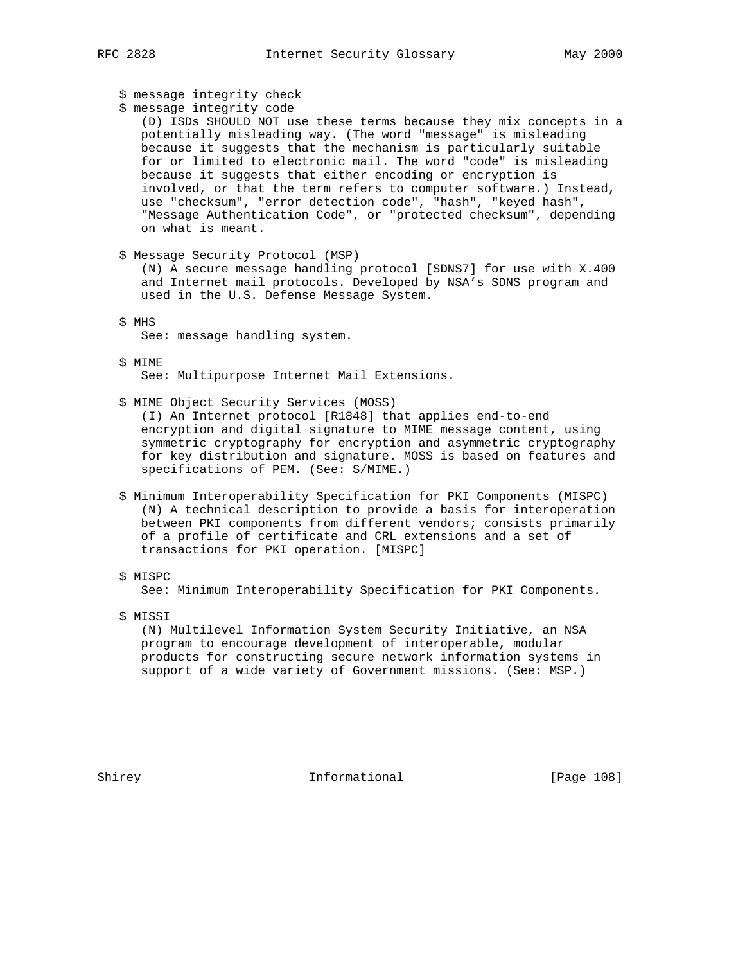|        | RFC 2828                                                                     | Internet Security Glossary                                                                                                                                                                                                                                                                                                                                                                                                                                                                                                                         | May 2000   |
|--------|------------------------------------------------------------------------------|----------------------------------------------------------------------------------------------------------------------------------------------------------------------------------------------------------------------------------------------------------------------------------------------------------------------------------------------------------------------------------------------------------------------------------------------------------------------------------------------------------------------------------------------------|------------|
|        | \$ message integrity check<br>\$ message integrity code<br>on what is meant. | (D) ISDs SHOULD NOT use these terms because they mix concepts in a<br>potentially misleading way. (The word "message" is misleading<br>because it suggests that the mechanism is particularly suitable<br>for or limited to electronic mail. The word "code" is misleading<br>because it suggests that either encoding or encryption is<br>involved, or that the term refers to computer software.) Instead,<br>use "checksum", "error detection code", "hash", "keyed hash",<br>"Message Authentication Code", or "protected checksum", depending |            |
|        | \$ Message Security Protocol (MSP)                                           | (N) A secure message handling protocol [SDNS7] for use with X.400<br>and Internet mail protocols. Developed by NSA's SDNS program and<br>used in the U.S. Defense Message System.                                                                                                                                                                                                                                                                                                                                                                  |            |
|        | \$ MHS<br>See: message handling system.                                      |                                                                                                                                                                                                                                                                                                                                                                                                                                                                                                                                                    |            |
|        | S MIME                                                                       | See: Multipurpose Internet Mail Extensions.                                                                                                                                                                                                                                                                                                                                                                                                                                                                                                        |            |
|        | \$ MIME Object Security Services (MOSS)                                      | (I) An Internet protocol [R1848] that applies end-to-end<br>encryption and digital signature to MIME message content, using<br>symmetric cryptography for encryption and asymmetric cryptography<br>for key distribution and signature. MOSS is based on features and<br>specifications of PEM. (See: S/MIME.)                                                                                                                                                                                                                                     |            |
|        |                                                                              | \$ Minimum Interoperability Specification for PKI Components (MISPC)<br>(N) A technical description to provide a basis for interoperation<br>between PKI components from different vendors; consists primarily<br>of a profile of certificate and CRL extensions and a set of<br>transactions for PKI operation. [MISPC]                                                                                                                                                                                                                           |            |
|        | \$ MISPC                                                                     | See: Minimum Interoperability Specification for PKI Components.                                                                                                                                                                                                                                                                                                                                                                                                                                                                                    |            |
|        | \$ MISSI                                                                     | (N) Multilevel Information System Security Initiative, an NSA<br>program to encourage development of interoperable, modular<br>products for constructing secure network information systems in<br>support of a wide variety of Government missions. (See: MSP.)                                                                                                                                                                                                                                                                                    |            |
| Shirey |                                                                              | Informational                                                                                                                                                                                                                                                                                                                                                                                                                                                                                                                                      | [Page 108] |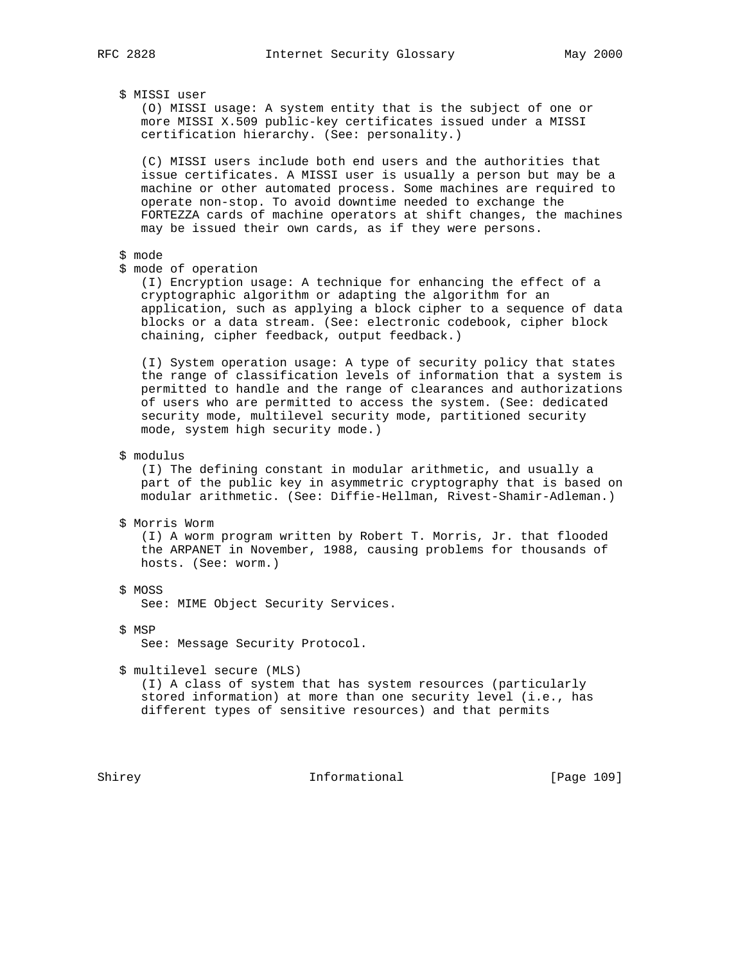## \$ MISSI user

 (O) MISSI usage: A system entity that is the subject of one or more MISSI X.509 public-key certificates issued under a MISSI certification hierarchy. (See: personality.)

 (C) MISSI users include both end users and the authorities that issue certificates. A MISSI user is usually a person but may be a machine or other automated process. Some machines are required to operate non-stop. To avoid downtime needed to exchange the FORTEZZA cards of machine operators at shift changes, the machines may be issued their own cards, as if they were persons.

#### \$ mode

\$ mode of operation

 (I) Encryption usage: A technique for enhancing the effect of a cryptographic algorithm or adapting the algorithm for an application, such as applying a block cipher to a sequence of data blocks or a data stream. (See: electronic codebook, cipher block chaining, cipher feedback, output feedback.)

 (I) System operation usage: A type of security policy that states the range of classification levels of information that a system is permitted to handle and the range of clearances and authorizations of users who are permitted to access the system. (See: dedicated security mode, multilevel security mode, partitioned security mode, system high security mode.)

\$ modulus

 (I) The defining constant in modular arithmetic, and usually a part of the public key in asymmetric cryptography that is based on modular arithmetic. (See: Diffie-Hellman, Rivest-Shamir-Adleman.)

\$ Morris Worm

 (I) A worm program written by Robert T. Morris, Jr. that flooded the ARPANET in November, 1988, causing problems for thousands of hosts. (See: worm.)

\$ MOSS

See: MIME Object Security Services.

\$ MSP

See: Message Security Protocol.

\$ multilevel secure (MLS)

 (I) A class of system that has system resources (particularly stored information) at more than one security level (i.e., has different types of sensitive resources) and that permits

Shirey **Informational** [Page 109]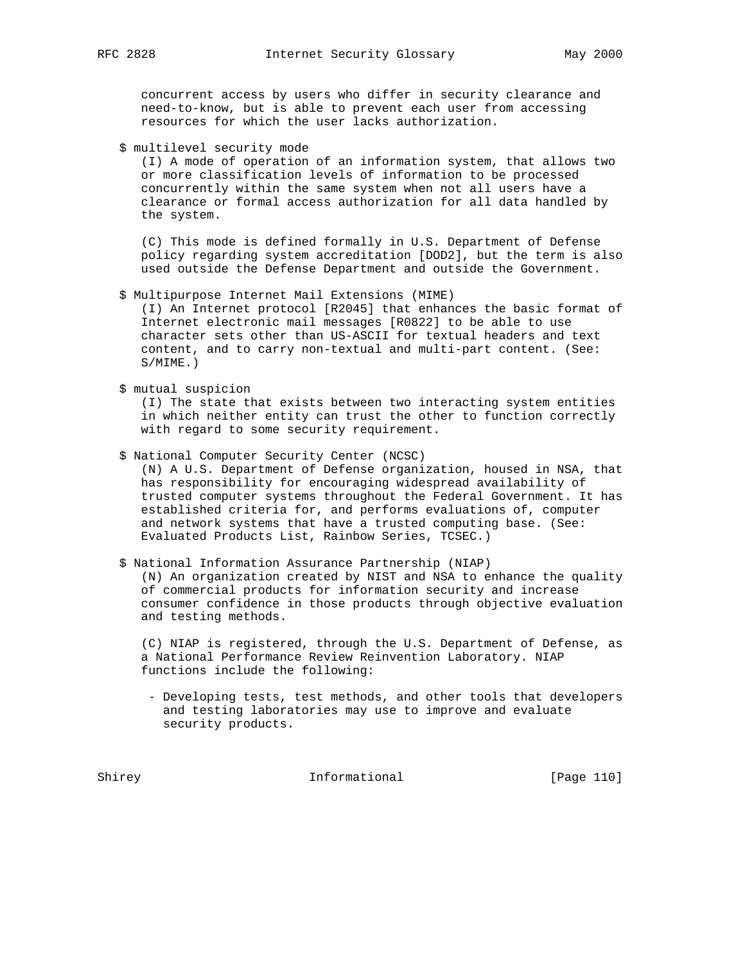concurrent access by users who differ in security clearance and need-to-know, but is able to prevent each user from accessing resources for which the user lacks authorization.

\$ multilevel security mode

 (I) A mode of operation of an information system, that allows two or more classification levels of information to be processed concurrently within the same system when not all users have a clearance or formal access authorization for all data handled by the system.

 (C) This mode is defined formally in U.S. Department of Defense policy regarding system accreditation [DOD2], but the term is also used outside the Defense Department and outside the Government.

\$ Multipurpose Internet Mail Extensions (MIME)

 (I) An Internet protocol [R2045] that enhances the basic format of Internet electronic mail messages [R0822] to be able to use character sets other than US-ASCII for textual headers and text content, and to carry non-textual and multi-part content. (See: S/MIME.)

\$ mutual suspicion

 (I) The state that exists between two interacting system entities in which neither entity can trust the other to function correctly with regard to some security requirement.

 \$ National Computer Security Center (NCSC) (N) A U.S. Department of Defense organization, housed in NSA, that has responsibility for encouraging widespread availability of trusted computer systems throughout the Federal Government. It has established criteria for, and performs evaluations of, computer and network systems that have a trusted computing base. (See:

\$ National Information Assurance Partnership (NIAP)

Evaluated Products List, Rainbow Series, TCSEC.)

 (N) An organization created by NIST and NSA to enhance the quality of commercial products for information security and increase consumer confidence in those products through objective evaluation and testing methods.

 (C) NIAP is registered, through the U.S. Department of Defense, as a National Performance Review Reinvention Laboratory. NIAP functions include the following:

 - Developing tests, test methods, and other tools that developers and testing laboratories may use to improve and evaluate security products.

Shirey **Informational** [Page 110]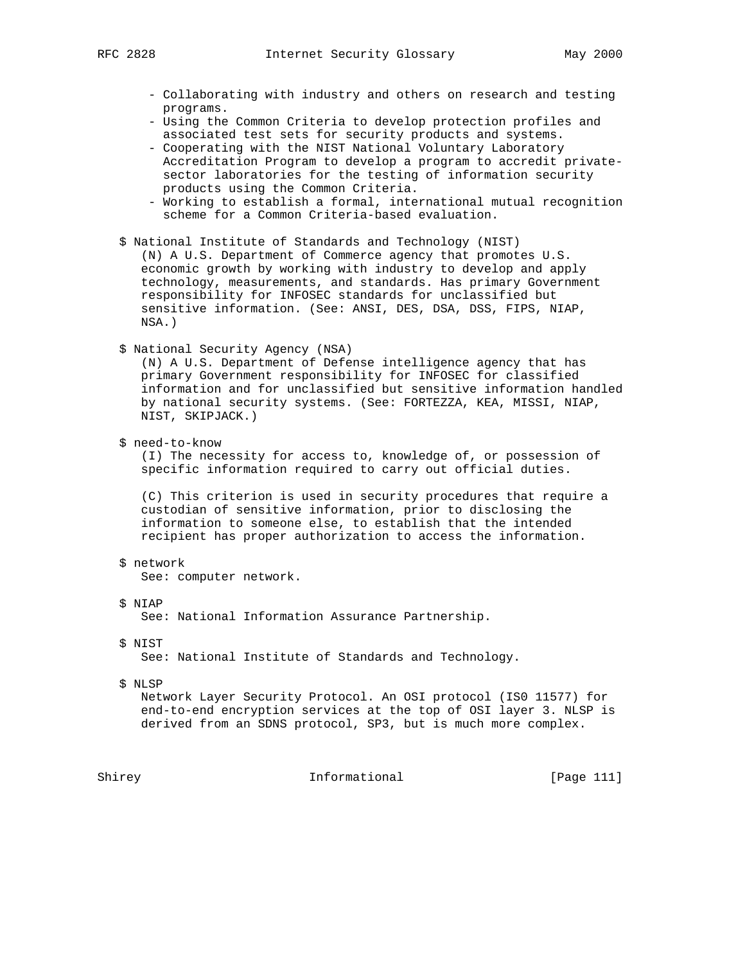- Collaborating with industry and others on research and testing programs.
- Using the Common Criteria to develop protection profiles and associated test sets for security products and systems.
- Cooperating with the NIST National Voluntary Laboratory Accreditation Program to develop a program to accredit private sector laboratories for the testing of information security products using the Common Criteria.
- Working to establish a formal, international mutual recognition scheme for a Common Criteria-based evaluation.
- \$ National Institute of Standards and Technology (NIST)

 (N) A U.S. Department of Commerce agency that promotes U.S. economic growth by working with industry to develop and apply technology, measurements, and standards. Has primary Government responsibility for INFOSEC standards for unclassified but sensitive information. (See: ANSI, DES, DSA, DSS, FIPS, NIAP, NSA.)

\$ National Security Agency (NSA)

 (N) A U.S. Department of Defense intelligence agency that has primary Government responsibility for INFOSEC for classified information and for unclassified but sensitive information handled by national security systems. (See: FORTEZZA, KEA, MISSI, NIAP, NIST, SKIPJACK.)

\$ need-to-know

 (I) The necessity for access to, knowledge of, or possession of specific information required to carry out official duties.

 (C) This criterion is used in security procedures that require a custodian of sensitive information, prior to disclosing the information to someone else, to establish that the intended recipient has proper authorization to access the information.

\$ network

See: computer network.

\$ NIAP

See: National Information Assurance Partnership.

\$ NIST

See: National Institute of Standards and Technology.

\$ NLSP

 Network Layer Security Protocol. An OSI protocol (IS0 11577) for end-to-end encryption services at the top of OSI layer 3. NLSP is derived from an SDNS protocol, SP3, but is much more complex.

Shirey **Informational** [Page 111]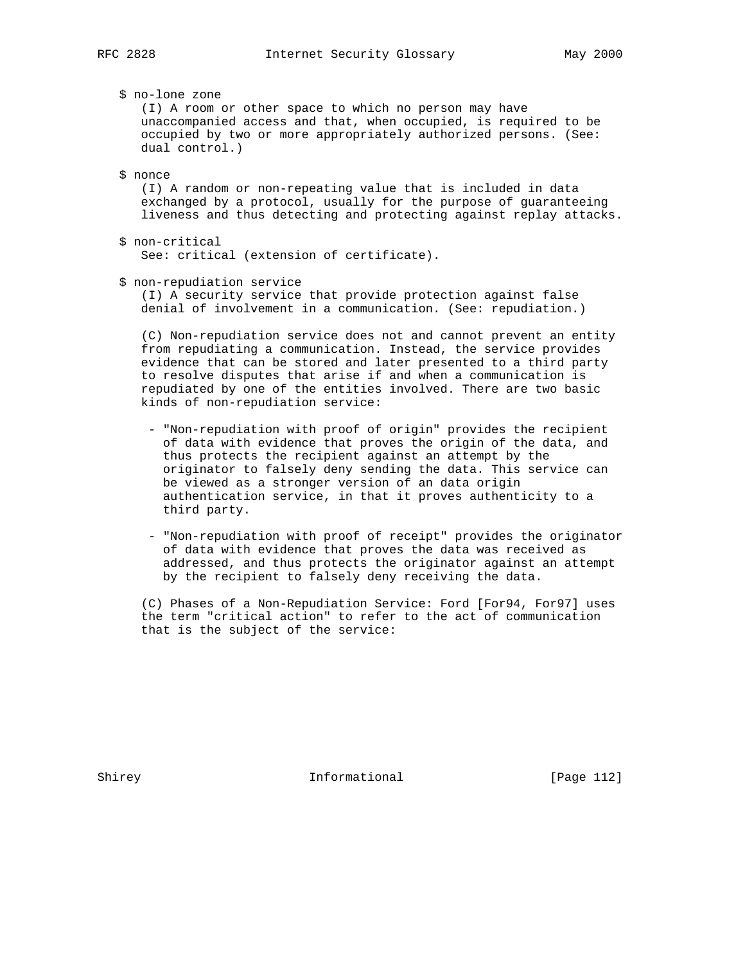\$ no-lone zone

 (I) A room or other space to which no person may have unaccompanied access and that, when occupied, is required to be occupied by two or more appropriately authorized persons. (See: dual control.)

#### \$ nonce

 (I) A random or non-repeating value that is included in data exchanged by a protocol, usually for the purpose of guaranteeing liveness and thus detecting and protecting against replay attacks.

- \$ non-critical See: critical (extension of certificate).
- \$ non-repudiation service

 (I) A security service that provide protection against false denial of involvement in a communication. (See: repudiation.)

 (C) Non-repudiation service does not and cannot prevent an entity from repudiating a communication. Instead, the service provides evidence that can be stored and later presented to a third party to resolve disputes that arise if and when a communication is repudiated by one of the entities involved. There are two basic kinds of non-repudiation service:

- "Non-repudiation with proof of origin" provides the recipient of data with evidence that proves the origin of the data, and thus protects the recipient against an attempt by the originator to falsely deny sending the data. This service can be viewed as a stronger version of an data origin authentication service, in that it proves authenticity to a third party.
- "Non-repudiation with proof of receipt" provides the originator of data with evidence that proves the data was received as addressed, and thus protects the originator against an attempt by the recipient to falsely deny receiving the data.

 (C) Phases of a Non-Repudiation Service: Ford [For94, For97] uses the term "critical action" to refer to the act of communication that is the subject of the service:

Shirey **Informational** [Page 112]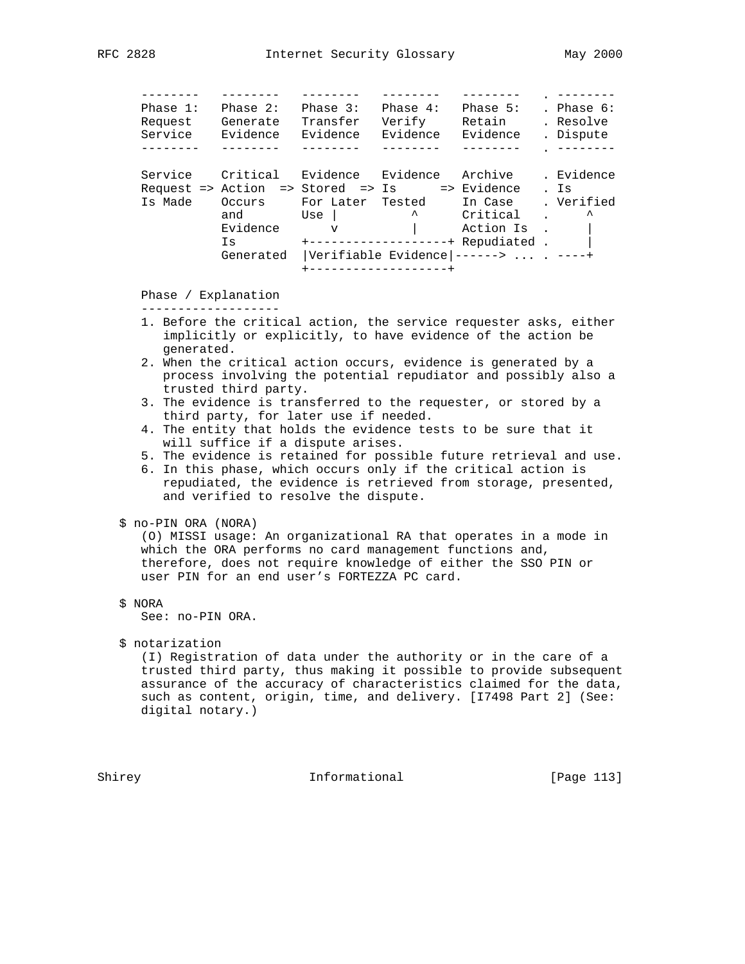```
 -------- -------- -------- -------- -------- . --------
 Phase 1: Phase 2: Phase 3: Phase 4: Phase 5: . Phase 6:
 Request Generate Transfer Verify Retain . Resolve
 Service Evidence Evidence Evidence Evidence . Dispute
 -------- -------- -------- -------- -------- . --------
     Service Critical Evidence Evidence Archive . Evidence
     Request => Action => Stored => Is => Evidence . Is
 Is Made Occurs For Later Tested In Case . Verified
and Use and Use \sim \sim Critical . \simEvidence v | Action Is . |
 Is +-------------------+ Repudiated . |
             Generated |Verifiable Evidence|------> ... . ----+
                     +-------------------+
```
 Phase / Explanation -------------------

- 1. Before the critical action, the service requester asks, either implicitly or explicitly, to have evidence of the action be generated.
- 2. When the critical action occurs, evidence is generated by a process involving the potential repudiator and possibly also a trusted third party.
- 3. The evidence is transferred to the requester, or stored by a third party, for later use if needed.
- 4. The entity that holds the evidence tests to be sure that it will suffice if a dispute arises.
- 5. The evidence is retained for possible future retrieval and use.
- 6. In this phase, which occurs only if the critical action is repudiated, the evidence is retrieved from storage, presented, and verified to resolve the dispute.
- \$ no-PIN ORA (NORA)

 (O) MISSI usage: An organizational RA that operates in a mode in which the ORA performs no card management functions and, therefore, does not require knowledge of either the SSO PIN or user PIN for an end user's FORTEZZA PC card.

\$ NORA

See: no-PIN ORA.

\$ notarization

 (I) Registration of data under the authority or in the care of a trusted third party, thus making it possible to provide subsequent assurance of the accuracy of characteristics claimed for the data, such as content, origin, time, and delivery. [I7498 Part 2] (See: digital notary.)

Shirey **Informational** [Page 113]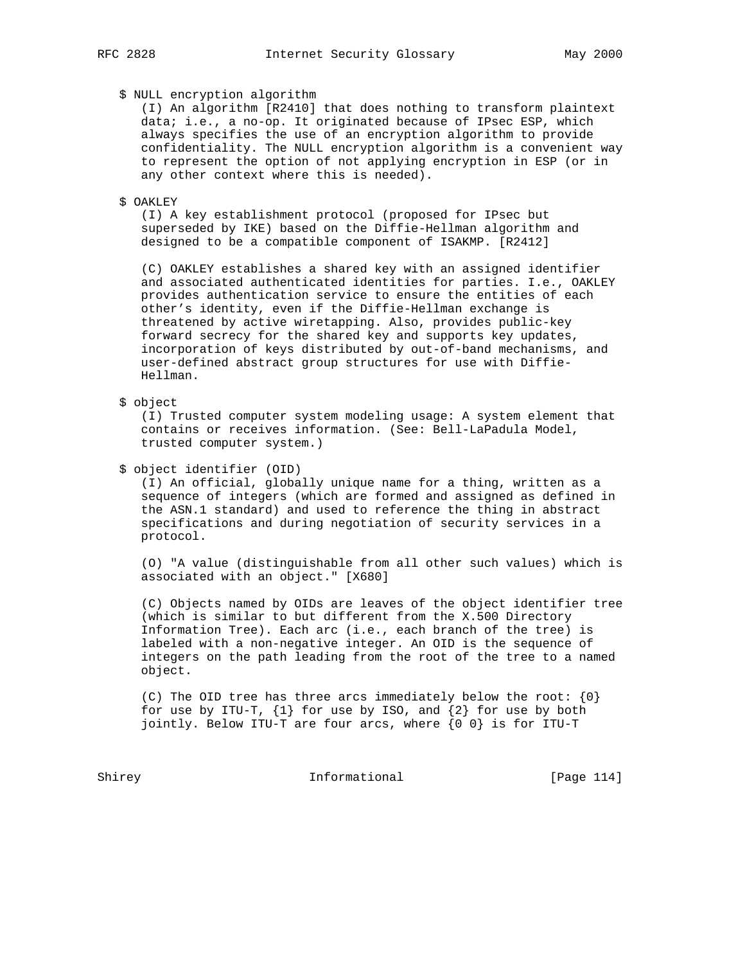## \$ NULL encryption algorithm

 (I) An algorithm [R2410] that does nothing to transform plaintext data; i.e., a no-op. It originated because of IPsec ESP, which always specifies the use of an encryption algorithm to provide confidentiality. The NULL encryption algorithm is a convenient way to represent the option of not applying encryption in ESP (or in any other context where this is needed).

\$ OAKLEY

 (I) A key establishment protocol (proposed for IPsec but superseded by IKE) based on the Diffie-Hellman algorithm and designed to be a compatible component of ISAKMP. [R2412]

 (C) OAKLEY establishes a shared key with an assigned identifier and associated authenticated identities for parties. I.e., OAKLEY provides authentication service to ensure the entities of each other's identity, even if the Diffie-Hellman exchange is threatened by active wiretapping. Also, provides public-key forward secrecy for the shared key and supports key updates, incorporation of keys distributed by out-of-band mechanisms, and user-defined abstract group structures for use with Diffie- Hellman.

\$ object

 (I) Trusted computer system modeling usage: A system element that contains or receives information. (See: Bell-LaPadula Model, trusted computer system.)

\$ object identifier (OID)

 (I) An official, globally unique name for a thing, written as a sequence of integers (which are formed and assigned as defined in the ASN.1 standard) and used to reference the thing in abstract specifications and during negotiation of security services in a protocol.

 (O) "A value (distinguishable from all other such values) which is associated with an object." [X680]

 (C) Objects named by OIDs are leaves of the object identifier tree (which is similar to but different from the X.500 Directory Information Tree). Each arc (i.e., each branch of the tree) is labeled with a non-negative integer. An OID is the sequence of integers on the path leading from the root of the tree to a named object.

(C) The OID tree has three arcs immediately below the root:  $\{0\}$ for use by ITU-T,  $\{1\}$  for use by ISO, and  $\{2\}$  for use by both jointly. Below ITU-T are four arcs, where {0 0} is for ITU-T

Shirey **Informational** [Page 114]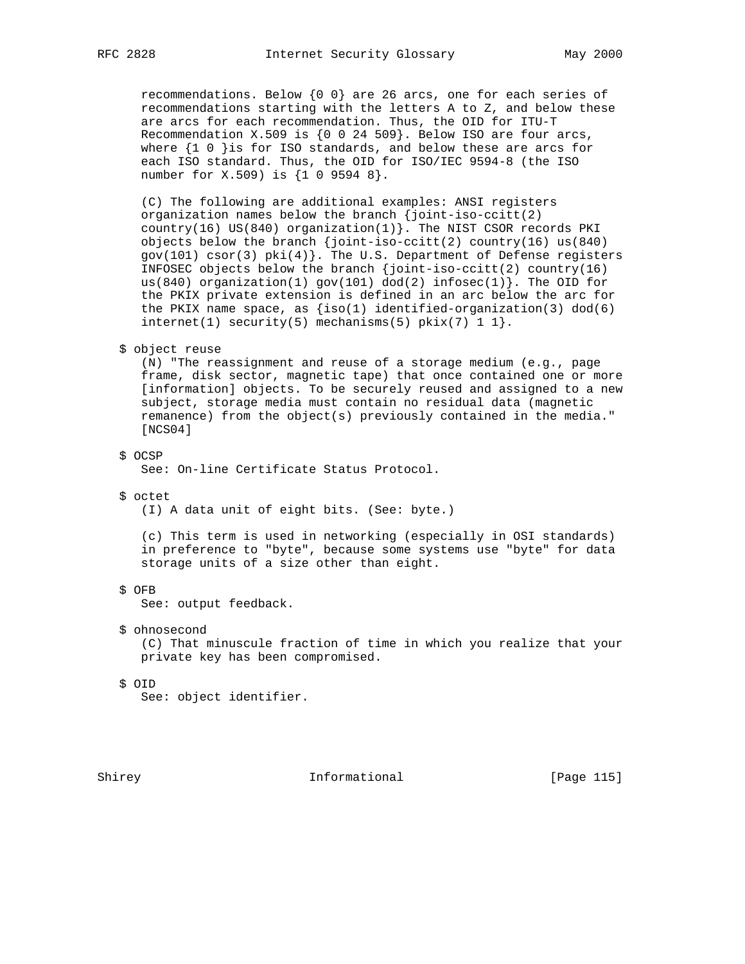recommendations. Below  $\{0\ 0\}$  are 26 arcs, one for each series of recommendations starting with the letters A to Z, and below these are arcs for each recommendation. Thus, the OID for ITU-T Recommendation X.509 is  $\{0$  0 24 509}. Below ISO are four arcs, where  $\{1\ 0\ }$  is for ISO standards, and below these are arcs for each ISO standard. Thus, the OID for ISO/IEC 9594-8 (the ISO number for X.509) is {1 0 9594 8}.

 (C) The following are additional examples: ANSI registers organization names below the branch {joint-iso-ccitt(2) country(16) US(840) organization(1)}. The NIST CSOR records PKI objects below the branch  $\{joint-iso-ccitt(2)$  country(16) us(840) gov(101) csor(3) pki(4)}. The U.S. Department of Defense registers INFOSEC objects below the branch  $\{\n$ ioint-iso-ccitt(2) country(16) us(840) organization(1) gov(101)  $dod(2)$  infosec(1) }. The OID for the PKIX private extension is defined in an arc below the arc for the PKIX name space, as  ${\text{iso}(1)}$  identified-organization(3) dod(6)  $internet(1) security(5) mechanisms(5) pix(7) 1.$ 

```
 $ object reuse
```
 (N) "The reassignment and reuse of a storage medium (e.g., page frame, disk sector, magnetic tape) that once contained one or more [information] objects. To be securely reused and assigned to a new subject, storage media must contain no residual data (magnetic remanence) from the object(s) previously contained in the media." [NCS04]

\$ OCSP

See: On-line Certificate Status Protocol.

\$ octet

(I) A data unit of eight bits. (See: byte.)

 (c) This term is used in networking (especially in OSI standards) in preference to "byte", because some systems use "byte" for data storage units of a size other than eight.

\$ OFB

See: output feedback.

\$ ohnosecond

 (C) That minuscule fraction of time in which you realize that your private key has been compromised.

\$ OID

See: object identifier.

Shirey **Informational** [Page 115]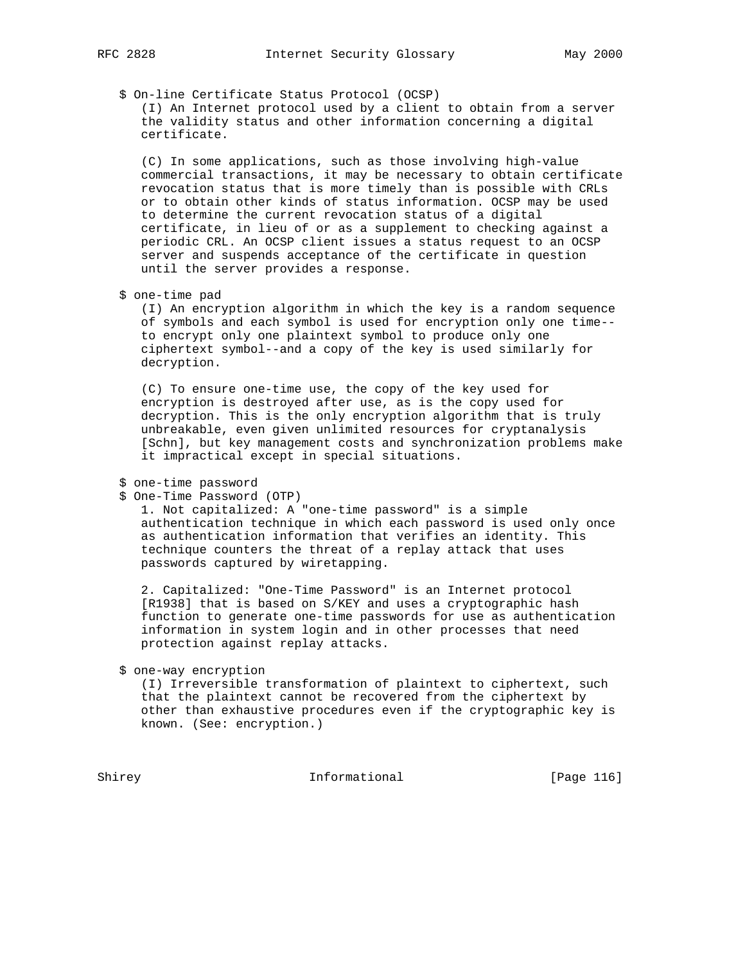\$ On-line Certificate Status Protocol (OCSP)

 (I) An Internet protocol used by a client to obtain from a server the validity status and other information concerning a digital certificate.

 (C) In some applications, such as those involving high-value commercial transactions, it may be necessary to obtain certificate revocation status that is more timely than is possible with CRLs or to obtain other kinds of status information. OCSP may be used to determine the current revocation status of a digital certificate, in lieu of or as a supplement to checking against a periodic CRL. An OCSP client issues a status request to an OCSP server and suspends acceptance of the certificate in question until the server provides a response.

\$ one-time pad

 (I) An encryption algorithm in which the key is a random sequence of symbols and each symbol is used for encryption only one time- to encrypt only one plaintext symbol to produce only one ciphertext symbol--and a copy of the key is used similarly for decryption.

 (C) To ensure one-time use, the copy of the key used for encryption is destroyed after use, as is the copy used for decryption. This is the only encryption algorithm that is truly unbreakable, even given unlimited resources for cryptanalysis [Schn], but key management costs and synchronization problems make it impractical except in special situations.

\$ one-time password

\$ One-Time Password (OTP)

 1. Not capitalized: A "one-time password" is a simple authentication technique in which each password is used only once as authentication information that verifies an identity. This technique counters the threat of a replay attack that uses passwords captured by wiretapping.

 2. Capitalized: "One-Time Password" is an Internet protocol [R1938] that is based on S/KEY and uses a cryptographic hash function to generate one-time passwords for use as authentication information in system login and in other processes that need protection against replay attacks.

\$ one-way encryption

 (I) Irreversible transformation of plaintext to ciphertext, such that the plaintext cannot be recovered from the ciphertext by other than exhaustive procedures even if the cryptographic key is known. (See: encryption.)

Shirey **Informational** [Page 116]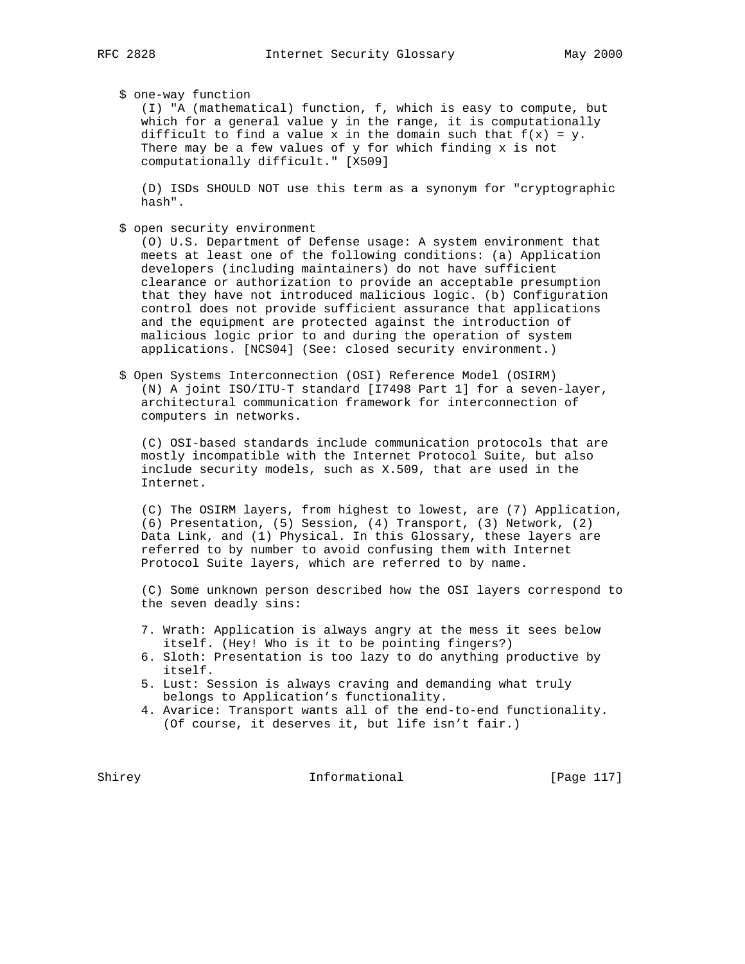\$ one-way function

 (I) "A (mathematical) function, f, which is easy to compute, but which for a general value y in the range, it is computationally difficult to find a value x in the domain such that  $f(x) = y$ . There may be a few values of y for which finding x is not computationally difficult." [X509]

 (D) ISDs SHOULD NOT use this term as a synonym for "cryptographic hash".

\$ open security environment

 (O) U.S. Department of Defense usage: A system environment that meets at least one of the following conditions: (a) Application developers (including maintainers) do not have sufficient clearance or authorization to provide an acceptable presumption that they have not introduced malicious logic. (b) Configuration control does not provide sufficient assurance that applications and the equipment are protected against the introduction of malicious logic prior to and during the operation of system applications. [NCS04] (See: closed security environment.)

 \$ Open Systems Interconnection (OSI) Reference Model (OSIRM) (N) A joint ISO/ITU-T standard [I7498 Part 1] for a seven-layer, architectural communication framework for interconnection of computers in networks.

 (C) OSI-based standards include communication protocols that are mostly incompatible with the Internet Protocol Suite, but also include security models, such as X.509, that are used in the Internet.

 (C) The OSIRM layers, from highest to lowest, are (7) Application, (6) Presentation, (5) Session, (4) Transport, (3) Network, (2) Data Link, and (1) Physical. In this Glossary, these layers are referred to by number to avoid confusing them with Internet Protocol Suite layers, which are referred to by name.

 (C) Some unknown person described how the OSI layers correspond to the seven deadly sins:

- 7. Wrath: Application is always angry at the mess it sees below itself. (Hey! Who is it to be pointing fingers?)
- 6. Sloth: Presentation is too lazy to do anything productive by itself.
- 5. Lust: Session is always craving and demanding what truly belongs to Application's functionality.
- 4. Avarice: Transport wants all of the end-to-end functionality. (Of course, it deserves it, but life isn't fair.)

Shirey **Informational** [Page 117]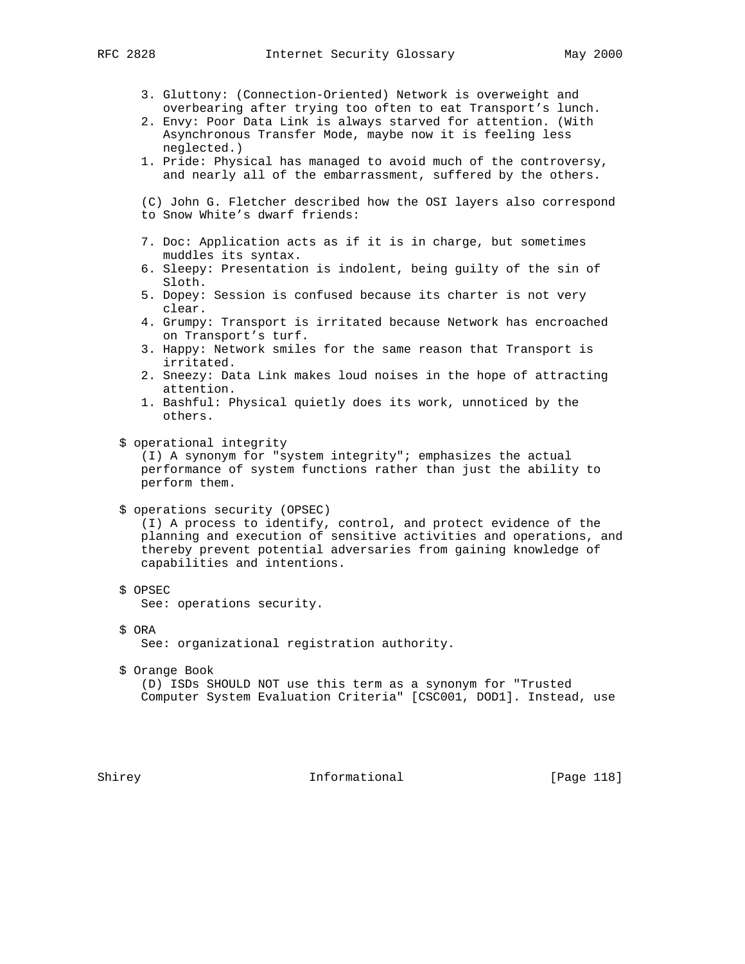- 3. Gluttony: (Connection-Oriented) Network is overweight and overbearing after trying too often to eat Transport's lunch.
- 2. Envy: Poor Data Link is always starved for attention. (With Asynchronous Transfer Mode, maybe now it is feeling less neglected.)
- 1. Pride: Physical has managed to avoid much of the controversy, and nearly all of the embarrassment, suffered by the others.

 (C) John G. Fletcher described how the OSI layers also correspond to Snow White's dwarf friends:

- 7. Doc: Application acts as if it is in charge, but sometimes muddles its syntax.
- 6. Sleepy: Presentation is indolent, being guilty of the sin of Sloth.
- 5. Dopey: Session is confused because its charter is not very clear.
- 4. Grumpy: Transport is irritated because Network has encroached on Transport's turf.
- 3. Happy: Network smiles for the same reason that Transport is irritated.
- 2. Sneezy: Data Link makes loud noises in the hope of attracting attention.
- 1. Bashful: Physical quietly does its work, unnoticed by the others.
- \$ operational integrity

 (I) A synonym for "system integrity"; emphasizes the actual performance of system functions rather than just the ability to perform them.

\$ operations security (OPSEC)

 (I) A process to identify, control, and protect evidence of the planning and execution of sensitive activities and operations, and thereby prevent potential adversaries from gaining knowledge of capabilities and intentions.

\$ OPSEC

See: operations security.

\$ ORA

See: organizational registration authority.

\$ Orange Book

 (D) ISDs SHOULD NOT use this term as a synonym for "Trusted Computer System Evaluation Criteria" [CSC001, DOD1]. Instead, use

Shirey **Informational** [Page 118]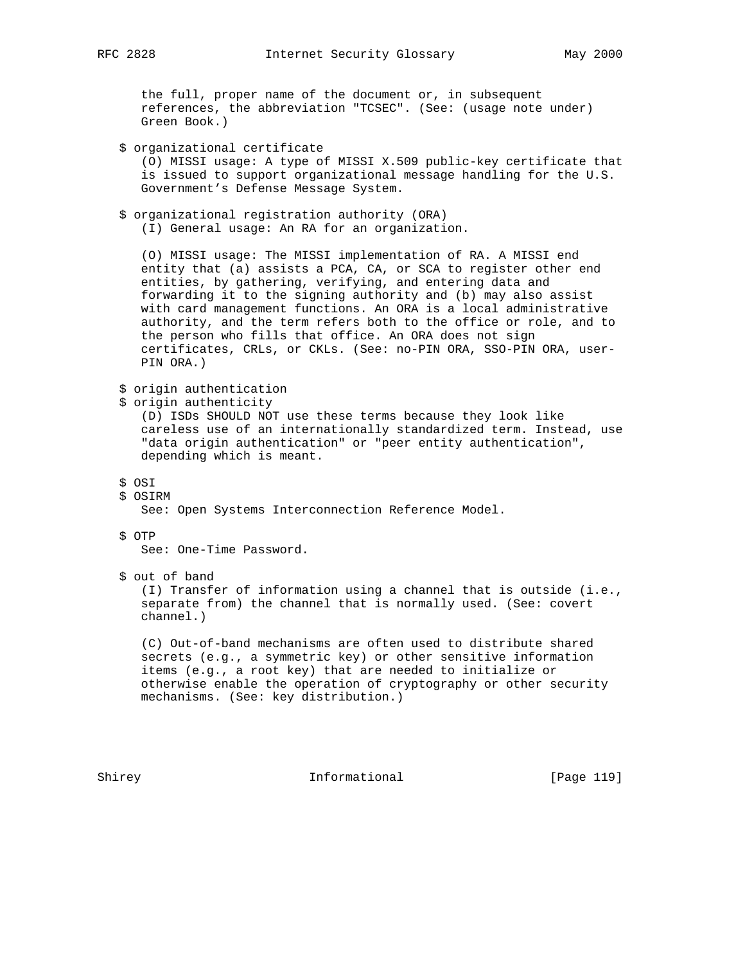the full, proper name of the document or, in subsequent references, the abbreviation "TCSEC". (See: (usage note under) Green Book.)

```
 $ organizational certificate
    (O) MISSI usage: A type of MISSI X.509 public-key certificate that
    is issued to support organizational message handling for the U.S.
   Government's Defense Message System.
 $ organizational registration authority (ORA)
    (I) General usage: An RA for an organization.
    (O) MISSI usage: The MISSI implementation of RA. A MISSI end
    entity that (a) assists a PCA, CA, or SCA to register other end
   entities, by gathering, verifying, and entering data and
    forwarding it to the signing authority and (b) may also assist
   with card management functions. An ORA is a local administrative
   authority, and the term refers both to the office or role, and to
   the person who fills that office. An ORA does not sign
   certificates, CRLs, or CKLs. (See: no-PIN ORA, SSO-PIN ORA, user-
   PIN ORA.)
 $ origin authentication
 $ origin authenticity
    (D) ISDs SHOULD NOT use these terms because they look like
    careless use of an internationally standardized term. Instead, use
    "data origin authentication" or "peer entity authentication",
   depending which is meant.
 $ OSI
```
\$ OSIRM

See: Open Systems Interconnection Reference Model.

# \$ OTP

See: One-Time Password.

\$ out of band

 (I) Transfer of information using a channel that is outside (i.e., separate from) the channel that is normally used. (See: covert channel.)

 (C) Out-of-band mechanisms are often used to distribute shared secrets (e.g., a symmetric key) or other sensitive information items (e.g., a root key) that are needed to initialize or otherwise enable the operation of cryptography or other security mechanisms. (See: key distribution.)

Shirey **Informational** [Page 119]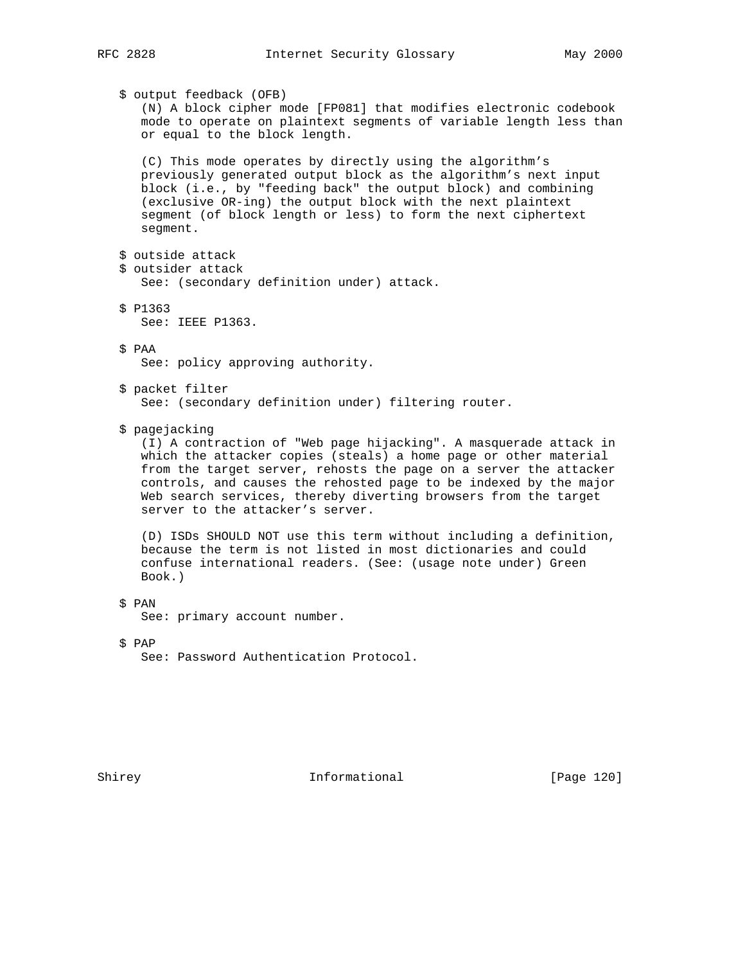\$ output feedback (OFB) (N) A block cipher mode [FP081] that modifies electronic codebook mode to operate on plaintext segments of variable length less than or equal to the block length. (C) This mode operates by directly using the algorithm's previously generated output block as the algorithm's next input block (i.e., by "feeding back" the output block) and combining (exclusive OR-ing) the output block with the next plaintext segment (of block length or less) to form the next ciphertext segment. \$ outside attack \$ outsider attack See: (secondary definition under) attack. \$ P1363 See: IEEE P1363. \$ PAA See: policy approving authority. \$ packet filter See: (secondary definition under) filtering router. \$ pagejacking (I) A contraction of "Web page hijacking". A masquerade attack in which the attacker copies (steals) a home page or other material from the target server, rehosts the page on a server the attacker controls, and causes the rehosted page to be indexed by the major Web search services, thereby diverting browsers from the target server to the attacker's server. (D) ISDs SHOULD NOT use this term without including a definition, because the term is not listed in most dictionaries and could confuse international readers. (See: (usage note under) Green Book.) \$ PAN See: primary account number.

\$ PAP

See: Password Authentication Protocol.

Shirey **Informational** [Page 120]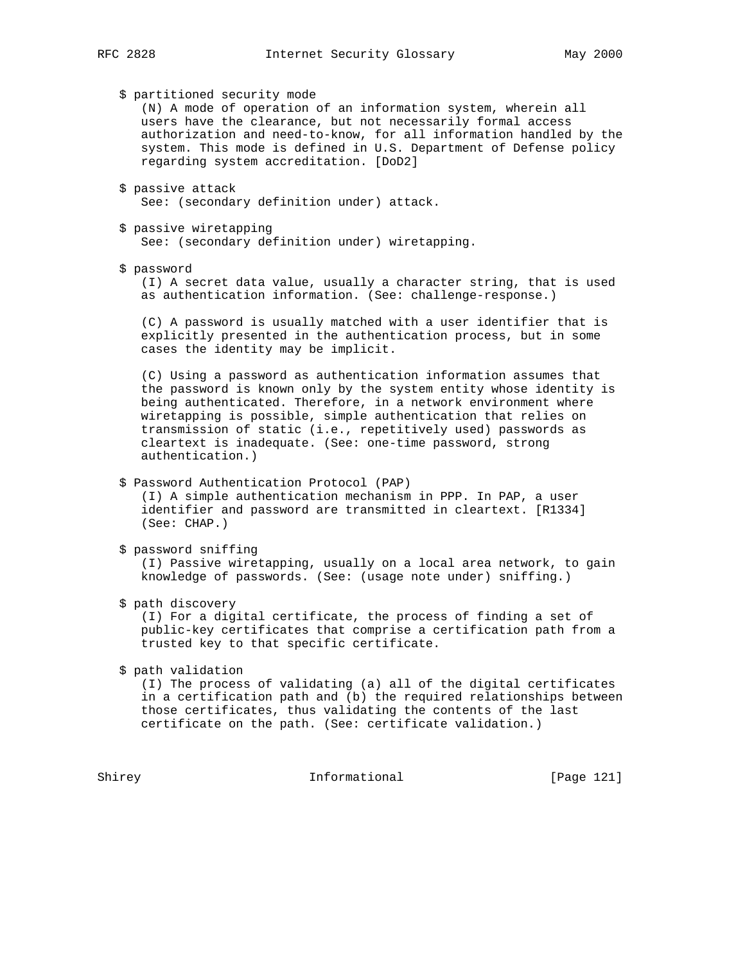\$ partitioned security mode

 (N) A mode of operation of an information system, wherein all users have the clearance, but not necessarily formal access authorization and need-to-know, for all information handled by the system. This mode is defined in U.S. Department of Defense policy regarding system accreditation. [DoD2]

 \$ passive attack See: (secondary definition under) attack.

 \$ passive wiretapping See: (secondary definition under) wiretapping.

\$ password

 (I) A secret data value, usually a character string, that is used as authentication information. (See: challenge-response.)

 (C) A password is usually matched with a user identifier that is explicitly presented in the authentication process, but in some cases the identity may be implicit.

 (C) Using a password as authentication information assumes that the password is known only by the system entity whose identity is being authenticated. Therefore, in a network environment where wiretapping is possible, simple authentication that relies on transmission of static (i.e., repetitively used) passwords as cleartext is inadequate. (See: one-time password, strong authentication.)

## \$ Password Authentication Protocol (PAP)

 (I) A simple authentication mechanism in PPP. In PAP, a user identifier and password are transmitted in cleartext. [R1334] (See: CHAP.)

```
 $ password sniffing
```
 (I) Passive wiretapping, usually on a local area network, to gain knowledge of passwords. (See: (usage note under) sniffing.)

\$ path discovery

 (I) For a digital certificate, the process of finding a set of public-key certificates that comprise a certification path from a trusted key to that specific certificate.

\$ path validation

 (I) The process of validating (a) all of the digital certificates in a certification path and (b) the required relationships between those certificates, thus validating the contents of the last certificate on the path. (See: certificate validation.)

Shirey **Informational** [Page 121]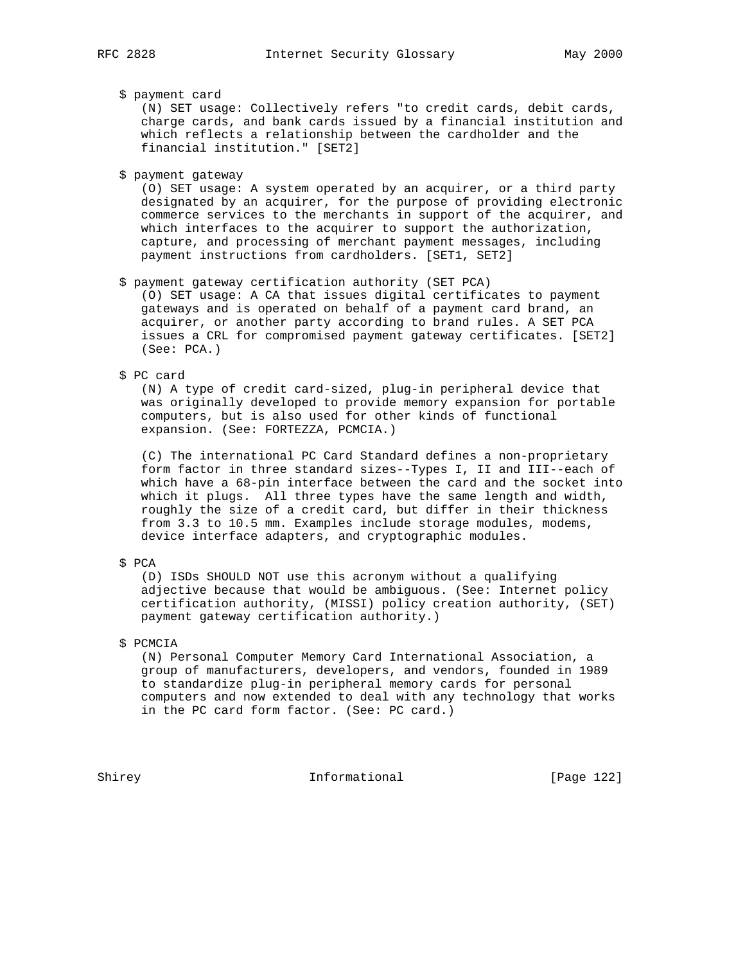## \$ payment card

 (N) SET usage: Collectively refers "to credit cards, debit cards, charge cards, and bank cards issued by a financial institution and which reflects a relationship between the cardholder and the financial institution." [SET2]

\$ payment gateway

 (O) SET usage: A system operated by an acquirer, or a third party designated by an acquirer, for the purpose of providing electronic commerce services to the merchants in support of the acquirer, and which interfaces to the acquirer to support the authorization, capture, and processing of merchant payment messages, including payment instructions from cardholders. [SET1, SET2]

\$ payment gateway certification authority (SET PCA)

 (O) SET usage: A CA that issues digital certificates to payment gateways and is operated on behalf of a payment card brand, an acquirer, or another party according to brand rules. A SET PCA issues a CRL for compromised payment gateway certificates. [SET2] (See: PCA.)

\$ PC card

 (N) A type of credit card-sized, plug-in peripheral device that was originally developed to provide memory expansion for portable computers, but is also used for other kinds of functional expansion. (See: FORTEZZA, PCMCIA.)

 (C) The international PC Card Standard defines a non-proprietary form factor in three standard sizes--Types I, II and III--each of which have a 68-pin interface between the card and the socket into which it plugs. All three types have the same length and width, roughly the size of a credit card, but differ in their thickness from 3.3 to 10.5 mm. Examples include storage modules, modems, device interface adapters, and cryptographic modules.

\$ PCA

 (D) ISDs SHOULD NOT use this acronym without a qualifying adjective because that would be ambiguous. (See: Internet policy certification authority, (MISSI) policy creation authority, (SET) payment gateway certification authority.)

\$ PCMCIA

 (N) Personal Computer Memory Card International Association, a group of manufacturers, developers, and vendors, founded in 1989 to standardize plug-in peripheral memory cards for personal computers and now extended to deal with any technology that works in the PC card form factor. (See: PC card.)

Shirey **Informational** [Page 122]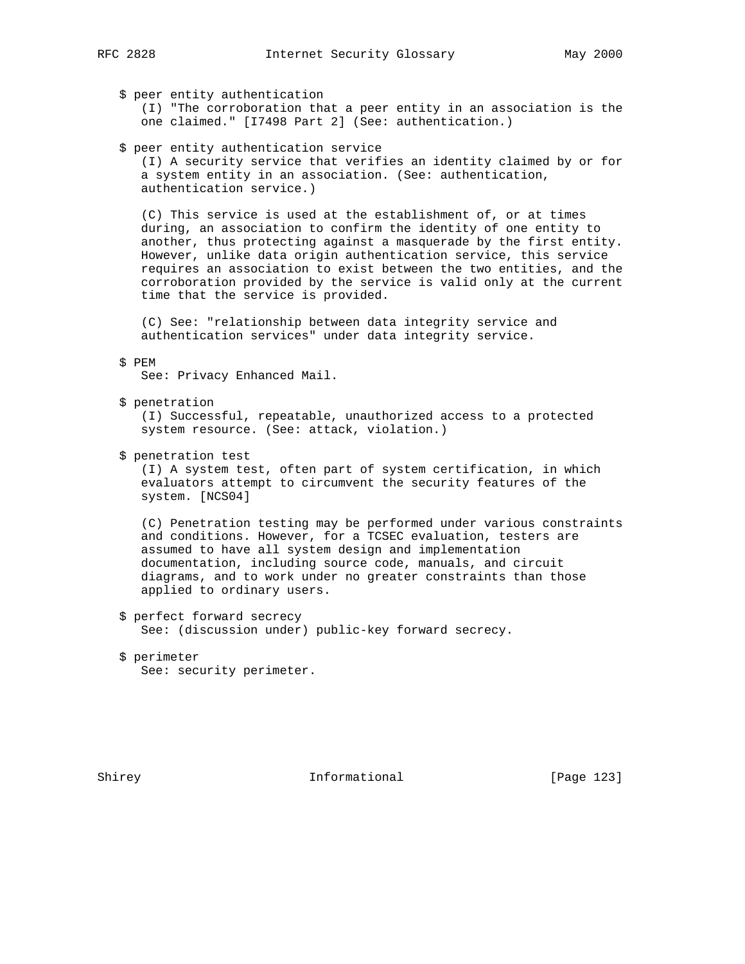\$ peer entity authentication

 (I) "The corroboration that a peer entity in an association is the one claimed." [I7498 Part 2] (See: authentication.)

\$ peer entity authentication service

 (I) A security service that verifies an identity claimed by or for a system entity in an association. (See: authentication, authentication service.)

 (C) This service is used at the establishment of, or at times during, an association to confirm the identity of one entity to another, thus protecting against a masquerade by the first entity. However, unlike data origin authentication service, this service requires an association to exist between the two entities, and the corroboration provided by the service is valid only at the current time that the service is provided.

 (C) See: "relationship between data integrity service and authentication services" under data integrity service.

\$ PEM

See: Privacy Enhanced Mail.

\$ penetration

 (I) Successful, repeatable, unauthorized access to a protected system resource. (See: attack, violation.)

\$ penetration test

 (I) A system test, often part of system certification, in which evaluators attempt to circumvent the security features of the system. [NCS04]

 (C) Penetration testing may be performed under various constraints and conditions. However, for a TCSEC evaluation, testers are assumed to have all system design and implementation documentation, including source code, manuals, and circuit diagrams, and to work under no greater constraints than those applied to ordinary users.

- \$ perfect forward secrecy See: (discussion under) public-key forward secrecy.
- \$ perimeter See: security perimeter.

Shirey **Informational** [Page 123]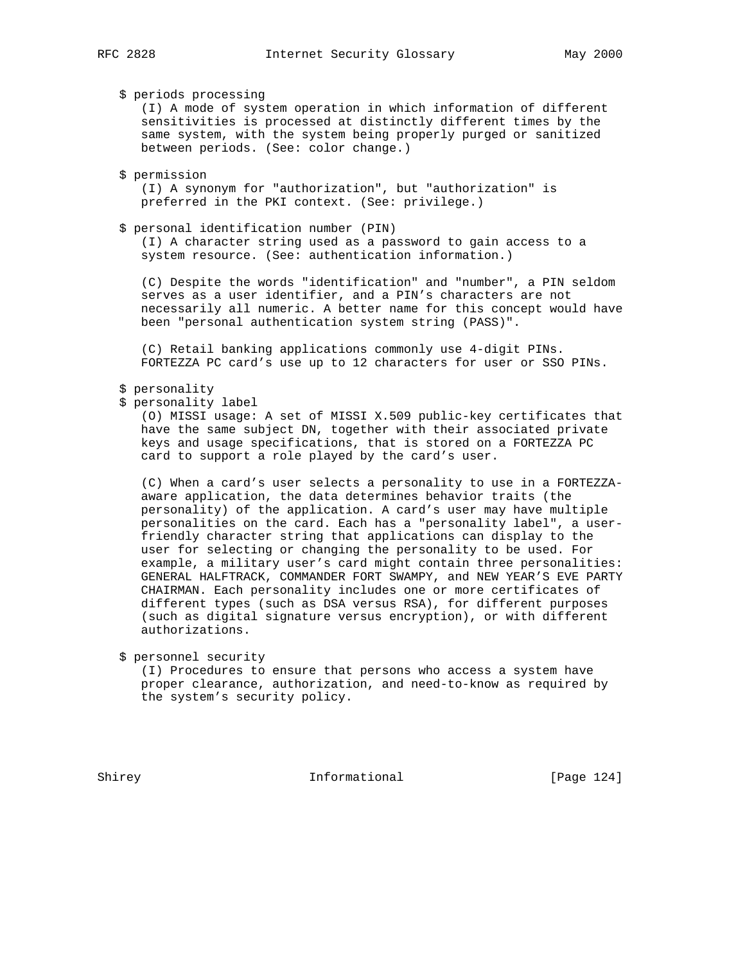\$ periods processing

 (I) A mode of system operation in which information of different sensitivities is processed at distinctly different times by the same system, with the system being properly purged or sanitized between periods. (See: color change.)

\$ permission

 (I) A synonym for "authorization", but "authorization" is preferred in the PKI context. (See: privilege.)

#### \$ personal identification number (PIN)

 (I) A character string used as a password to gain access to a system resource. (See: authentication information.)

 (C) Despite the words "identification" and "number", a PIN seldom serves as a user identifier, and a PIN's characters are not necessarily all numeric. A better name for this concept would have been "personal authentication system string (PASS)".

 (C) Retail banking applications commonly use 4-digit PINs. FORTEZZA PC card's use up to 12 characters for user or SSO PINs.

## \$ personality

\$ personality label

 (O) MISSI usage: A set of MISSI X.509 public-key certificates that have the same subject DN, together with their associated private keys and usage specifications, that is stored on a FORTEZZA PC card to support a role played by the card's user.

 (C) When a card's user selects a personality to use in a FORTEZZA aware application, the data determines behavior traits (the personality) of the application. A card's user may have multiple personalities on the card. Each has a "personality label", a user friendly character string that applications can display to the user for selecting or changing the personality to be used. For example, a military user's card might contain three personalities: GENERAL HALFTRACK, COMMANDER FORT SWAMPY, and NEW YEAR'S EVE PARTY CHAIRMAN. Each personality includes one or more certificates of different types (such as DSA versus RSA), for different purposes (such as digital signature versus encryption), or with different authorizations.

\$ personnel security

 (I) Procedures to ensure that persons who access a system have proper clearance, authorization, and need-to-know as required by the system's security policy.

Shirey 10.1 Informational [Page 124]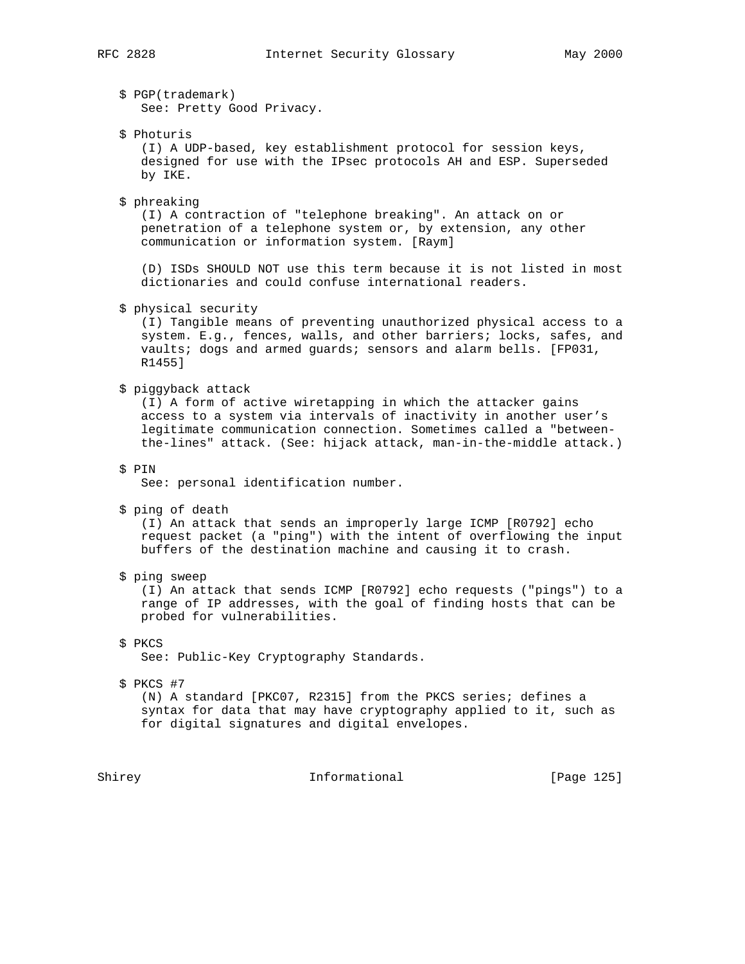\$ PGP(trademark)

See: Pretty Good Privacy.

\$ Photuris

 (I) A UDP-based, key establishment protocol for session keys, designed for use with the IPsec protocols AH and ESP. Superseded by IKE.

\$ phreaking

 (I) A contraction of "telephone breaking". An attack on or penetration of a telephone system or, by extension, any other communication or information system. [Raym]

 (D) ISDs SHOULD NOT use this term because it is not listed in most dictionaries and could confuse international readers.

\$ physical security

 (I) Tangible means of preventing unauthorized physical access to a system. E.g., fences, walls, and other barriers; locks, safes, and vaults; dogs and armed guards; sensors and alarm bells. [FP031, R1455]

#### \$ piggyback attack

 (I) A form of active wiretapping in which the attacker gains access to a system via intervals of inactivity in another user's legitimate communication connection. Sometimes called a "between the-lines" attack. (See: hijack attack, man-in-the-middle attack.)

\$ PIN

See: personal identification number.

\$ ping of death

 (I) An attack that sends an improperly large ICMP [R0792] echo request packet (a "ping") with the intent of overflowing the input buffers of the destination machine and causing it to crash.

\$ ping sweep

 (I) An attack that sends ICMP [R0792] echo requests ("pings") to a range of IP addresses, with the goal of finding hosts that can be probed for vulnerabilities.

\$ PKCS

See: Public-Key Cryptography Standards.

\$ PKCS #7

 (N) A standard [PKC07, R2315] from the PKCS series; defines a syntax for data that may have cryptography applied to it, such as for digital signatures and digital envelopes.

Shirey **Informational** [Page 125]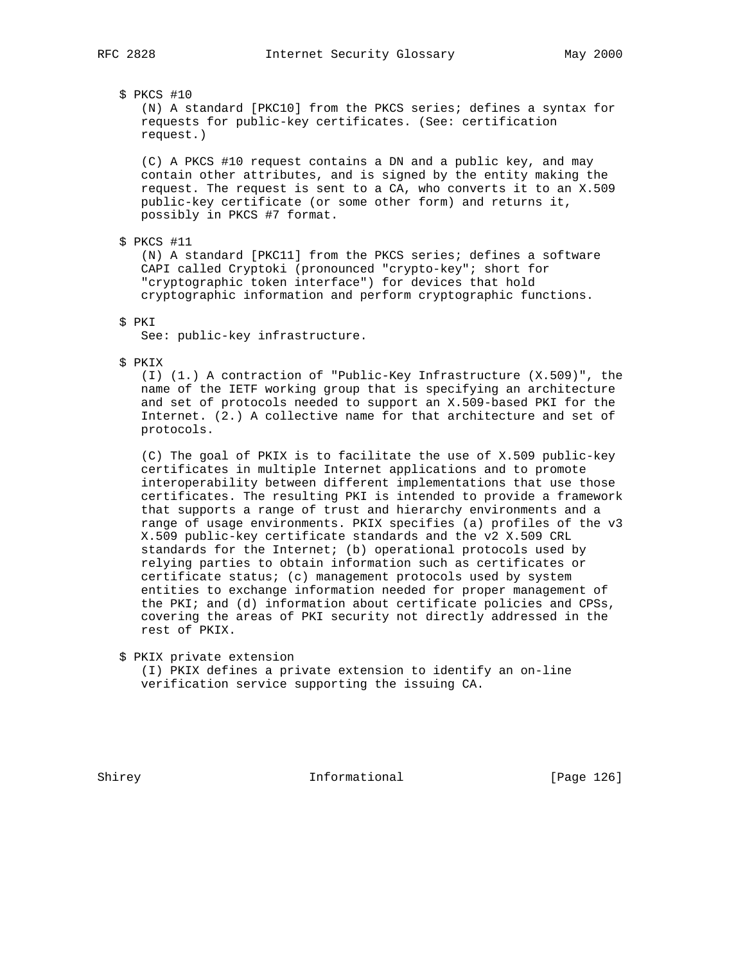\$ PKCS #10

 (N) A standard [PKC10] from the PKCS series; defines a syntax for requests for public-key certificates. (See: certification request.)

 (C) A PKCS #10 request contains a DN and a public key, and may contain other attributes, and is signed by the entity making the request. The request is sent to a CA, who converts it to an X.509 public-key certificate (or some other form) and returns it, possibly in PKCS #7 format.

\$ PKCS #11

 (N) A standard [PKC11] from the PKCS series; defines a software CAPI called Cryptoki (pronounced "crypto-key"; short for "cryptographic token interface") for devices that hold cryptographic information and perform cryptographic functions.

\$ PKI

See: public-key infrastructure.

\$ PKIX

 (I) (1.) A contraction of "Public-Key Infrastructure (X.509)", the name of the IETF working group that is specifying an architecture and set of protocols needed to support an X.509-based PKI for the Internet. (2.) A collective name for that architecture and set of protocols.

 (C) The goal of PKIX is to facilitate the use of X.509 public-key certificates in multiple Internet applications and to promote interoperability between different implementations that use those certificates. The resulting PKI is intended to provide a framework that supports a range of trust and hierarchy environments and a range of usage environments. PKIX specifies (a) profiles of the v3 X.509 public-key certificate standards and the v2 X.509 CRL standards for the Internet; (b) operational protocols used by relying parties to obtain information such as certificates or certificate status; (c) management protocols used by system entities to exchange information needed for proper management of the PKI; and (d) information about certificate policies and CPSs, covering the areas of PKI security not directly addressed in the rest of PKIX.

 \$ PKIX private extension (I) PKIX defines a private extension to identify an on-line verification service supporting the issuing CA.

Shirey **Informational** [Page 126]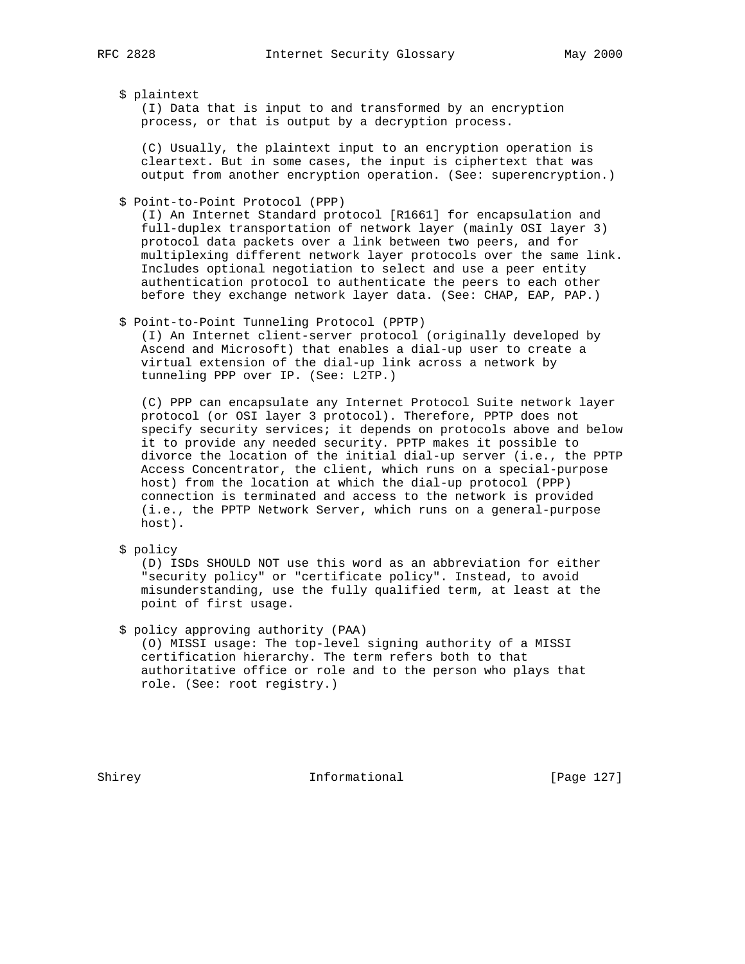#### \$ plaintext

 (I) Data that is input to and transformed by an encryption process, or that is output by a decryption process.

 (C) Usually, the plaintext input to an encryption operation is cleartext. But in some cases, the input is ciphertext that was output from another encryption operation. (See: superencryption.)

\$ Point-to-Point Protocol (PPP)

 (I) An Internet Standard protocol [R1661] for encapsulation and full-duplex transportation of network layer (mainly OSI layer 3) protocol data packets over a link between two peers, and for multiplexing different network layer protocols over the same link. Includes optional negotiation to select and use a peer entity authentication protocol to authenticate the peers to each other before they exchange network layer data. (See: CHAP, EAP, PAP.)

\$ Point-to-Point Tunneling Protocol (PPTP)

 (I) An Internet client-server protocol (originally developed by Ascend and Microsoft) that enables a dial-up user to create a virtual extension of the dial-up link across a network by tunneling PPP over IP. (See: L2TP.)

 (C) PPP can encapsulate any Internet Protocol Suite network layer protocol (or OSI layer 3 protocol). Therefore, PPTP does not specify security services; it depends on protocols above and below it to provide any needed security. PPTP makes it possible to divorce the location of the initial dial-up server (i.e., the PPTP Access Concentrator, the client, which runs on a special-purpose host) from the location at which the dial-up protocol (PPP) connection is terminated and access to the network is provided (i.e., the PPTP Network Server, which runs on a general-purpose host).

\$ policy

 (D) ISDs SHOULD NOT use this word as an abbreviation for either "security policy" or "certificate policy". Instead, to avoid misunderstanding, use the fully qualified term, at least at the point of first usage.

\$ policy approving authority (PAA)

 (O) MISSI usage: The top-level signing authority of a MISSI certification hierarchy. The term refers both to that authoritative office or role and to the person who plays that role. (See: root registry.)

Shirey **Informational** [Page 127]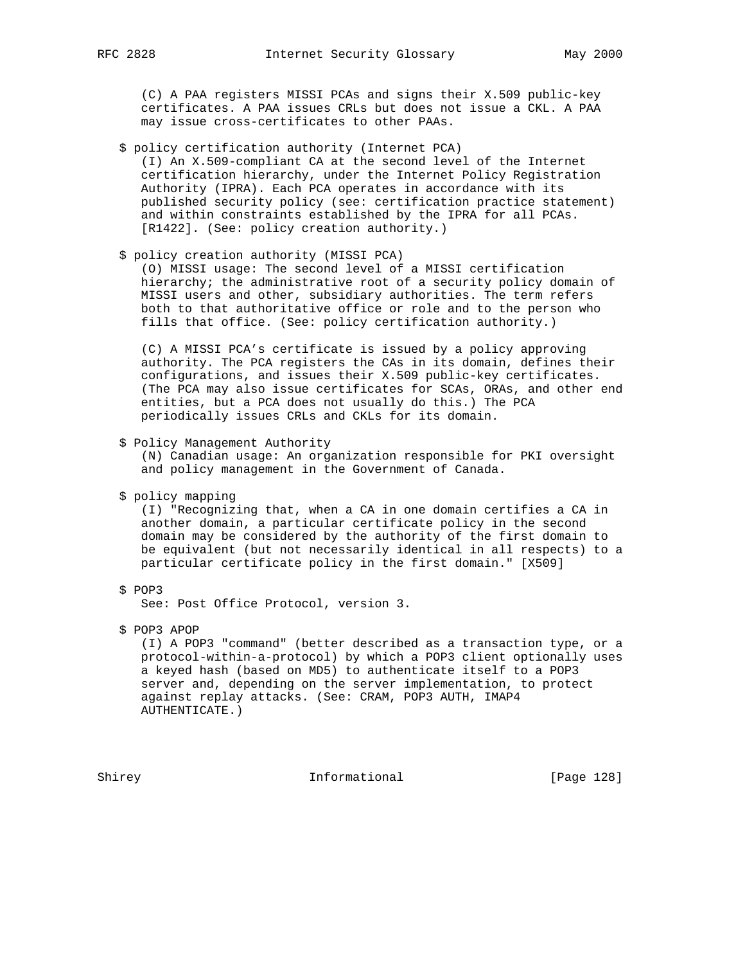(C) A PAA registers MISSI PCAs and signs their X.509 public-key certificates. A PAA issues CRLs but does not issue a CKL. A PAA may issue cross-certificates to other PAAs.

- \$ policy certification authority (Internet PCA) (I) An X.509-compliant CA at the second level of the Internet certification hierarchy, under the Internet Policy Registration Authority (IPRA). Each PCA operates in accordance with its published security policy (see: certification practice statement) and within constraints established by the IPRA for all PCAs. [R1422]. (See: policy creation authority.)
- \$ policy creation authority (MISSI PCA)

 (O) MISSI usage: The second level of a MISSI certification hierarchy; the administrative root of a security policy domain of MISSI users and other, subsidiary authorities. The term refers both to that authoritative office or role and to the person who fills that office. (See: policy certification authority.)

 (C) A MISSI PCA's certificate is issued by a policy approving authority. The PCA registers the CAs in its domain, defines their configurations, and issues their X.509 public-key certificates. (The PCA may also issue certificates for SCAs, ORAs, and other end entities, but a PCA does not usually do this.) The PCA periodically issues CRLs and CKLs for its domain.

\$ Policy Management Authority

 (N) Canadian usage: An organization responsible for PKI oversight and policy management in the Government of Canada.

\$ policy mapping

 (I) "Recognizing that, when a CA in one domain certifies a CA in another domain, a particular certificate policy in the second domain may be considered by the authority of the first domain to be equivalent (but not necessarily identical in all respects) to a particular certificate policy in the first domain." [X509]

\$ POP3

See: Post Office Protocol, version 3.

\$ POP3 APOP

 (I) A POP3 "command" (better described as a transaction type, or a protocol-within-a-protocol) by which a POP3 client optionally uses a keyed hash (based on MD5) to authenticate itself to a POP3 server and, depending on the server implementation, to protect against replay attacks. (See: CRAM, POP3 AUTH, IMAP4 AUTHENTICATE.)

Shirey **Informational** [Page 128]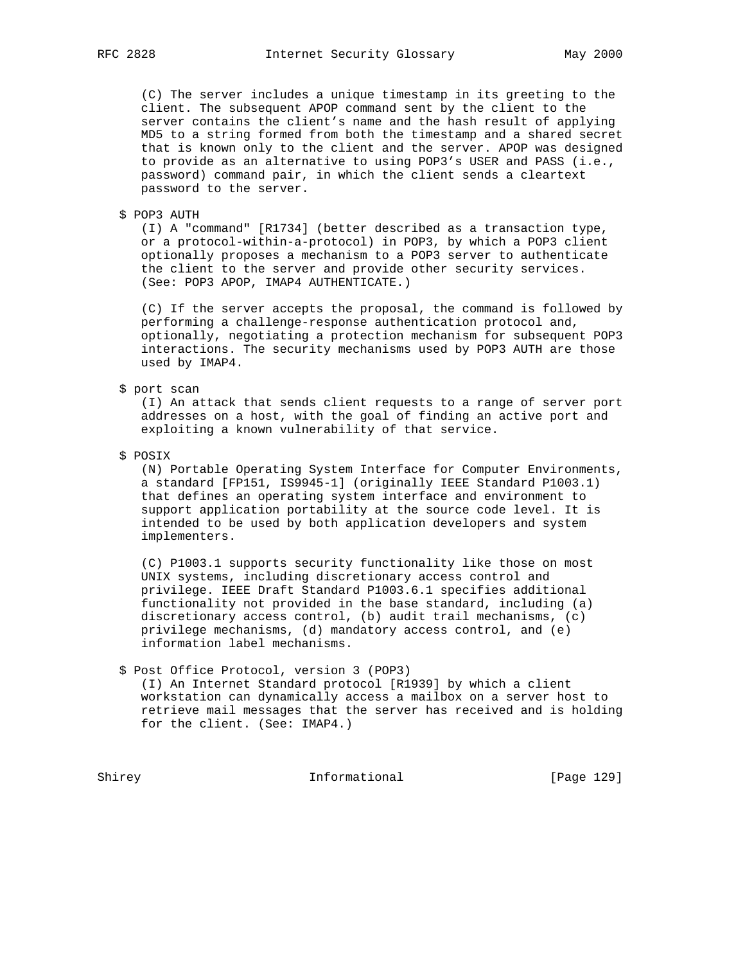(C) The server includes a unique timestamp in its greeting to the client. The subsequent APOP command sent by the client to the server contains the client's name and the hash result of applying MD5 to a string formed from both the timestamp and a shared secret that is known only to the client and the server. APOP was designed to provide as an alternative to using POP3's USER and PASS (i.e., password) command pair, in which the client sends a cleartext password to the server.

\$ POP3 AUTH

 (I) A "command" [R1734] (better described as a transaction type, or a protocol-within-a-protocol) in POP3, by which a POP3 client optionally proposes a mechanism to a POP3 server to authenticate the client to the server and provide other security services. (See: POP3 APOP, IMAP4 AUTHENTICATE.)

 (C) If the server accepts the proposal, the command is followed by performing a challenge-response authentication protocol and, optionally, negotiating a protection mechanism for subsequent POP3 interactions. The security mechanisms used by POP3 AUTH are those used by IMAP4.

## \$ port scan

 (I) An attack that sends client requests to a range of server port addresses on a host, with the goal of finding an active port and exploiting a known vulnerability of that service.

\$ POSIX

 (N) Portable Operating System Interface for Computer Environments, a standard [FP151, IS9945-1] (originally IEEE Standard P1003.1) that defines an operating system interface and environment to support application portability at the source code level. It is intended to be used by both application developers and system implementers.

 (C) P1003.1 supports security functionality like those on most UNIX systems, including discretionary access control and privilege. IEEE Draft Standard P1003.6.1 specifies additional functionality not provided in the base standard, including (a) discretionary access control, (b) audit trail mechanisms, (c) privilege mechanisms, (d) mandatory access control, and (e) information label mechanisms.

\$ Post Office Protocol, version 3 (POP3)

 (I) An Internet Standard protocol [R1939] by which a client workstation can dynamically access a mailbox on a server host to retrieve mail messages that the server has received and is holding for the client. (See: IMAP4.)

Shirey **Informational** [Page 129]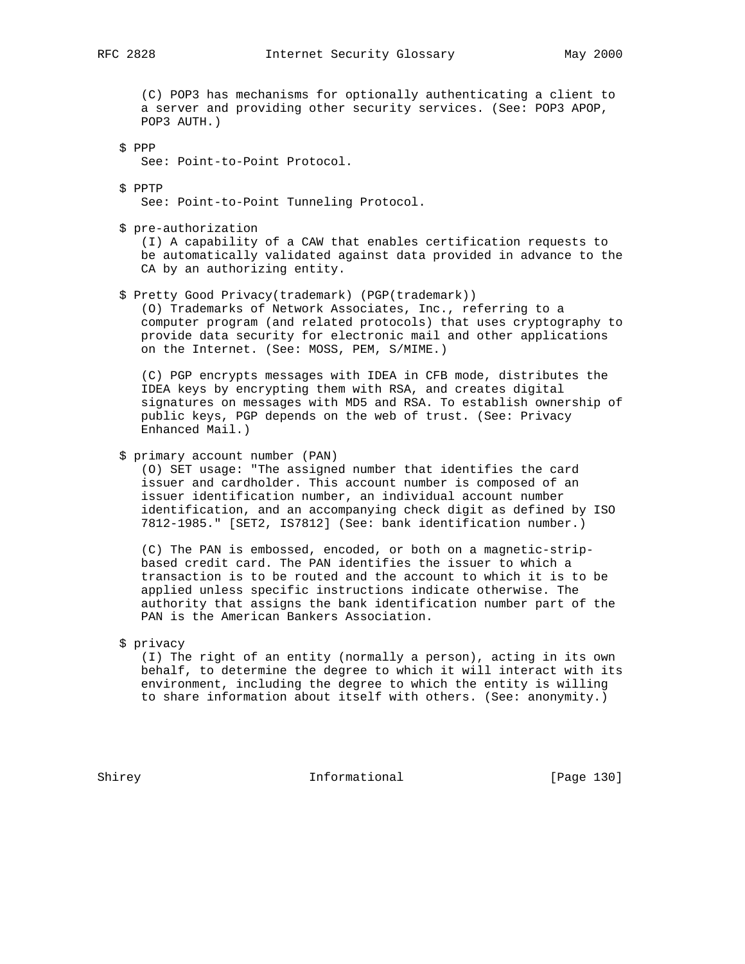(C) POP3 has mechanisms for optionally authenticating a client to a server and providing other security services. (See: POP3 APOP, POP3 AUTH.)

 \$ PPP See: Point-to-Point Protocol.

\$ PPTP

See: Point-to-Point Tunneling Protocol.

\$ pre-authorization

 (I) A capability of a CAW that enables certification requests to be automatically validated against data provided in advance to the CA by an authorizing entity.

\$ Pretty Good Privacy(trademark) (PGP(trademark))

 (O) Trademarks of Network Associates, Inc., referring to a computer program (and related protocols) that uses cryptography to provide data security for electronic mail and other applications on the Internet. (See: MOSS, PEM, S/MIME.)

 (C) PGP encrypts messages with IDEA in CFB mode, distributes the IDEA keys by encrypting them with RSA, and creates digital signatures on messages with MD5 and RSA. To establish ownership of public keys, PGP depends on the web of trust. (See: Privacy Enhanced Mail.)

```
 $ primary account number (PAN)
```
 (O) SET usage: "The assigned number that identifies the card issuer and cardholder. This account number is composed of an issuer identification number, an individual account number identification, and an accompanying check digit as defined by ISO 7812-1985." [SET2, IS7812] (See: bank identification number.)

 (C) The PAN is embossed, encoded, or both on a magnetic-strip based credit card. The PAN identifies the issuer to which a transaction is to be routed and the account to which it is to be applied unless specific instructions indicate otherwise. The authority that assigns the bank identification number part of the PAN is the American Bankers Association.

\$ privacy

 (I) The right of an entity (normally a person), acting in its own behalf, to determine the degree to which it will interact with its environment, including the degree to which the entity is willing to share information about itself with others. (See: anonymity.)

Shirey **Informational** [Page 130]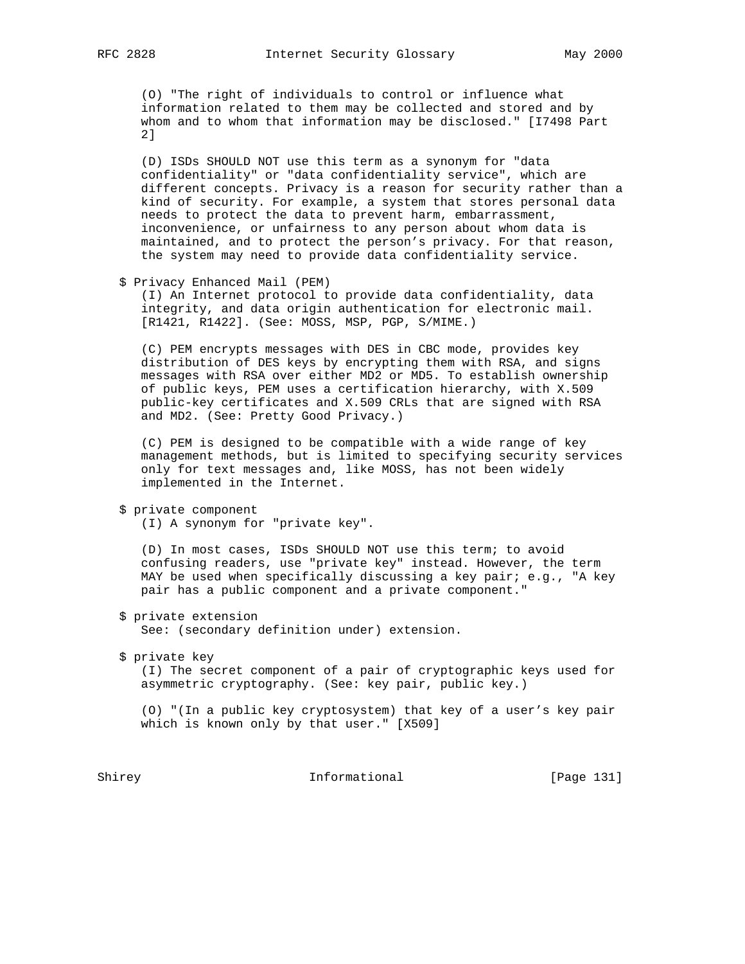(O) "The right of individuals to control or influence what information related to them may be collected and stored and by whom and to whom that information may be disclosed." [I7498 Part 2]

 (D) ISDs SHOULD NOT use this term as a synonym for "data confidentiality" or "data confidentiality service", which are different concepts. Privacy is a reason for security rather than a kind of security. For example, a system that stores personal data needs to protect the data to prevent harm, embarrassment, inconvenience, or unfairness to any person about whom data is maintained, and to protect the person's privacy. For that reason, the system may need to provide data confidentiality service.

\$ Privacy Enhanced Mail (PEM)

 (I) An Internet protocol to provide data confidentiality, data integrity, and data origin authentication for electronic mail. [R1421, R1422]. (See: MOSS, MSP, PGP, S/MIME.)

 (C) PEM encrypts messages with DES in CBC mode, provides key distribution of DES keys by encrypting them with RSA, and signs messages with RSA over either MD2 or MD5. To establish ownership of public keys, PEM uses a certification hierarchy, with X.509 public-key certificates and X.509 CRLs that are signed with RSA and MD2. (See: Pretty Good Privacy.)

 (C) PEM is designed to be compatible with a wide range of key management methods, but is limited to specifying security services only for text messages and, like MOSS, has not been widely implemented in the Internet.

```
 $ private component
```
(I) A synonym for "private key".

 (D) In most cases, ISDs SHOULD NOT use this term; to avoid confusing readers, use "private key" instead. However, the term MAY be used when specifically discussing a key pair; e.g., "A key pair has a public component and a private component."

 \$ private extension See: (secondary definition under) extension.

\$ private key

 (I) The secret component of a pair of cryptographic keys used for asymmetric cryptography. (See: key pair, public key.)

 (O) "(In a public key cryptosystem) that key of a user's key pair which is known only by that user." [X509]

Shirey **Informational** [Page 131]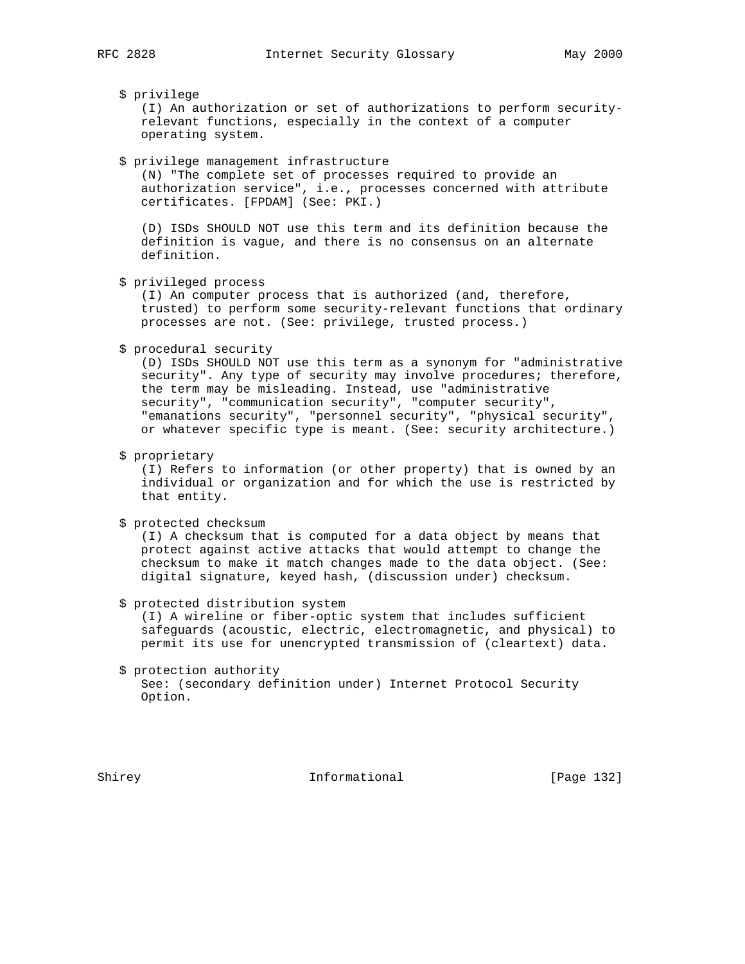## \$ privilege

 (I) An authorization or set of authorizations to perform security relevant functions, especially in the context of a computer operating system.

\$ privilege management infrastructure

 (N) "The complete set of processes required to provide an authorization service", i.e., processes concerned with attribute certificates. [FPDAM] (See: PKI.)

 (D) ISDs SHOULD NOT use this term and its definition because the definition is vague, and there is no consensus on an alternate definition.

\$ privileged process

 (I) An computer process that is authorized (and, therefore, trusted) to perform some security-relevant functions that ordinary processes are not. (See: privilege, trusted process.)

\$ procedural security

 (D) ISDs SHOULD NOT use this term as a synonym for "administrative security". Any type of security may involve procedures; therefore, the term may be misleading. Instead, use "administrative security", "communication security", "computer security", "emanations security", "personnel security", "physical security", or whatever specific type is meant. (See: security architecture.)

\$ proprietary

 (I) Refers to information (or other property) that is owned by an individual or organization and for which the use is restricted by that entity.

\$ protected checksum

 (I) A checksum that is computed for a data object by means that protect against active attacks that would attempt to change the checksum to make it match changes made to the data object. (See: digital signature, keyed hash, (discussion under) checksum.

\$ protected distribution system

 (I) A wireline or fiber-optic system that includes sufficient safeguards (acoustic, electric, electromagnetic, and physical) to permit its use for unencrypted transmission of (cleartext) data.

 \$ protection authority See: (secondary definition under) Internet Protocol Security Option.

Shirey **Informational** [Page 132]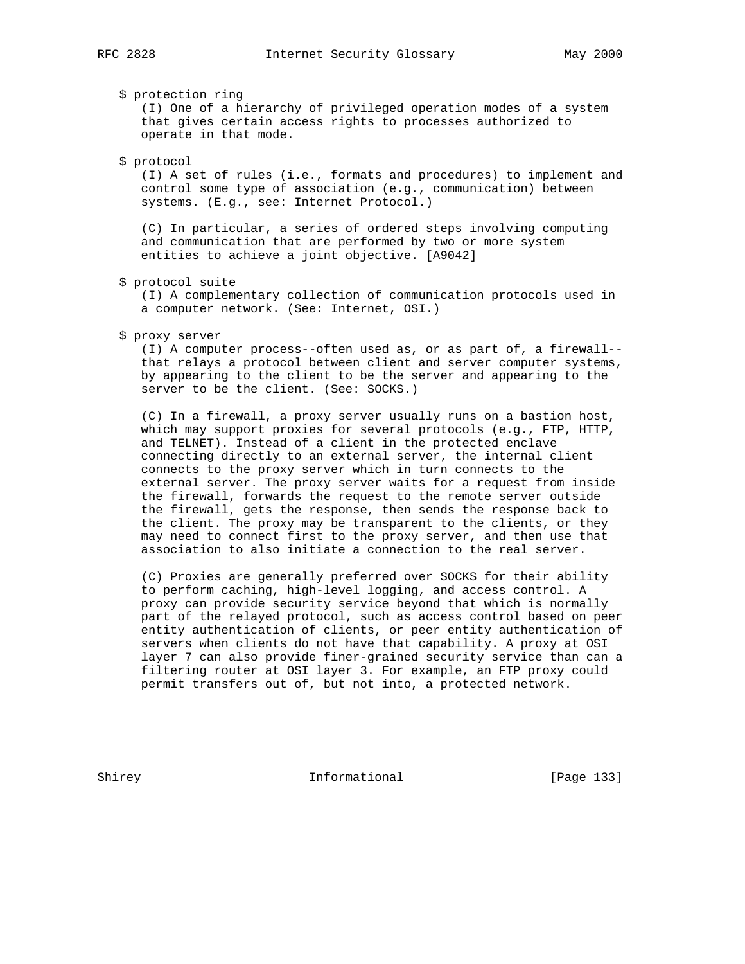\$ protection ring

 (I) One of a hierarchy of privileged operation modes of a system that gives certain access rights to processes authorized to operate in that mode.

#### \$ protocol

 (I) A set of rules (i.e., formats and procedures) to implement and control some type of association (e.g., communication) between systems. (E.g., see: Internet Protocol.)

 (C) In particular, a series of ordered steps involving computing and communication that are performed by two or more system entities to achieve a joint objective. [A9042]

#### \$ protocol suite

 (I) A complementary collection of communication protocols used in a computer network. (See: Internet, OSI.)

#### \$ proxy server

 (I) A computer process--often used as, or as part of, a firewall- that relays a protocol between client and server computer systems, by appearing to the client to be the server and appearing to the server to be the client. (See: SOCKS.)

 (C) In a firewall, a proxy server usually runs on a bastion host, which may support proxies for several protocols (e.g., FTP, HTTP, and TELNET). Instead of a client in the protected enclave connecting directly to an external server, the internal client connects to the proxy server which in turn connects to the external server. The proxy server waits for a request from inside the firewall, forwards the request to the remote server outside the firewall, gets the response, then sends the response back to the client. The proxy may be transparent to the clients, or they may need to connect first to the proxy server, and then use that association to also initiate a connection to the real server.

 (C) Proxies are generally preferred over SOCKS for their ability to perform caching, high-level logging, and access control. A proxy can provide security service beyond that which is normally part of the relayed protocol, such as access control based on peer entity authentication of clients, or peer entity authentication of servers when clients do not have that capability. A proxy at OSI layer 7 can also provide finer-grained security service than can a filtering router at OSI layer 3. For example, an FTP proxy could permit transfers out of, but not into, a protected network.

Shirey **Informational** [Page 133]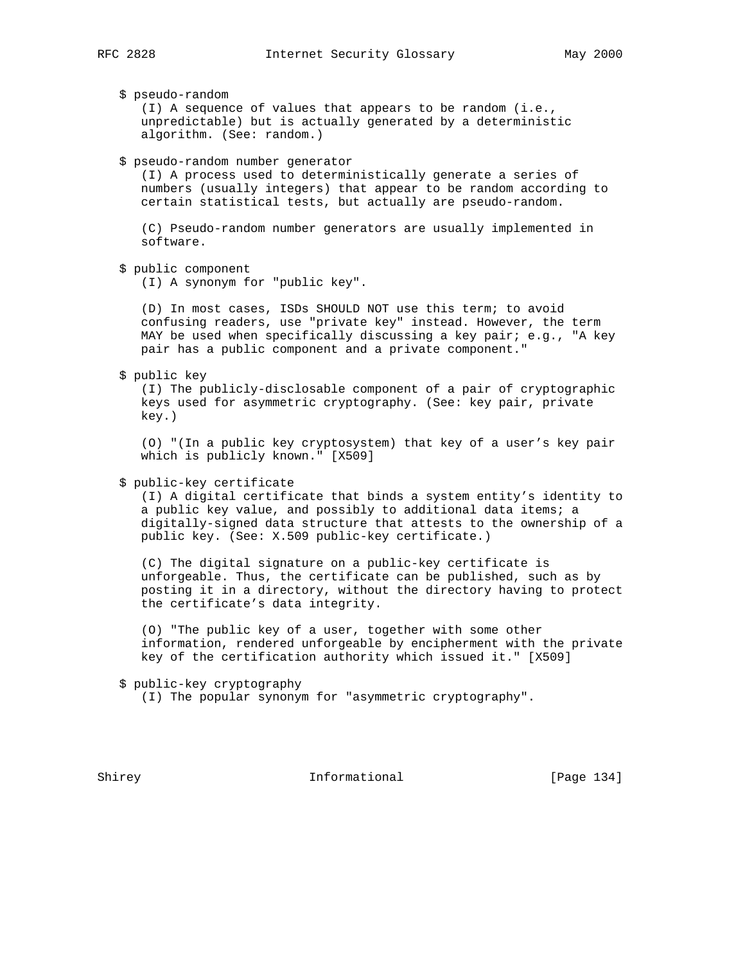\$ pseudo-random

 (I) A sequence of values that appears to be random (i.e., unpredictable) but is actually generated by a deterministic algorithm. (See: random.)

\$ pseudo-random number generator

 (I) A process used to deterministically generate a series of numbers (usually integers) that appear to be random according to certain statistical tests, but actually are pseudo-random.

 (C) Pseudo-random number generators are usually implemented in software.

```
 $ public component
```
(I) A synonym for "public key".

 (D) In most cases, ISDs SHOULD NOT use this term; to avoid confusing readers, use "private key" instead. However, the term MAY be used when specifically discussing a key pair; e.g., "A key pair has a public component and a private component."

\$ public key

 (I) The publicly-disclosable component of a pair of cryptographic keys used for asymmetric cryptography. (See: key pair, private key.)

 (O) "(In a public key cryptosystem) that key of a user's key pair which is publicly known." [X509]

## \$ public-key certificate

 (I) A digital certificate that binds a system entity's identity to a public key value, and possibly to additional data items; a digitally-signed data structure that attests to the ownership of a public key. (See: X.509 public-key certificate.)

 (C) The digital signature on a public-key certificate is unforgeable. Thus, the certificate can be published, such as by posting it in a directory, without the directory having to protect the certificate's data integrity.

 (O) "The public key of a user, together with some other information, rendered unforgeable by encipherment with the private key of the certification authority which issued it." [X509]

\$ public-key cryptography

(I) The popular synonym for "asymmetric cryptography".

Shirey **Informational** [Page 134]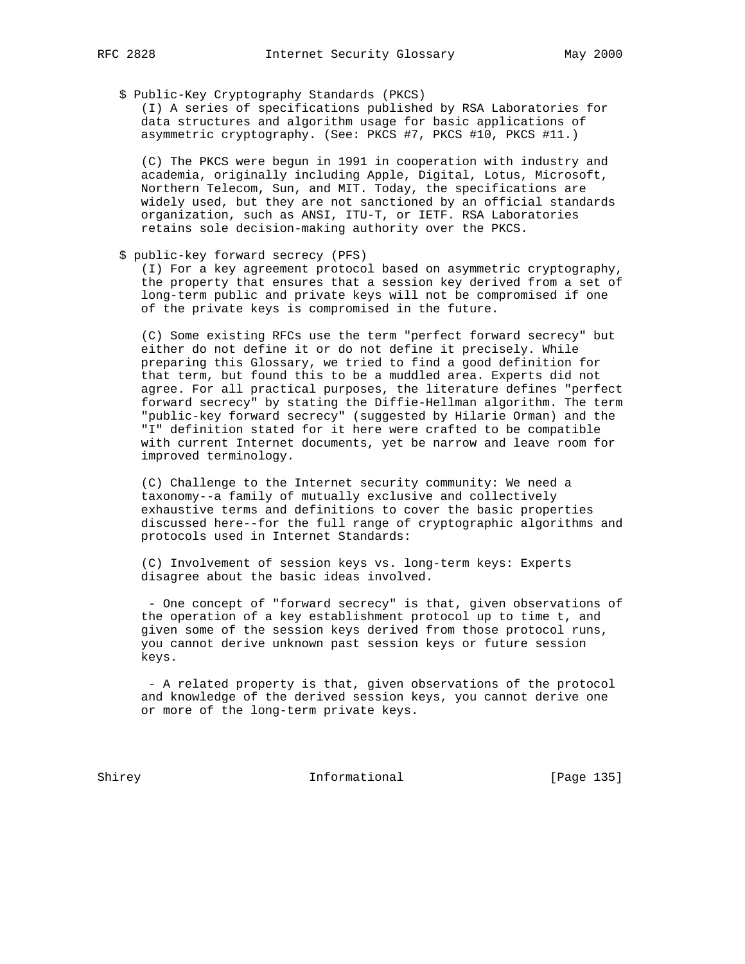\$ Public-Key Cryptography Standards (PKCS)

 (I) A series of specifications published by RSA Laboratories for data structures and algorithm usage for basic applications of asymmetric cryptography. (See: PKCS #7, PKCS #10, PKCS #11.)

 (C) The PKCS were begun in 1991 in cooperation with industry and academia, originally including Apple, Digital, Lotus, Microsoft, Northern Telecom, Sun, and MIT. Today, the specifications are widely used, but they are not sanctioned by an official standards organization, such as ANSI, ITU-T, or IETF. RSA Laboratories retains sole decision-making authority over the PKCS.

\$ public-key forward secrecy (PFS)

 (I) For a key agreement protocol based on asymmetric cryptography, the property that ensures that a session key derived from a set of long-term public and private keys will not be compromised if one of the private keys is compromised in the future.

 (C) Some existing RFCs use the term "perfect forward secrecy" but either do not define it or do not define it precisely. While preparing this Glossary, we tried to find a good definition for that term, but found this to be a muddled area. Experts did not agree. For all practical purposes, the literature defines "perfect forward secrecy" by stating the Diffie-Hellman algorithm. The term "public-key forward secrecy" (suggested by Hilarie Orman) and the I' definition stated for it here were crafted to be compatible with current Internet documents, yet be narrow and leave room for improved terminology.

 (C) Challenge to the Internet security community: We need a taxonomy--a family of mutually exclusive and collectively exhaustive terms and definitions to cover the basic properties discussed here--for the full range of cryptographic algorithms and protocols used in Internet Standards:

 (C) Involvement of session keys vs. long-term keys: Experts disagree about the basic ideas involved.

 - One concept of "forward secrecy" is that, given observations of the operation of a key establishment protocol up to time t, and given some of the session keys derived from those protocol runs, you cannot derive unknown past session keys or future session keys.

 - A related property is that, given observations of the protocol and knowledge of the derived session keys, you cannot derive one or more of the long-term private keys.

Shirey **Informational** [Page 135]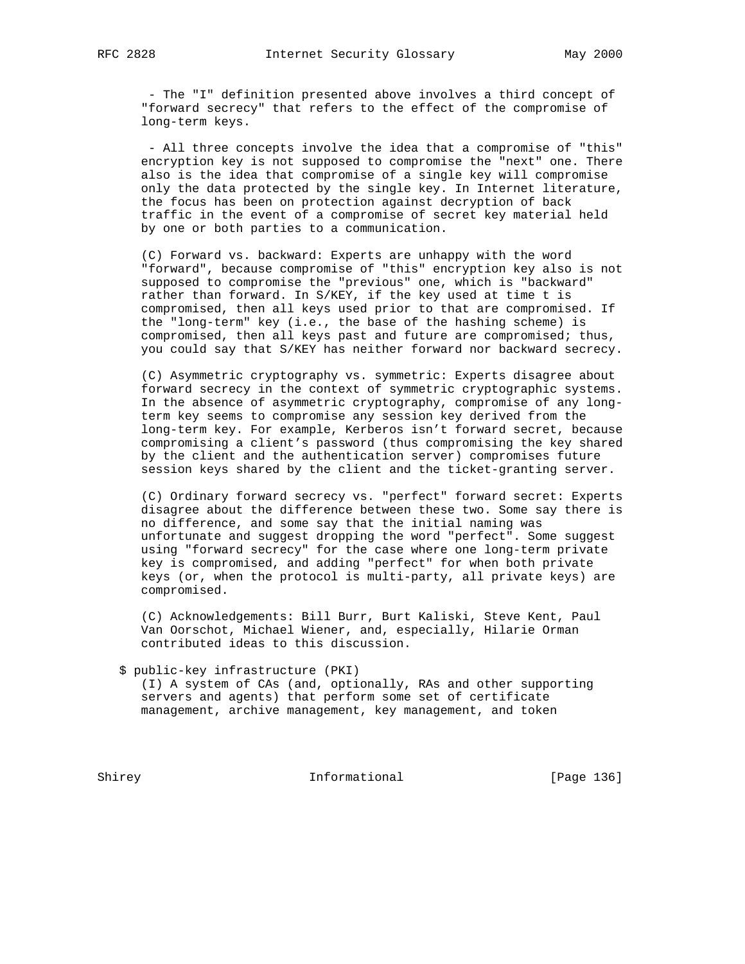- The "I" definition presented above involves a third concept of "forward secrecy" that refers to the effect of the compromise of long-term keys.

 - All three concepts involve the idea that a compromise of "this" encryption key is not supposed to compromise the "next" one. There also is the idea that compromise of a single key will compromise only the data protected by the single key. In Internet literature, the focus has been on protection against decryption of back traffic in the event of a compromise of secret key material held by one or both parties to a communication.

 (C) Forward vs. backward: Experts are unhappy with the word "forward", because compromise of "this" encryption key also is not supposed to compromise the "previous" one, which is "backward" rather than forward. In S/KEY, if the key used at time t is compromised, then all keys used prior to that are compromised. If the "long-term" key (i.e., the base of the hashing scheme) is compromised, then all keys past and future are compromised; thus, you could say that S/KEY has neither forward nor backward secrecy.

 (C) Asymmetric cryptography vs. symmetric: Experts disagree about forward secrecy in the context of symmetric cryptographic systems. In the absence of asymmetric cryptography, compromise of any long term key seems to compromise any session key derived from the long-term key. For example, Kerberos isn't forward secret, because compromising a client's password (thus compromising the key shared by the client and the authentication server) compromises future session keys shared by the client and the ticket-granting server.

 (C) Ordinary forward secrecy vs. "perfect" forward secret: Experts disagree about the difference between these two. Some say there is no difference, and some say that the initial naming was unfortunate and suggest dropping the word "perfect". Some suggest using "forward secrecy" for the case where one long-term private key is compromised, and adding "perfect" for when both private keys (or, when the protocol is multi-party, all private keys) are compromised.

 (C) Acknowledgements: Bill Burr, Burt Kaliski, Steve Kent, Paul Van Oorschot, Michael Wiener, and, especially, Hilarie Orman contributed ideas to this discussion.

\$ public-key infrastructure (PKI)

 (I) A system of CAs (and, optionally, RAs and other supporting servers and agents) that perform some set of certificate management, archive management, key management, and token

Shirey **Informational** [Page 136]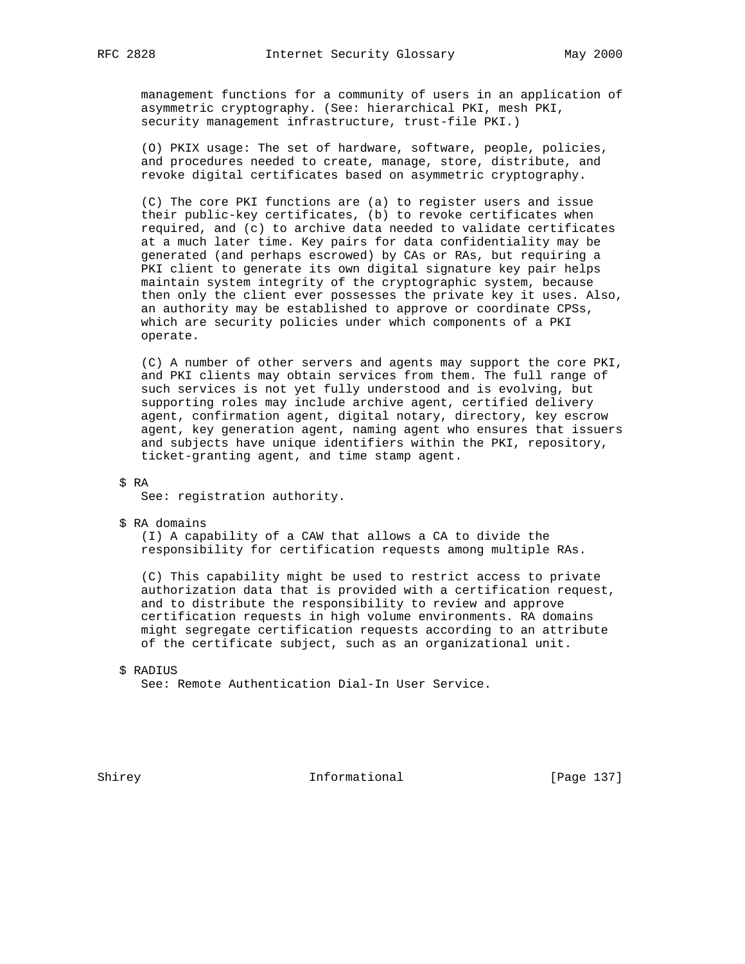management functions for a community of users in an application of asymmetric cryptography. (See: hierarchical PKI, mesh PKI, security management infrastructure, trust-file PKI.)

 (O) PKIX usage: The set of hardware, software, people, policies, and procedures needed to create, manage, store, distribute, and revoke digital certificates based on asymmetric cryptography.

 (C) The core PKI functions are (a) to register users and issue their public-key certificates, (b) to revoke certificates when required, and (c) to archive data needed to validate certificates at a much later time. Key pairs for data confidentiality may be generated (and perhaps escrowed) by CAs or RAs, but requiring a PKI client to generate its own digital signature key pair helps maintain system integrity of the cryptographic system, because then only the client ever possesses the private key it uses. Also, an authority may be established to approve or coordinate CPSs, which are security policies under which components of a PKI operate.

 (C) A number of other servers and agents may support the core PKI, and PKI clients may obtain services from them. The full range of such services is not yet fully understood and is evolving, but supporting roles may include archive agent, certified delivery agent, confirmation agent, digital notary, directory, key escrow agent, key generation agent, naming agent who ensures that issuers and subjects have unique identifiers within the PKI, repository, ticket-granting agent, and time stamp agent.

\$ RA

See: registration authority.

\$ RA domains

 (I) A capability of a CAW that allows a CA to divide the responsibility for certification requests among multiple RAs.

 (C) This capability might be used to restrict access to private authorization data that is provided with a certification request, and to distribute the responsibility to review and approve certification requests in high volume environments. RA domains might segregate certification requests according to an attribute of the certificate subject, such as an organizational unit.

\$ RADIUS

See: Remote Authentication Dial-In User Service.

Shirey **Informational** [Page 137]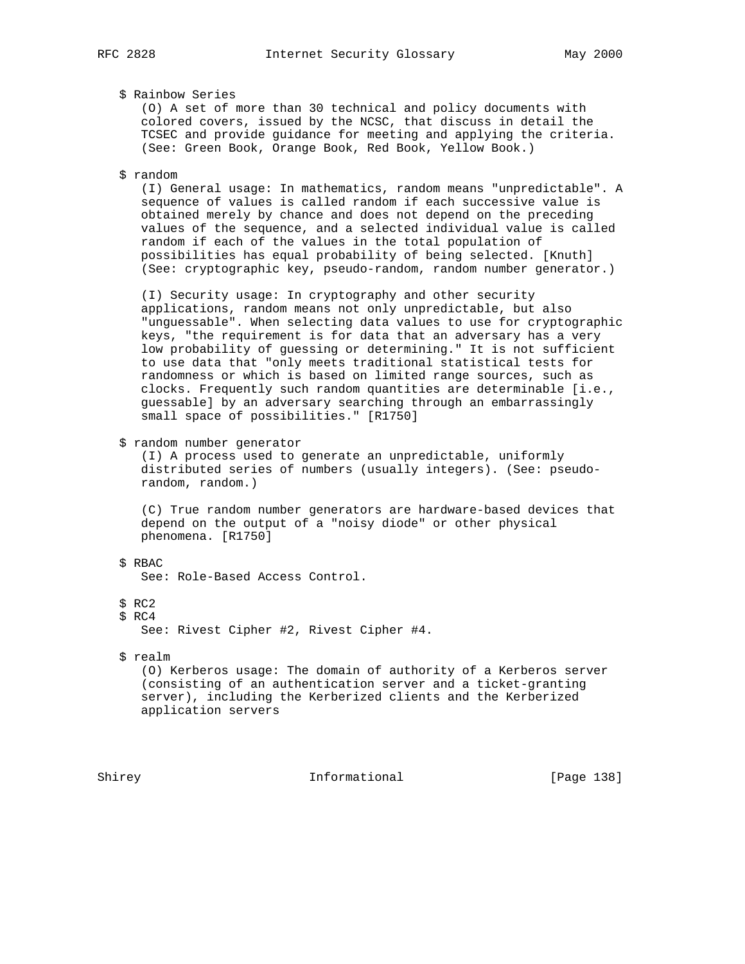## \$ Rainbow Series

 (O) A set of more than 30 technical and policy documents with colored covers, issued by the NCSC, that discuss in detail the TCSEC and provide guidance for meeting and applying the criteria. (See: Green Book, Orange Book, Red Book, Yellow Book.)

## \$ random

 (I) General usage: In mathematics, random means "unpredictable". A sequence of values is called random if each successive value is obtained merely by chance and does not depend on the preceding values of the sequence, and a selected individual value is called random if each of the values in the total population of possibilities has equal probability of being selected. [Knuth] (See: cryptographic key, pseudo-random, random number generator.)

 (I) Security usage: In cryptography and other security applications, random means not only unpredictable, but also "unguessable". When selecting data values to use for cryptographic keys, "the requirement is for data that an adversary has a very low probability of guessing or determining." It is not sufficient to use data that "only meets traditional statistical tests for randomness or which is based on limited range sources, such as clocks. Frequently such random quantities are determinable [i.e., guessable] by an adversary searching through an embarrassingly small space of possibilities." [R1750]

\$ random number generator

 (I) A process used to generate an unpredictable, uniformly distributed series of numbers (usually integers). (See: pseudo random, random.)

 (C) True random number generators are hardware-based devices that depend on the output of a "noisy diode" or other physical phenomena. [R1750]

- \$ RBAC See: Role-Based Access Control.
- \$ RC2
- \$ RC4

See: Rivest Cipher #2, Rivest Cipher #4.

\$ realm

 (O) Kerberos usage: The domain of authority of a Kerberos server (consisting of an authentication server and a ticket-granting server), including the Kerberized clients and the Kerberized application servers

Shirey **Informational** [Page 138]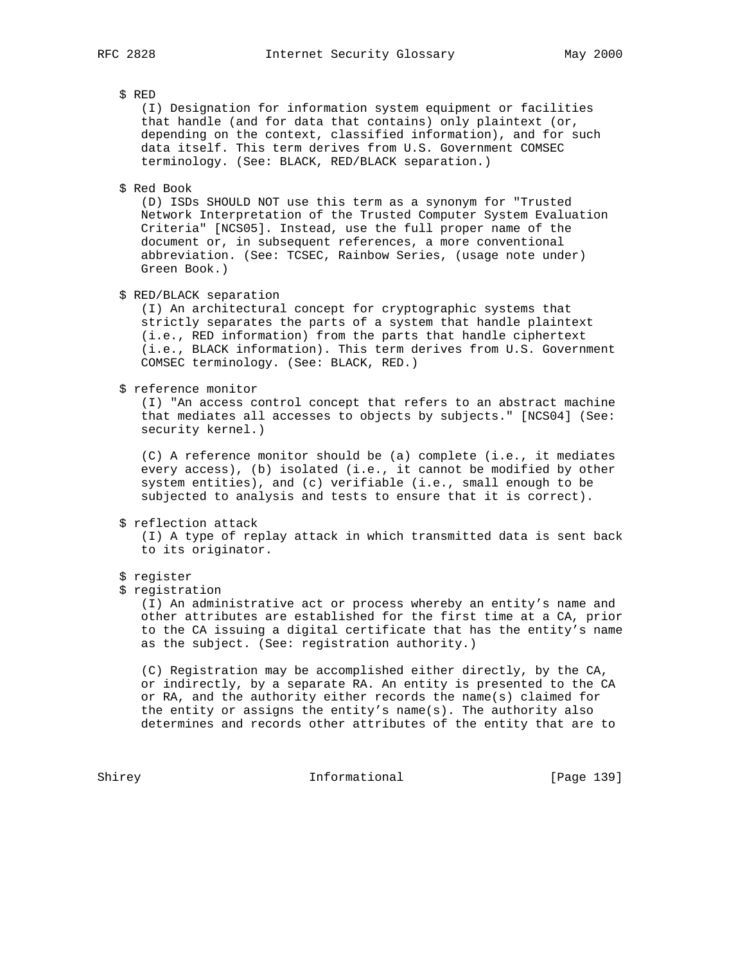\$ RED

 (I) Designation for information system equipment or facilities that handle (and for data that contains) only plaintext (or, depending on the context, classified information), and for such data itself. This term derives from U.S. Government COMSEC terminology. (See: BLACK, RED/BLACK separation.)

\$ Red Book

 (D) ISDs SHOULD NOT use this term as a synonym for "Trusted Network Interpretation of the Trusted Computer System Evaluation Criteria" [NCS05]. Instead, use the full proper name of the document or, in subsequent references, a more conventional abbreviation. (See: TCSEC, Rainbow Series, (usage note under) Green Book.)

\$ RED/BLACK separation

 (I) An architectural concept for cryptographic systems that strictly separates the parts of a system that handle plaintext (i.e., RED information) from the parts that handle ciphertext (i.e., BLACK information). This term derives from U.S. Government COMSEC terminology. (See: BLACK, RED.)

\$ reference monitor

 (I) "An access control concept that refers to an abstract machine that mediates all accesses to objects by subjects." [NCS04] (See: security kernel.)

 (C) A reference monitor should be (a) complete (i.e., it mediates every access), (b) isolated (i.e., it cannot be modified by other system entities), and (c) verifiable (i.e., small enough to be subjected to analysis and tests to ensure that it is correct).

\$ reflection attack

 (I) A type of replay attack in which transmitted data is sent back to its originator.

- \$ register
- \$ registration

 (I) An administrative act or process whereby an entity's name and other attributes are established for the first time at a CA, prior to the CA issuing a digital certificate that has the entity's name as the subject. (See: registration authority.)

 (C) Registration may be accomplished either directly, by the CA, or indirectly, by a separate RA. An entity is presented to the CA or RA, and the authority either records the name(s) claimed for the entity or assigns the entity's name(s). The authority also determines and records other attributes of the entity that are to

Shirey **Informational** [Page 139]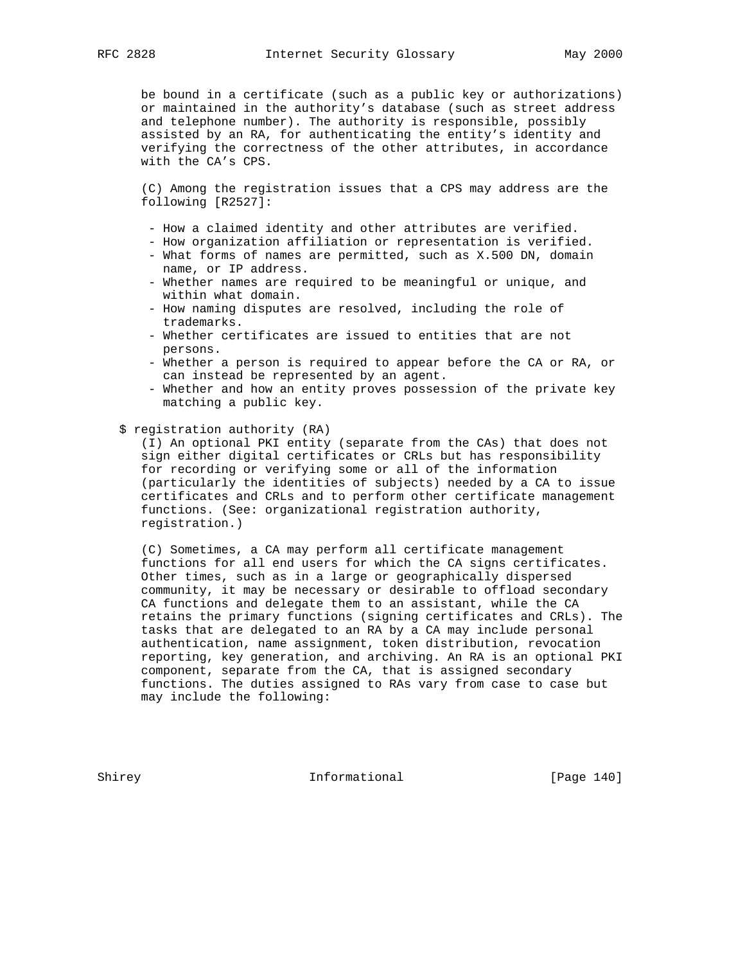be bound in a certificate (such as a public key or authorizations) or maintained in the authority's database (such as street address and telephone number). The authority is responsible, possibly assisted by an RA, for authenticating the entity's identity and verifying the correctness of the other attributes, in accordance with the CA's CPS.

 (C) Among the registration issues that a CPS may address are the following [R2527]:

- How a claimed identity and other attributes are verified.
- How organization affiliation or representation is verified.
- What forms of names are permitted, such as X.500 DN, domain name, or IP address.
- Whether names are required to be meaningful or unique, and within what domain.
- How naming disputes are resolved, including the role of trademarks.
- Whether certificates are issued to entities that are not persons.
- Whether a person is required to appear before the CA or RA, or can instead be represented by an agent.
- Whether and how an entity proves possession of the private key matching a public key.
- \$ registration authority (RA)

 (I) An optional PKI entity (separate from the CAs) that does not sign either digital certificates or CRLs but has responsibility for recording or verifying some or all of the information (particularly the identities of subjects) needed by a CA to issue certificates and CRLs and to perform other certificate management functions. (See: organizational registration authority, registration.)

 (C) Sometimes, a CA may perform all certificate management functions for all end users for which the CA signs certificates. Other times, such as in a large or geographically dispersed community, it may be necessary or desirable to offload secondary CA functions and delegate them to an assistant, while the CA retains the primary functions (signing certificates and CRLs). The tasks that are delegated to an RA by a CA may include personal authentication, name assignment, token distribution, revocation reporting, key generation, and archiving. An RA is an optional PKI component, separate from the CA, that is assigned secondary functions. The duties assigned to RAs vary from case to case but may include the following:

Shirey **Informational** [Page 140]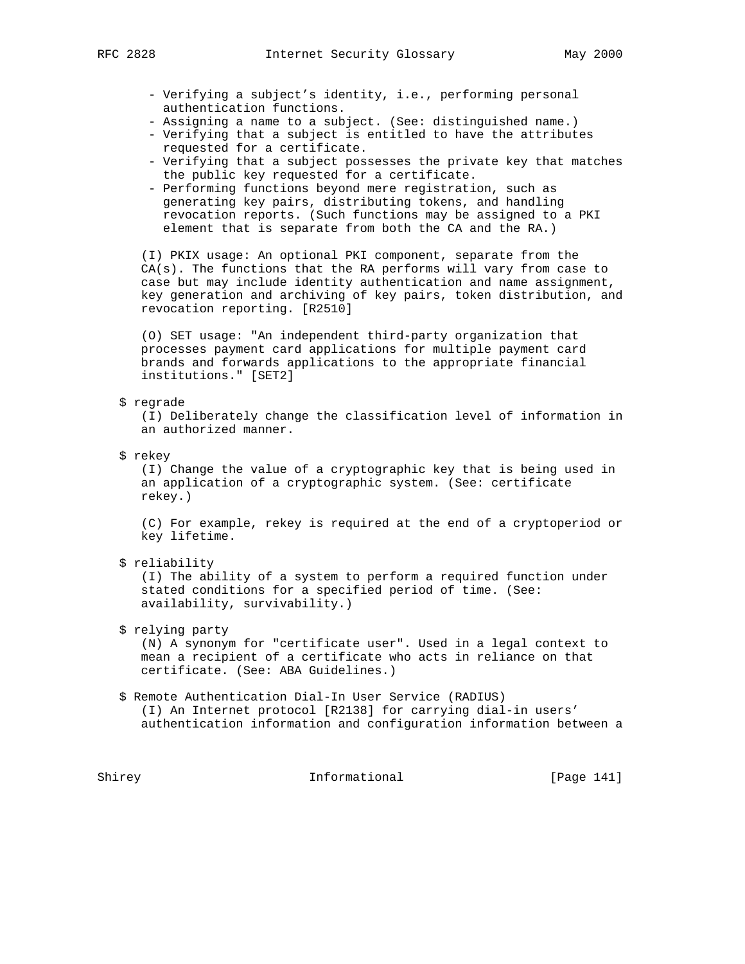- - Verifying a subject's identity, i.e., performing personal authentication functions.
	- Assigning a name to a subject. (See: distinguished name.)
	- Verifying that a subject is entitled to have the attributes requested for a certificate.
	- Verifying that a subject possesses the private key that matches the public key requested for a certificate.
	- Performing functions beyond mere registration, such as generating key pairs, distributing tokens, and handling revocation reports. (Such functions may be assigned to a PKI element that is separate from both the CA and the RA.)

 (I) PKIX usage: An optional PKI component, separate from the CA(s). The functions that the RA performs will vary from case to case but may include identity authentication and name assignment, key generation and archiving of key pairs, token distribution, and revocation reporting. [R2510]

 (O) SET usage: "An independent third-party organization that processes payment card applications for multiple payment card brands and forwards applications to the appropriate financial institutions." [SET2]

\$ regrade

 (I) Deliberately change the classification level of information in an authorized manner.

\$ rekey

 (I) Change the value of a cryptographic key that is being used in an application of a cryptographic system. (See: certificate rekey.)

 (C) For example, rekey is required at the end of a cryptoperiod or key lifetime.

\$ reliability

 (I) The ability of a system to perform a required function under stated conditions for a specified period of time. (See: availability, survivability.)

# \$ relying party

 (N) A synonym for "certificate user". Used in a legal context to mean a recipient of a certificate who acts in reliance on that certificate. (See: ABA Guidelines.)

 \$ Remote Authentication Dial-In User Service (RADIUS) (I) An Internet protocol [R2138] for carrying dial-in users' authentication information and configuration information between a

Shirey **Informational** [Page 141]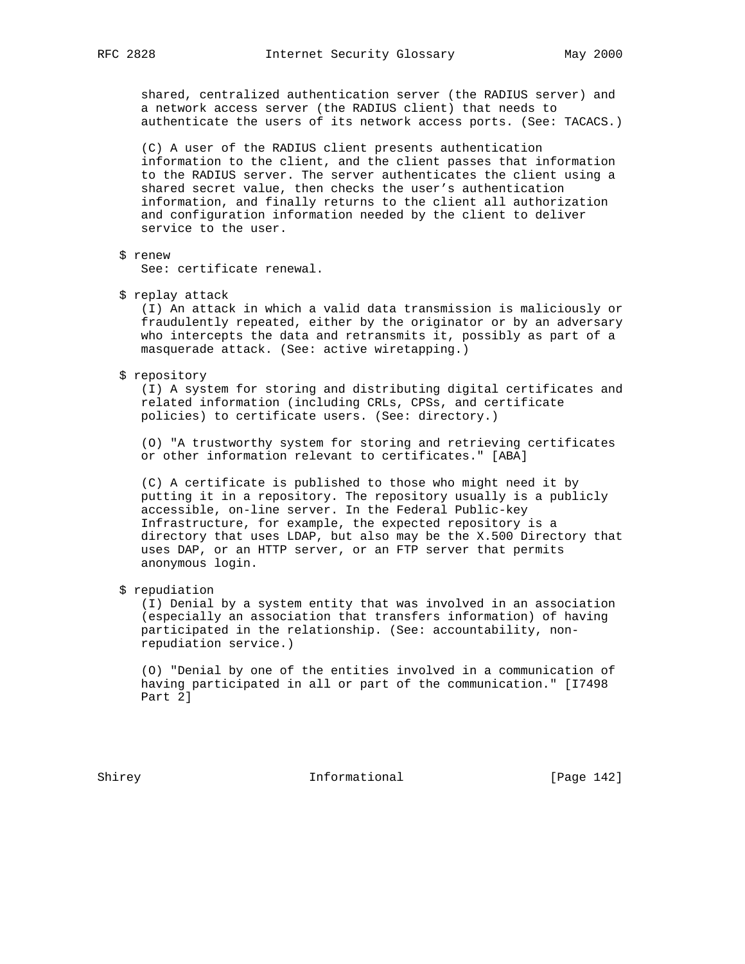shared, centralized authentication server (the RADIUS server) and a network access server (the RADIUS client) that needs to authenticate the users of its network access ports. (See: TACACS.)

 (C) A user of the RADIUS client presents authentication information to the client, and the client passes that information to the RADIUS server. The server authenticates the client using a shared secret value, then checks the user's authentication information, and finally returns to the client all authorization and configuration information needed by the client to deliver service to the user.

\$ renew

See: certificate renewal.

\$ replay attack

 (I) An attack in which a valid data transmission is maliciously or fraudulently repeated, either by the originator or by an adversary who intercepts the data and retransmits it, possibly as part of a masquerade attack. (See: active wiretapping.)

#### \$ repository

 (I) A system for storing and distributing digital certificates and related information (including CRLs, CPSs, and certificate policies) to certificate users. (See: directory.)

 (O) "A trustworthy system for storing and retrieving certificates or other information relevant to certificates." [ABA]

 (C) A certificate is published to those who might need it by putting it in a repository. The repository usually is a publicly accessible, on-line server. In the Federal Public-key Infrastructure, for example, the expected repository is a directory that uses LDAP, but also may be the X.500 Directory that uses DAP, or an HTTP server, or an FTP server that permits anonymous login.

## \$ repudiation

 (I) Denial by a system entity that was involved in an association (especially an association that transfers information) of having participated in the relationship. (See: accountability, non repudiation service.)

 (O) "Denial by one of the entities involved in a communication of having participated in all or part of the communication." [I7498 Part 2]

Shirey **Informational** [Page 142]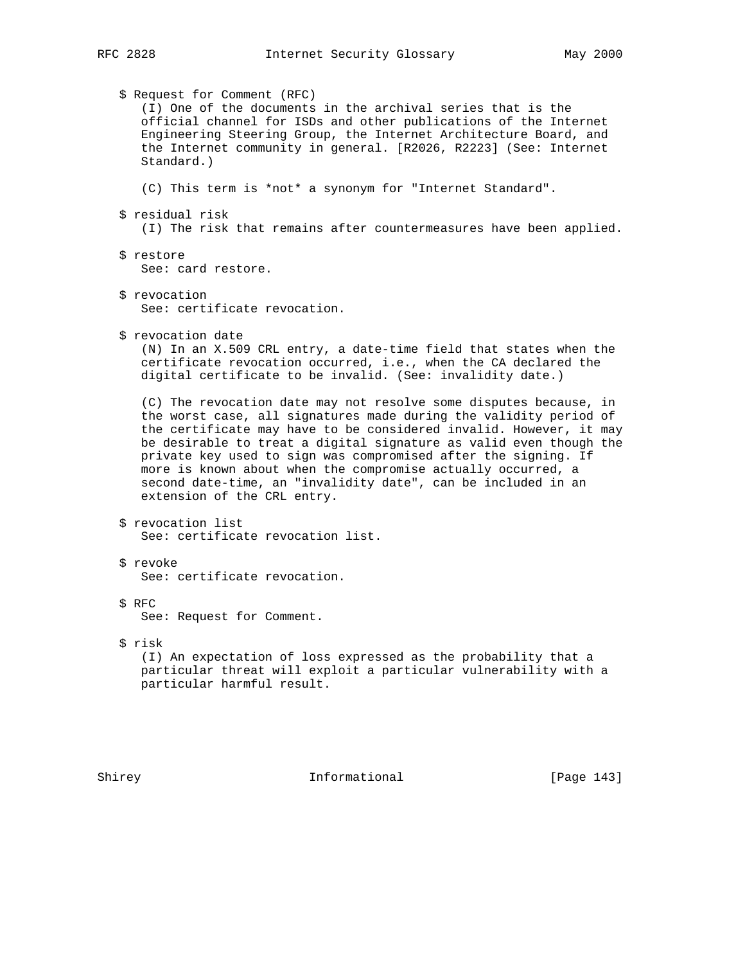\$ Request for Comment (RFC) (I) One of the documents in the archival series that is the official channel for ISDs and other publications of the Internet Engineering Steering Group, the Internet Architecture Board, and the Internet community in general. [R2026, R2223] (See: Internet Standard.) (C) This term is \*not\* a synonym for "Internet Standard". \$ residual risk (I) The risk that remains after countermeasures have been applied. \$ restore See: card restore. \$ revocation See: certificate revocation. \$ revocation date (N) In an X.509 CRL entry, a date-time field that states when the certificate revocation occurred, i.e., when the CA declared the digital certificate to be invalid. (See: invalidity date.) (C) The revocation date may not resolve some disputes because, in the worst case, all signatures made during the validity period of the certificate may have to be considered invalid. However, it may be desirable to treat a digital signature as valid even though the private key used to sign was compromised after the signing. If more is known about when the compromise actually occurred, a second date-time, an "invalidity date", can be included in an extension of the CRL entry. \$ revocation list See: certificate revocation list. \$ revoke See: certificate revocation. \$ RFC See: Request for Comment. \$ risk (I) An expectation of loss expressed as the probability that a particular threat will exploit a particular vulnerability with a particular harmful result.

Shirey **Informational** [Page 143]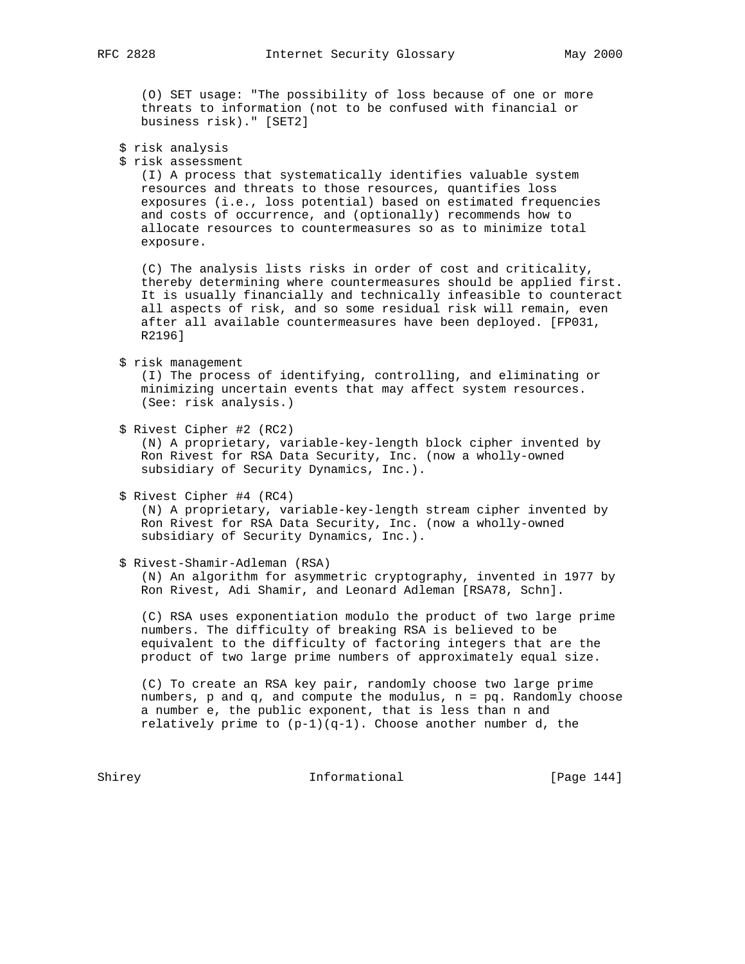(O) SET usage: "The possibility of loss because of one or more threats to information (not to be confused with financial or business risk)." [SET2]

- \$ risk analysis
- \$ risk assessment

 (I) A process that systematically identifies valuable system resources and threats to those resources, quantifies loss exposures (i.e., loss potential) based on estimated frequencies and costs of occurrence, and (optionally) recommends how to allocate resources to countermeasures so as to minimize total exposure.

 (C) The analysis lists risks in order of cost and criticality, thereby determining where countermeasures should be applied first. It is usually financially and technically infeasible to counteract all aspects of risk, and so some residual risk will remain, even after all available countermeasures have been deployed. [FP031, R2196]

\$ risk management

 (I) The process of identifying, controlling, and eliminating or minimizing uncertain events that may affect system resources. (See: risk analysis.)

\$ Rivest Cipher #2 (RC2)

 (N) A proprietary, variable-key-length block cipher invented by Ron Rivest for RSA Data Security, Inc. (now a wholly-owned subsidiary of Security Dynamics, Inc.).

\$ Rivest Cipher #4 (RC4)

 (N) A proprietary, variable-key-length stream cipher invented by Ron Rivest for RSA Data Security, Inc. (now a wholly-owned subsidiary of Security Dynamics, Inc.).

\$ Rivest-Shamir-Adleman (RSA)

 (N) An algorithm for asymmetric cryptography, invented in 1977 by Ron Rivest, Adi Shamir, and Leonard Adleman [RSA78, Schn].

 (C) RSA uses exponentiation modulo the product of two large prime numbers. The difficulty of breaking RSA is believed to be equivalent to the difficulty of factoring integers that are the product of two large prime numbers of approximately equal size.

 (C) To create an RSA key pair, randomly choose two large prime numbers, p and q, and compute the modulus, n = pq. Randomly choose a number e, the public exponent, that is less than n and relatively prime to  $(p-1)(q-1)$ . Choose another number d, the

Shirey Informational [Page 144]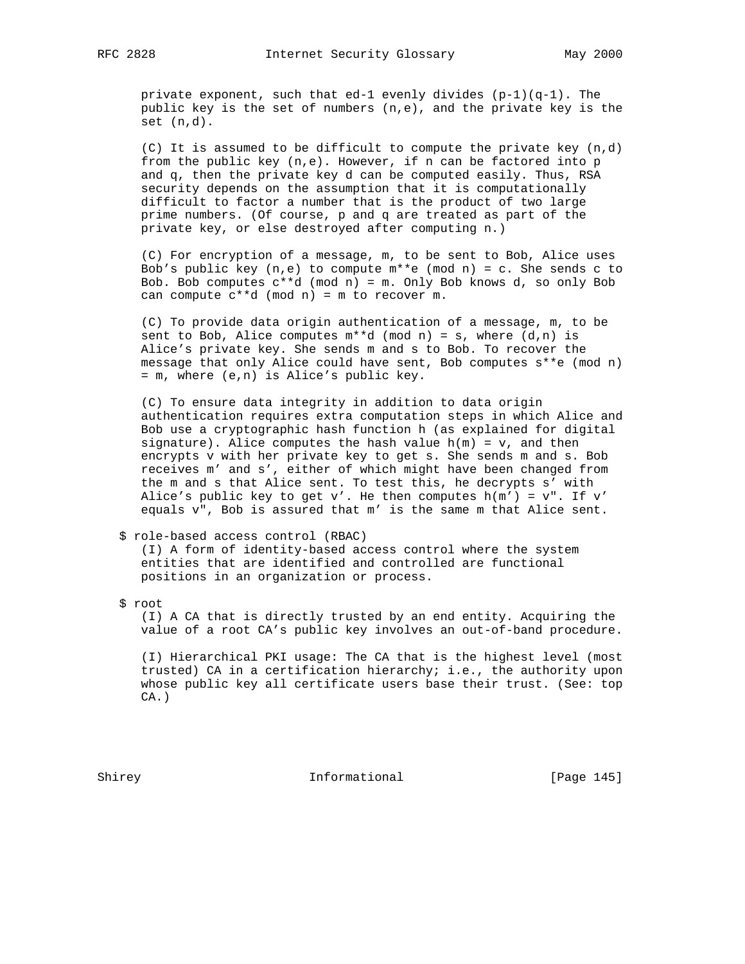private exponent, such that ed-1 evenly divides  $(p-1)(q-1)$ . The public key is the set of numbers  $(n,e)$ , and the private key is the set (n,d).

 (C) It is assumed to be difficult to compute the private key (n,d) from the public key  $(n,e)$ . However, if n can be factored into p and q, then the private key d can be computed easily. Thus, RSA security depends on the assumption that it is computationally difficult to factor a number that is the product of two large prime numbers. (Of course, p and q are treated as part of the private key, or else destroyed after computing n.)

 (C) For encryption of a message, m, to be sent to Bob, Alice uses Bob's public key  $(n,e)$  to compute  $m**e$  (mod n) = c. She sends c to Bob. Bob computes  $c**d \pmod{n} = m$ . Only Bob knows d, so only Bob can compute c\*\*d (mod n) = m to recover m.

 (C) To provide data origin authentication of a message, m, to be sent to Bob, Alice computes  $m**d \pmod{n} = s$ , where  $(d,n)$  is Alice's private key. She sends m and s to Bob. To recover the message that only Alice could have sent, Bob computes s\*\*e (mod n) = m, where (e,n) is Alice's public key.

 (C) To ensure data integrity in addition to data origin authentication requires extra computation steps in which Alice and Bob use a cryptographic hash function h (as explained for digital signature). Alice computes the hash value  $h(m) = v$ , and then encrypts v with her private key to get s. She sends m and s. Bob receives m' and s', either of which might have been changed from the m and s that Alice sent. To test this, he decrypts s' with Alice's public key to get v'. He then computes  $h(m') = v''$ . If v' equals v", Bob is assured that m' is the same m that Alice sent.

## \$ role-based access control (RBAC)

 (I) A form of identity-based access control where the system entities that are identified and controlled are functional positions in an organization or process.

\$ root

 (I) A CA that is directly trusted by an end entity. Acquiring the value of a root CA's public key involves an out-of-band procedure.

 (I) Hierarchical PKI usage: The CA that is the highest level (most trusted) CA in a certification hierarchy; i.e., the authority upon whose public key all certificate users base their trust. (See: top  $CA.$ )

Shirey **Informational** [Page 145]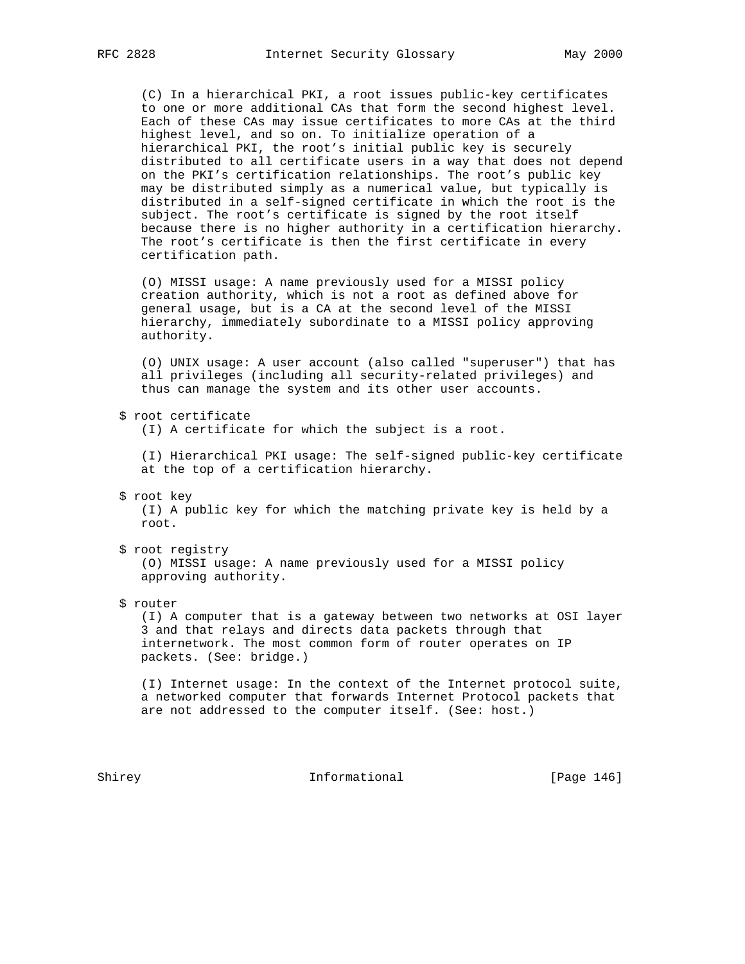(C) In a hierarchical PKI, a root issues public-key certificates to one or more additional CAs that form the second highest level. Each of these CAs may issue certificates to more CAs at the third highest level, and so on. To initialize operation of a hierarchical PKI, the root's initial public key is securely distributed to all certificate users in a way that does not depend on the PKI's certification relationships. The root's public key may be distributed simply as a numerical value, but typically is distributed in a self-signed certificate in which the root is the subject. The root's certificate is signed by the root itself because there is no higher authority in a certification hierarchy. The root's certificate is then the first certificate in every certification path.

 (O) MISSI usage: A name previously used for a MISSI policy creation authority, which is not a root as defined above for general usage, but is a CA at the second level of the MISSI hierarchy, immediately subordinate to a MISSI policy approving authority.

 (O) UNIX usage: A user account (also called "superuser") that has all privileges (including all security-related privileges) and thus can manage the system and its other user accounts.

\$ root certificate

(I) A certificate for which the subject is a root.

 (I) Hierarchical PKI usage: The self-signed public-key certificate at the top of a certification hierarchy.

\$ root key

 (I) A public key for which the matching private key is held by a root.

\$ root registry

 (O) MISSI usage: A name previously used for a MISSI policy approving authority.

\$ router

 (I) A computer that is a gateway between two networks at OSI layer 3 and that relays and directs data packets through that internetwork. The most common form of router operates on IP packets. (See: bridge.)

 (I) Internet usage: In the context of the Internet protocol suite, a networked computer that forwards Internet Protocol packets that are not addressed to the computer itself. (See: host.)

Shirey **Informational** [Page 146]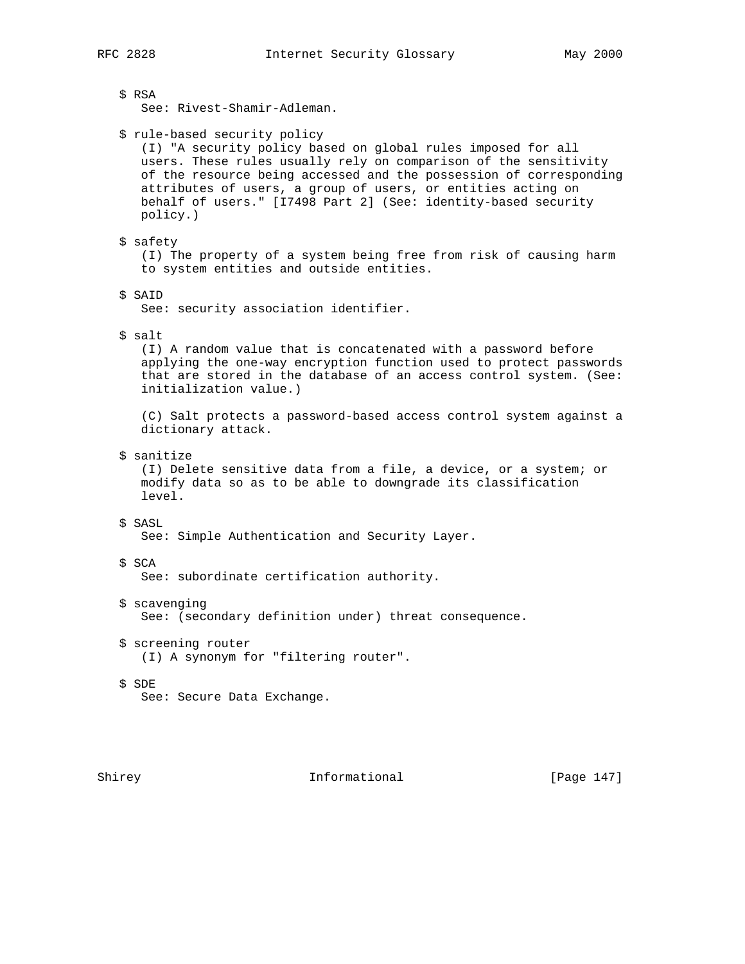\$ RSA See: Rivest-Shamir-Adleman. \$ rule-based security policy (I) "A security policy based on global rules imposed for all users. These rules usually rely on comparison of the sensitivity of the resource being accessed and the possession of corresponding attributes of users, a group of users, or entities acting on behalf of users." [I7498 Part 2] (See: identity-based security policy.) \$ safety (I) The property of a system being free from risk of causing harm to system entities and outside entities. \$ SAID See: security association identifier. \$ salt (I) A random value that is concatenated with a password before applying the one-way encryption function used to protect passwords that are stored in the database of an access control system. (See: initialization value.) (C) Salt protects a password-based access control system against a dictionary attack. \$ sanitize (I) Delete sensitive data from a file, a device, or a system; or modify data so as to be able to downgrade its classification level. \$ SASL See: Simple Authentication and Security Layer. \$ SCA See: subordinate certification authority. \$ scavenging See: (secondary definition under) threat consequence. \$ screening router (I) A synonym for "filtering router". \$ SDE See: Secure Data Exchange.

Shirey **Informational** [Page 147]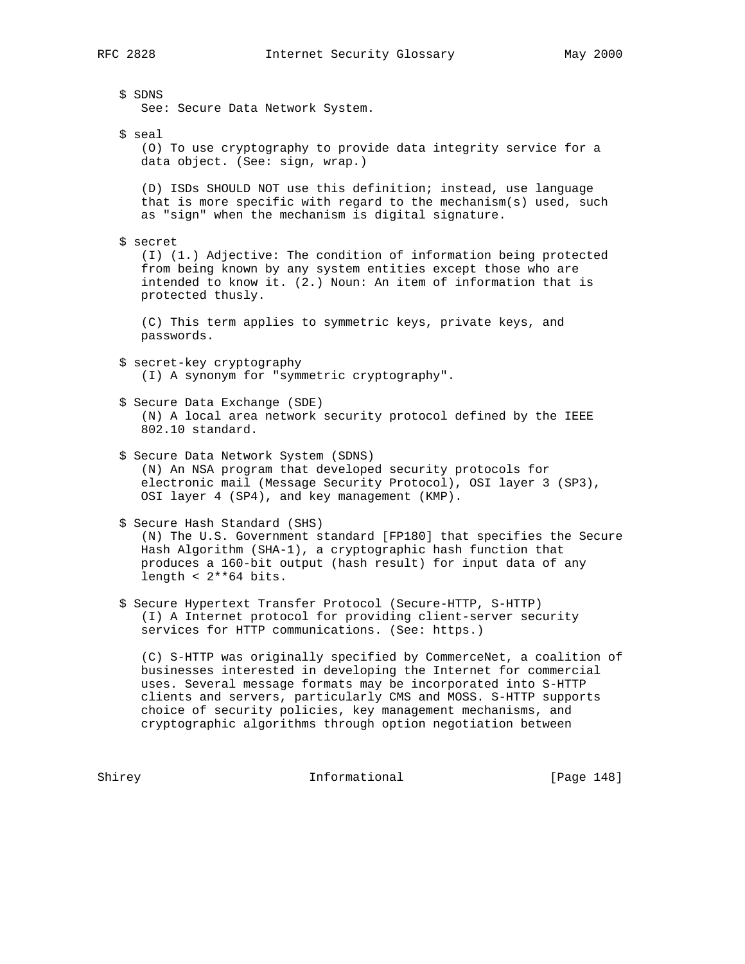\$ SDNS See: Secure Data Network System. \$ seal (O) To use cryptography to provide data integrity service for a data object. (See: sign, wrap.) (D) ISDs SHOULD NOT use this definition; instead, use language that is more specific with regard to the mechanism(s) used, such as "sign" when the mechanism is digital signature. \$ secret (I) (1.) Adjective: The condition of information being protected from being known by any system entities except those who are intended to know it. (2.) Noun: An item of information that is protected thusly. (C) This term applies to symmetric keys, private keys, and passwords. \$ secret-key cryptography (I) A synonym for "symmetric cryptography". \$ Secure Data Exchange (SDE) (N) A local area network security protocol defined by the IEEE 802.10 standard. \$ Secure Data Network System (SDNS) (N) An NSA program that developed security protocols for electronic mail (Message Security Protocol), OSI layer 3 (SP3), OSI layer 4 (SP4), and key management (KMP). \$ Secure Hash Standard (SHS) (N) The U.S. Government standard [FP180] that specifies the Secure Hash Algorithm (SHA-1), a cryptographic hash function that produces a 160-bit output (hash result) for input data of any length <  $2**64$  bits. \$ Secure Hypertext Transfer Protocol (Secure-HTTP, S-HTTP) (I) A Internet protocol for providing client-server security services for HTTP communications. (See: https.) (C) S-HTTP was originally specified by CommerceNet, a coalition of

 businesses interested in developing the Internet for commercial uses. Several message formats may be incorporated into S-HTTP clients and servers, particularly CMS and MOSS. S-HTTP supports choice of security policies, key management mechanisms, and cryptographic algorithms through option negotiation between

Shirey **Informational** [Page 148]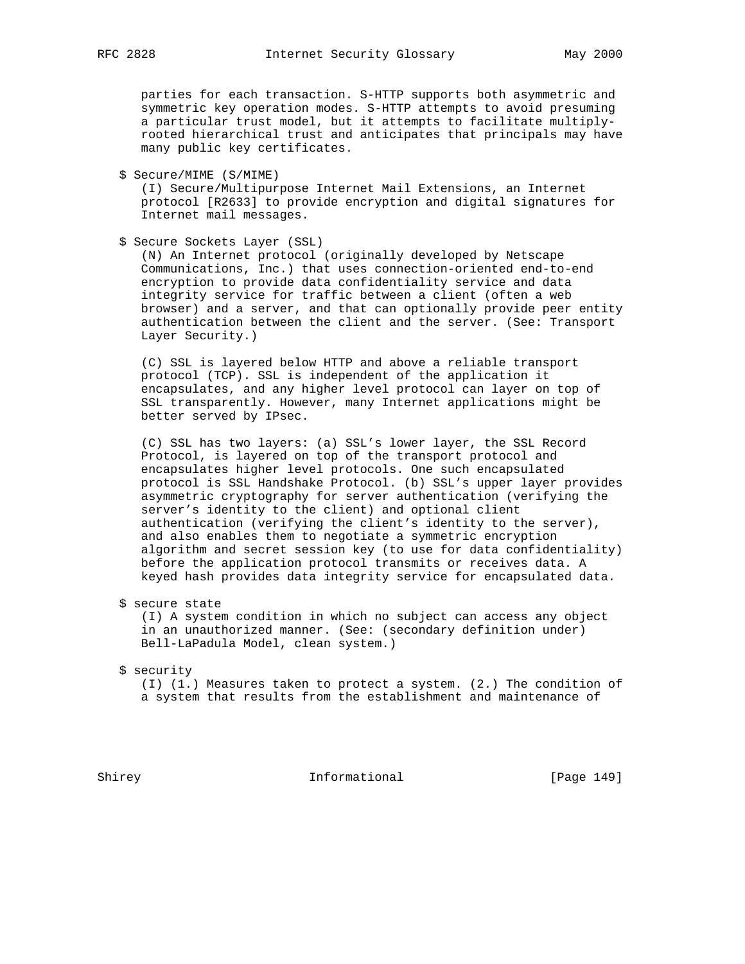parties for each transaction. S-HTTP supports both asymmetric and symmetric key operation modes. S-HTTP attempts to avoid presuming a particular trust model, but it attempts to facilitate multiply rooted hierarchical trust and anticipates that principals may have many public key certificates.

\$ Secure/MIME (S/MIME)

 (I) Secure/Multipurpose Internet Mail Extensions, an Internet protocol [R2633] to provide encryption and digital signatures for Internet mail messages.

\$ Secure Sockets Layer (SSL)

 (N) An Internet protocol (originally developed by Netscape Communications, Inc.) that uses connection-oriented end-to-end encryption to provide data confidentiality service and data integrity service for traffic between a client (often a web browser) and a server, and that can optionally provide peer entity authentication between the client and the server. (See: Transport Layer Security.)

 (C) SSL is layered below HTTP and above a reliable transport protocol (TCP). SSL is independent of the application it encapsulates, and any higher level protocol can layer on top of SSL transparently. However, many Internet applications might be better served by IPsec.

 (C) SSL has two layers: (a) SSL's lower layer, the SSL Record Protocol, is layered on top of the transport protocol and encapsulates higher level protocols. One such encapsulated protocol is SSL Handshake Protocol. (b) SSL's upper layer provides asymmetric cryptography for server authentication (verifying the server's identity to the client) and optional client authentication (verifying the client's identity to the server), and also enables them to negotiate a symmetric encryption algorithm and secret session key (to use for data confidentiality) before the application protocol transmits or receives data. A keyed hash provides data integrity service for encapsulated data.

\$ secure state

 (I) A system condition in which no subject can access any object in an unauthorized manner. (See: (secondary definition under) Bell-LaPadula Model, clean system.)

#### \$ security

 (I) (1.) Measures taken to protect a system. (2.) The condition of a system that results from the establishment and maintenance of

Shirey **Informational** [Page 149]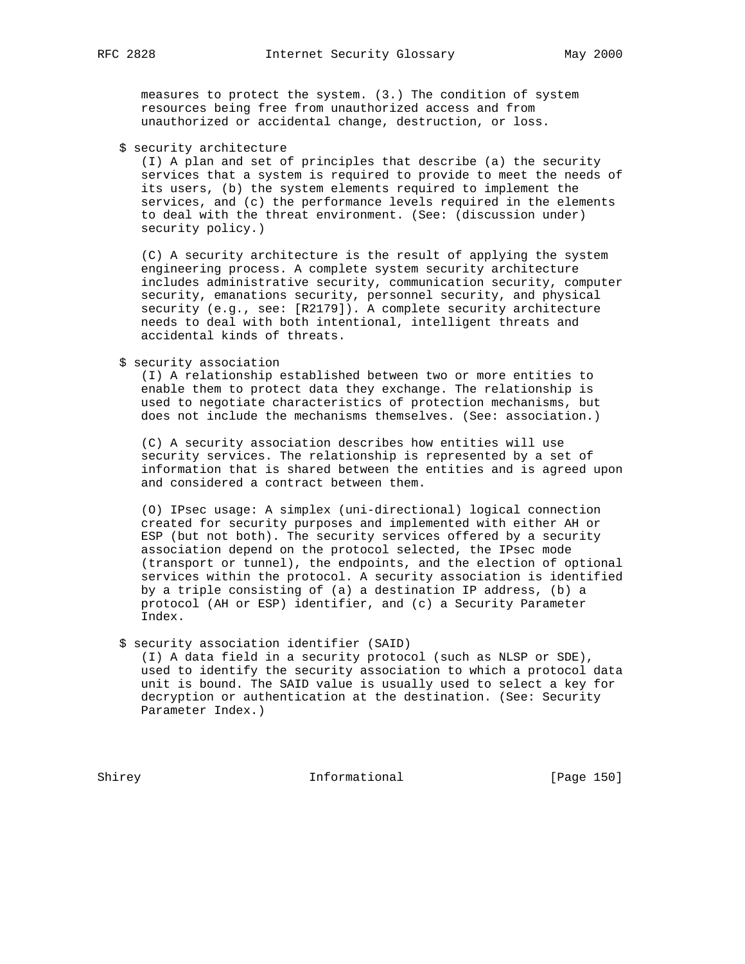measures to protect the system. (3.) The condition of system resources being free from unauthorized access and from unauthorized or accidental change, destruction, or loss.

\$ security architecture

 (I) A plan and set of principles that describe (a) the security services that a system is required to provide to meet the needs of its users, (b) the system elements required to implement the services, and (c) the performance levels required in the elements to deal with the threat environment. (See: (discussion under) security policy.)

 (C) A security architecture is the result of applying the system engineering process. A complete system security architecture includes administrative security, communication security, computer security, emanations security, personnel security, and physical security (e.g., see: [R2179]). A complete security architecture needs to deal with both intentional, intelligent threats and accidental kinds of threats.

\$ security association

 (I) A relationship established between two or more entities to enable them to protect data they exchange. The relationship is used to negotiate characteristics of protection mechanisms, but does not include the mechanisms themselves. (See: association.)

 (C) A security association describes how entities will use security services. The relationship is represented by a set of information that is shared between the entities and is agreed upon and considered a contract between them.

 (O) IPsec usage: A simplex (uni-directional) logical connection created for security purposes and implemented with either AH or ESP (but not both). The security services offered by a security association depend on the protocol selected, the IPsec mode (transport or tunnel), the endpoints, and the election of optional services within the protocol. A security association is identified by a triple consisting of (a) a destination IP address, (b) a protocol (AH or ESP) identifier, and (c) a Security Parameter Index.

\$ security association identifier (SAID)

 (I) A data field in a security protocol (such as NLSP or SDE), used to identify the security association to which a protocol data unit is bound. The SAID value is usually used to select a key for decryption or authentication at the destination. (See: Security Parameter Index.)

Shirey **Informational** [Page 150]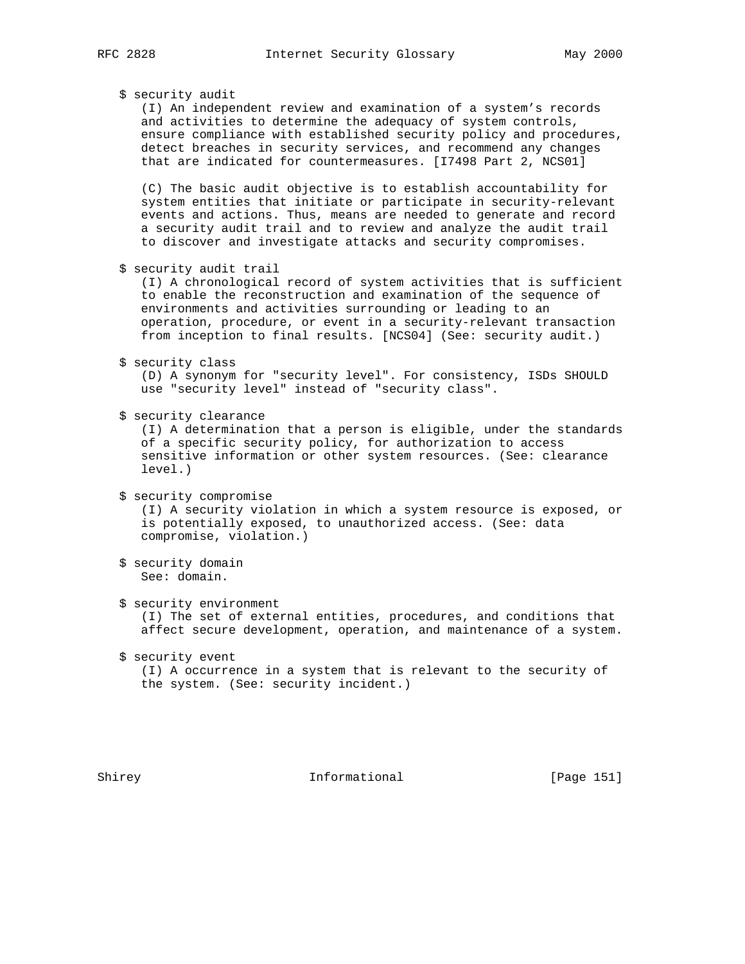# \$ security audit

 (I) An independent review and examination of a system's records and activities to determine the adequacy of system controls, ensure compliance with established security policy and procedures, detect breaches in security services, and recommend any changes that are indicated for countermeasures. [I7498 Part 2, NCS01]

 (C) The basic audit objective is to establish accountability for system entities that initiate or participate in security-relevant events and actions. Thus, means are needed to generate and record a security audit trail and to review and analyze the audit trail to discover and investigate attacks and security compromises.

\$ security audit trail

 (I) A chronological record of system activities that is sufficient to enable the reconstruction and examination of the sequence of environments and activities surrounding or leading to an operation, procedure, or event in a security-relevant transaction from inception to final results. [NCS04] (See: security audit.)

\$ security class

 (D) A synonym for "security level". For consistency, ISDs SHOULD use "security level" instead of "security class".

\$ security clearance

 (I) A determination that a person is eligible, under the standards of a specific security policy, for authorization to access sensitive information or other system resources. (See: clearance level.)

- \$ security compromise (I) A security violation in which a system resource is exposed, or is potentially exposed, to unauthorized access. (See: data compromise, violation.)
- \$ security domain See: domain.
- \$ security environment (I) The set of external entities, procedures, and conditions that affect secure development, operation, and maintenance of a system.
- \$ security event (I) A occurrence in a system that is relevant to the security of the system. (See: security incident.)

Shirey **Informational** [Page 151]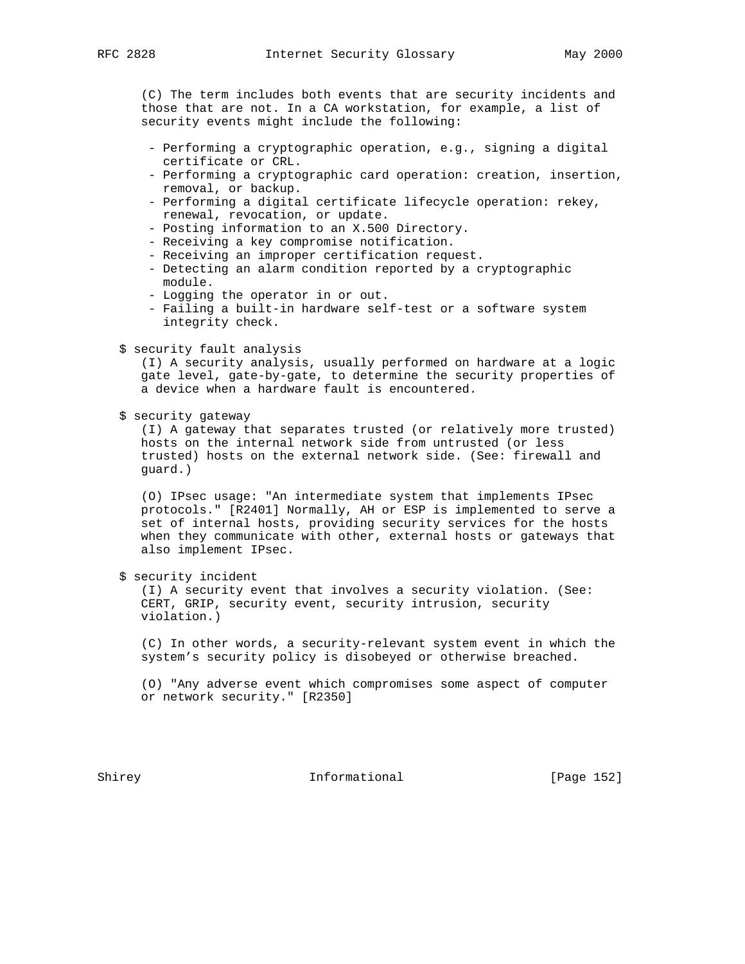(C) The term includes both events that are security incidents and those that are not. In a CA workstation, for example, a list of security events might include the following:

- Performing a cryptographic operation, e.g., signing a digital certificate or CRL.
- Performing a cryptographic card operation: creation, insertion, removal, or backup.
- Performing a digital certificate lifecycle operation: rekey, renewal, revocation, or update.
- Posting information to an X.500 Directory.
- Receiving a key compromise notification.
- Receiving an improper certification request.
- Detecting an alarm condition reported by a cryptographic module.
- Logging the operator in or out.
- Failing a built-in hardware self-test or a software system integrity check.

# \$ security fault analysis

 (I) A security analysis, usually performed on hardware at a logic gate level, gate-by-gate, to determine the security properties of a device when a hardware fault is encountered.

\$ security gateway

 (I) A gateway that separates trusted (or relatively more trusted) hosts on the internal network side from untrusted (or less trusted) hosts on the external network side. (See: firewall and guard.)

 (O) IPsec usage: "An intermediate system that implements IPsec protocols." [R2401] Normally, AH or ESP is implemented to serve a set of internal hosts, providing security services for the hosts when they communicate with other, external hosts or gateways that also implement IPsec.

\$ security incident

 (I) A security event that involves a security violation. (See: CERT, GRIP, security event, security intrusion, security violation.)

 (C) In other words, a security-relevant system event in which the system's security policy is disobeyed or otherwise breached.

 (O) "Any adverse event which compromises some aspect of computer or network security." [R2350]

Shirey **Informational** [Page 152]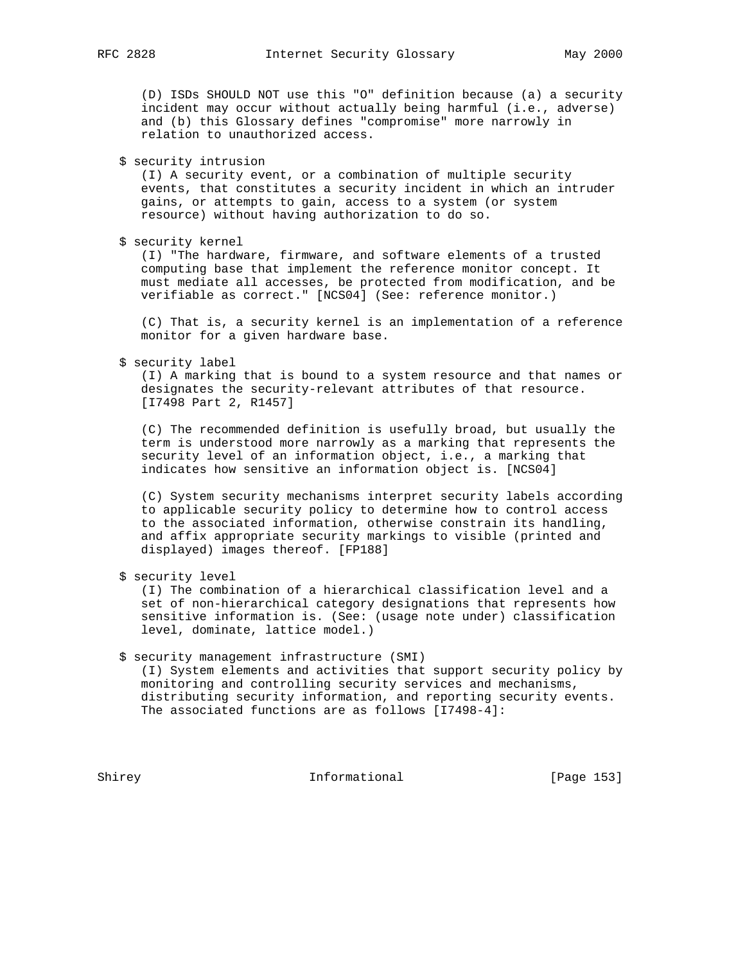(D) ISDs SHOULD NOT use this "O" definition because (a) a security incident may occur without actually being harmful (i.e., adverse) and (b) this Glossary defines "compromise" more narrowly in relation to unauthorized access.

\$ security intrusion

 (I) A security event, or a combination of multiple security events, that constitutes a security incident in which an intruder gains, or attempts to gain, access to a system (or system resource) without having authorization to do so.

\$ security kernel

 (I) "The hardware, firmware, and software elements of a trusted computing base that implement the reference monitor concept. It must mediate all accesses, be protected from modification, and be verifiable as correct." [NCS04] (See: reference monitor.)

 (C) That is, a security kernel is an implementation of a reference monitor for a given hardware base.

\$ security label

 (I) A marking that is bound to a system resource and that names or designates the security-relevant attributes of that resource. [I7498 Part 2, R1457]

 (C) The recommended definition is usefully broad, but usually the term is understood more narrowly as a marking that represents the security level of an information object, i.e., a marking that indicates how sensitive an information object is. [NCS04]

 (C) System security mechanisms interpret security labels according to applicable security policy to determine how to control access to the associated information, otherwise constrain its handling, and affix appropriate security markings to visible (printed and displayed) images thereof. [FP188]

\$ security level

 (I) The combination of a hierarchical classification level and a set of non-hierarchical category designations that represents how sensitive information is. (See: (usage note under) classification level, dominate, lattice model.)

# \$ security management infrastructure (SMI)

 (I) System elements and activities that support security policy by monitoring and controlling security services and mechanisms, distributing security information, and reporting security events. The associated functions are as follows [I7498-4]:

Shirey **Informational** [Page 153]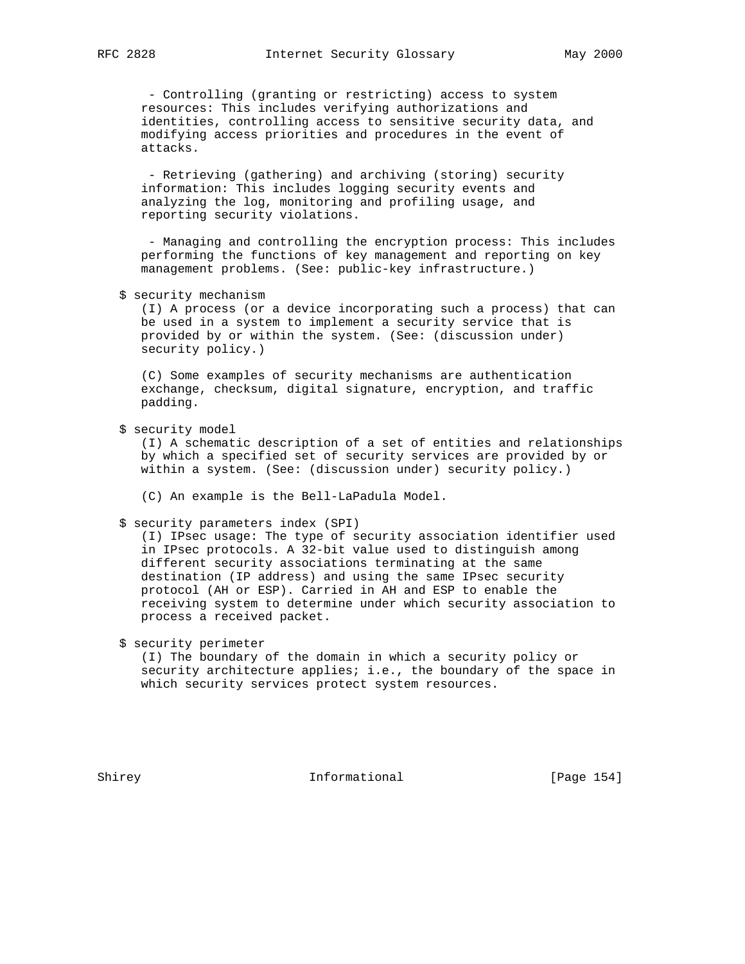- Controlling (granting or restricting) access to system resources: This includes verifying authorizations and identities, controlling access to sensitive security data, and modifying access priorities and procedures in the event of attacks.

 - Retrieving (gathering) and archiving (storing) security information: This includes logging security events and analyzing the log, monitoring and profiling usage, and reporting security violations.

 - Managing and controlling the encryption process: This includes performing the functions of key management and reporting on key management problems. (See: public-key infrastructure.)

\$ security mechanism

 (I) A process (or a device incorporating such a process) that can be used in a system to implement a security service that is provided by or within the system. (See: (discussion under) security policy.)

 (C) Some examples of security mechanisms are authentication exchange, checksum, digital signature, encryption, and traffic padding.

\$ security model

 (I) A schematic description of a set of entities and relationships by which a specified set of security services are provided by or within a system. (See: (discussion under) security policy.)

(C) An example is the Bell-LaPadula Model.

\$ security parameters index (SPI)

 (I) IPsec usage: The type of security association identifier used in IPsec protocols. A 32-bit value used to distinguish among different security associations terminating at the same destination (IP address) and using the same IPsec security protocol (AH or ESP). Carried in AH and ESP to enable the receiving system to determine under which security association to process a received packet.

# \$ security perimeter

 (I) The boundary of the domain in which a security policy or security architecture applies; i.e., the boundary of the space in which security services protect system resources.

Shirey **Informational** [Page 154]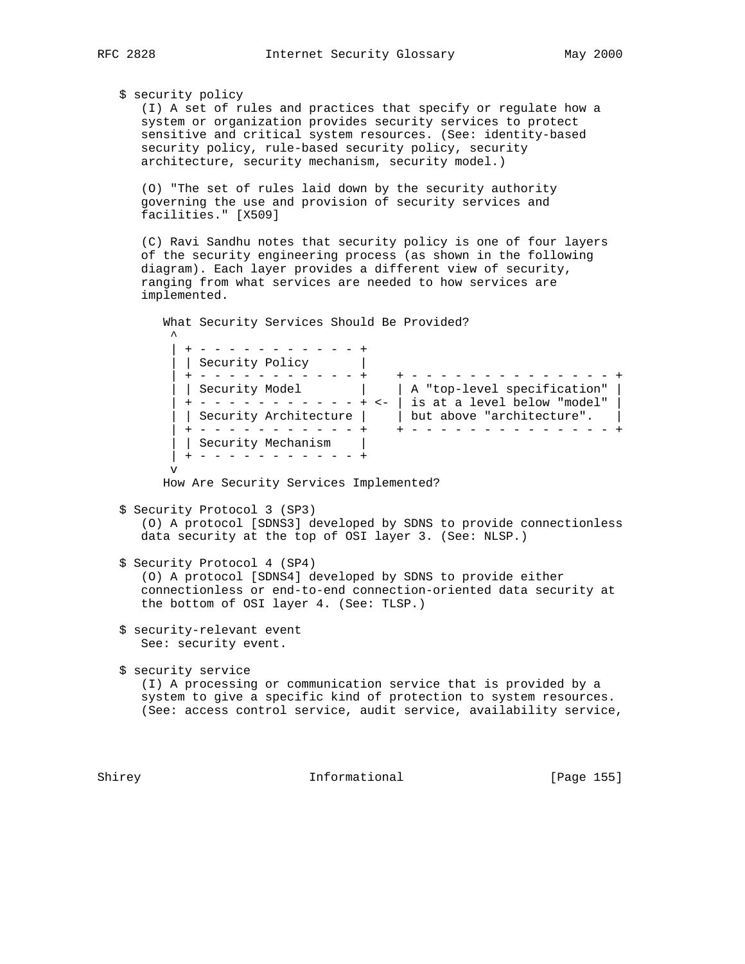$\sim$   $\sim$ 

\$ security policy

 (I) A set of rules and practices that specify or regulate how a system or organization provides security services to protect sensitive and critical system resources. (See: identity-based security policy, rule-based security policy, security architecture, security mechanism, security model.)

 (O) "The set of rules laid down by the security authority governing the use and provision of security services and facilities." [X509]

 (C) Ravi Sandhu notes that security policy is one of four layers of the security engineering process (as shown in the following diagram). Each layer provides a different view of security, ranging from what services are needed to how services are implemented.

What Security Services Should Be Provided?

 | + - - - - - - - - - - - + | Security Policy | | + - - - - - - - - - - - + + - - - - - - - - - - - - - - + | | Security Model | | A "top-level specification" | | + - - - - - - - - - - - + <- | is at a level below "model" | | | Security Architecture | | but above "architecture". | | + - - - - - - - - - - - + + - - - - - - - - - - - - - - + | | Security Mechanism | | + - - - - - - - - - - - + v

How Are Security Services Implemented?

\$ Security Protocol 3 (SP3)

 (O) A protocol [SDNS3] developed by SDNS to provide connectionless data security at the top of OSI layer 3. (See: NLSP.)

\$ Security Protocol 4 (SP4)

 (O) A protocol [SDNS4] developed by SDNS to provide either connectionless or end-to-end connection-oriented data security at the bottom of OSI layer 4. (See: TLSP.)

 \$ security-relevant event See: security event.

 \$ security service (I) A processing or communication service that is provided by a system to give a specific kind of protection to system resources. (See: access control service, audit service, availability service,

Shirey **Informational** [Page 155]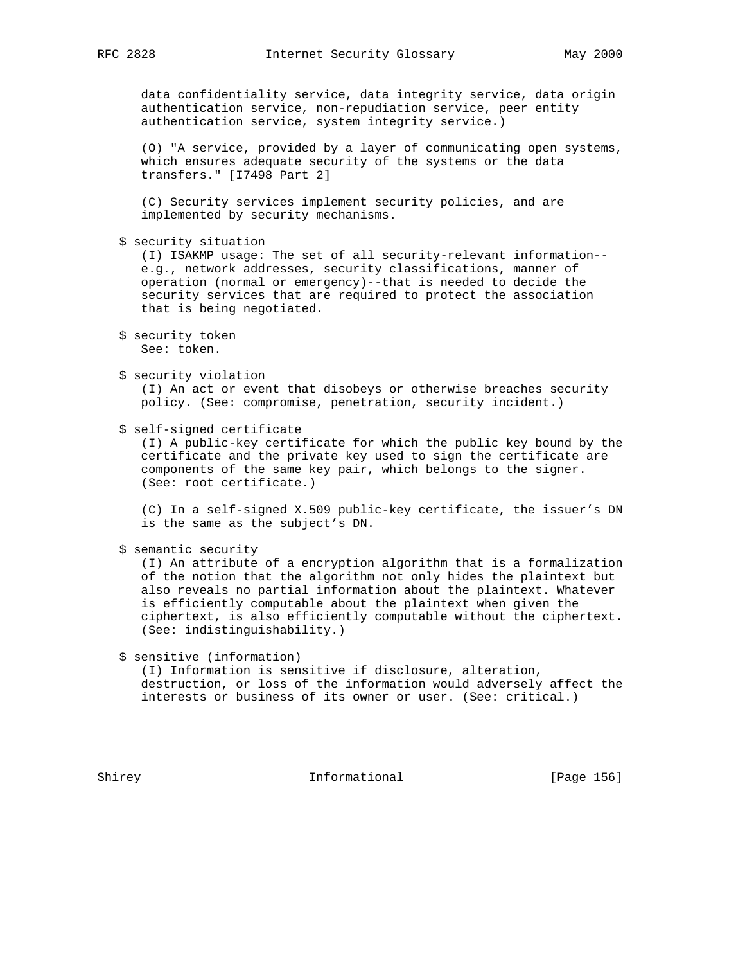data confidentiality service, data integrity service, data origin authentication service, non-repudiation service, peer entity authentication service, system integrity service.)

 (O) "A service, provided by a layer of communicating open systems, which ensures adequate security of the systems or the data transfers." [I7498 Part 2]

 (C) Security services implement security policies, and are implemented by security mechanisms.

\$ security situation

 (I) ISAKMP usage: The set of all security-relevant information- e.g., network addresses, security classifications, manner of operation (normal or emergency)--that is needed to decide the security services that are required to protect the association that is being negotiated.

\$ security violation

 (I) An act or event that disobeys or otherwise breaches security policy. (See: compromise, penetration, security incident.)

\$ self-signed certificate

 (I) A public-key certificate for which the public key bound by the certificate and the private key used to sign the certificate are components of the same key pair, which belongs to the signer. (See: root certificate.)

 (C) In a self-signed X.509 public-key certificate, the issuer's DN is the same as the subject's DN.

\$ semantic security

 (I) An attribute of a encryption algorithm that is a formalization of the notion that the algorithm not only hides the plaintext but also reveals no partial information about the plaintext. Whatever is efficiently computable about the plaintext when given the ciphertext, is also efficiently computable without the ciphertext. (See: indistinguishability.)

\$ sensitive (information)

 (I) Information is sensitive if disclosure, alteration, destruction, or loss of the information would adversely affect the interests or business of its owner or user. (See: critical.)

Shirey **Informational** [Page 156]

 <sup>\$</sup> security token See: token.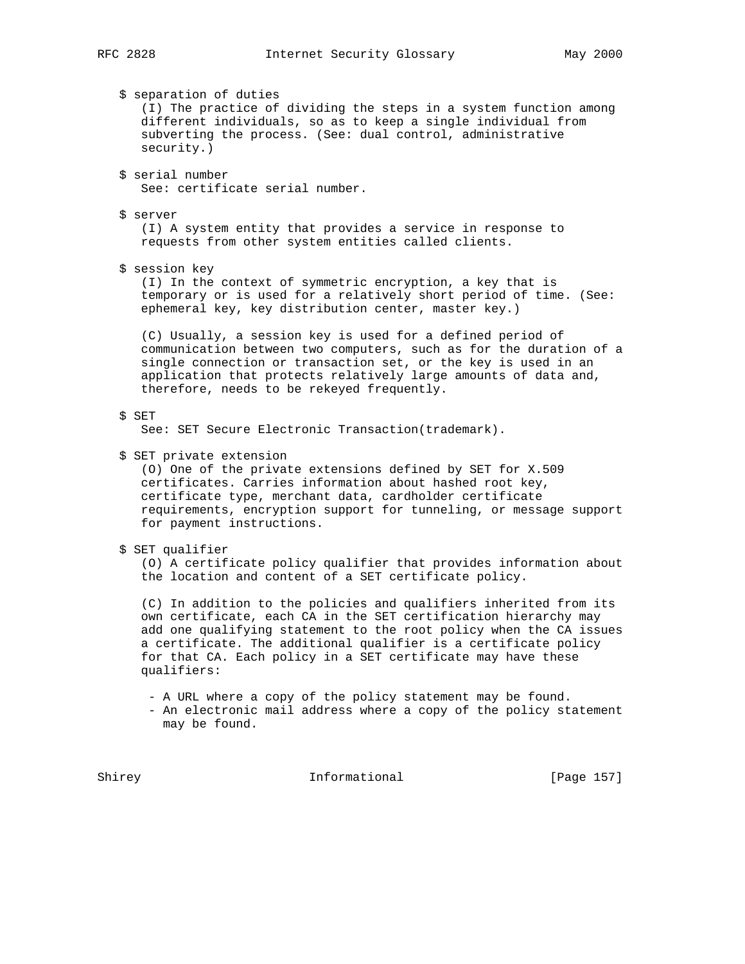\$ separation of duties (I) The practice of dividing the steps in a system function among different individuals, so as to keep a single individual from subverting the process. (See: dual control, administrative security.) \$ serial number See: certificate serial number. \$ server (I) A system entity that provides a service in response to requests from other system entities called clients. \$ session key (I) In the context of symmetric encryption, a key that is temporary or is used for a relatively short period of time. (See: ephemeral key, key distribution center, master key.) (C) Usually, a session key is used for a defined period of communication between two computers, such as for the duration of a single connection or transaction set, or the key is used in an application that protects relatively large amounts of data and, therefore, needs to be rekeyed frequently. \$ SET See: SET Secure Electronic Transaction(trademark). \$ SET private extension (O) One of the private extensions defined by SET for X.509 certificates. Carries information about hashed root key, certificate type, merchant data, cardholder certificate requirements, encryption support for tunneling, or message support for payment instructions. \$ SET qualifier (O) A certificate policy qualifier that provides information about the location and content of a SET certificate policy. (C) In addition to the policies and qualifiers inherited from its own certificate, each CA in the SET certification hierarchy may add one qualifying statement to the root policy when the CA issues a certificate. The additional qualifier is a certificate policy for that CA. Each policy in a SET certificate may have these qualifiers: - A URL where a copy of the policy statement may be found. - An electronic mail address where a copy of the policy statement may be found. Shirey **Informational** [Page 157]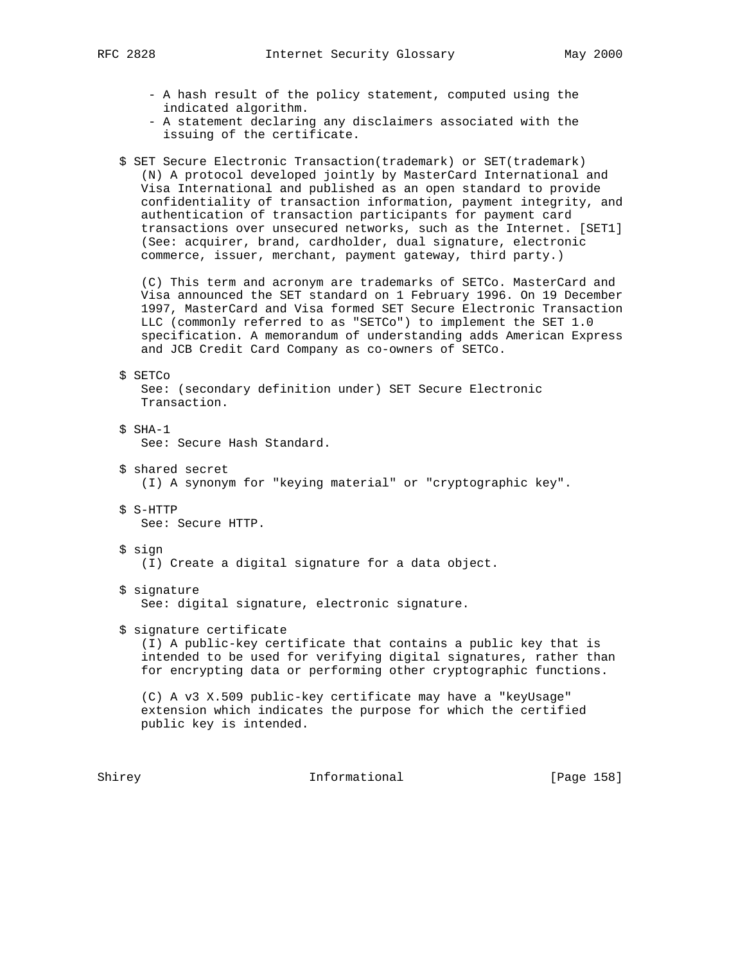- - A hash result of the policy statement, computed using the indicated algorithm.
	- A statement declaring any disclaimers associated with the issuing of the certificate.
	- \$ SET Secure Electronic Transaction(trademark) or SET(trademark) (N) A protocol developed jointly by MasterCard International and Visa International and published as an open standard to provide confidentiality of transaction information, payment integrity, and authentication of transaction participants for payment card transactions over unsecured networks, such as the Internet. [SET1] (See: acquirer, brand, cardholder, dual signature, electronic commerce, issuer, merchant, payment gateway, third party.)

 (C) This term and acronym are trademarks of SETCo. MasterCard and Visa announced the SET standard on 1 February 1996. On 19 December 1997, MasterCard and Visa formed SET Secure Electronic Transaction LLC (commonly referred to as "SETCo") to implement the SET 1.0 specification. A memorandum of understanding adds American Express and JCB Credit Card Company as co-owners of SETCo.

## \$ SETCo

 See: (secondary definition under) SET Secure Electronic Transaction.

\$ SHA-1

See: Secure Hash Standard.

- \$ shared secret (I) A synonym for "keying material" or "cryptographic key".
- \$ S-HTTP See: Secure HTTP.
- \$ sign

(I) Create a digital signature for a data object.

\$ signature

See: digital signature, electronic signature.

\$ signature certificate

 (I) A public-key certificate that contains a public key that is intended to be used for verifying digital signatures, rather than for encrypting data or performing other cryptographic functions.

 (C) A v3 X.509 public-key certificate may have a "keyUsage" extension which indicates the purpose for which the certified public key is intended.

Shirey **Informational** [Page 158]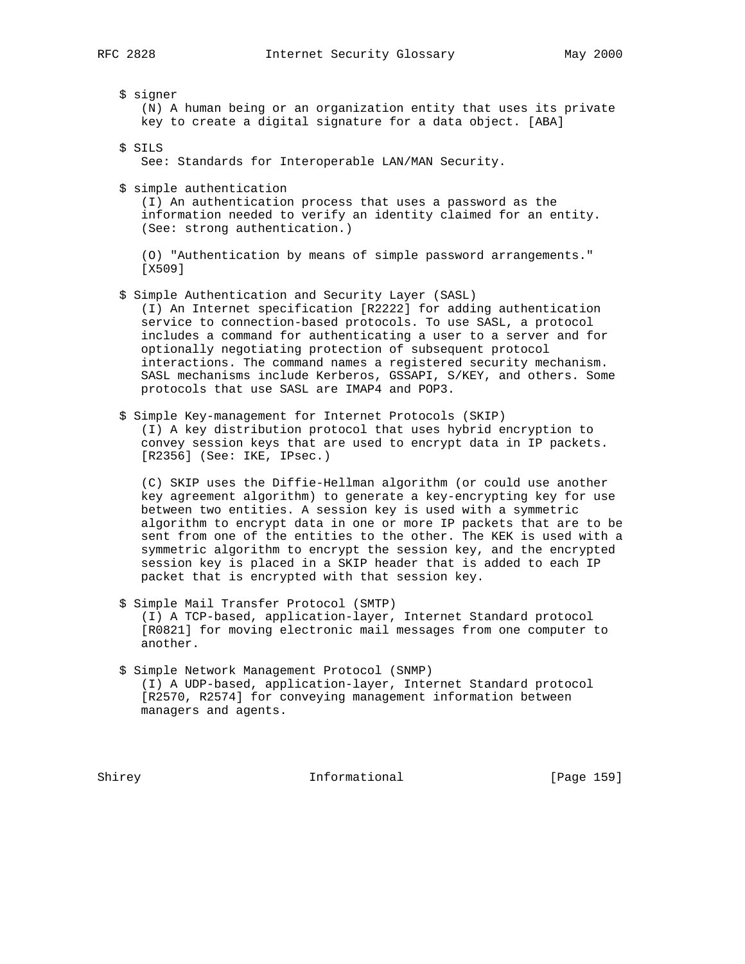\$ signer (N) A human being or an organization entity that uses its private key to create a digital signature for a data object. [ABA] \$ SILS See: Standards for Interoperable LAN/MAN Security. \$ simple authentication (I) An authentication process that uses a password as the information needed to verify an identity claimed for an entity. (See: strong authentication.) (O) "Authentication by means of simple password arrangements." [X509] \$ Simple Authentication and Security Layer (SASL) (I) An Internet specification [R2222] for adding authentication service to connection-based protocols. To use SASL, a protocol includes a command for authenticating a user to a server and for optionally negotiating protection of subsequent protocol

 interactions. The command names a registered security mechanism. SASL mechanisms include Kerberos, GSSAPI, S/KEY, and others. Some protocols that use SASL are IMAP4 and POP3.

 \$ Simple Key-management for Internet Protocols (SKIP) (I) A key distribution protocol that uses hybrid encryption to convey session keys that are used to encrypt data in IP packets. [R2356] (See: IKE, IPsec.)

 (C) SKIP uses the Diffie-Hellman algorithm (or could use another key agreement algorithm) to generate a key-encrypting key for use between two entities. A session key is used with a symmetric algorithm to encrypt data in one or more IP packets that are to be sent from one of the entities to the other. The KEK is used with a symmetric algorithm to encrypt the session key, and the encrypted session key is placed in a SKIP header that is added to each IP packet that is encrypted with that session key.

- \$ Simple Mail Transfer Protocol (SMTP) (I) A TCP-based, application-layer, Internet Standard protocol [R0821] for moving electronic mail messages from one computer to another.
- \$ Simple Network Management Protocol (SNMP) (I) A UDP-based, application-layer, Internet Standard protocol [R2570, R2574] for conveying management information between managers and agents.

Shirey **Informational** [Page 159]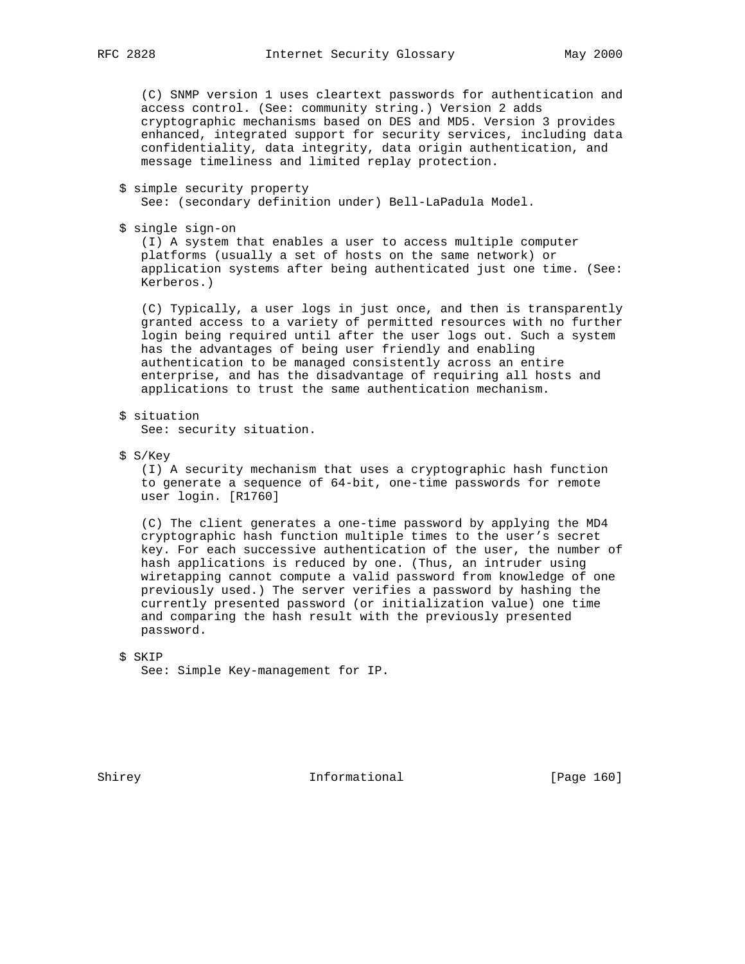(C) SNMP version 1 uses cleartext passwords for authentication and access control. (See: community string.) Version 2 adds cryptographic mechanisms based on DES and MD5. Version 3 provides enhanced, integrated support for security services, including data confidentiality, data integrity, data origin authentication, and message timeliness and limited replay protection.

\$ simple security property

See: (secondary definition under) Bell-LaPadula Model.

\$ single sign-on

 (I) A system that enables a user to access multiple computer platforms (usually a set of hosts on the same network) or application systems after being authenticated just one time. (See: Kerberos.)

 (C) Typically, a user logs in just once, and then is transparently granted access to a variety of permitted resources with no further login being required until after the user logs out. Such a system has the advantages of being user friendly and enabling authentication to be managed consistently across an entire enterprise, and has the disadvantage of requiring all hosts and applications to trust the same authentication mechanism.

\$ situation

See: security situation.

\$ S/Key

 (I) A security mechanism that uses a cryptographic hash function to generate a sequence of 64-bit, one-time passwords for remote user login. [R1760]

 (C) The client generates a one-time password by applying the MD4 cryptographic hash function multiple times to the user's secret key. For each successive authentication of the user, the number of hash applications is reduced by one. (Thus, an intruder using wiretapping cannot compute a valid password from knowledge of one previously used.) The server verifies a password by hashing the currently presented password (or initialization value) one time and comparing the hash result with the previously presented password.

Shirey **Informational** [Page 160]

 <sup>\$</sup> SKIP See: Simple Key-management for IP.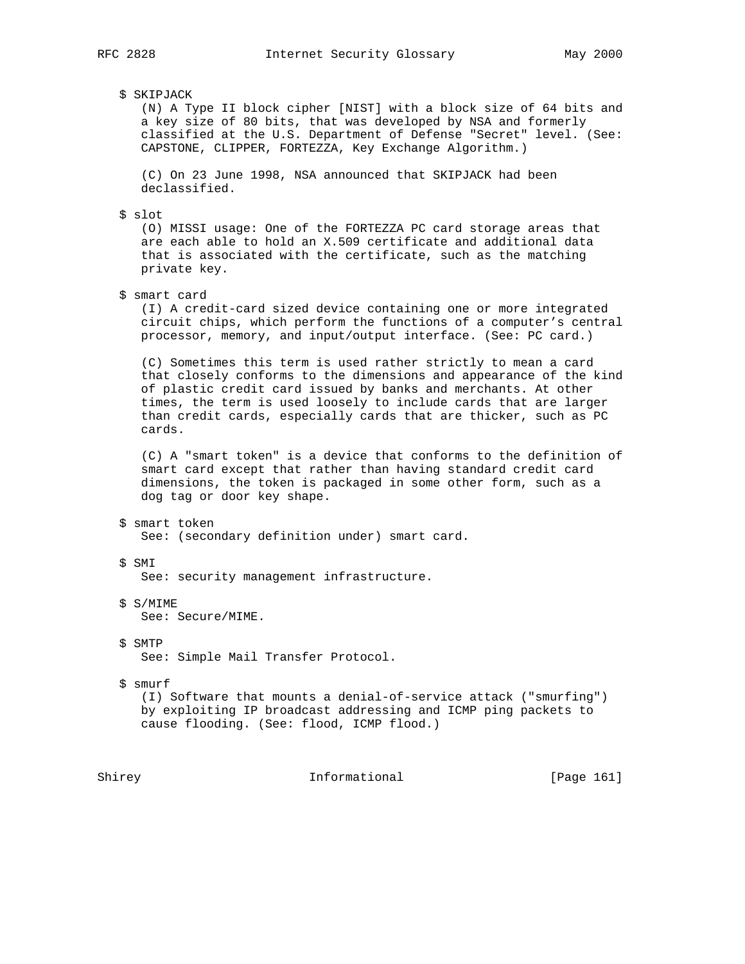## \$ SKIPJACK

 (N) A Type II block cipher [NIST] with a block size of 64 bits and a key size of 80 bits, that was developed by NSA and formerly classified at the U.S. Department of Defense "Secret" level. (See: CAPSTONE, CLIPPER, FORTEZZA, Key Exchange Algorithm.)

 (C) On 23 June 1998, NSA announced that SKIPJACK had been declassified.

# \$ slot

 (O) MISSI usage: One of the FORTEZZA PC card storage areas that are each able to hold an X.509 certificate and additional data that is associated with the certificate, such as the matching private key.

## \$ smart card

 (I) A credit-card sized device containing one or more integrated circuit chips, which perform the functions of a computer's central processor, memory, and input/output interface. (See: PC card.)

 (C) Sometimes this term is used rather strictly to mean a card that closely conforms to the dimensions and appearance of the kind of plastic credit card issued by banks and merchants. At other times, the term is used loosely to include cards that are larger than credit cards, especially cards that are thicker, such as PC cards.

 (C) A "smart token" is a device that conforms to the definition of smart card except that rather than having standard credit card dimensions, the token is packaged in some other form, such as a dog tag or door key shape.

- \$ smart token See: (secondary definition under) smart card.
- \$ SMI See: security management infrastructure.
- \$ S/MIME See: Secure/MIME.
- \$ SMTP See: Simple Mail Transfer Protocol.
- \$ smurf (I) Software that mounts a denial-of-service attack ("smurfing") by exploiting IP broadcast addressing and ICMP ping packets to cause flooding. (See: flood, ICMP flood.)

Shirey **Informational** [Page 161]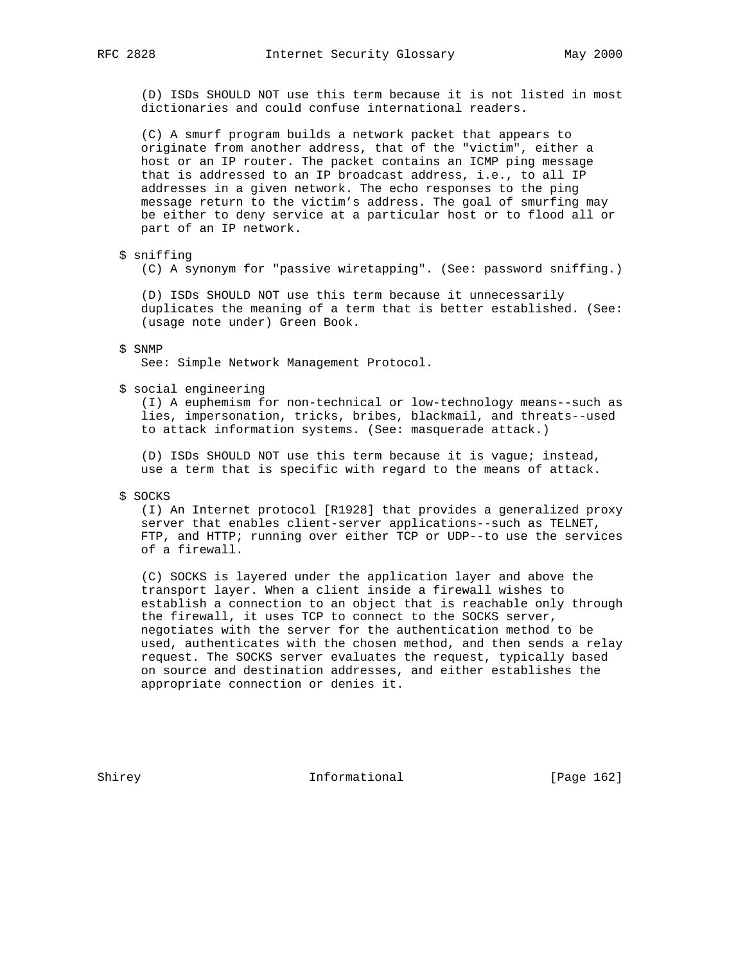(D) ISDs SHOULD NOT use this term because it is not listed in most dictionaries and could confuse international readers.

 (C) A smurf program builds a network packet that appears to originate from another address, that of the "victim", either a host or an IP router. The packet contains an ICMP ping message that is addressed to an IP broadcast address, i.e., to all IP addresses in a given network. The echo responses to the ping message return to the victim's address. The goal of smurfing may be either to deny service at a particular host or to flood all or part of an IP network.

# \$ sniffing

(C) A synonym for "passive wiretapping". (See: password sniffing.)

 (D) ISDs SHOULD NOT use this term because it unnecessarily duplicates the meaning of a term that is better established. (See: (usage note under) Green Book.

#### \$ SNMP

See: Simple Network Management Protocol.

\$ social engineering

 (I) A euphemism for non-technical or low-technology means--such as lies, impersonation, tricks, bribes, blackmail, and threats--used to attack information systems. (See: masquerade attack.)

 (D) ISDs SHOULD NOT use this term because it is vague; instead, use a term that is specific with regard to the means of attack.

\$ SOCKS

 (I) An Internet protocol [R1928] that provides a generalized proxy server that enables client-server applications--such as TELNET, FTP, and HTTP; running over either TCP or UDP--to use the services of a firewall.

 (C) SOCKS is layered under the application layer and above the transport layer. When a client inside a firewall wishes to establish a connection to an object that is reachable only through the firewall, it uses TCP to connect to the SOCKS server, negotiates with the server for the authentication method to be used, authenticates with the chosen method, and then sends a relay request. The SOCKS server evaluates the request, typically based on source and destination addresses, and either establishes the appropriate connection or denies it.

Shirey **Informational** [Page 162]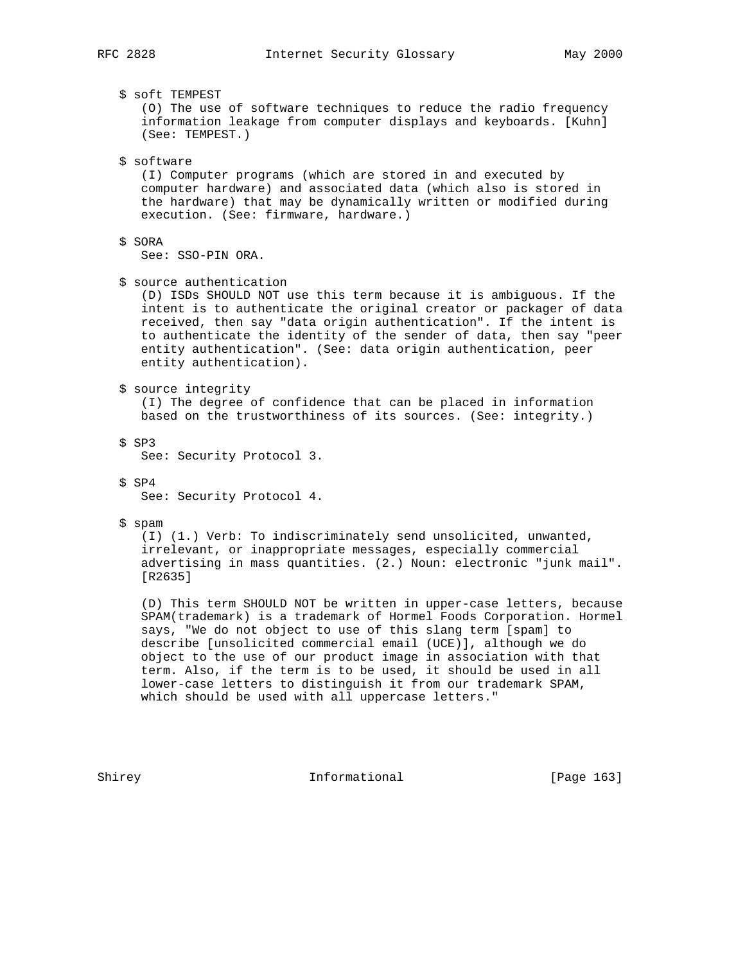\$ soft TEMPEST

 (O) The use of software techniques to reduce the radio frequency information leakage from computer displays and keyboards. [Kuhn] (See: TEMPEST.)

\$ software

 (I) Computer programs (which are stored in and executed by computer hardware) and associated data (which also is stored in the hardware) that may be dynamically written or modified during execution. (See: firmware, hardware.)

\$ SORA

See: SSO-PIN ORA.

\$ source authentication

 (D) ISDs SHOULD NOT use this term because it is ambiguous. If the intent is to authenticate the original creator or packager of data received, then say "data origin authentication". If the intent is to authenticate the identity of the sender of data, then say "peer entity authentication". (See: data origin authentication, peer entity authentication).

\$ source integrity

 (I) The degree of confidence that can be placed in information based on the trustworthiness of its sources. (See: integrity.)

\$ SP3

See: Security Protocol 3.

\$ SP4

See: Security Protocol 4.

\$ spam

 (I) (1.) Verb: To indiscriminately send unsolicited, unwanted, irrelevant, or inappropriate messages, especially commercial advertising in mass quantities. (2.) Noun: electronic "junk mail". [R2635]

 (D) This term SHOULD NOT be written in upper-case letters, because SPAM(trademark) is a trademark of Hormel Foods Corporation. Hormel says, "We do not object to use of this slang term [spam] to describe [unsolicited commercial email (UCE)], although we do object to the use of our product image in association with that term. Also, if the term is to be used, it should be used in all lower-case letters to distinguish it from our trademark SPAM, which should be used with all uppercase letters."

Shirey **Informational** [Page 163]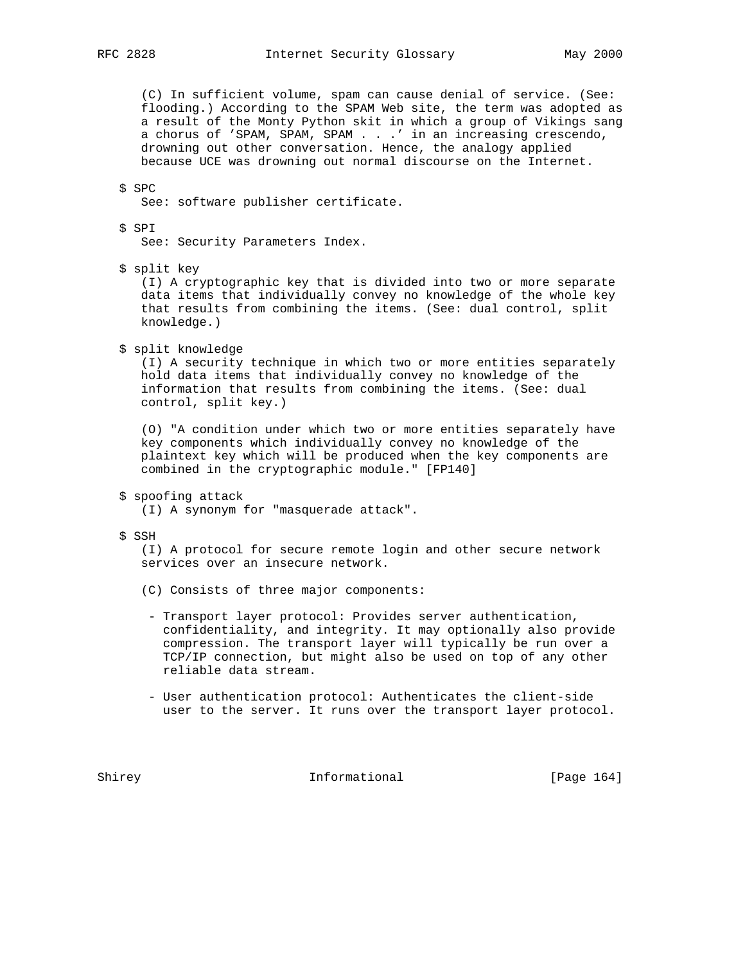(C) In sufficient volume, spam can cause denial of service. (See: flooding.) According to the SPAM Web site, the term was adopted as a result of the Monty Python skit in which a group of Vikings sang a chorus of 'SPAM, SPAM, SPAM . . .' in an increasing crescendo, drowning out other conversation. Hence, the analogy applied because UCE was drowning out normal discourse on the Internet.

# \$ SPC

See: software publisher certificate.

## \$ SPI

See: Security Parameters Index.

\$ split key

 (I) A cryptographic key that is divided into two or more separate data items that individually convey no knowledge of the whole key that results from combining the items. (See: dual control, split knowledge.)

\$ split knowledge

 (I) A security technique in which two or more entities separately hold data items that individually convey no knowledge of the information that results from combining the items. (See: dual control, split key.)

 (O) "A condition under which two or more entities separately have key components which individually convey no knowledge of the plaintext key which will be produced when the key components are combined in the cryptographic module." [FP140]

\$ spoofing attack

(I) A synonym for "masquerade attack".

# \$ SSH

 (I) A protocol for secure remote login and other secure network services over an insecure network.

- (C) Consists of three major components:
- Transport layer protocol: Provides server authentication, confidentiality, and integrity. It may optionally also provide compression. The transport layer will typically be run over a TCP/IP connection, but might also be used on top of any other reliable data stream.
- User authentication protocol: Authenticates the client-side user to the server. It runs over the transport layer protocol.

Shirey **Informational** [Page 164]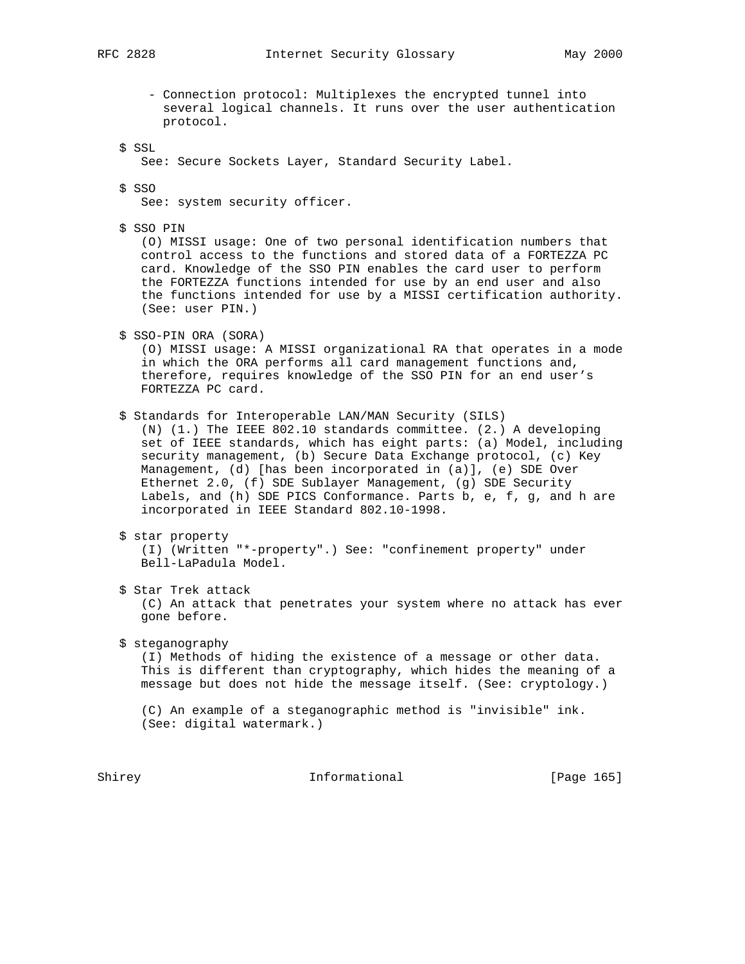- Connection protocol: Multiplexes the encrypted tunnel into several logical channels. It runs over the user authentication protocol.

\$ SSL

See: Secure Sockets Layer, Standard Security Label.

\$ SSO

See: system security officer.

\$ SSO PIN

 (O) MISSI usage: One of two personal identification numbers that control access to the functions and stored data of a FORTEZZA PC card. Knowledge of the SSO PIN enables the card user to perform the FORTEZZA functions intended for use by an end user and also the functions intended for use by a MISSI certification authority. (See: user PIN.)

\$ SSO-PIN ORA (SORA)

 (O) MISSI usage: A MISSI organizational RA that operates in a mode in which the ORA performs all card management functions and, therefore, requires knowledge of the SSO PIN for an end user's FORTEZZA PC card.

\$ Standards for Interoperable LAN/MAN Security (SILS)

 (N) (1.) The IEEE 802.10 standards committee. (2.) A developing set of IEEE standards, which has eight parts: (a) Model, including security management, (b) Secure Data Exchange protocol, (c) Key Management, (d) [has been incorporated in (a)], (e) SDE Over Ethernet 2.0, (f) SDE Sublayer Management, (g) SDE Security Labels, and (h) SDE PICS Conformance. Parts b, e, f, g, and h are incorporated in IEEE Standard 802.10-1998.

\$ star property

 (I) (Written "\*-property".) See: "confinement property" under Bell-LaPadula Model.

- \$ Star Trek attack (C) An attack that penetrates your system where no attack has ever gone before.
- \$ steganography (I) Methods of hiding the existence of a message or other data. This is different than cryptography, which hides the meaning of a message but does not hide the message itself. (See: cryptology.)

 (C) An example of a steganographic method is "invisible" ink. (See: digital watermark.)

Shirey **Informational** [Page 165]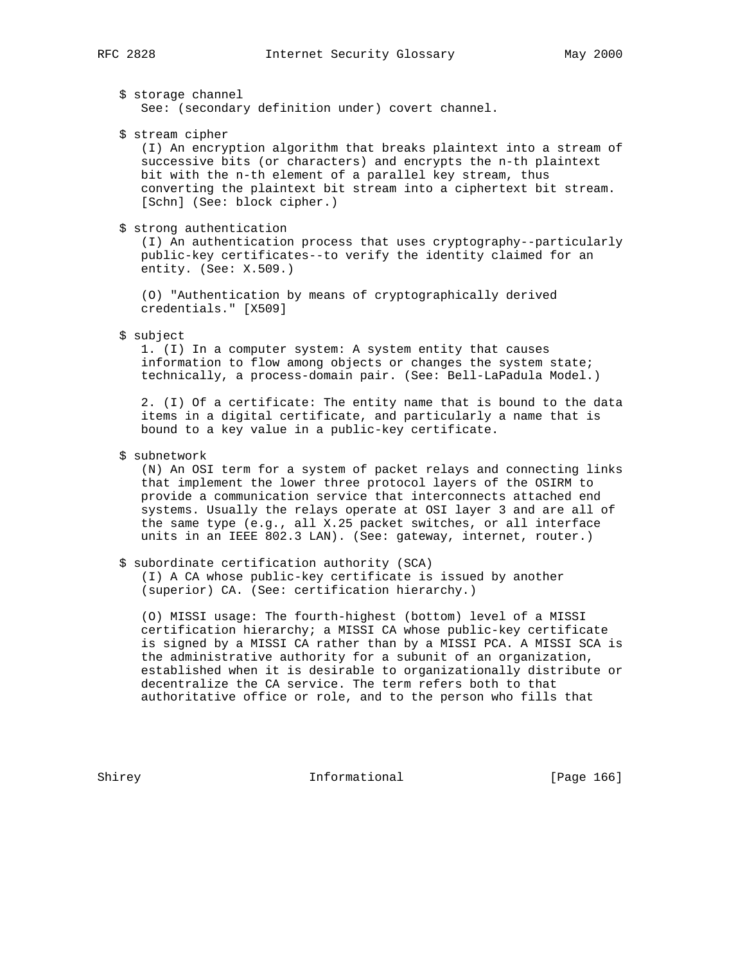\$ storage channel See: (secondary definition under) covert channel.

\$ stream cipher

 (I) An encryption algorithm that breaks plaintext into a stream of successive bits (or characters) and encrypts the n-th plaintext bit with the n-th element of a parallel key stream, thus converting the plaintext bit stream into a ciphertext bit stream. [Schn] (See: block cipher.)

\$ strong authentication

 (I) An authentication process that uses cryptography--particularly public-key certificates--to verify the identity claimed for an entity. (See: X.509.)

 (O) "Authentication by means of cryptographically derived credentials." [X509]

## \$ subject

 1. (I) In a computer system: A system entity that causes information to flow among objects or changes the system state; technically, a process-domain pair. (See: Bell-LaPadula Model.)

 2. (I) Of a certificate: The entity name that is bound to the data items in a digital certificate, and particularly a name that is bound to a key value in a public-key certificate.

\$ subnetwork

 (N) An OSI term for a system of packet relays and connecting links that implement the lower three protocol layers of the OSIRM to provide a communication service that interconnects attached end systems. Usually the relays operate at OSI layer 3 and are all of the same type (e.g., all X.25 packet switches, or all interface units in an IEEE 802.3 LAN). (See: gateway, internet, router.)

# \$ subordinate certification authority (SCA)

 (I) A CA whose public-key certificate is issued by another (superior) CA. (See: certification hierarchy.)

 (O) MISSI usage: The fourth-highest (bottom) level of a MISSI certification hierarchy; a MISSI CA whose public-key certificate is signed by a MISSI CA rather than by a MISSI PCA. A MISSI SCA is the administrative authority for a subunit of an organization, established when it is desirable to organizationally distribute or decentralize the CA service. The term refers both to that authoritative office or role, and to the person who fills that

Shirey **Informational** [Page 166]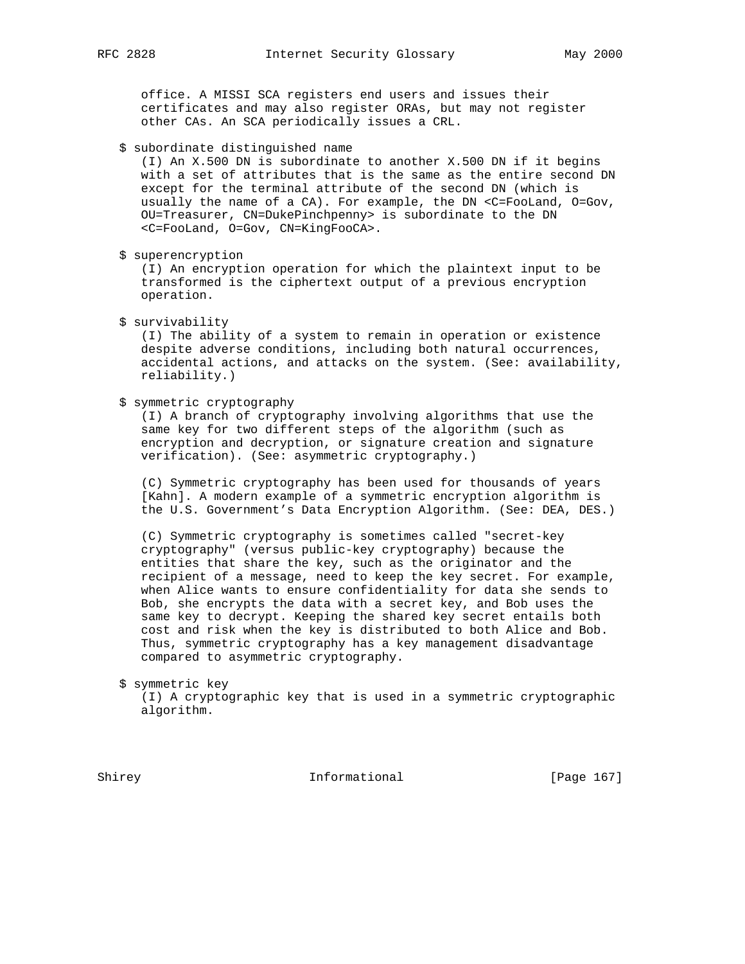office. A MISSI SCA registers end users and issues their certificates and may also register ORAs, but may not register other CAs. An SCA periodically issues a CRL.

\$ subordinate distinguished name

 (I) An X.500 DN is subordinate to another X.500 DN if it begins with a set of attributes that is the same as the entire second DN except for the terminal attribute of the second DN (which is usually the name of a CA). For example, the DN <C=FooLand, O=Gov, OU=Treasurer, CN=DukePinchpenny> is subordinate to the DN <C=FooLand, O=Gov, CN=KingFooCA>.

\$ superencryption

 (I) An encryption operation for which the plaintext input to be transformed is the ciphertext output of a previous encryption operation.

\$ survivability

 (I) The ability of a system to remain in operation or existence despite adverse conditions, including both natural occurrences, accidental actions, and attacks on the system. (See: availability, reliability.)

\$ symmetric cryptography

 (I) A branch of cryptography involving algorithms that use the same key for two different steps of the algorithm (such as encryption and decryption, or signature creation and signature verification). (See: asymmetric cryptography.)

 (C) Symmetric cryptography has been used for thousands of years [Kahn]. A modern example of a symmetric encryption algorithm is the U.S. Government's Data Encryption Algorithm. (See: DEA, DES.)

 (C) Symmetric cryptography is sometimes called "secret-key cryptography" (versus public-key cryptography) because the entities that share the key, such as the originator and the recipient of a message, need to keep the key secret. For example, when Alice wants to ensure confidentiality for data she sends to Bob, she encrypts the data with a secret key, and Bob uses the same key to decrypt. Keeping the shared key secret entails both cost and risk when the key is distributed to both Alice and Bob. Thus, symmetric cryptography has a key management disadvantage compared to asymmetric cryptography.

\$ symmetric key

 (I) A cryptographic key that is used in a symmetric cryptographic algorithm.

Shirey **Informational** [Page 167]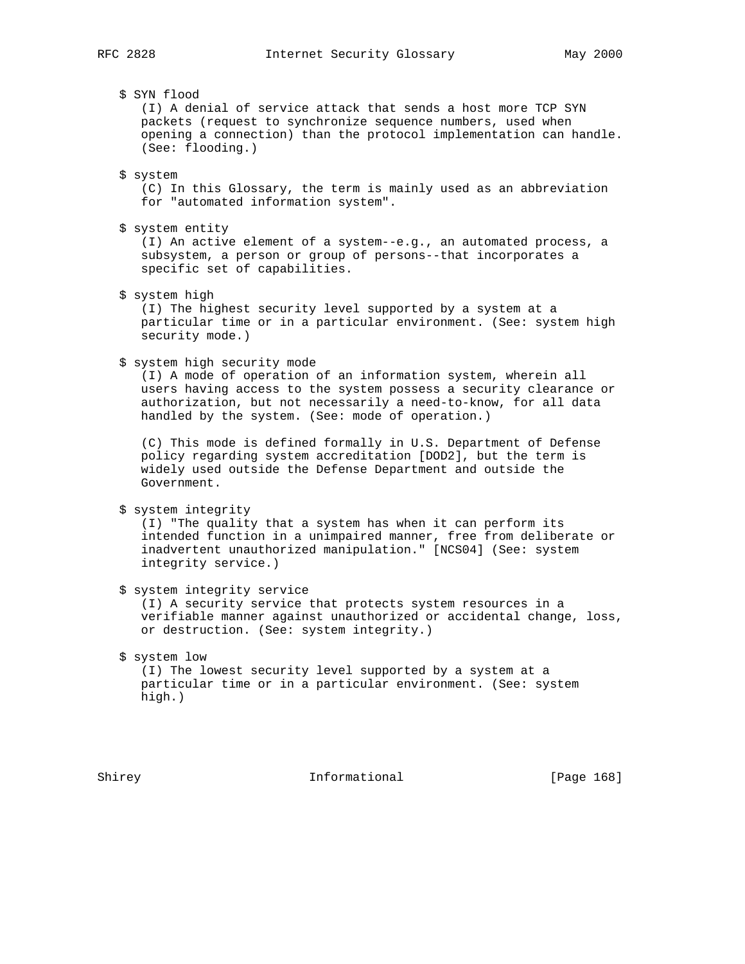# \$ SYN flood

 (I) A denial of service attack that sends a host more TCP SYN packets (request to synchronize sequence numbers, used when opening a connection) than the protocol implementation can handle. (See: flooding.)

\$ system

 (C) In this Glossary, the term is mainly used as an abbreviation for "automated information system".

\$ system entity

 (I) An active element of a system--e.g., an automated process, a subsystem, a person or group of persons--that incorporates a specific set of capabilities.

\$ system high

 (I) The highest security level supported by a system at a particular time or in a particular environment. (See: system high security mode.)

\$ system high security mode

 (I) A mode of operation of an information system, wherein all users having access to the system possess a security clearance or authorization, but not necessarily a need-to-know, for all data handled by the system. (See: mode of operation.)

 (C) This mode is defined formally in U.S. Department of Defense policy regarding system accreditation [DOD2], but the term is widely used outside the Defense Department and outside the Government.

\$ system integrity

 (I) "The quality that a system has when it can perform its intended function in a unimpaired manner, free from deliberate or inadvertent unauthorized manipulation." [NCS04] (See: system integrity service.)

\$ system integrity service

 (I) A security service that protects system resources in a verifiable manner against unauthorized or accidental change, loss, or destruction. (See: system integrity.)

# \$ system low (I) The lowest security level supported by a system at a particular time or in a particular environment. (See: system high.)

Shirey **Informational** [Page 168]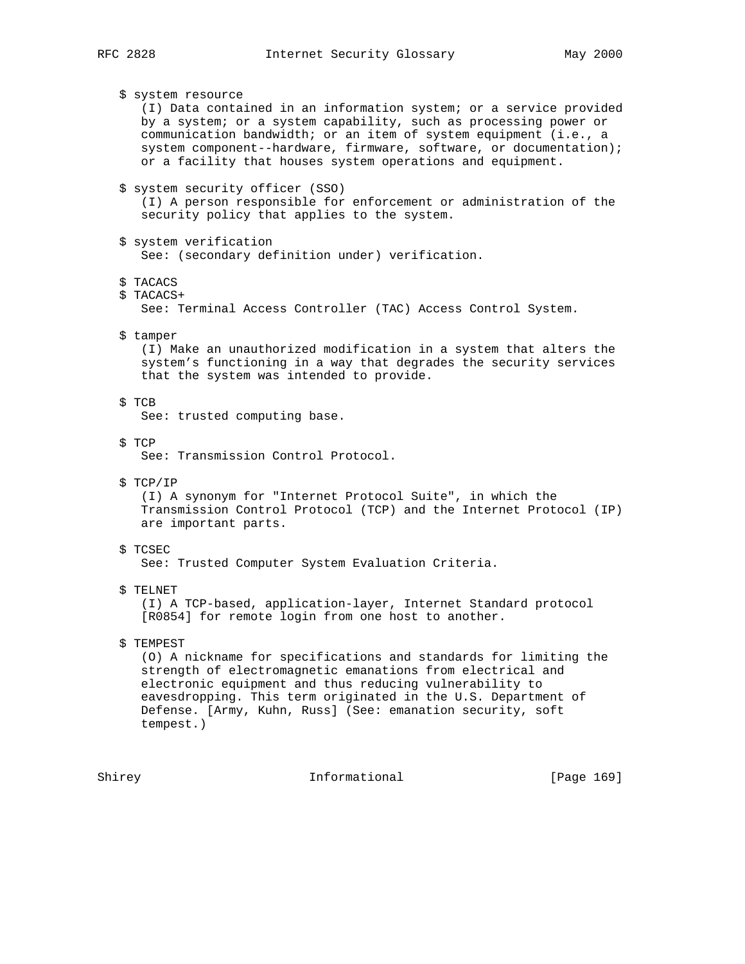\$ system resource (I) Data contained in an information system; or a service provided by a system; or a system capability, such as processing power or communication bandwidth; or an item of system equipment (i.e., a system component--hardware, firmware, software, or documentation); or a facility that houses system operations and equipment. \$ system security officer (SSO) (I) A person responsible for enforcement or administration of the security policy that applies to the system. \$ system verification See: (secondary definition under) verification. \$ TACACS \$ TACACS+ See: Terminal Access Controller (TAC) Access Control System. \$ tamper (I) Make an unauthorized modification in a system that alters the system's functioning in a way that degrades the security services that the system was intended to provide. \$ TCB See: trusted computing base. \$ TCP See: Transmission Control Protocol. \$ TCP/IP (I) A synonym for "Internet Protocol Suite", in which the Transmission Control Protocol (TCP) and the Internet Protocol (IP) are important parts. \$ TCSEC See: Trusted Computer System Evaluation Criteria. \$ TELNET (I) A TCP-based, application-layer, Internet Standard protocol [R0854] for remote login from one host to another. \$ TEMPEST (O) A nickname for specifications and standards for limiting the strength of electromagnetic emanations from electrical and electronic equipment and thus reducing vulnerability to eavesdropping. This term originated in the U.S. Department of Defense. [Army, Kuhn, Russ] (See: emanation security, soft tempest.)

Shirey **Informational** [Page 169]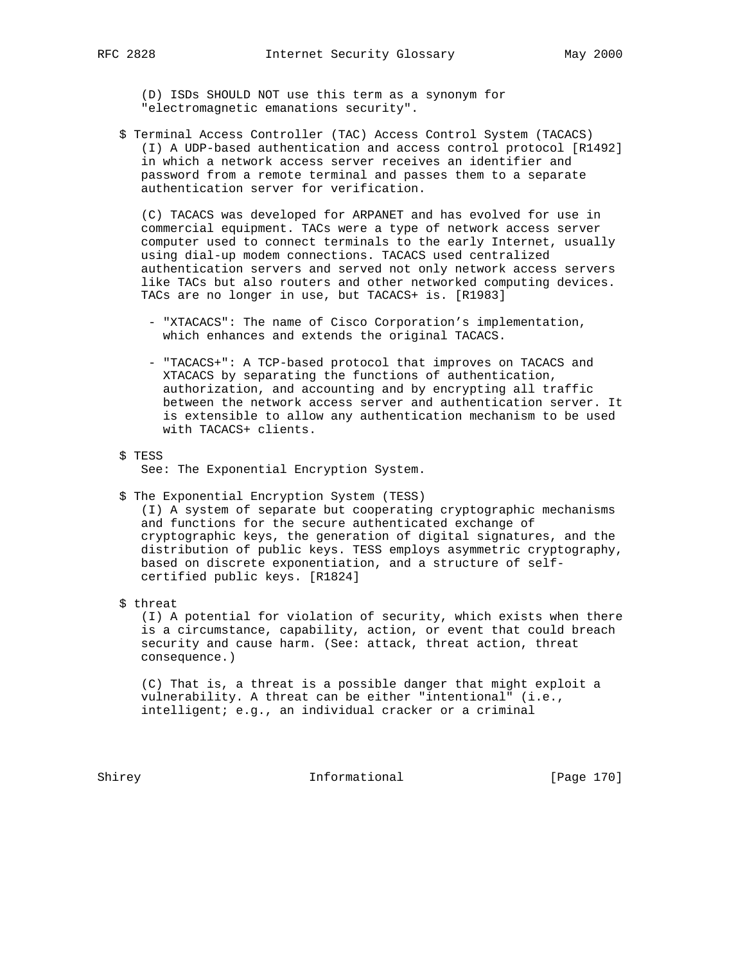(D) ISDs SHOULD NOT use this term as a synonym for "electromagnetic emanations security".

 \$ Terminal Access Controller (TAC) Access Control System (TACACS) (I) A UDP-based authentication and access control protocol [R1492] in which a network access server receives an identifier and password from a remote terminal and passes them to a separate authentication server for verification.

 (C) TACACS was developed for ARPANET and has evolved for use in commercial equipment. TACs were a type of network access server computer used to connect terminals to the early Internet, usually using dial-up modem connections. TACACS used centralized authentication servers and served not only network access servers like TACs but also routers and other networked computing devices. TACs are no longer in use, but TACACS+ is. [R1983]

- "XTACACS": The name of Cisco Corporation's implementation, which enhances and extends the original TACACS.
- "TACACS+": A TCP-based protocol that improves on TACACS and XTACACS by separating the functions of authentication, authorization, and accounting and by encrypting all traffic between the network access server and authentication server. It is extensible to allow any authentication mechanism to be used with TACACS+ clients.
- \$ TESS

See: The Exponential Encryption System.

\$ The Exponential Encryption System (TESS)

 (I) A system of separate but cooperating cryptographic mechanisms and functions for the secure authenticated exchange of cryptographic keys, the generation of digital signatures, and the distribution of public keys. TESS employs asymmetric cryptography, based on discrete exponentiation, and a structure of self certified public keys. [R1824]

\$ threat

 (I) A potential for violation of security, which exists when there is a circumstance, capability, action, or event that could breach security and cause harm. (See: attack, threat action, threat consequence.)

 (C) That is, a threat is a possible danger that might exploit a vulnerability. A threat can be either "intentional" (i.e., intelligent; e.g., an individual cracker or a criminal

Shirey **Informational** [Page 170]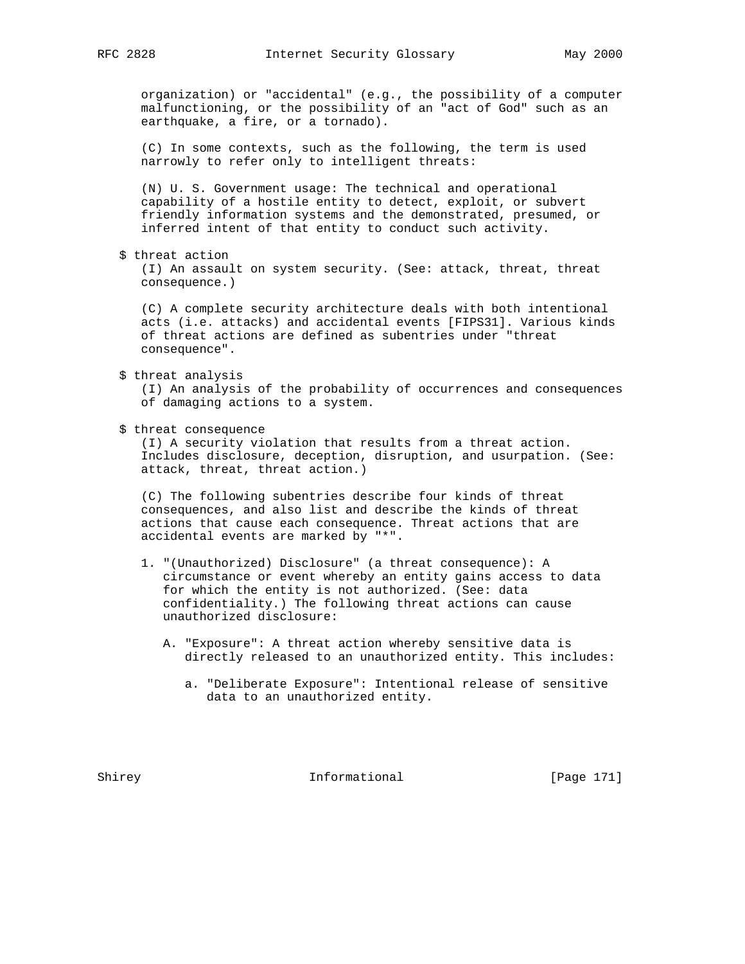organization) or "accidental" (e.g., the possibility of a computer malfunctioning, or the possibility of an "act of God" such as an earthquake, a fire, or a tornado).

 (C) In some contexts, such as the following, the term is used narrowly to refer only to intelligent threats:

 (N) U. S. Government usage: The technical and operational capability of a hostile entity to detect, exploit, or subvert friendly information systems and the demonstrated, presumed, or inferred intent of that entity to conduct such activity.

\$ threat action

 (I) An assault on system security. (See: attack, threat, threat consequence.)

 (C) A complete security architecture deals with both intentional acts (i.e. attacks) and accidental events [FIPS31]. Various kinds of threat actions are defined as subentries under "threat consequence".

\$ threat analysis

 (I) An analysis of the probability of occurrences and consequences of damaging actions to a system.

\$ threat consequence

 (I) A security violation that results from a threat action. Includes disclosure, deception, disruption, and usurpation. (See: attack, threat, threat action.)

 (C) The following subentries describe four kinds of threat consequences, and also list and describe the kinds of threat actions that cause each consequence. Threat actions that are accidental events are marked by "\*".

- 1. "(Unauthorized) Disclosure" (a threat consequence): A circumstance or event whereby an entity gains access to data for which the entity is not authorized. (See: data confidentiality.) The following threat actions can cause unauthorized disclosure:
	- A. "Exposure": A threat action whereby sensitive data is directly released to an unauthorized entity. This includes:
		- a. "Deliberate Exposure": Intentional release of sensitive data to an unauthorized entity.

Shirey **Informational** [Page 171]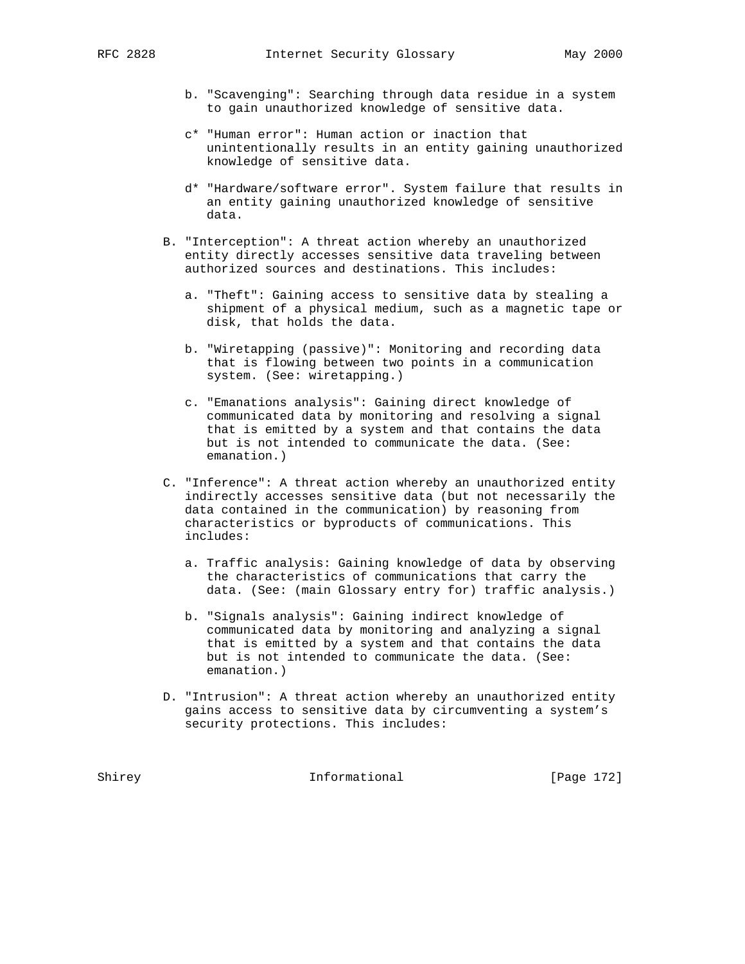- b. "Scavenging": Searching through data residue in a system to gain unauthorized knowledge of sensitive data.
- c\* "Human error": Human action or inaction that unintentionally results in an entity gaining unauthorized knowledge of sensitive data.
- d\* "Hardware/software error". System failure that results in an entity gaining unauthorized knowledge of sensitive data.
- B. "Interception": A threat action whereby an unauthorized entity directly accesses sensitive data traveling between authorized sources and destinations. This includes:
	- a. "Theft": Gaining access to sensitive data by stealing a shipment of a physical medium, such as a magnetic tape or disk, that holds the data.
	- b. "Wiretapping (passive)": Monitoring and recording data that is flowing between two points in a communication system. (See: wiretapping.)
	- c. "Emanations analysis": Gaining direct knowledge of communicated data by monitoring and resolving a signal that is emitted by a system and that contains the data but is not intended to communicate the data. (See: emanation.)
- C. "Inference": A threat action whereby an unauthorized entity indirectly accesses sensitive data (but not necessarily the data contained in the communication) by reasoning from characteristics or byproducts of communications. This includes:
	- a. Traffic analysis: Gaining knowledge of data by observing the characteristics of communications that carry the data. (See: (main Glossary entry for) traffic analysis.)
	- b. "Signals analysis": Gaining indirect knowledge of communicated data by monitoring and analyzing a signal that is emitted by a system and that contains the data but is not intended to communicate the data. (See: emanation.)
- D. "Intrusion": A threat action whereby an unauthorized entity gains access to sensitive data by circumventing a system's security protections. This includes:

Shirey **Informational** [Page 172]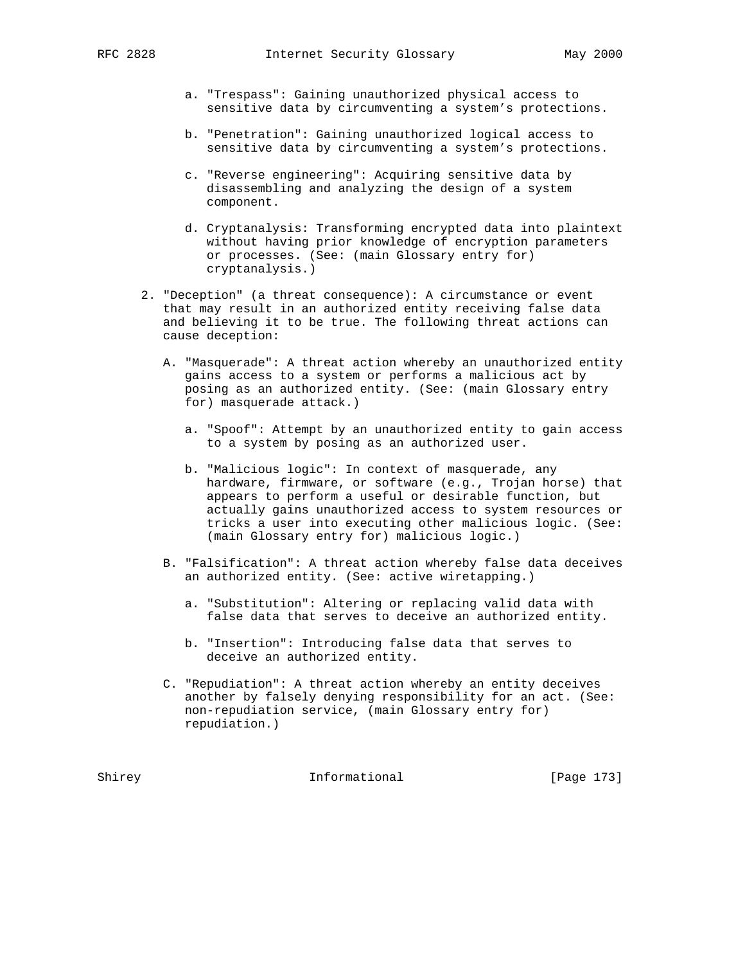- a. "Trespass": Gaining unauthorized physical access to sensitive data by circumventing a system's protections.
- b. "Penetration": Gaining unauthorized logical access to sensitive data by circumventing a system's protections.
- c. "Reverse engineering": Acquiring sensitive data by disassembling and analyzing the design of a system component.
- d. Cryptanalysis: Transforming encrypted data into plaintext without having prior knowledge of encryption parameters or processes. (See: (main Glossary entry for) cryptanalysis.)
- 2. "Deception" (a threat consequence): A circumstance or event that may result in an authorized entity receiving false data and believing it to be true. The following threat actions can cause deception:
	- A. "Masquerade": A threat action whereby an unauthorized entity gains access to a system or performs a malicious act by posing as an authorized entity. (See: (main Glossary entry for) masquerade attack.)
		- a. "Spoof": Attempt by an unauthorized entity to gain access to a system by posing as an authorized user.
		- b. "Malicious logic": In context of masquerade, any hardware, firmware, or software (e.g., Trojan horse) that appears to perform a useful or desirable function, but actually gains unauthorized access to system resources or tricks a user into executing other malicious logic. (See: (main Glossary entry for) malicious logic.)
	- B. "Falsification": A threat action whereby false data deceives an authorized entity. (See: active wiretapping.)
		- a. "Substitution": Altering or replacing valid data with false data that serves to deceive an authorized entity.
		- b. "Insertion": Introducing false data that serves to deceive an authorized entity.
	- C. "Repudiation": A threat action whereby an entity deceives another by falsely denying responsibility for an act. (See: non-repudiation service, (main Glossary entry for) repudiation.)

Shirey **Informational** [Page 173]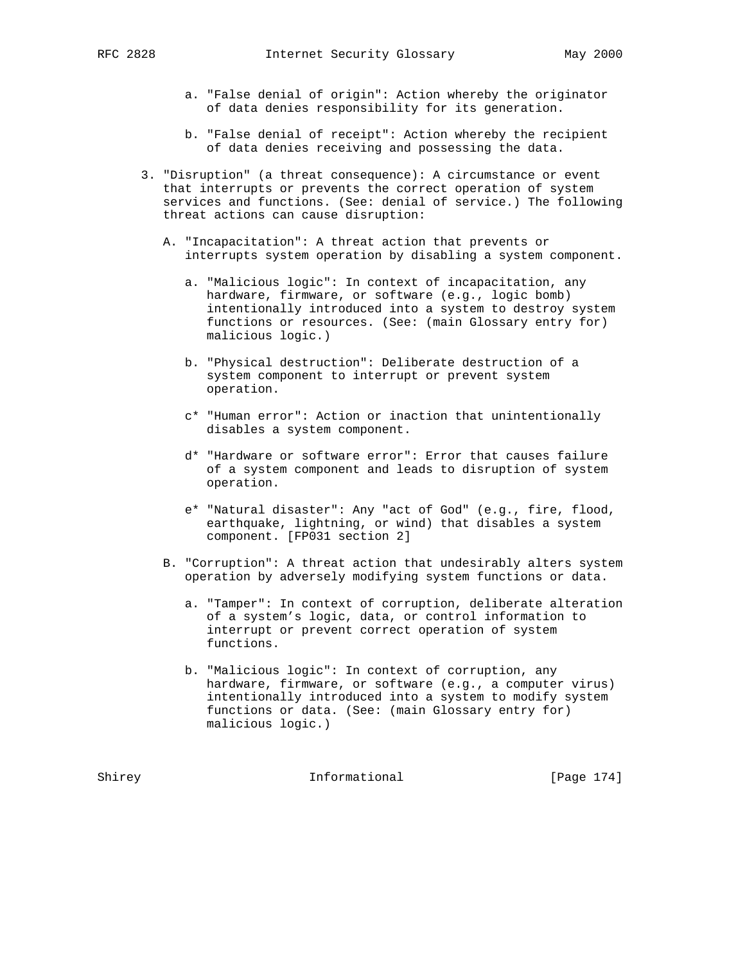- a. "False denial of origin": Action whereby the originator of data denies responsibility for its generation.
- b. "False denial of receipt": Action whereby the recipient of data denies receiving and possessing the data.
- 3. "Disruption" (a threat consequence): A circumstance or event that interrupts or prevents the correct operation of system services and functions. (See: denial of service.) The following threat actions can cause disruption:
	- A. "Incapacitation": A threat action that prevents or interrupts system operation by disabling a system component.
		- a. "Malicious logic": In context of incapacitation, any hardware, firmware, or software (e.g., logic bomb) intentionally introduced into a system to destroy system functions or resources. (See: (main Glossary entry for) malicious logic.)
		- b. "Physical destruction": Deliberate destruction of a system component to interrupt or prevent system operation.
		- c\* "Human error": Action or inaction that unintentionally disables a system component.
		- d\* "Hardware or software error": Error that causes failure of a system component and leads to disruption of system operation.
		- e\* "Natural disaster": Any "act of God" (e.g., fire, flood, earthquake, lightning, or wind) that disables a system component. [FP031 section 2]
	- B. "Corruption": A threat action that undesirably alters system operation by adversely modifying system functions or data.
		- a. "Tamper": In context of corruption, deliberate alteration of a system's logic, data, or control information to interrupt or prevent correct operation of system functions.
		- b. "Malicious logic": In context of corruption, any hardware, firmware, or software (e.g., a computer virus) intentionally introduced into a system to modify system functions or data. (See: (main Glossary entry for) malicious logic.)

Shirey **Informational** [Page 174]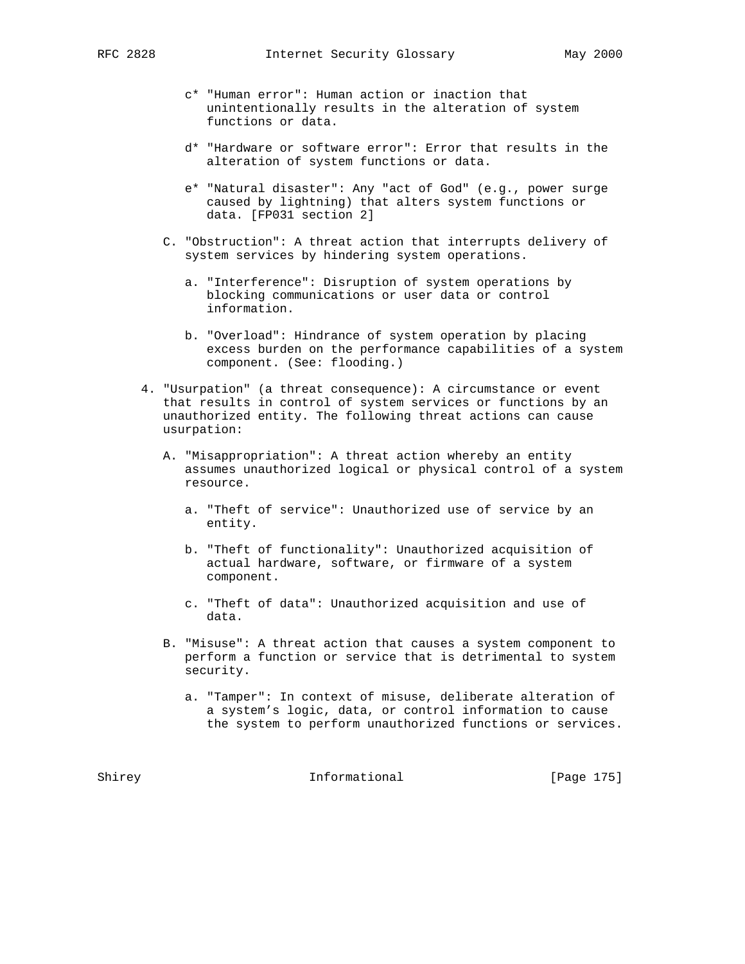- c\* "Human error": Human action or inaction that unintentionally results in the alteration of system functions or data.
- d\* "Hardware or software error": Error that results in the alteration of system functions or data.
- e\* "Natural disaster": Any "act of God" (e.g., power surge caused by lightning) that alters system functions or data. [FP031 section 2]
- C. "Obstruction": A threat action that interrupts delivery of system services by hindering system operations.
	- a. "Interference": Disruption of system operations by blocking communications or user data or control information.
	- b. "Overload": Hindrance of system operation by placing excess burden on the performance capabilities of a system component. (See: flooding.)
- 4. "Usurpation" (a threat consequence): A circumstance or event that results in control of system services or functions by an unauthorized entity. The following threat actions can cause usurpation:
	- A. "Misappropriation": A threat action whereby an entity assumes unauthorized logical or physical control of a system resource.
		- a. "Theft of service": Unauthorized use of service by an entity.
		- b. "Theft of functionality": Unauthorized acquisition of actual hardware, software, or firmware of a system component.
		- c. "Theft of data": Unauthorized acquisition and use of data.
	- B. "Misuse": A threat action that causes a system component to perform a function or service that is detrimental to system security.
		- a. "Tamper": In context of misuse, deliberate alteration of a system's logic, data, or control information to cause the system to perform unauthorized functions or services.

Shirey **Informational** [Page 175]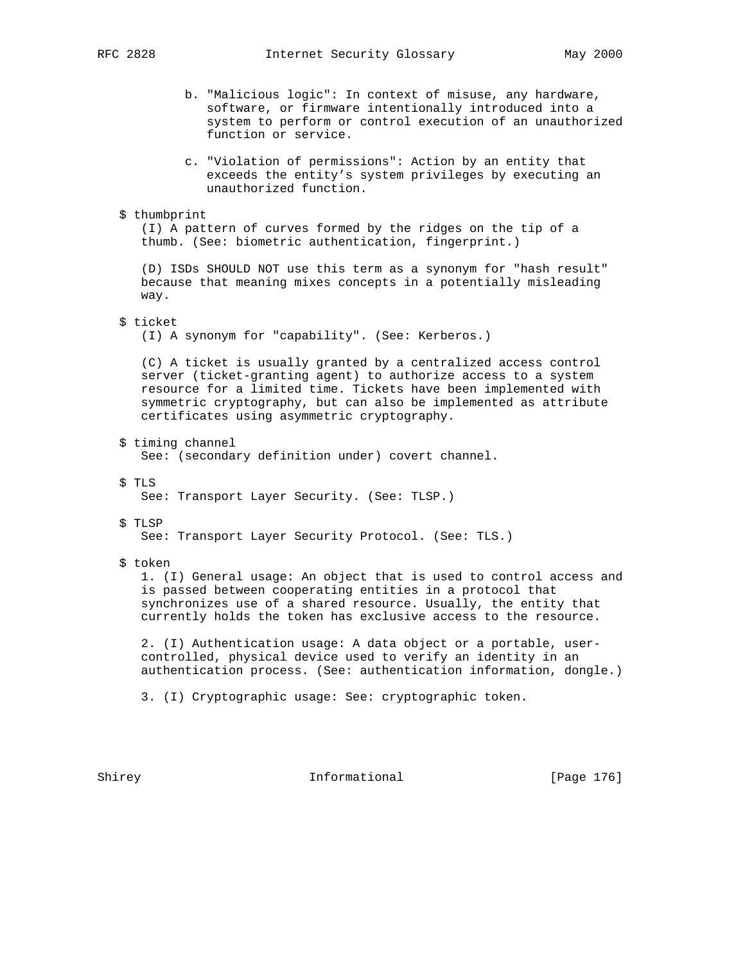- b. "Malicious logic": In context of misuse, any hardware, software, or firmware intentionally introduced into a system to perform or control execution of an unauthorized function or service.
- c. "Violation of permissions": Action by an entity that exceeds the entity's system privileges by executing an unauthorized function.
- \$ thumbprint

 (I) A pattern of curves formed by the ridges on the tip of a thumb. (See: biometric authentication, fingerprint.)

 (D) ISDs SHOULD NOT use this term as a synonym for "hash result" because that meaning mixes concepts in a potentially misleading way.

\$ ticket

(I) A synonym for "capability". (See: Kerberos.)

 (C) A ticket is usually granted by a centralized access control server (ticket-granting agent) to authorize access to a system resource for a limited time. Tickets have been implemented with symmetric cryptography, but can also be implemented as attribute certificates using asymmetric cryptography.

\$ timing channel

See: (secondary definition under) covert channel.

- \$ TLS See: Transport Layer Security. (See: TLSP.)
- \$ TLSP

See: Transport Layer Security Protocol. (See: TLS.)

\$ token

 1. (I) General usage: An object that is used to control access and is passed between cooperating entities in a protocol that synchronizes use of a shared resource. Usually, the entity that currently holds the token has exclusive access to the resource.

 2. (I) Authentication usage: A data object or a portable, user controlled, physical device used to verify an identity in an authentication process. (See: authentication information, dongle.)

3. (I) Cryptographic usage: See: cryptographic token.

Shirey **Informational** [Page 176]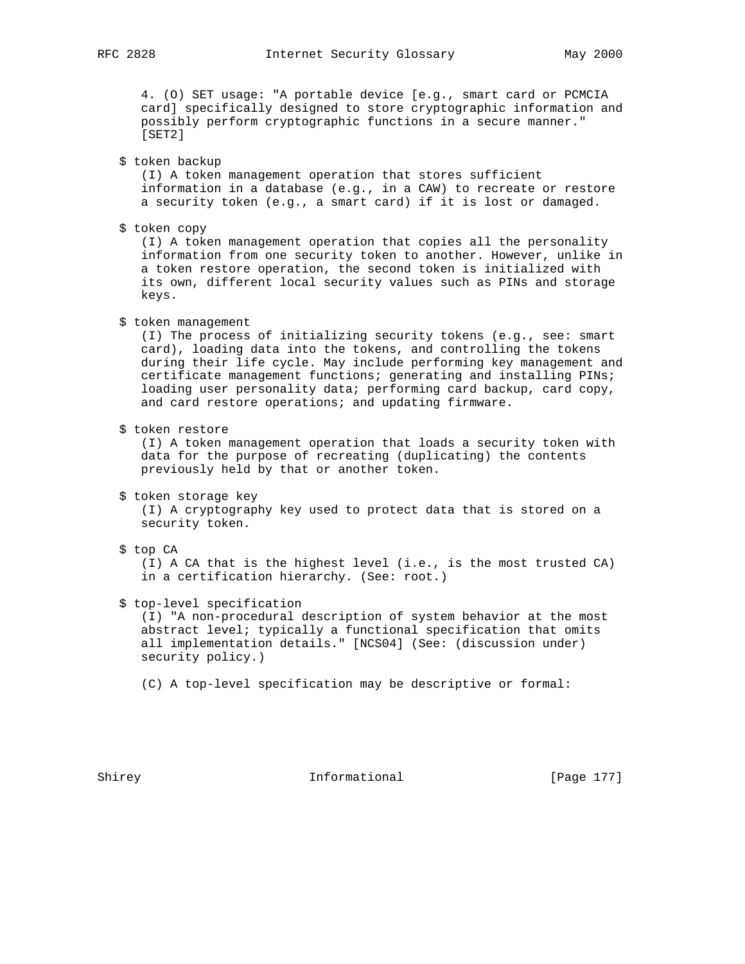4. (O) SET usage: "A portable device [e.g., smart card or PCMCIA card] specifically designed to store cryptographic information and possibly perform cryptographic functions in a secure manner." [SET2]

\$ token backup

 (I) A token management operation that stores sufficient information in a database (e.g., in a CAW) to recreate or restore a security token (e.g., a smart card) if it is lost or damaged.

\$ token copy

 (I) A token management operation that copies all the personality information from one security token to another. However, unlike in a token restore operation, the second token is initialized with its own, different local security values such as PINs and storage keys.

\$ token management

 (I) The process of initializing security tokens (e.g., see: smart card), loading data into the tokens, and controlling the tokens during their life cycle. May include performing key management and certificate management functions; generating and installing PINs; loading user personality data; performing card backup, card copy, and card restore operations; and updating firmware.

\$ token restore

 (I) A token management operation that loads a security token with data for the purpose of recreating (duplicating) the contents previously held by that or another token.

\$ token storage key

 (I) A cryptography key used to protect data that is stored on a security token.

\$ top CA

 (I) A CA that is the highest level (i.e., is the most trusted CA) in a certification hierarchy. (See: root.)

\$ top-level specification

 (I) "A non-procedural description of system behavior at the most abstract level; typically a functional specification that omits all implementation details." [NCS04] (See: (discussion under) security policy.)

(C) A top-level specification may be descriptive or formal:

Shirey 1992 Informational [Page 177]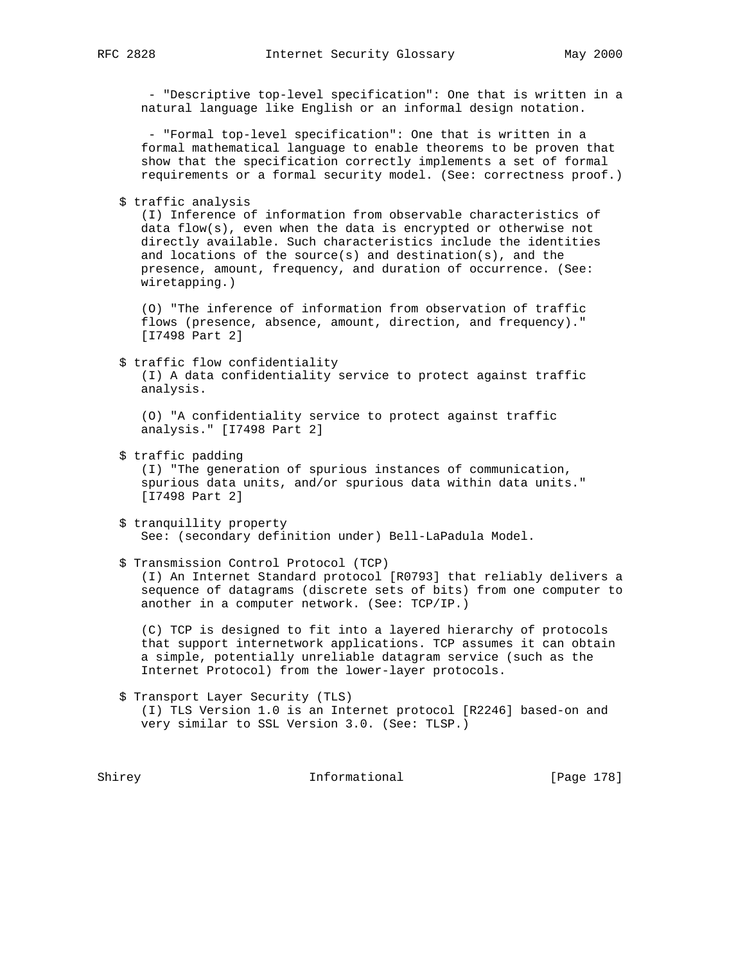- "Descriptive top-level specification": One that is written in a natural language like English or an informal design notation.

 - "Formal top-level specification": One that is written in a formal mathematical language to enable theorems to be proven that show that the specification correctly implements a set of formal requirements or a formal security model. (See: correctness proof.)

\$ traffic analysis

 (I) Inference of information from observable characteristics of data flow(s), even when the data is encrypted or otherwise not directly available. Such characteristics include the identities and locations of the source(s) and destination(s), and the presence, amount, frequency, and duration of occurrence. (See: wiretapping.)

 (O) "The inference of information from observation of traffic flows (presence, absence, amount, direction, and frequency)." [I7498 Part 2]

 \$ traffic flow confidentiality (I) A data confidentiality service to protect against traffic analysis.

 (O) "A confidentiality service to protect against traffic analysis." [I7498 Part 2]

\$ traffic padding

 (I) "The generation of spurious instances of communication, spurious data units, and/or spurious data within data units." [I7498 Part 2]

 \$ tranquillity property See: (secondary definition under) Bell-LaPadula Model.

 \$ Transmission Control Protocol (TCP) (I) An Internet Standard protocol [R0793] that reliably delivers a sequence of datagrams (discrete sets of bits) from one computer to another in a computer network. (See: TCP/IP.)

 (C) TCP is designed to fit into a layered hierarchy of protocols that support internetwork applications. TCP assumes it can obtain a simple, potentially unreliable datagram service (such as the Internet Protocol) from the lower-layer protocols.

 \$ Transport Layer Security (TLS) (I) TLS Version 1.0 is an Internet protocol [R2246] based-on and very similar to SSL Version 3.0. (See: TLSP.)

Shirey **Informational** [Page 178]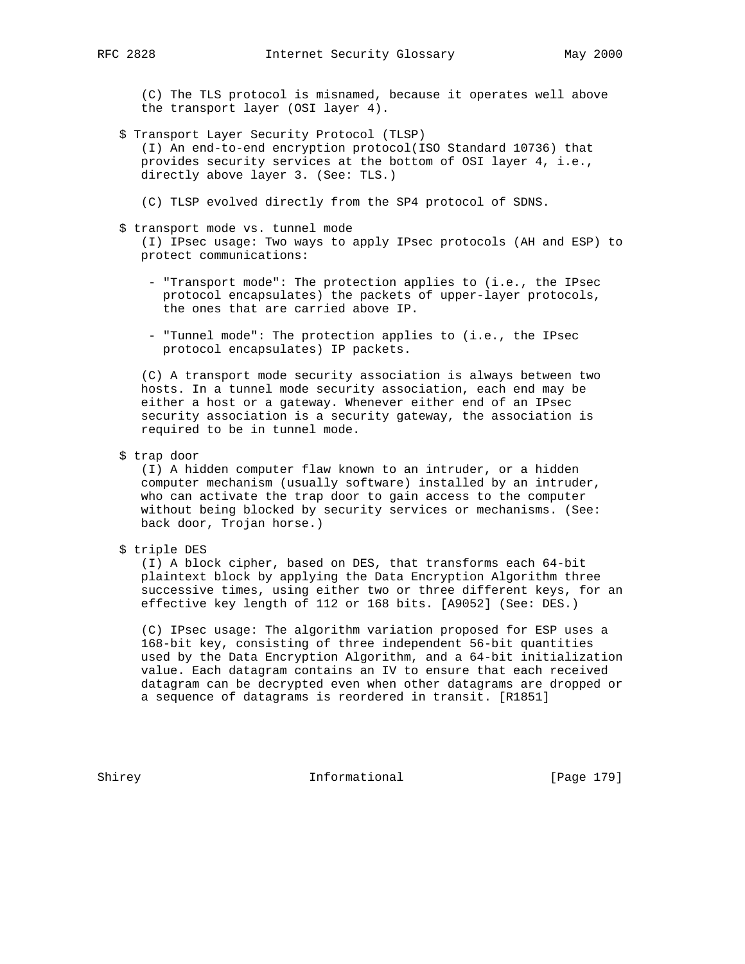(C) The TLS protocol is misnamed, because it operates well above the transport layer (OSI layer 4).

- \$ Transport Layer Security Protocol (TLSP) (I) An end-to-end encryption protocol(ISO Standard 10736) that provides security services at the bottom of OSI layer 4, i.e., directly above layer 3. (See: TLS.)
	- (C) TLSP evolved directly from the SP4 protocol of SDNS.

# \$ transport mode vs. tunnel mode

 (I) IPsec usage: Two ways to apply IPsec protocols (AH and ESP) to protect communications:

- "Transport mode": The protection applies to (i.e., the IPsec protocol encapsulates) the packets of upper-layer protocols, the ones that are carried above IP.
- "Tunnel mode": The protection applies to (i.e., the IPsec protocol encapsulates) IP packets.

 (C) A transport mode security association is always between two hosts. In a tunnel mode security association, each end may be either a host or a gateway. Whenever either end of an IPsec security association is a security gateway, the association is required to be in tunnel mode.

\$ trap door

 (I) A hidden computer flaw known to an intruder, or a hidden computer mechanism (usually software) installed by an intruder, who can activate the trap door to gain access to the computer without being blocked by security services or mechanisms. (See: back door, Trojan horse.)

\$ triple DES

 (I) A block cipher, based on DES, that transforms each 64-bit plaintext block by applying the Data Encryption Algorithm three successive times, using either two or three different keys, for an effective key length of 112 or 168 bits. [A9052] (See: DES.)

 (C) IPsec usage: The algorithm variation proposed for ESP uses a 168-bit key, consisting of three independent 56-bit quantities used by the Data Encryption Algorithm, and a 64-bit initialization value. Each datagram contains an IV to ensure that each received datagram can be decrypted even when other datagrams are dropped or a sequence of datagrams is reordered in transit. [R1851]

Shirey **Informational** [Page 179]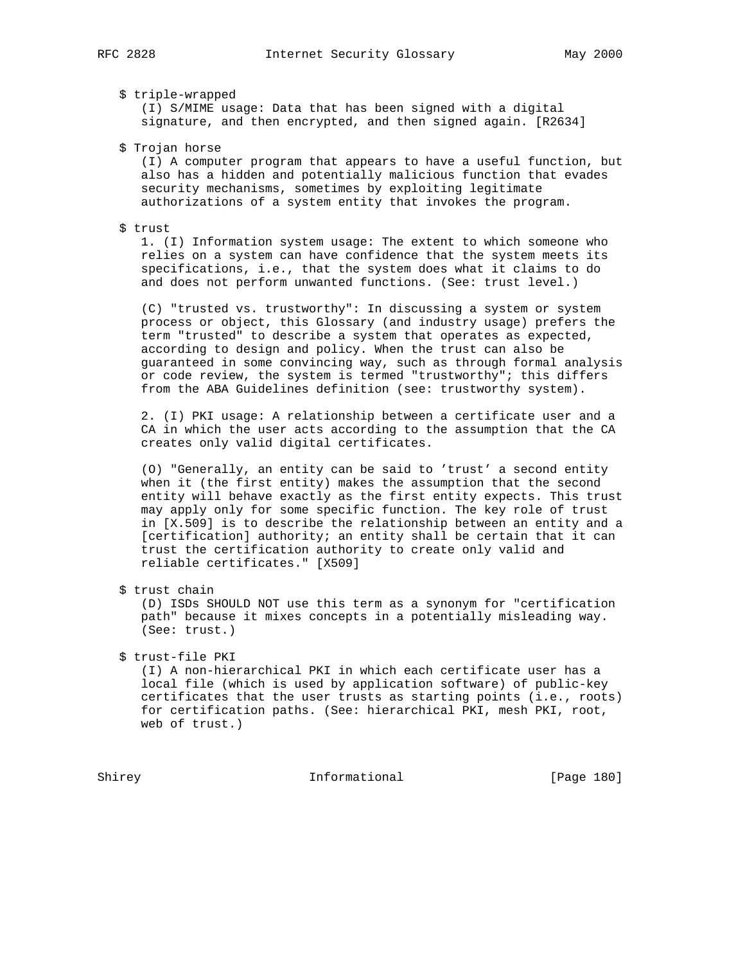# \$ triple-wrapped

 (I) S/MIME usage: Data that has been signed with a digital signature, and then encrypted, and then signed again. [R2634]

\$ Trojan horse

 (I) A computer program that appears to have a useful function, but also has a hidden and potentially malicious function that evades security mechanisms, sometimes by exploiting legitimate authorizations of a system entity that invokes the program.

#### \$ trust

 1. (I) Information system usage: The extent to which someone who relies on a system can have confidence that the system meets its specifications, i.e., that the system does what it claims to do and does not perform unwanted functions. (See: trust level.)

 (C) "trusted vs. trustworthy": In discussing a system or system process or object, this Glossary (and industry usage) prefers the term "trusted" to describe a system that operates as expected, according to design and policy. When the trust can also be guaranteed in some convincing way, such as through formal analysis or code review, the system is termed "trustworthy"; this differs from the ABA Guidelines definition (see: trustworthy system).

 2. (I) PKI usage: A relationship between a certificate user and a CA in which the user acts according to the assumption that the CA creates only valid digital certificates.

 (O) "Generally, an entity can be said to 'trust' a second entity when it (the first entity) makes the assumption that the second entity will behave exactly as the first entity expects. This trust may apply only for some specific function. The key role of trust in [X.509] is to describe the relationship between an entity and a [certification] authority; an entity shall be certain that it can trust the certification authority to create only valid and reliable certificates." [X509]

\$ trust chain

 (D) ISDs SHOULD NOT use this term as a synonym for "certification path" because it mixes concepts in a potentially misleading way. (See: trust.)

\$ trust-file PKI

 (I) A non-hierarchical PKI in which each certificate user has a local file (which is used by application software) of public-key certificates that the user trusts as starting points (i.e., roots) for certification paths. (See: hierarchical PKI, mesh PKI, root, web of trust.)

Shirey **Informational** [Page 180]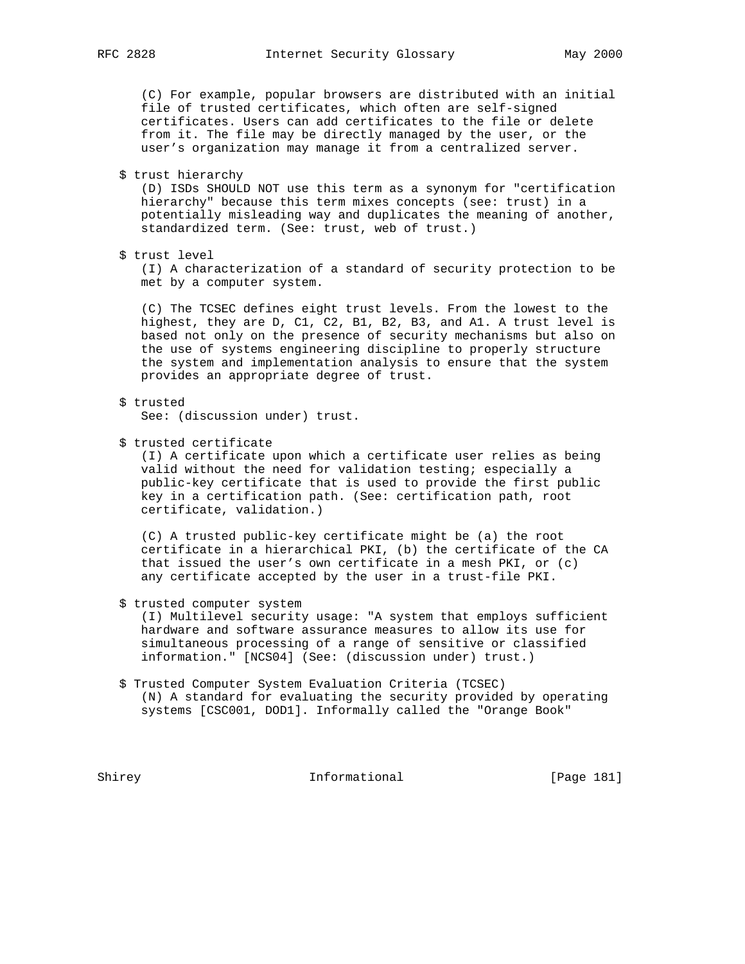(C) For example, popular browsers are distributed with an initial file of trusted certificates, which often are self-signed certificates. Users can add certificates to the file or delete from it. The file may be directly managed by the user, or the user's organization may manage it from a centralized server.

\$ trust hierarchy

 (D) ISDs SHOULD NOT use this term as a synonym for "certification hierarchy" because this term mixes concepts (see: trust) in a potentially misleading way and duplicates the meaning of another, standardized term. (See: trust, web of trust.)

\$ trust level

 (I) A characterization of a standard of security protection to be met by a computer system.

 (C) The TCSEC defines eight trust levels. From the lowest to the highest, they are D, C1, C2, B1, B2, B3, and A1. A trust level is based not only on the presence of security mechanisms but also on the use of systems engineering discipline to properly structure the system and implementation analysis to ensure that the system provides an appropriate degree of trust.

\$ trusted

See: (discussion under) trust.

\$ trusted certificate

 (I) A certificate upon which a certificate user relies as being valid without the need for validation testing; especially a public-key certificate that is used to provide the first public key in a certification path. (See: certification path, root certificate, validation.)

 (C) A trusted public-key certificate might be (a) the root certificate in a hierarchical PKI, (b) the certificate of the CA that issued the user's own certificate in a mesh PKI, or  $(c)$ any certificate accepted by the user in a trust-file PKI.

\$ trusted computer system

 (I) Multilevel security usage: "A system that employs sufficient hardware and software assurance measures to allow its use for simultaneous processing of a range of sensitive or classified information." [NCS04] (See: (discussion under) trust.)

 \$ Trusted Computer System Evaluation Criteria (TCSEC) (N) A standard for evaluating the security provided by operating systems [CSC001, DOD1]. Informally called the "Orange Book"

Shirey **Informational** [Page 181]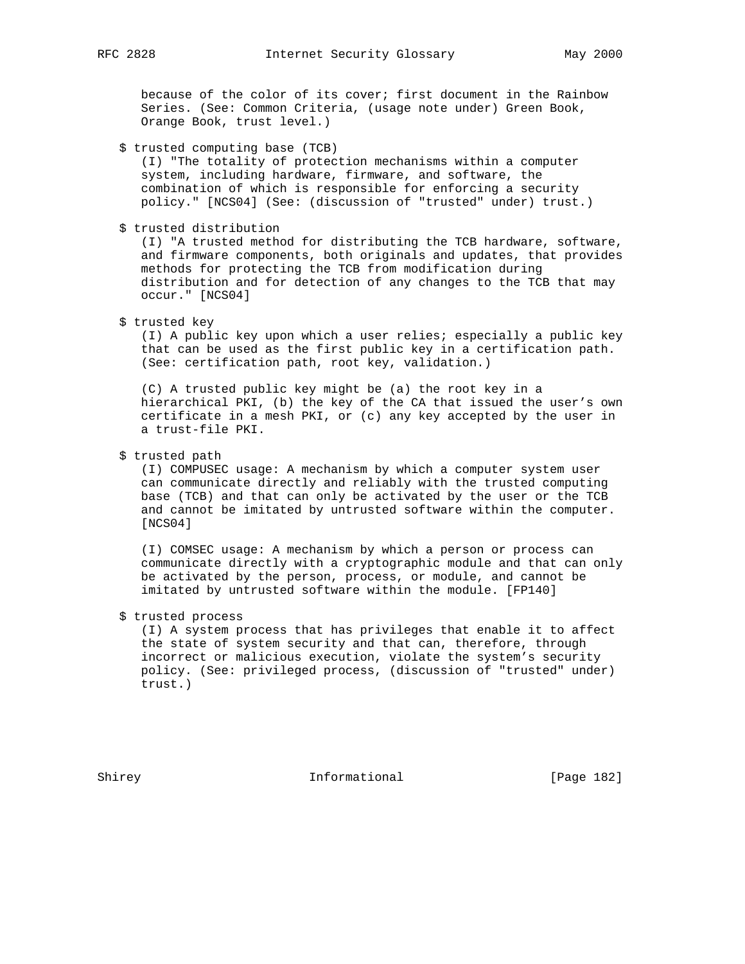because of the color of its cover; first document in the Rainbow Series. (See: Common Criteria, (usage note under) Green Book, Orange Book, trust level.)

\$ trusted computing base (TCB)

 (I) "The totality of protection mechanisms within a computer system, including hardware, firmware, and software, the combination of which is responsible for enforcing a security policy." [NCS04] (See: (discussion of "trusted" under) trust.)

\$ trusted distribution

 (I) "A trusted method for distributing the TCB hardware, software, and firmware components, both originals and updates, that provides methods for protecting the TCB from modification during distribution and for detection of any changes to the TCB that may occur." [NCS04]

\$ trusted key

 (I) A public key upon which a user relies; especially a public key that can be used as the first public key in a certification path. (See: certification path, root key, validation.)

 (C) A trusted public key might be (a) the root key in a hierarchical PKI, (b) the key of the CA that issued the user's own certificate in a mesh PKI, or (c) any key accepted by the user in a trust-file PKI.

\$ trusted path

 (I) COMPUSEC usage: A mechanism by which a computer system user can communicate directly and reliably with the trusted computing base (TCB) and that can only be activated by the user or the TCB and cannot be imitated by untrusted software within the computer. [NCS04]

 (I) COMSEC usage: A mechanism by which a person or process can communicate directly with a cryptographic module and that can only be activated by the person, process, or module, and cannot be imitated by untrusted software within the module. [FP140]

\$ trusted process

 (I) A system process that has privileges that enable it to affect the state of system security and that can, therefore, through incorrect or malicious execution, violate the system's security policy. (See: privileged process, (discussion of "trusted" under) trust.)

Shirey **Informational** [Page 182]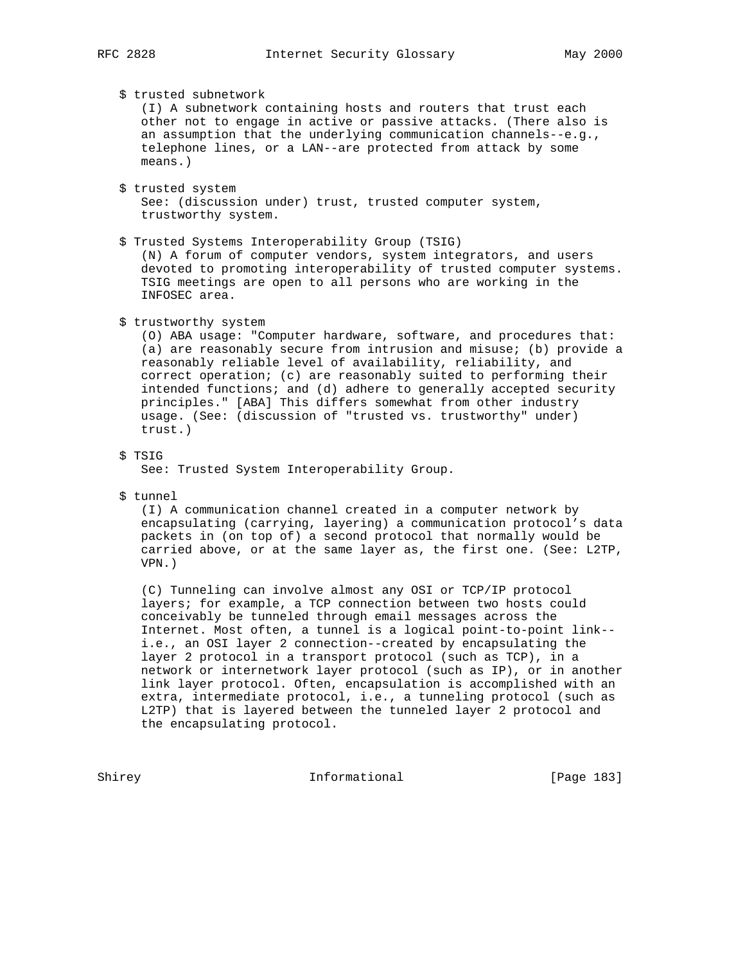## \$ trusted subnetwork

 (I) A subnetwork containing hosts and routers that trust each other not to engage in active or passive attacks. (There also is an assumption that the underlying communication channels--e.g., telephone lines, or a LAN--are protected from attack by some means.)

- \$ trusted system See: (discussion under) trust, trusted computer system, trustworthy system.
- \$ Trusted Systems Interoperability Group (TSIG) (N) A forum of computer vendors, system integrators, and users devoted to promoting interoperability of trusted computer systems. TSIG meetings are open to all persons who are working in the INFOSEC area.
- \$ trustworthy system

 (O) ABA usage: "Computer hardware, software, and procedures that: (a) are reasonably secure from intrusion and misuse; (b) provide a reasonably reliable level of availability, reliability, and correct operation; (c) are reasonably suited to performing their intended functions; and (d) adhere to generally accepted security principles." [ABA] This differs somewhat from other industry usage. (See: (discussion of "trusted vs. trustworthy" under) trust.)

\$ TSIG

See: Trusted System Interoperability Group.

\$ tunnel

 (I) A communication channel created in a computer network by encapsulating (carrying, layering) a communication protocol's data packets in (on top of) a second protocol that normally would be carried above, or at the same layer as, the first one. (See: L2TP, VPN.)

 (C) Tunneling can involve almost any OSI or TCP/IP protocol layers; for example, a TCP connection between two hosts could conceivably be tunneled through email messages across the Internet. Most often, a tunnel is a logical point-to-point link- i.e., an OSI layer 2 connection--created by encapsulating the layer 2 protocol in a transport protocol (such as TCP), in a network or internetwork layer protocol (such as IP), or in another link layer protocol. Often, encapsulation is accomplished with an extra, intermediate protocol, i.e., a tunneling protocol (such as L2TP) that is layered between the tunneled layer 2 protocol and the encapsulating protocol.

Shirey **Informational** [Page 183]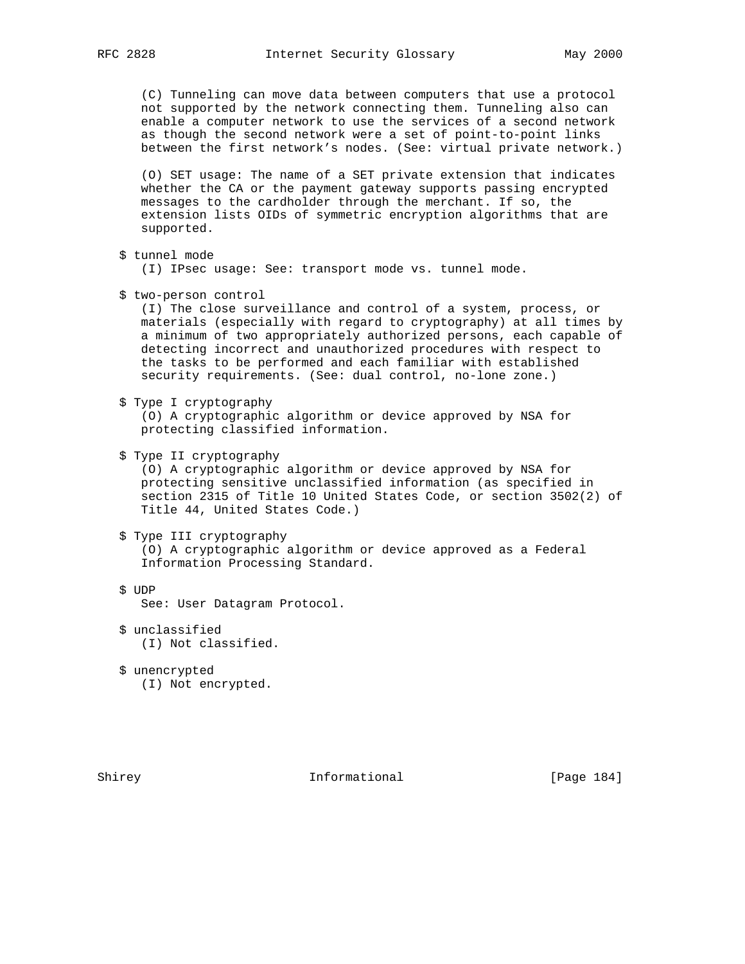(C) Tunneling can move data between computers that use a protocol not supported by the network connecting them. Tunneling also can enable a computer network to use the services of a second network as though the second network were a set of point-to-point links between the first network's nodes. (See: virtual private network.)

 (O) SET usage: The name of a SET private extension that indicates whether the CA or the payment gateway supports passing encrypted messages to the cardholder through the merchant. If so, the extension lists OIDs of symmetric encryption algorithms that are supported.

```
 $ tunnel mode
```
(I) IPsec usage: See: transport mode vs. tunnel mode.

\$ two-person control

 (I) The close surveillance and control of a system, process, or materials (especially with regard to cryptography) at all times by a minimum of two appropriately authorized persons, each capable of detecting incorrect and unauthorized procedures with respect to the tasks to be performed and each familiar with established security requirements. (See: dual control, no-lone zone.)

\$ Type I cryptography

 (O) A cryptographic algorithm or device approved by NSA for protecting classified information.

\$ Type II cryptography

 (O) A cryptographic algorithm or device approved by NSA for protecting sensitive unclassified information (as specified in section 2315 of Title 10 United States Code, or section 3502(2) of Title 44, United States Code.)

\$ Type III cryptography

 (O) A cryptographic algorithm or device approved as a Federal Information Processing Standard.

\$ UDP

See: User Datagram Protocol.

- \$ unclassified (I) Not classified.
- \$ unencrypted (I) Not encrypted.

Shirey **Informational** [Page 184]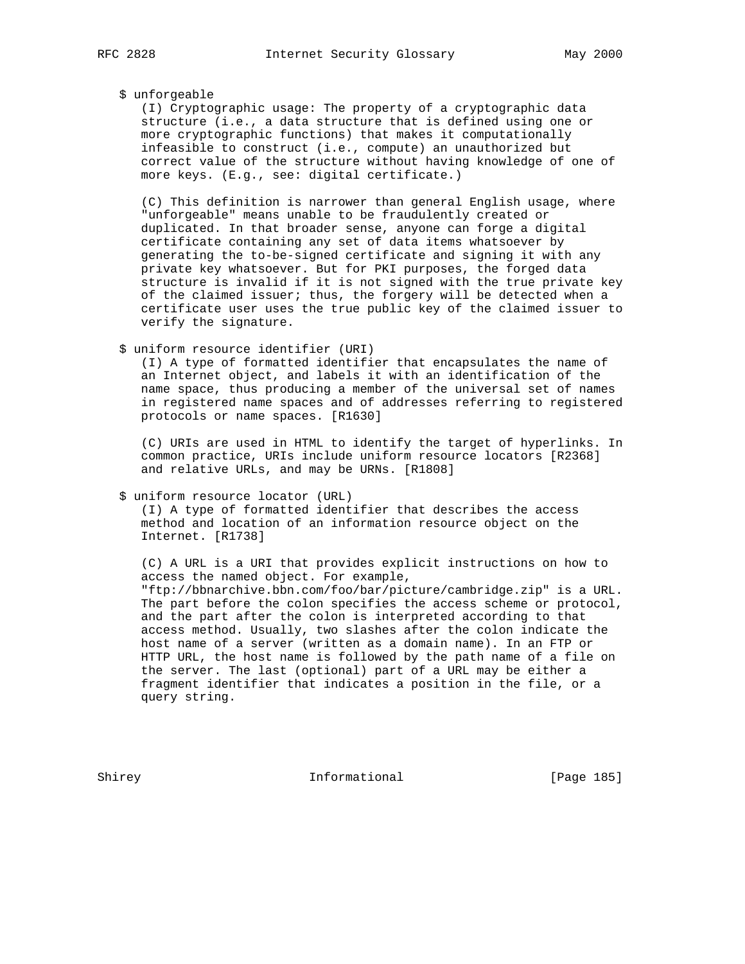#### \$ unforgeable

 (I) Cryptographic usage: The property of a cryptographic data structure (i.e., a data structure that is defined using one or more cryptographic functions) that makes it computationally infeasible to construct (i.e., compute) an unauthorized but correct value of the structure without having knowledge of one of more keys. (E.g., see: digital certificate.)

 (C) This definition is narrower than general English usage, where "unforgeable" means unable to be fraudulently created or duplicated. In that broader sense, anyone can forge a digital certificate containing any set of data items whatsoever by generating the to-be-signed certificate and signing it with any private key whatsoever. But for PKI purposes, the forged data structure is invalid if it is not signed with the true private key of the claimed issuer; thus, the forgery will be detected when a certificate user uses the true public key of the claimed issuer to verify the signature.

\$ uniform resource identifier (URI)

 (I) A type of formatted identifier that encapsulates the name of an Internet object, and labels it with an identification of the name space, thus producing a member of the universal set of names in registered name spaces and of addresses referring to registered protocols or name spaces. [R1630]

 (C) URIs are used in HTML to identify the target of hyperlinks. In common practice, URIs include uniform resource locators [R2368] and relative URLs, and may be URNs. [R1808]

\$ uniform resource locator (URL)

 (I) A type of formatted identifier that describes the access method and location of an information resource object on the Internet. [R1738]

 (C) A URL is a URI that provides explicit instructions on how to access the named object. For example, "ftp://bbnarchive.bbn.com/foo/bar/picture/cambridge.zip" is a URL. The part before the colon specifies the access scheme or protocol, and the part after the colon is interpreted according to that access method. Usually, two slashes after the colon indicate the host name of a server (written as a domain name). In an FTP or HTTP URL, the host name is followed by the path name of a file on the server. The last (optional) part of a URL may be either a fragment identifier that indicates a position in the file, or a query string.

Shirey **Informational** [Page 185]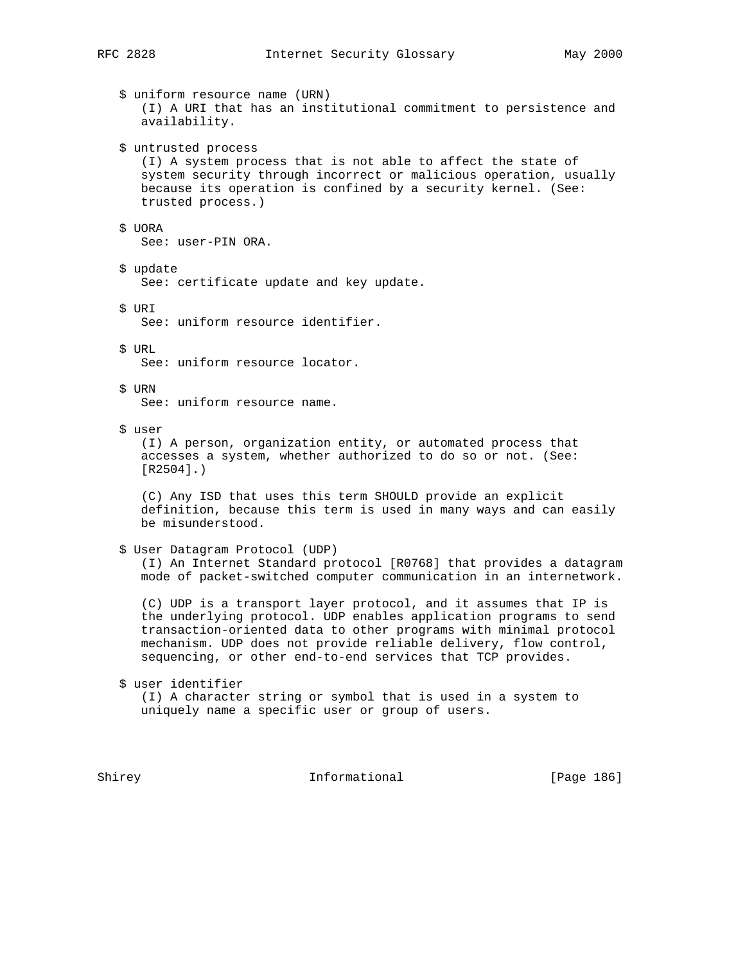|  | \$ uniform resource name (URN)<br>(I) A URI that has an institutional commitment to persistence and<br>availability.                                                                                                                                                                                                                          |
|--|-----------------------------------------------------------------------------------------------------------------------------------------------------------------------------------------------------------------------------------------------------------------------------------------------------------------------------------------------|
|  | \$ untrusted process<br>(I) A system process that is not able to affect the state of<br>system security through incorrect or malicious operation, usually<br>because its operation is confined by a security kernel. (See:<br>trusted process.)                                                                                               |
|  | \$ UORA<br>See: user-PIN ORA.                                                                                                                                                                                                                                                                                                                 |
|  | \$ update<br>See: certificate update and key update.                                                                                                                                                                                                                                                                                          |
|  | \$ URI<br>See: uniform resource identifier.                                                                                                                                                                                                                                                                                                   |
|  | \$ URL<br>See: uniform resource locator.                                                                                                                                                                                                                                                                                                      |
|  | \$ URN<br>See: uniform resource name.                                                                                                                                                                                                                                                                                                         |
|  | \$ user<br>(I) A person, organization entity, or automated process that<br>accesses a system, whether authorized to do so or not. (See:<br>$[R2504]$ .)                                                                                                                                                                                       |
|  | (C) Any ISD that uses this term SHOULD provide an explicit<br>definition, because this term is used in many ways and can easily<br>be misunderstood.                                                                                                                                                                                          |
|  | \$ User Datagram Protocol (UDP)<br>(I) An Internet Standard protocol [R0768] that provides a datagram<br>mode of packet-switched computer communication in an internetwork.                                                                                                                                                                   |
|  | (C) UDP is a transport layer protocol, and it assumes that IP is<br>the underlying protocol. UDP enables application programs to send<br>transaction-oriented data to other programs with minimal protocol<br>mechanism. UDP does not provide reliable delivery, flow control,<br>sequencing, or other end-to-end services that TCP provides. |
|  | \$ user identifier<br>(I) A character string or symbol that is used in a system to<br>uniquely name a specific user or group of users.                                                                                                                                                                                                        |
|  |                                                                                                                                                                                                                                                                                                                                               |

Shirey **Informational** [Page 186]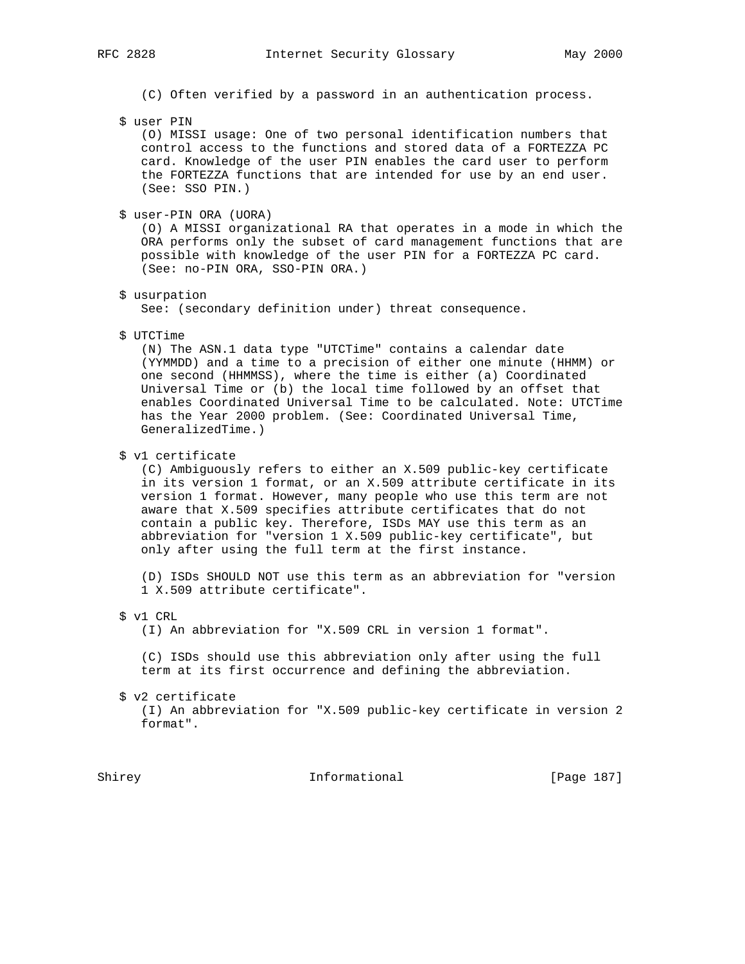- (C) Often verified by a password in an authentication process.
- \$ user PIN

 (O) MISSI usage: One of two personal identification numbers that control access to the functions and stored data of a FORTEZZA PC card. Knowledge of the user PIN enables the card user to perform the FORTEZZA functions that are intended for use by an end user. (See: SSO PIN.)

\$ user-PIN ORA (UORA)

 (O) A MISSI organizational RA that operates in a mode in which the ORA performs only the subset of card management functions that are possible with knowledge of the user PIN for a FORTEZZA PC card. (See: no-PIN ORA, SSO-PIN ORA.)

\$ usurpation

See: (secondary definition under) threat consequence.

\$ UTCTime

 (N) The ASN.1 data type "UTCTime" contains a calendar date (YYMMDD) and a time to a precision of either one minute (HHMM) or one second (HHMMSS), where the time is either (a) Coordinated Universal Time or (b) the local time followed by an offset that enables Coordinated Universal Time to be calculated. Note: UTCTime has the Year 2000 problem. (See: Coordinated Universal Time, GeneralizedTime.)

\$ v1 certificate

 (C) Ambiguously refers to either an X.509 public-key certificate in its version 1 format, or an X.509 attribute certificate in its version 1 format. However, many people who use this term are not aware that X.509 specifies attribute certificates that do not contain a public key. Therefore, ISDs MAY use this term as an abbreviation for "version 1 X.509 public-key certificate", but only after using the full term at the first instance.

 (D) ISDs SHOULD NOT use this term as an abbreviation for "version 1 X.509 attribute certificate".

\$ v1 CRL

(I) An abbreviation for "X.509 CRL in version 1 format".

 (C) ISDs should use this abbreviation only after using the full term at its first occurrence and defining the abbreviation.

\$ v2 certificate

 (I) An abbreviation for "X.509 public-key certificate in version 2 format".

Shirey **Informational** [Page 187]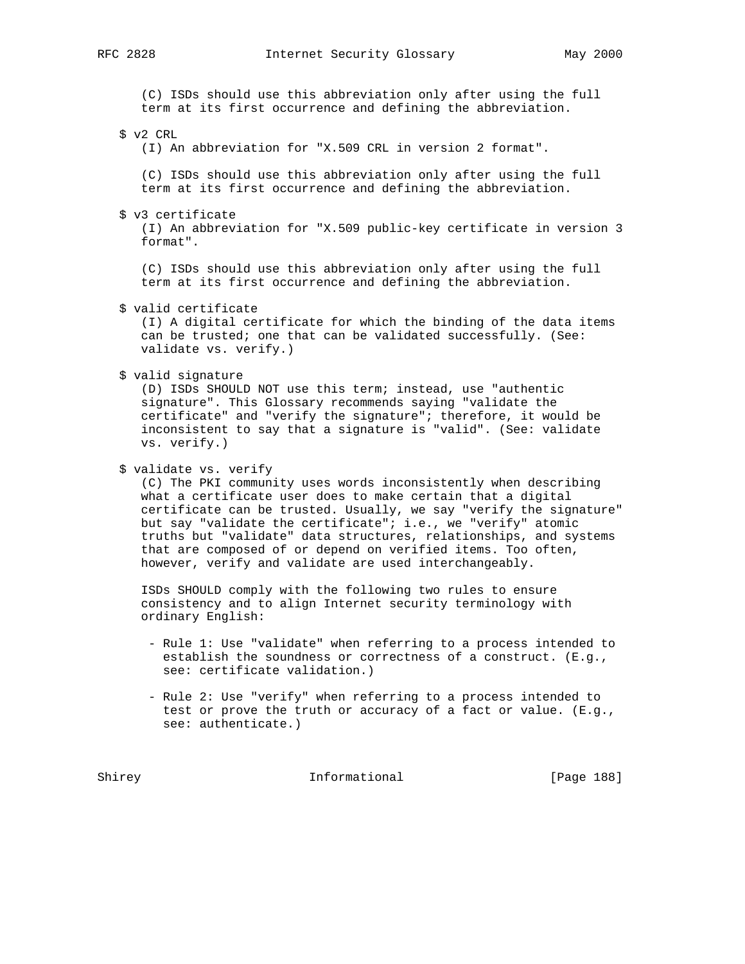(C) ISDs should use this abbreviation only after using the full term at its first occurrence and defining the abbreviation.

\$ v2 CRL

(I) An abbreviation for "X.509 CRL in version 2 format".

 (C) ISDs should use this abbreviation only after using the full term at its first occurrence and defining the abbreviation.

\$ v3 certificate

 (I) An abbreviation for "X.509 public-key certificate in version 3 format".

 (C) ISDs should use this abbreviation only after using the full term at its first occurrence and defining the abbreviation.

\$ valid certificate

 (I) A digital certificate for which the binding of the data items can be trusted; one that can be validated successfully. (See: validate vs. verify.)

\$ valid signature

 (D) ISDs SHOULD NOT use this term; instead, use "authentic signature". This Glossary recommends saying "validate the certificate" and "verify the signature"; therefore, it would be inconsistent to say that a signature is "valid". (See: validate vs. verify.)

#### \$ validate vs. verify

 (C) The PKI community uses words inconsistently when describing what a certificate user does to make certain that a digital certificate can be trusted. Usually, we say "verify the signature" but say "validate the certificate"; i.e., we "verify" atomic truths but "validate" data structures, relationships, and systems that are composed of or depend on verified items. Too often, however, verify and validate are used interchangeably.

 ISDs SHOULD comply with the following two rules to ensure consistency and to align Internet security terminology with ordinary English:

- Rule 1: Use "validate" when referring to a process intended to establish the soundness or correctness of a construct. (E.g., see: certificate validation.)
- Rule 2: Use "verify" when referring to a process intended to test or prove the truth or accuracy of a fact or value. (E.g., see: authenticate.)

Shirey **Informational** [Page 188]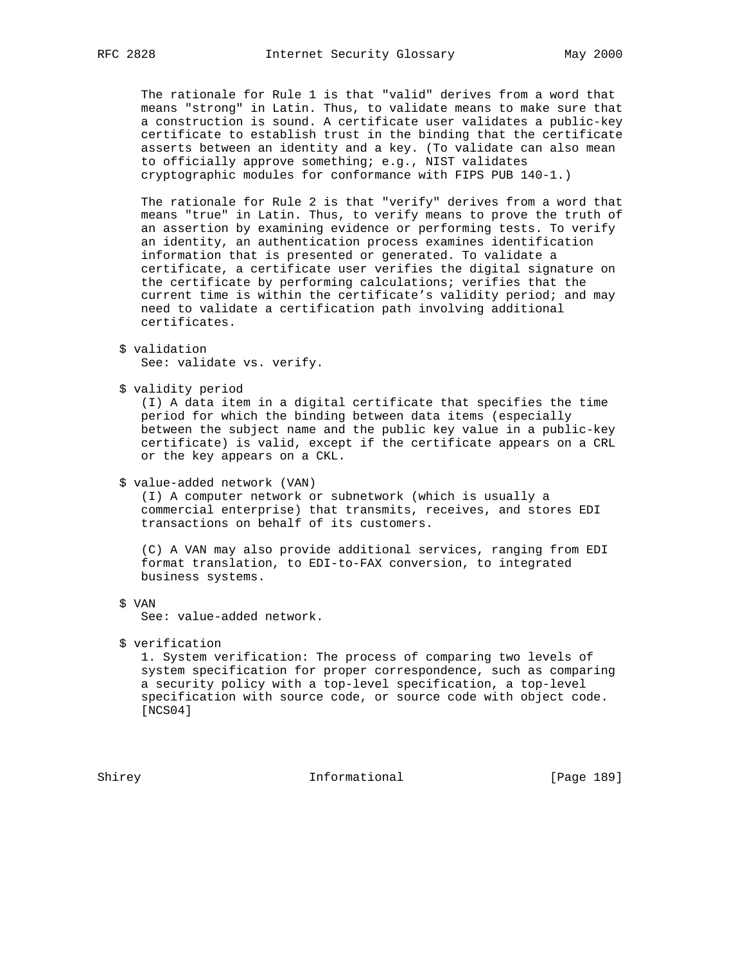The rationale for Rule 1 is that "valid" derives from a word that means "strong" in Latin. Thus, to validate means to make sure that a construction is sound. A certificate user validates a public-key certificate to establish trust in the binding that the certificate asserts between an identity and a key. (To validate can also mean to officially approve something; e.g., NIST validates cryptographic modules for conformance with FIPS PUB 140-1.)

 The rationale for Rule 2 is that "verify" derives from a word that means "true" in Latin. Thus, to verify means to prove the truth of an assertion by examining evidence or performing tests. To verify an identity, an authentication process examines identification information that is presented or generated. To validate a certificate, a certificate user verifies the digital signature on the certificate by performing calculations; verifies that the current time is within the certificate's validity period; and may need to validate a certification path involving additional certificates.

```
 $ validation
See: validate vs. verify.
```
\$ validity period

 (I) A data item in a digital certificate that specifies the time period for which the binding between data items (especially between the subject name and the public key value in a public-key certificate) is valid, except if the certificate appears on a CRL or the key appears on a CKL.

\$ value-added network (VAN)

 (I) A computer network or subnetwork (which is usually a commercial enterprise) that transmits, receives, and stores EDI transactions on behalf of its customers.

 (C) A VAN may also provide additional services, ranging from EDI format translation, to EDI-to-FAX conversion, to integrated business systems.

\$ VAN

See: value-added network.

\$ verification

 1. System verification: The process of comparing two levels of system specification for proper correspondence, such as comparing a security policy with a top-level specification, a top-level specification with source code, or source code with object code. [NCS04]

Shirey **Informational** [Page 189]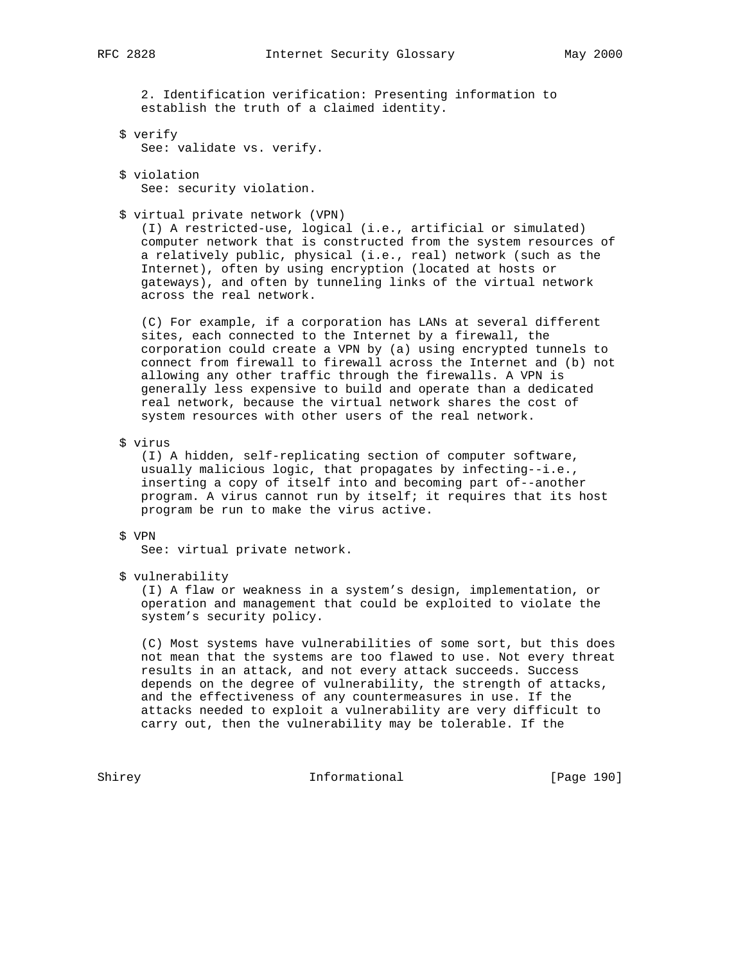2. Identification verification: Presenting information to establish the truth of a claimed identity.

- \$ verify See: validate vs. verify.
- \$ violation

See: security violation.

\$ virtual private network (VPN)

 (I) A restricted-use, logical (i.e., artificial or simulated) computer network that is constructed from the system resources of a relatively public, physical (i.e., real) network (such as the Internet), often by using encryption (located at hosts or gateways), and often by tunneling links of the virtual network across the real network.

 (C) For example, if a corporation has LANs at several different sites, each connected to the Internet by a firewall, the corporation could create a VPN by (a) using encrypted tunnels to connect from firewall to firewall across the Internet and (b) not allowing any other traffic through the firewalls. A VPN is generally less expensive to build and operate than a dedicated real network, because the virtual network shares the cost of system resources with other users of the real network.

\$ virus

 (I) A hidden, self-replicating section of computer software, usually malicious logic, that propagates by infecting--i.e., inserting a copy of itself into and becoming part of--another program. A virus cannot run by itself; it requires that its host program be run to make the virus active.

## \$ VPN

See: virtual private network.

\$ vulnerability

 (I) A flaw or weakness in a system's design, implementation, or operation and management that could be exploited to violate the system's security policy.

 (C) Most systems have vulnerabilities of some sort, but this does not mean that the systems are too flawed to use. Not every threat results in an attack, and not every attack succeeds. Success depends on the degree of vulnerability, the strength of attacks, and the effectiveness of any countermeasures in use. If the attacks needed to exploit a vulnerability are very difficult to carry out, then the vulnerability may be tolerable. If the

Shirey **Informational** [Page 190]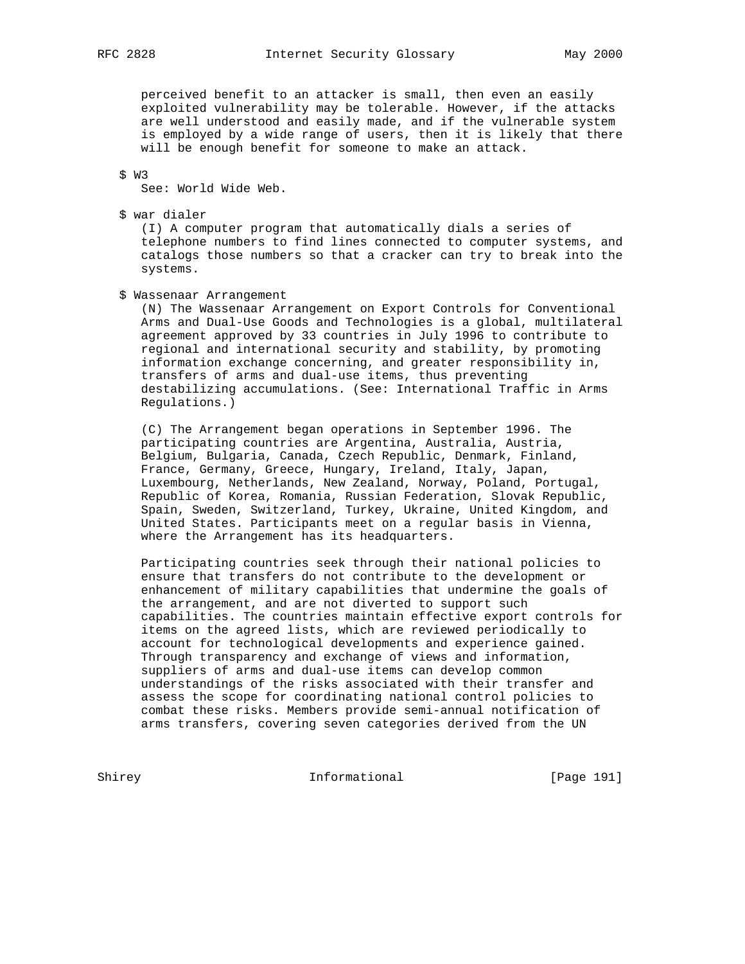perceived benefit to an attacker is small, then even an easily exploited vulnerability may be tolerable. However, if the attacks are well understood and easily made, and if the vulnerable system is employed by a wide range of users, then it is likely that there will be enough benefit for someone to make an attack.

\$ W3

See: World Wide Web.

\$ war dialer

 (I) A computer program that automatically dials a series of telephone numbers to find lines connected to computer systems, and catalogs those numbers so that a cracker can try to break into the systems.

\$ Wassenaar Arrangement

 (N) The Wassenaar Arrangement on Export Controls for Conventional Arms and Dual-Use Goods and Technologies is a global, multilateral agreement approved by 33 countries in July 1996 to contribute to regional and international security and stability, by promoting information exchange concerning, and greater responsibility in, transfers of arms and dual-use items, thus preventing destabilizing accumulations. (See: International Traffic in Arms Regulations.)

 (C) The Arrangement began operations in September 1996. The participating countries are Argentina, Australia, Austria, Belgium, Bulgaria, Canada, Czech Republic, Denmark, Finland, France, Germany, Greece, Hungary, Ireland, Italy, Japan, Luxembourg, Netherlands, New Zealand, Norway, Poland, Portugal, Republic of Korea, Romania, Russian Federation, Slovak Republic, Spain, Sweden, Switzerland, Turkey, Ukraine, United Kingdom, and United States. Participants meet on a regular basis in Vienna, where the Arrangement has its headquarters.

 Participating countries seek through their national policies to ensure that transfers do not contribute to the development or enhancement of military capabilities that undermine the goals of the arrangement, and are not diverted to support such capabilities. The countries maintain effective export controls for items on the agreed lists, which are reviewed periodically to account for technological developments and experience gained. Through transparency and exchange of views and information, suppliers of arms and dual-use items can develop common understandings of the risks associated with their transfer and assess the scope for coordinating national control policies to combat these risks. Members provide semi-annual notification of arms transfers, covering seven categories derived from the UN

Shirey **Informational** [Page 191]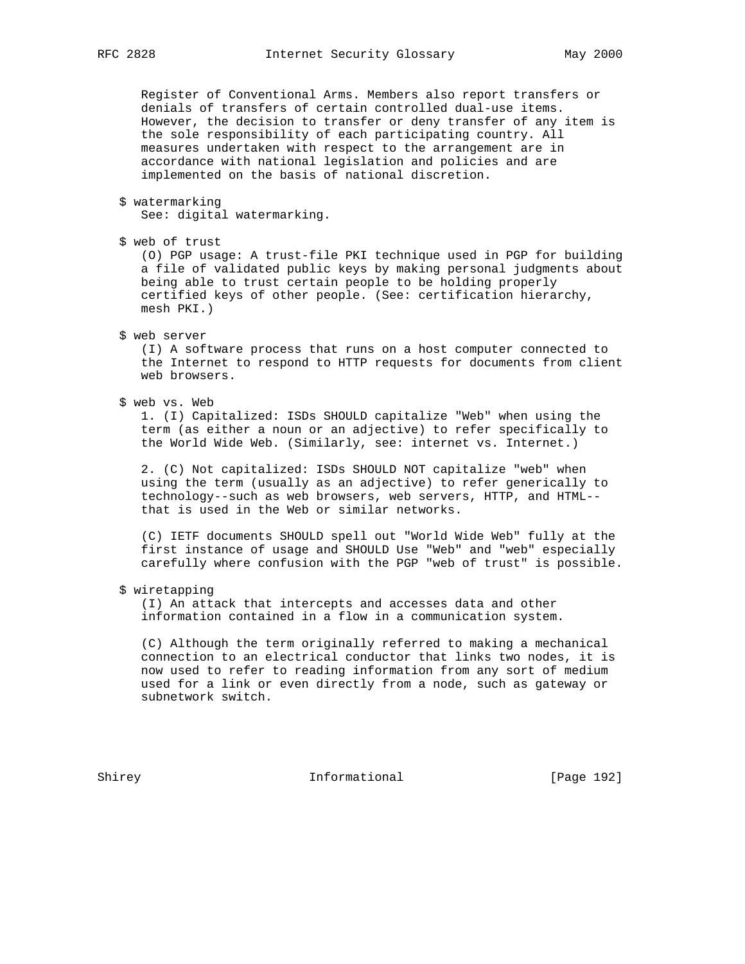Register of Conventional Arms. Members also report transfers or denials of transfers of certain controlled dual-use items. However, the decision to transfer or deny transfer of any item is the sole responsibility of each participating country. All measures undertaken with respect to the arrangement are in accordance with national legislation and policies and are implemented on the basis of national discretion.

\$ watermarking

See: digital watermarking.

\$ web of trust

 (O) PGP usage: A trust-file PKI technique used in PGP for building a file of validated public keys by making personal judgments about being able to trust certain people to be holding properly certified keys of other people. (See: certification hierarchy, mesh PKI.)

\$ web server

 (I) A software process that runs on a host computer connected to the Internet to respond to HTTP requests for documents from client web browsers.

\$ web vs. Web

 1. (I) Capitalized: ISDs SHOULD capitalize "Web" when using the term (as either a noun or an adjective) to refer specifically to the World Wide Web. (Similarly, see: internet vs. Internet.)

 2. (C) Not capitalized: ISDs SHOULD NOT capitalize "web" when using the term (usually as an adjective) to refer generically to technology--such as web browsers, web servers, HTTP, and HTML- that is used in the Web or similar networks.

 (C) IETF documents SHOULD spell out "World Wide Web" fully at the first instance of usage and SHOULD Use "Web" and "web" especially carefully where confusion with the PGP "web of trust" is possible.

\$ wiretapping

 (I) An attack that intercepts and accesses data and other information contained in a flow in a communication system.

 (C) Although the term originally referred to making a mechanical connection to an electrical conductor that links two nodes, it is now used to refer to reading information from any sort of medium used for a link or even directly from a node, such as gateway or subnetwork switch.

Shirey **Informational** [Page 192]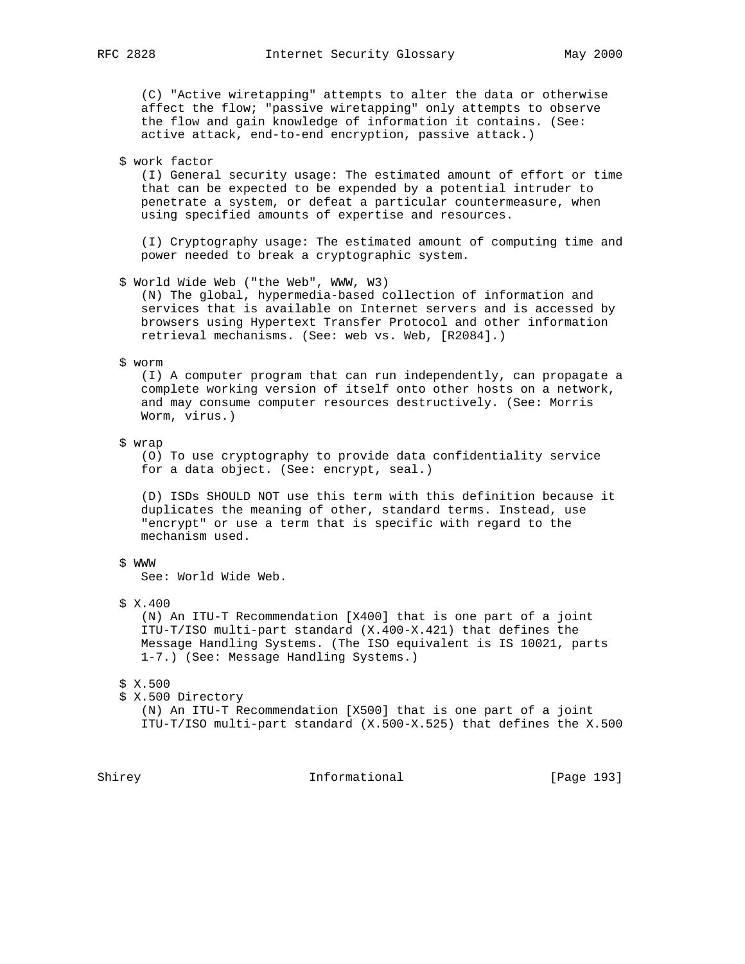(C) "Active wiretapping" attempts to alter the data or otherwise affect the flow; "passive wiretapping" only attempts to observe the flow and gain knowledge of information it contains. (See: active attack, end-to-end encryption, passive attack.)

\$ work factor

 (I) General security usage: The estimated amount of effort or time that can be expected to be expended by a potential intruder to penetrate a system, or defeat a particular countermeasure, when using specified amounts of expertise and resources.

 (I) Cryptography usage: The estimated amount of computing time and power needed to break a cryptographic system.

\$ World Wide Web ("the Web", WWW, W3)

 (N) The global, hypermedia-based collection of information and services that is available on Internet servers and is accessed by browsers using Hypertext Transfer Protocol and other information retrieval mechanisms. (See: web vs. Web, [R2084].)

\$ worm

 (I) A computer program that can run independently, can propagate a complete working version of itself onto other hosts on a network, and may consume computer resources destructively. (See: Morris Worm, virus.)

\$ wrap

 (O) To use cryptography to provide data confidentiality service for a data object. (See: encrypt, seal.)

 (D) ISDs SHOULD NOT use this term with this definition because it duplicates the meaning of other, standard terms. Instead, use "encrypt" or use a term that is specific with regard to the mechanism used.

#### \$ WWW

See: World Wide Web.

\$ X.400

 (N) An ITU-T Recommendation [X400] that is one part of a joint ITU-T/ISO multi-part standard (X.400-X.421) that defines the Message Handling Systems. (The ISO equivalent is IS 10021, parts 1-7.) (See: Message Handling Systems.)

- \$ X.500
- \$ X.500 Directory

 (N) An ITU-T Recommendation [X500] that is one part of a joint ITU-T/ISO multi-part standard (X.500-X.525) that defines the X.500

Shirey Informational [Page 193]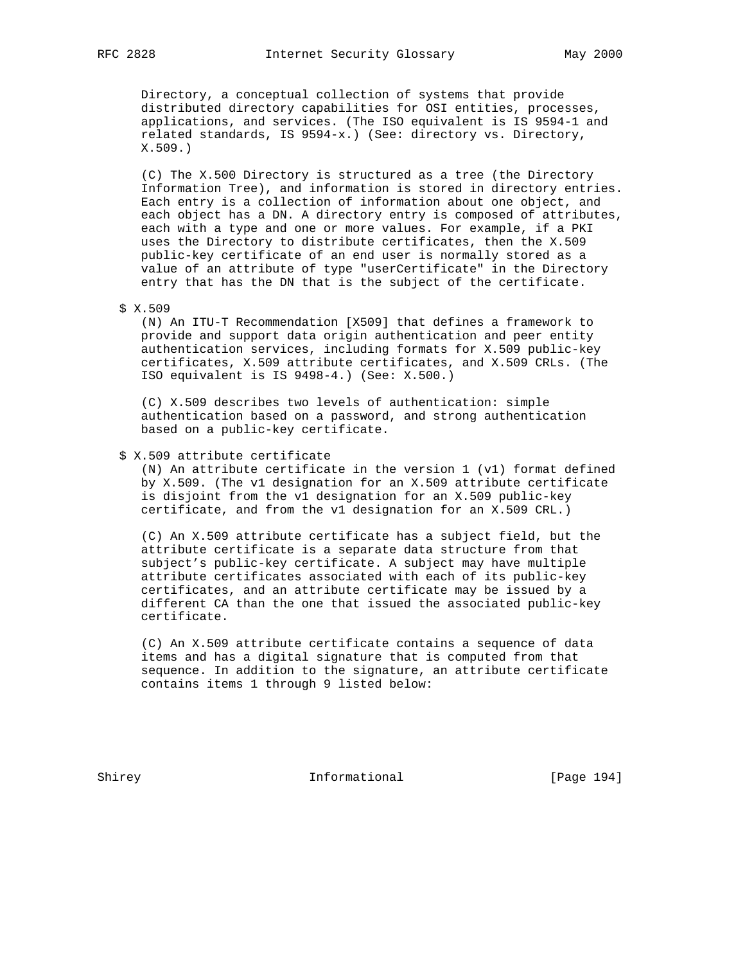Directory, a conceptual collection of systems that provide distributed directory capabilities for OSI entities, processes, applications, and services. (The ISO equivalent is IS 9594-1 and related standards, IS 9594-x.) (See: directory vs. Directory, X.509.)

 (C) The X.500 Directory is structured as a tree (the Directory Information Tree), and information is stored in directory entries. Each entry is a collection of information about one object, and each object has a DN. A directory entry is composed of attributes, each with a type and one or more values. For example, if a PKI uses the Directory to distribute certificates, then the X.509 public-key certificate of an end user is normally stored as a value of an attribute of type "userCertificate" in the Directory entry that has the DN that is the subject of the certificate.

\$ X.509

 (N) An ITU-T Recommendation [X509] that defines a framework to provide and support data origin authentication and peer entity authentication services, including formats for X.509 public-key certificates, X.509 attribute certificates, and X.509 CRLs. (The ISO equivalent is IS 9498-4.) (See: X.500.)

 (C) X.509 describes two levels of authentication: simple authentication based on a password, and strong authentication based on a public-key certificate.

## \$ X.509 attribute certificate

 (N) An attribute certificate in the version 1 (v1) format defined by X.509. (The v1 designation for an X.509 attribute certificate is disjoint from the v1 designation for an X.509 public-key certificate, and from the v1 designation for an X.509 CRL.)

 (C) An X.509 attribute certificate has a subject field, but the attribute certificate is a separate data structure from that subject's public-key certificate. A subject may have multiple attribute certificates associated with each of its public-key certificates, and an attribute certificate may be issued by a different CA than the one that issued the associated public-key certificate.

 (C) An X.509 attribute certificate contains a sequence of data items and has a digital signature that is computed from that sequence. In addition to the signature, an attribute certificate contains items 1 through 9 listed below:

Shirey **Informational** [Page 194]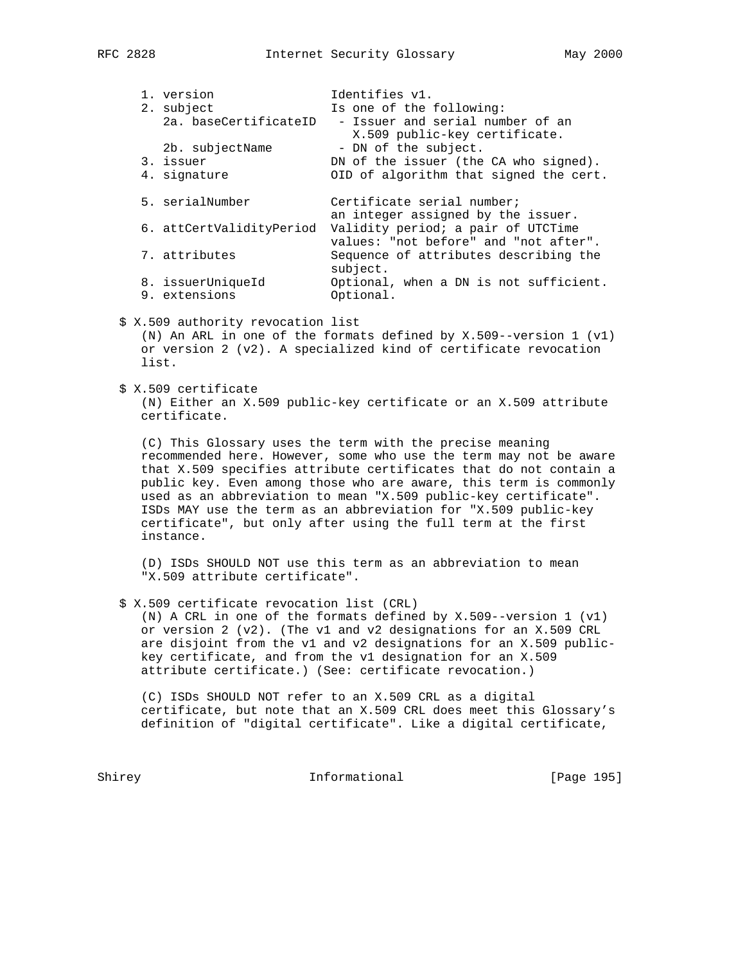|  | 1. version                         | Identifies v1.                                                              |
|--|------------------------------------|-----------------------------------------------------------------------------|
|  | 2. subject                         | Is one of the following:                                                    |
|  | 2a. baseCertificateID              | - Issuer and serial number of an<br>X.509 public-key certificate.           |
|  | 2b. subjectName                    | - DN of the subject.                                                        |
|  | 3. issuer                          | DN of the issuer (the CA who signed).                                       |
|  | 4. signature                       | OID of algorithm that signed the cert.                                      |
|  | 5. serialNumber                    | Certificate serial number;<br>an integer assigned by the issuer.            |
|  | 6. attCertValidityPeriod           | Validity period; a pair of UTCTime<br>values: "not before" and "not after". |
|  | 7. attributes                      | Sequence of attributes describing the<br>subject.                           |
|  | 8. issuerUniqueId<br>9. extensions | Optional, when a DN is not sufficient.<br>Optional.                         |
|  |                                    |                                                                             |

\$ X.509 authority revocation list

 (N) An ARL in one of the formats defined by X.509--version 1 (v1) or version 2 (v2). A specialized kind of certificate revocation list.

\$ X.509 certificate

 (N) Either an X.509 public-key certificate or an X.509 attribute certificate.

 (C) This Glossary uses the term with the precise meaning recommended here. However, some who use the term may not be aware that X.509 specifies attribute certificates that do not contain a public key. Even among those who are aware, this term is commonly used as an abbreviation to mean "X.509 public-key certificate". ISDs MAY use the term as an abbreviation for "X.509 public-key certificate", but only after using the full term at the first instance.

 (D) ISDs SHOULD NOT use this term as an abbreviation to mean "X.509 attribute certificate".

\$ X.509 certificate revocation list (CRL)

 (N) A CRL in one of the formats defined by X.509--version 1 (v1) or version 2 (v2). (The v1 and v2 designations for an X.509 CRL are disjoint from the v1 and v2 designations for an X.509 public key certificate, and from the v1 designation for an X.509 attribute certificate.) (See: certificate revocation.)

 (C) ISDs SHOULD NOT refer to an X.509 CRL as a digital certificate, but note that an X.509 CRL does meet this Glossary's definition of "digital certificate". Like a digital certificate,

Shirey **Informational** [Page 195]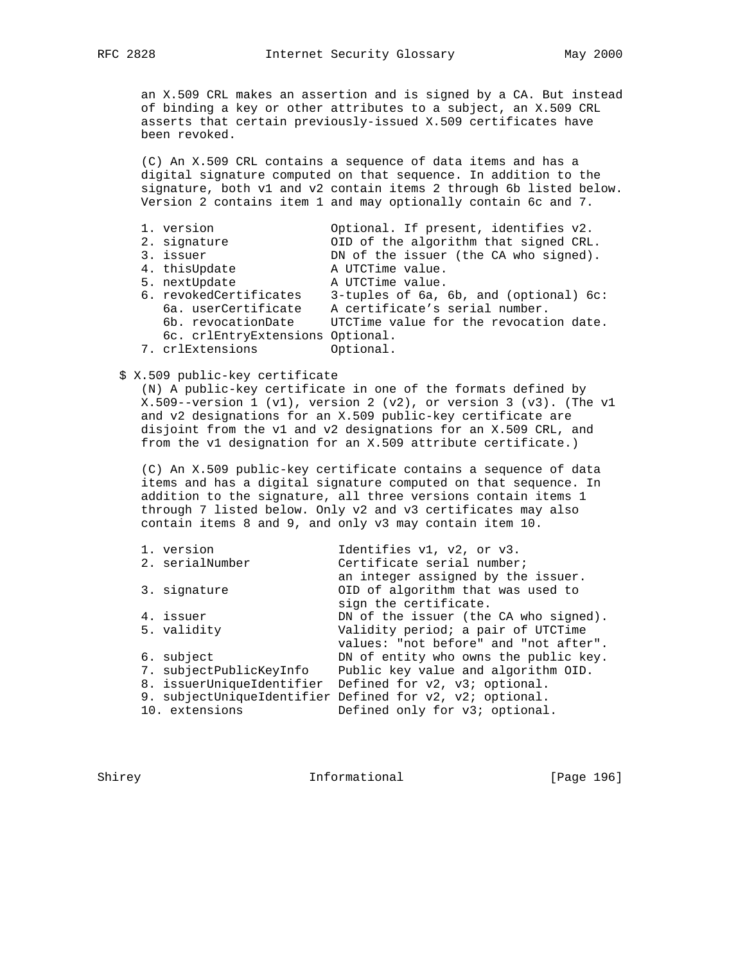an X.509 CRL makes an assertion and is signed by a CA. But instead of binding a key or other attributes to a subject, an X.509 CRL asserts that certain previously-issued X.509 certificates have been revoked.

 (C) An X.509 CRL contains a sequence of data items and has a digital signature computed on that sequence. In addition to the signature, both v1 and v2 contain items 2 through 6b listed below. Version 2 contains item 1 and may optionally contain 6c and 7.

| 1. version                       | Optional. If present, identifies v2.   |
|----------------------------------|----------------------------------------|
| 2. signature                     | OID of the algorithm that signed CRL.  |
| 3. issuer                        | DN of the issuer (the CA who signed).  |
| 4. thisUpdate                    | A UTCTime value.                       |
| 5. nextUpdate                    | A UTCTime value.                       |
| 6. revokedCertificates           | 3-tuples of 6a, 6b, and (optional) 6c: |
| 6a. userCertificate              | A certificate's serial number.         |
| 6b. revocationDate               | UTCTime value for the revocation date. |
| 6c. crlEntryExtensions Optional. |                                        |
| 7. crlExtensions                 | Optional.                              |

## \$ X.509 public-key certificate

 (N) A public-key certificate in one of the formats defined by X.509--version 1 (v1), version 2 (v2), or version 3 (v3). (The v1 and v2 designations for an X.509 public-key certificate are disjoint from the v1 and v2 designations for an X.509 CRL, and from the v1 designation for an X.509 attribute certificate.)

 (C) An X.509 public-key certificate contains a sequence of data items and has a digital signature computed on that sequence. In addition to the signature, all three versions contain items 1 through 7 listed below. Only v2 and v3 certificates may also contain items 8 and 9, and only v3 may contain item 10.

| 1. version                | Identifies v1, v2, or v3.                                |
|---------------------------|----------------------------------------------------------|
| 2. serialNumber           | Certificate serial number;                               |
|                           | an integer assigned by the issuer.                       |
| 3. signature              | OID of algorithm that was used to                        |
|                           | sign the certificate.                                    |
| 4. issuer                 | DN of the issuer (the CA who signed).                    |
| 5. validity               | Validity period; a pair of UTCTime                       |
|                           | values: "not before" and "not after".                    |
| 6. subject                | DN of entity who owns the public key.                    |
| 7. subjectPublicKeyInfo   | Public key value and algorithm OID.                      |
| 8. issuerUniqueIdentifier | Defined for v2, v3; optional.                            |
|                           | 9. subjectUniqueIdentifier Defined for v2, v2; optional. |
| 10. extensions            | Defined only for v3; optional.                           |
|                           |                                                          |

Shirey **Informational** [Page 196]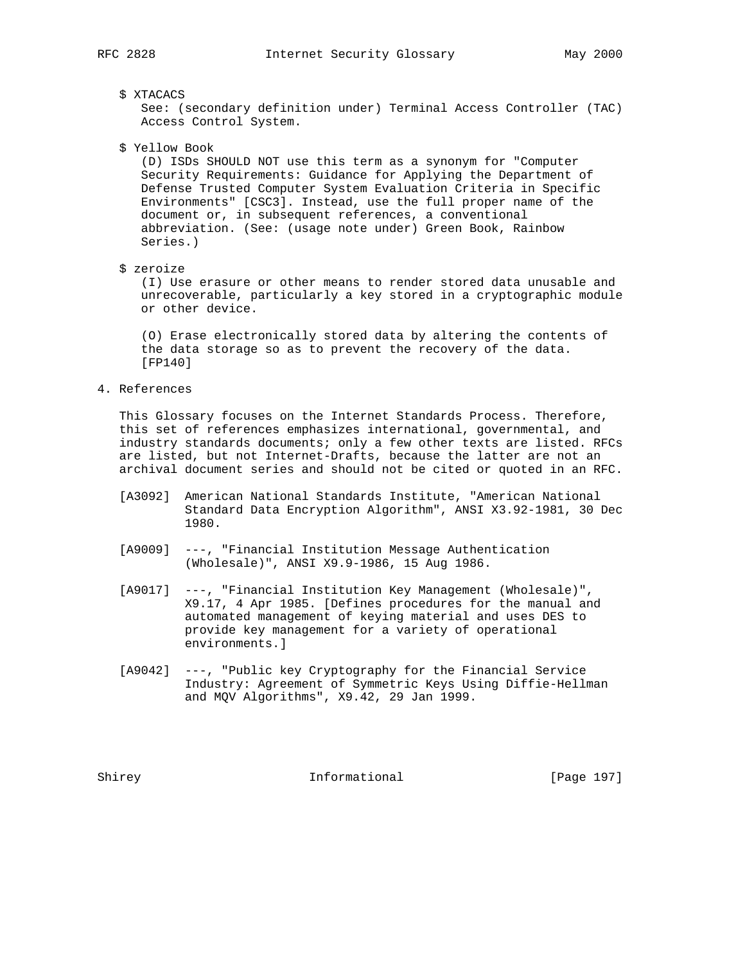#### \$ XTACACS

 See: (secondary definition under) Terminal Access Controller (TAC) Access Control System.

\$ Yellow Book

 (D) ISDs SHOULD NOT use this term as a synonym for "Computer Security Requirements: Guidance for Applying the Department of Defense Trusted Computer System Evaluation Criteria in Specific Environments" [CSC3]. Instead, use the full proper name of the document or, in subsequent references, a conventional abbreviation. (See: (usage note under) Green Book, Rainbow Series.)

#### \$ zeroize

 (I) Use erasure or other means to render stored data unusable and unrecoverable, particularly a key stored in a cryptographic module or other device.

 (O) Erase electronically stored data by altering the contents of the data storage so as to prevent the recovery of the data. [FP140]

## 4. References

 This Glossary focuses on the Internet Standards Process. Therefore, this set of references emphasizes international, governmental, and industry standards documents; only a few other texts are listed. RFCs are listed, but not Internet-Drafts, because the latter are not an archival document series and should not be cited or quoted in an RFC.

- [A3092] American National Standards Institute, "American National Standard Data Encryption Algorithm", ANSI X3.92-1981, 30 Dec 1980.
- [A9009] ---, "Financial Institution Message Authentication (Wholesale)", ANSI X9.9-1986, 15 Aug 1986.
- [A9017] ---, "Financial Institution Key Management (Wholesale)", X9.17, 4 Apr 1985. [Defines procedures for the manual and automated management of keying material and uses DES to provide key management for a variety of operational environments.]
- [A9042] ---, "Public key Cryptography for the Financial Service Industry: Agreement of Symmetric Keys Using Diffie-Hellman and MQV Algorithms", X9.42, 29 Jan 1999.

Shirey **Informational** [Page 197]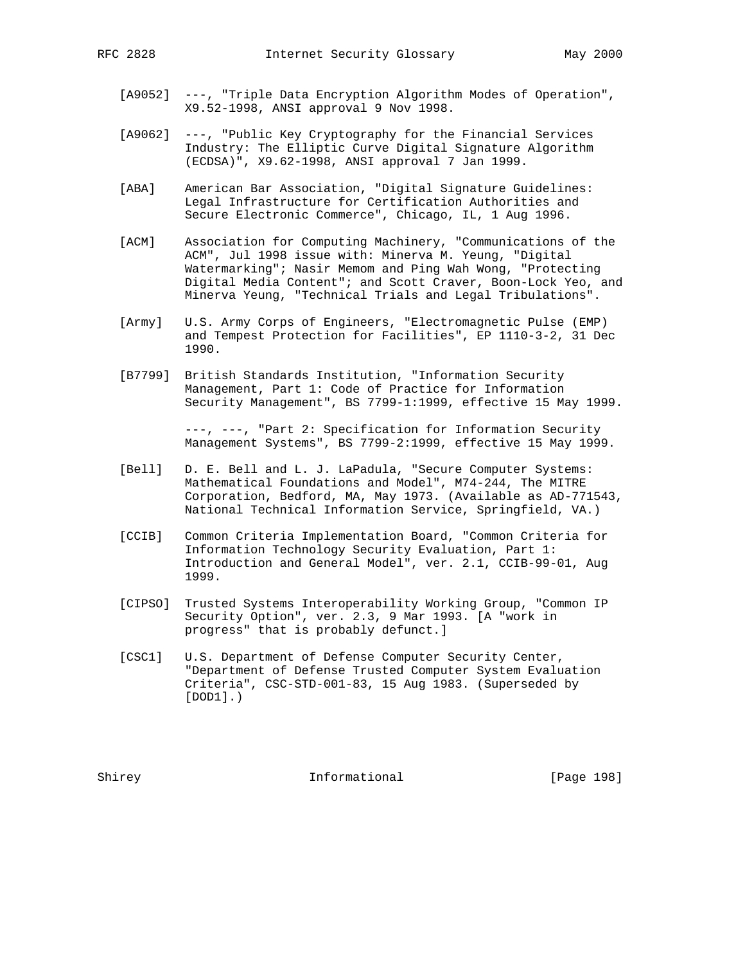- [A9052] ---, "Triple Data Encryption Algorithm Modes of Operation", X9.52-1998, ANSI approval 9 Nov 1998.
- [A9062] ---, "Public Key Cryptography for the Financial Services Industry: The Elliptic Curve Digital Signature Algorithm (ECDSA)", X9.62-1998, ANSI approval 7 Jan 1999.
- [ABA] American Bar Association, "Digital Signature Guidelines: Legal Infrastructure for Certification Authorities and Secure Electronic Commerce", Chicago, IL, 1 Aug 1996.
- [ACM] Association for Computing Machinery, "Communications of the ACM", Jul 1998 issue with: Minerva M. Yeung, "Digital Watermarking"; Nasir Memom and Ping Wah Wong, "Protecting Digital Media Content"; and Scott Craver, Boon-Lock Yeo, and Minerva Yeung, "Technical Trials and Legal Tribulations".
- [Army] U.S. Army Corps of Engineers, "Electromagnetic Pulse (EMP) and Tempest Protection for Facilities", EP 1110-3-2, 31 Dec 1990.
- [B7799] British Standards Institution, "Information Security Management, Part 1: Code of Practice for Information Security Management", BS 7799-1:1999, effective 15 May 1999.

 ---, ---, "Part 2: Specification for Information Security Management Systems", BS 7799-2:1999, effective 15 May 1999.

- [Bell] D. E. Bell and L. J. LaPadula, "Secure Computer Systems: Mathematical Foundations and Model", M74-244, The MITRE Corporation, Bedford, MA, May 1973. (Available as AD-771543, National Technical Information Service, Springfield, VA.)
- [CCIB] Common Criteria Implementation Board, "Common Criteria for Information Technology Security Evaluation, Part 1: Introduction and General Model", ver. 2.1, CCIB-99-01, Aug 1999.
- [CIPSO] Trusted Systems Interoperability Working Group, "Common IP Security Option", ver. 2.3, 9 Mar 1993. [A "work in progress" that is probably defunct.]
- [CSC1] U.S. Department of Defense Computer Security Center, "Department of Defense Trusted Computer System Evaluation Criteria", CSC-STD-001-83, 15 Aug 1983. (Superseded by [DOD1].)

Shirey **Informational** [Page 198]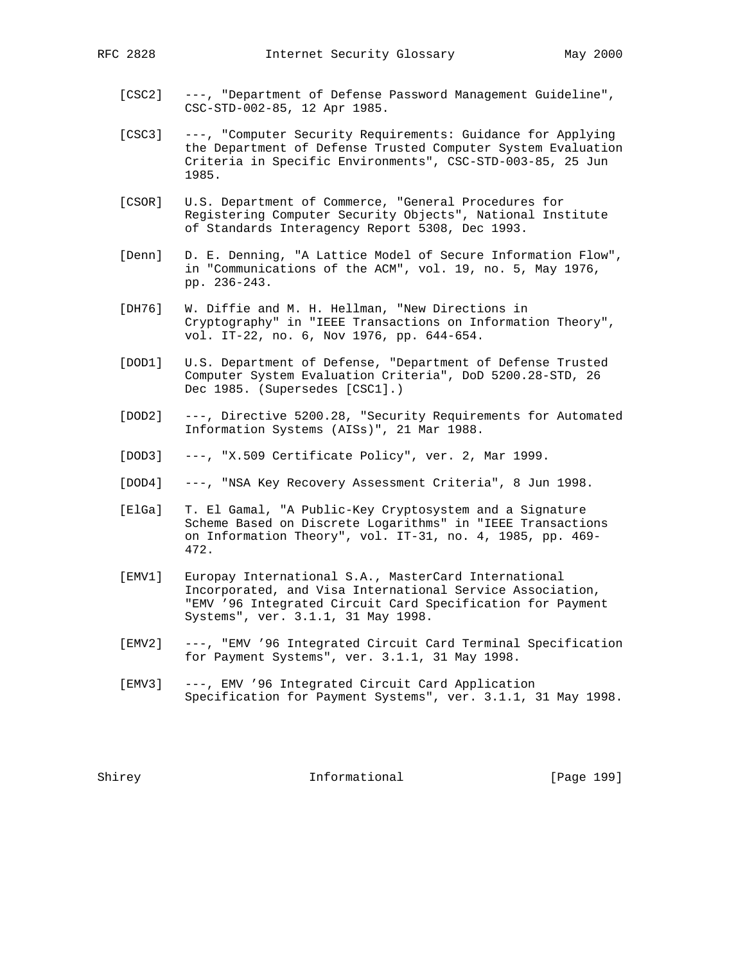- [CSC2] ---, "Department of Defense Password Management Guideline", CSC-STD-002-85, 12 Apr 1985.
- [CSC3] ---, "Computer Security Requirements: Guidance for Applying the Department of Defense Trusted Computer System Evaluation Criteria in Specific Environments", CSC-STD-003-85, 25 Jun 1985.
- [CSOR] U.S. Department of Commerce, "General Procedures for Registering Computer Security Objects", National Institute of Standards Interagency Report 5308, Dec 1993.
- [Denn] D. E. Denning, "A Lattice Model of Secure Information Flow", in "Communications of the ACM", vol. 19, no. 5, May 1976, pp. 236-243.
- [DH76] W. Diffie and M. H. Hellman, "New Directions in Cryptography" in "IEEE Transactions on Information Theory", vol. IT-22, no. 6, Nov 1976, pp. 644-654.
- [DOD1] U.S. Department of Defense, "Department of Defense Trusted Computer System Evaluation Criteria", DoD 5200.28-STD, 26 Dec 1985. (Supersedes [CSC1].)
- [DOD2] ---, Directive 5200.28, "Security Requirements for Automated Information Systems (AISs)", 21 Mar 1988.
- [DOD3] ---, "X.509 Certificate Policy", ver. 2, Mar 1999.
- [DOD4] ---, "NSA Key Recovery Assessment Criteria", 8 Jun 1998.
- [ElGa] T. El Gamal, "A Public-Key Cryptosystem and a Signature Scheme Based on Discrete Logarithms" in "IEEE Transactions on Information Theory", vol. IT-31, no. 4, 1985, pp. 469- 472.
- [EMV1] Europay International S.A., MasterCard International Incorporated, and Visa International Service Association, "EMV '96 Integrated Circuit Card Specification for Payment Systems", ver. 3.1.1, 31 May 1998.
- [EMV2] ---, "EMV '96 Integrated Circuit Card Terminal Specification for Payment Systems", ver. 3.1.1, 31 May 1998.
- [EMV3] ---, EMV '96 Integrated Circuit Card Application Specification for Payment Systems", ver. 3.1.1, 31 May 1998.

Shirey **Informational** [Page 199]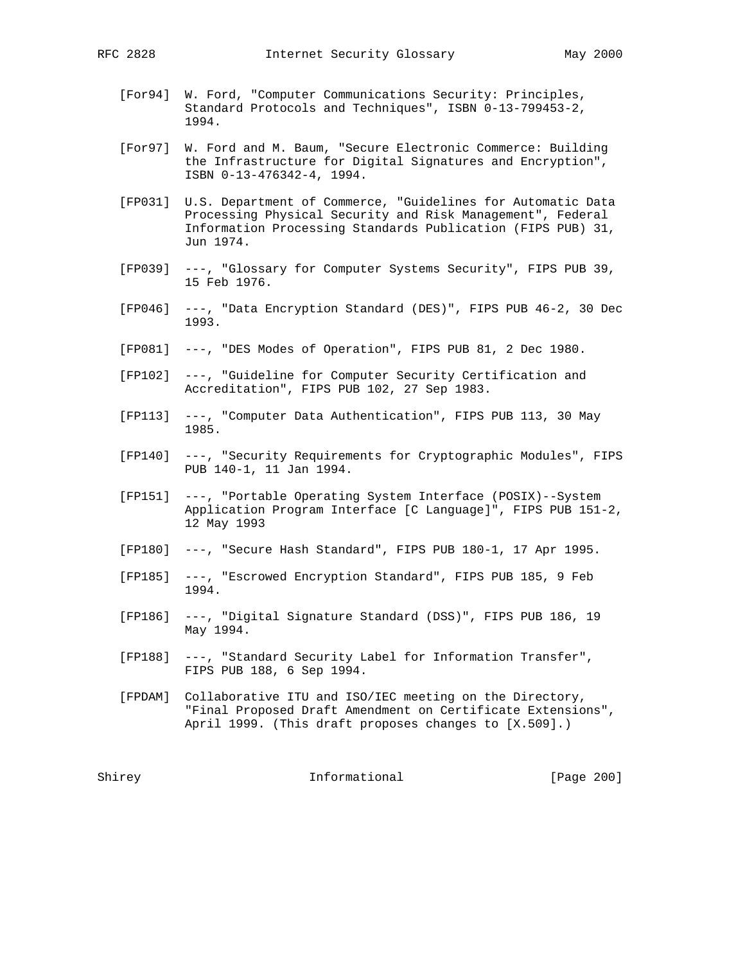- [For94] W. Ford, "Computer Communications Security: Principles, Standard Protocols and Techniques", ISBN 0-13-799453-2, 1994.
- [For97] W. Ford and M. Baum, "Secure Electronic Commerce: Building the Infrastructure for Digital Signatures and Encryption", ISBN 0-13-476342-4, 1994.
- [FP031] U.S. Department of Commerce, "Guidelines for Automatic Data Processing Physical Security and Risk Management", Federal Information Processing Standards Publication (FIPS PUB) 31, Jun 1974.
- [FP039] ---, "Glossary for Computer Systems Security", FIPS PUB 39, 15 Feb 1976.
- [FP046] ---, "Data Encryption Standard (DES)", FIPS PUB 46-2, 30 Dec 1993.
- [FP081] ---, "DES Modes of Operation", FIPS PUB 81, 2 Dec 1980.
- [FP102] ---, "Guideline for Computer Security Certification and Accreditation", FIPS PUB 102, 27 Sep 1983.
- [FP113] ---, "Computer Data Authentication", FIPS PUB 113, 30 May 1985.
- [FP140] ---, "Security Requirements for Cryptographic Modules", FIPS PUB 140-1, 11 Jan 1994.
- [FP151] ---, "Portable Operating System Interface (POSIX)--System Application Program Interface [C Language]", FIPS PUB 151-2, 12 May 1993
- [FP180] ---, "Secure Hash Standard", FIPS PUB 180-1, 17 Apr 1995.
- [FP185] ---, "Escrowed Encryption Standard", FIPS PUB 185, 9 Feb 1994.
- [FP186] ---, "Digital Signature Standard (DSS)", FIPS PUB 186, 19 May 1994.
- [FP188] ---, "Standard Security Label for Information Transfer", FIPS PUB 188, 6 Sep 1994.
- [FPDAM] Collaborative ITU and ISO/IEC meeting on the Directory, "Final Proposed Draft Amendment on Certificate Extensions", April 1999. (This draft proposes changes to [X.509].)

Shirey **Informational** [Page 200]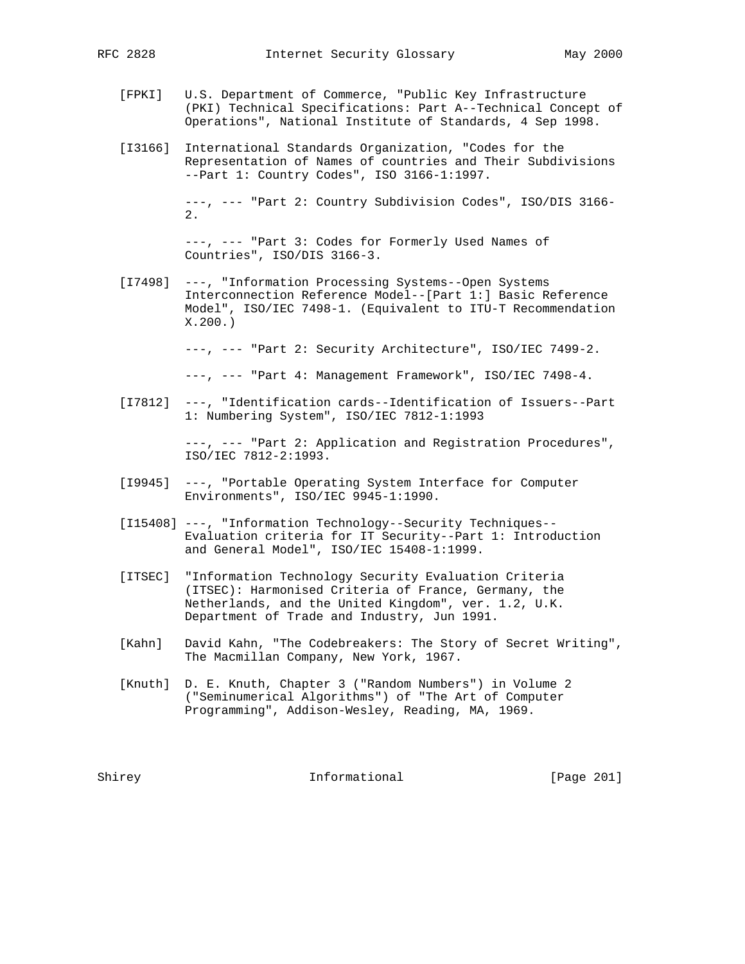- [FPKI] U.S. Department of Commerce, "Public Key Infrastructure (PKI) Technical Specifications: Part A--Technical Concept of
- [I3166] International Standards Organization, "Codes for the Representation of Names of countries and Their Subdivisions --Part 1: Country Codes", ISO 3166-1:1997.

 ---, --- "Part 2: Country Subdivision Codes", ISO/DIS 3166- 2.

Operations", National Institute of Standards, 4 Sep 1998.

 ---, --- "Part 3: Codes for Formerly Used Names of Countries", ISO/DIS 3166-3.

 [I7498] ---, "Information Processing Systems--Open Systems Interconnection Reference Model--[Part 1:] Basic Reference Model", ISO/IEC 7498-1. (Equivalent to ITU-T Recommendation X.200.)

---, --- "Part 2: Security Architecture", ISO/IEC 7499-2.

---, --- "Part 4: Management Framework", ISO/IEC 7498-4.

 [I7812] ---, "Identification cards--Identification of Issuers--Part 1: Numbering System", ISO/IEC 7812-1:1993

> ---, --- "Part 2: Application and Registration Procedures", ISO/IEC 7812-2:1993.

- [I9945] ---, "Portable Operating System Interface for Computer Environments", ISO/IEC 9945-1:1990.
- [I15408] ---, "Information Technology--Security Techniques-- Evaluation criteria for IT Security--Part 1: Introduction and General Model", ISO/IEC 15408-1:1999.
- [ITSEC] "Information Technology Security Evaluation Criteria (ITSEC): Harmonised Criteria of France, Germany, the Netherlands, and the United Kingdom", ver. 1.2, U.K. Department of Trade and Industry, Jun 1991.
- [Kahn] David Kahn, "The Codebreakers: The Story of Secret Writing", The Macmillan Company, New York, 1967.
- [Knuth] D. E. Knuth, Chapter 3 ("Random Numbers") in Volume 2 ("Seminumerical Algorithms") of "The Art of Computer Programming", Addison-Wesley, Reading, MA, 1969.

Shirey **Informational** [Page 201]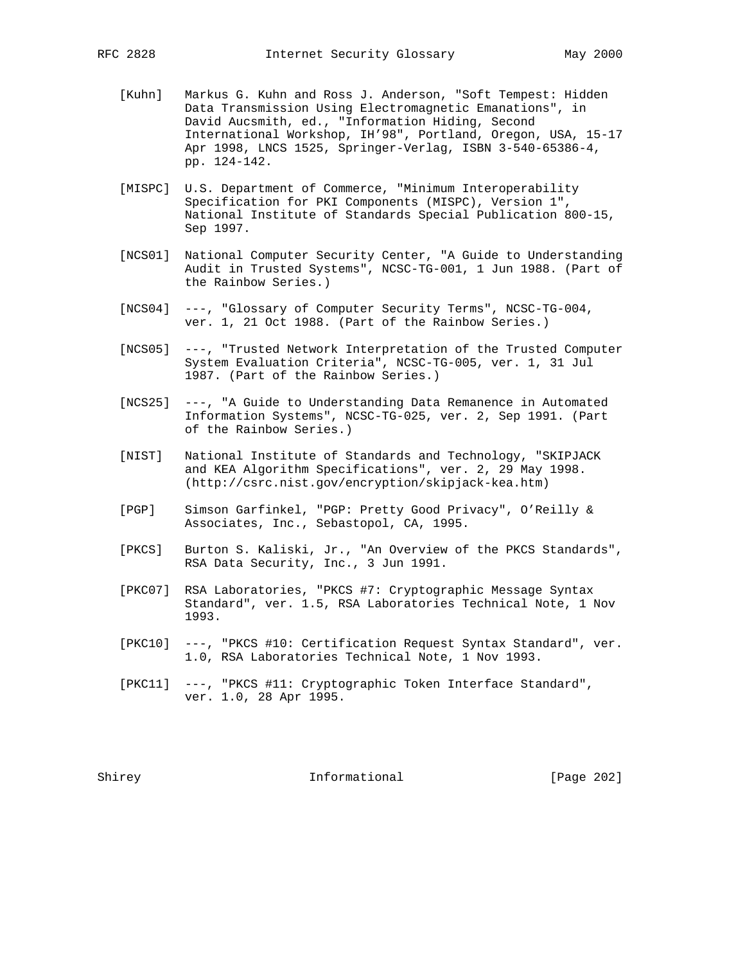- [Kuhn] Markus G. Kuhn and Ross J. Anderson, "Soft Tempest: Hidden Data Transmission Using Electromagnetic Emanations", in David Aucsmith, ed., "Information Hiding, Second International Workshop, IH'98", Portland, Oregon, USA, 15-17 Apr 1998, LNCS 1525, Springer-Verlag, ISBN 3-540-65386-4, pp. 124-142.
- [MISPC] U.S. Department of Commerce, "Minimum Interoperability Specification for PKI Components (MISPC), Version 1", National Institute of Standards Special Publication 800-15, Sep 1997.
- [NCS01] National Computer Security Center, "A Guide to Understanding Audit in Trusted Systems", NCSC-TG-001, 1 Jun 1988. (Part of the Rainbow Series.)
- [NCS04] ---, "Glossary of Computer Security Terms", NCSC-TG-004, ver. 1, 21 Oct 1988. (Part of the Rainbow Series.)
- [NCS05] ---, "Trusted Network Interpretation of the Trusted Computer System Evaluation Criteria", NCSC-TG-005, ver. 1, 31 Jul 1987. (Part of the Rainbow Series.)
- [NCS25] ---, "A Guide to Understanding Data Remanence in Automated Information Systems", NCSC-TG-025, ver. 2, Sep 1991. (Part of the Rainbow Series.)
- [NIST] National Institute of Standards and Technology, "SKIPJACK and KEA Algorithm Specifications", ver. 2, 29 May 1998. (http://csrc.nist.gov/encryption/skipjack-kea.htm)
- [PGP] Simson Garfinkel, "PGP: Pretty Good Privacy", O'Reilly & Associates, Inc., Sebastopol, CA, 1995.
- [PKCS] Burton S. Kaliski, Jr., "An Overview of the PKCS Standards", RSA Data Security, Inc., 3 Jun 1991.
- [PKC07] RSA Laboratories, "PKCS #7: Cryptographic Message Syntax Standard", ver. 1.5, RSA Laboratories Technical Note, 1 Nov 1993.
- [PKC10] ---, "PKCS #10: Certification Request Syntax Standard", ver. 1.0, RSA Laboratories Technical Note, 1 Nov 1993.
- [PKC11] ---, "PKCS #11: Cryptographic Token Interface Standard", ver. 1.0, 28 Apr 1995.

Shirey **Informational** [Page 202]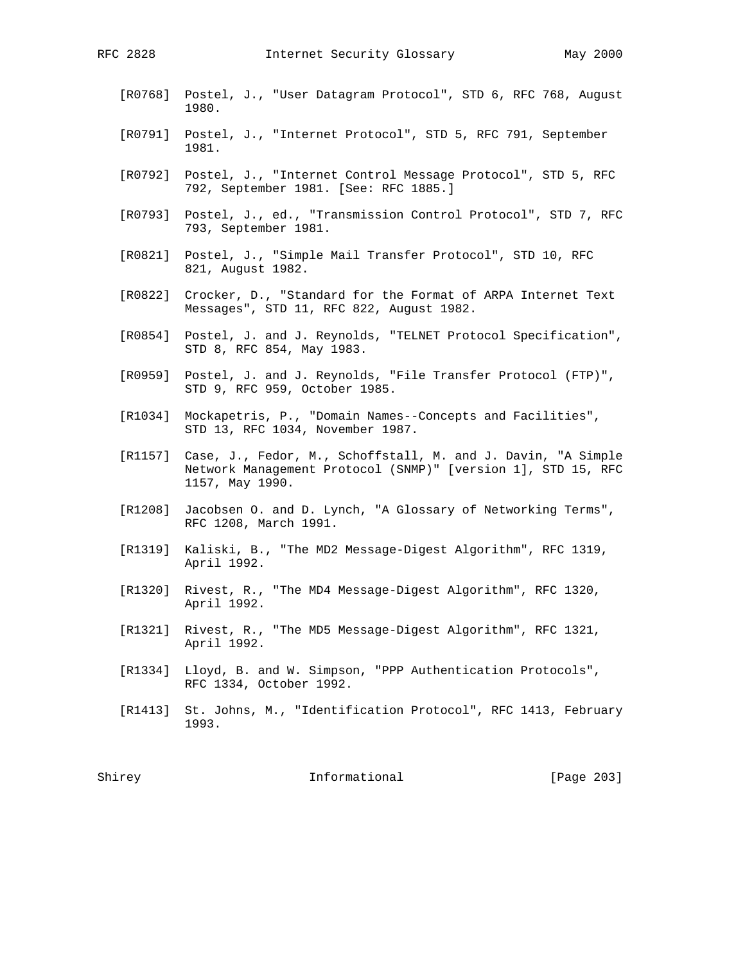- [R0768] Postel, J., "User Datagram Protocol", STD 6, RFC 768, August 1980.
- [R0791] Postel, J., "Internet Protocol", STD 5, RFC 791, September 1981.
- [R0792] Postel, J., "Internet Control Message Protocol", STD 5, RFC 792, September 1981. [See: RFC 1885.]
- [R0793] Postel, J., ed., "Transmission Control Protocol", STD 7, RFC 793, September 1981.
- [R0821] Postel, J., "Simple Mail Transfer Protocol", STD 10, RFC 821, August 1982.
- [R0822] Crocker, D., "Standard for the Format of ARPA Internet Text Messages", STD 11, RFC 822, August 1982.
- [R0854] Postel, J. and J. Reynolds, "TELNET Protocol Specification", STD 8, RFC 854, May 1983.
- [R0959] Postel, J. and J. Reynolds, "File Transfer Protocol (FTP)", STD 9, RFC 959, October 1985.
- [R1034] Mockapetris, P., "Domain Names--Concepts and Facilities", STD 13, RFC 1034, November 1987.
- [R1157] Case, J., Fedor, M., Schoffstall, M. and J. Davin, "A Simple Network Management Protocol (SNMP)" [version 1], STD 15, RFC 1157, May 1990.
- [R1208] Jacobsen O. and D. Lynch, "A Glossary of Networking Terms", RFC 1208, March 1991.
- [R1319] Kaliski, B., "The MD2 Message-Digest Algorithm", RFC 1319, April 1992.
- [R1320] Rivest, R., "The MD4 Message-Digest Algorithm", RFC 1320, April 1992.
- [R1321] Rivest, R., "The MD5 Message-Digest Algorithm", RFC 1321, April 1992.
- [R1334] Lloyd, B. and W. Simpson, "PPP Authentication Protocols", RFC 1334, October 1992.
- [R1413] St. Johns, M., "Identification Protocol", RFC 1413, February 1993.

Shirey **Informational** [Page 203]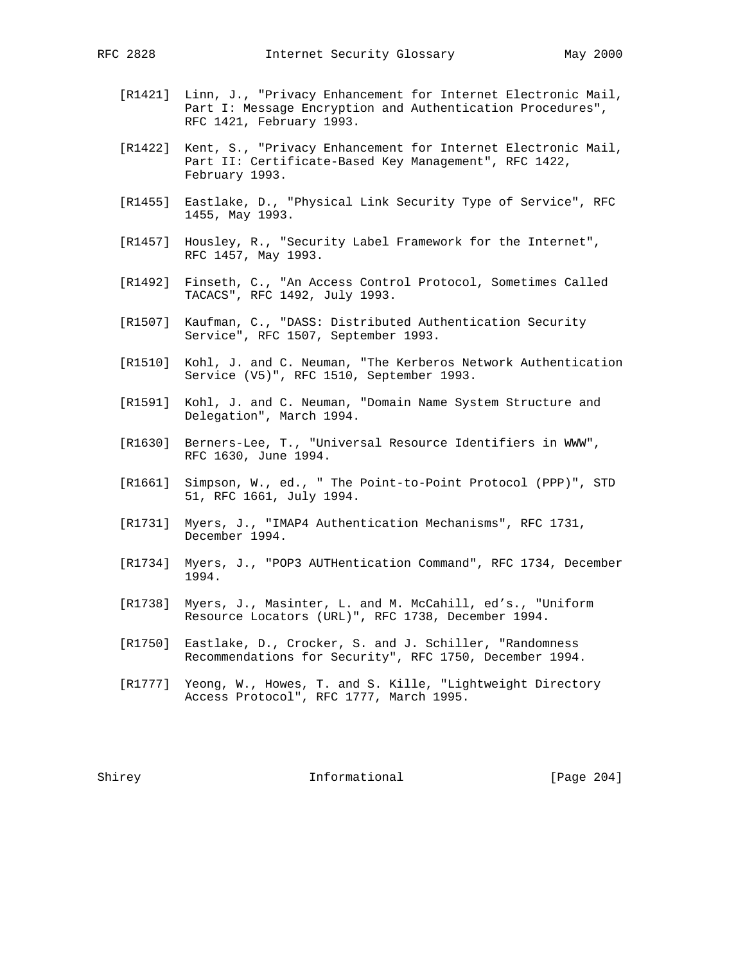- [R1421] Linn, J., "Privacy Enhancement for Internet Electronic Mail, Part I: Message Encryption and Authentication Procedures", RFC 1421, February 1993.
- [R1422] Kent, S., "Privacy Enhancement for Internet Electronic Mail, Part II: Certificate-Based Key Management", RFC 1422, February 1993.
- [R1455] Eastlake, D., "Physical Link Security Type of Service", RFC 1455, May 1993.
- [R1457] Housley, R., "Security Label Framework for the Internet", RFC 1457, May 1993.
- [R1492] Finseth, C., "An Access Control Protocol, Sometimes Called TACACS", RFC 1492, July 1993.
- [R1507] Kaufman, C., "DASS: Distributed Authentication Security Service", RFC 1507, September 1993.
- [R1510] Kohl, J. and C. Neuman, "The Kerberos Network Authentication Service (V5)", RFC 1510, September 1993.
- [R1591] Kohl, J. and C. Neuman, "Domain Name System Structure and Delegation", March 1994.
- [R1630] Berners-Lee, T., "Universal Resource Identifiers in WWW", RFC 1630, June 1994.
- [R1661] Simpson, W., ed., " The Point-to-Point Protocol (PPP)", STD 51, RFC 1661, July 1994.
- [R1731] Myers, J., "IMAP4 Authentication Mechanisms", RFC 1731, December 1994.
- [R1734] Myers, J., "POP3 AUTHentication Command", RFC 1734, December 1994.
- [R1738] Myers, J., Masinter, L. and M. McCahill, ed's., "Uniform Resource Locators (URL)", RFC 1738, December 1994.
- [R1750] Eastlake, D., Crocker, S. and J. Schiller, "Randomness Recommendations for Security", RFC 1750, December 1994.
- [R1777] Yeong, W., Howes, T. and S. Kille, "Lightweight Directory Access Protocol", RFC 1777, March 1995.

Shirey 1nformational [Page 204]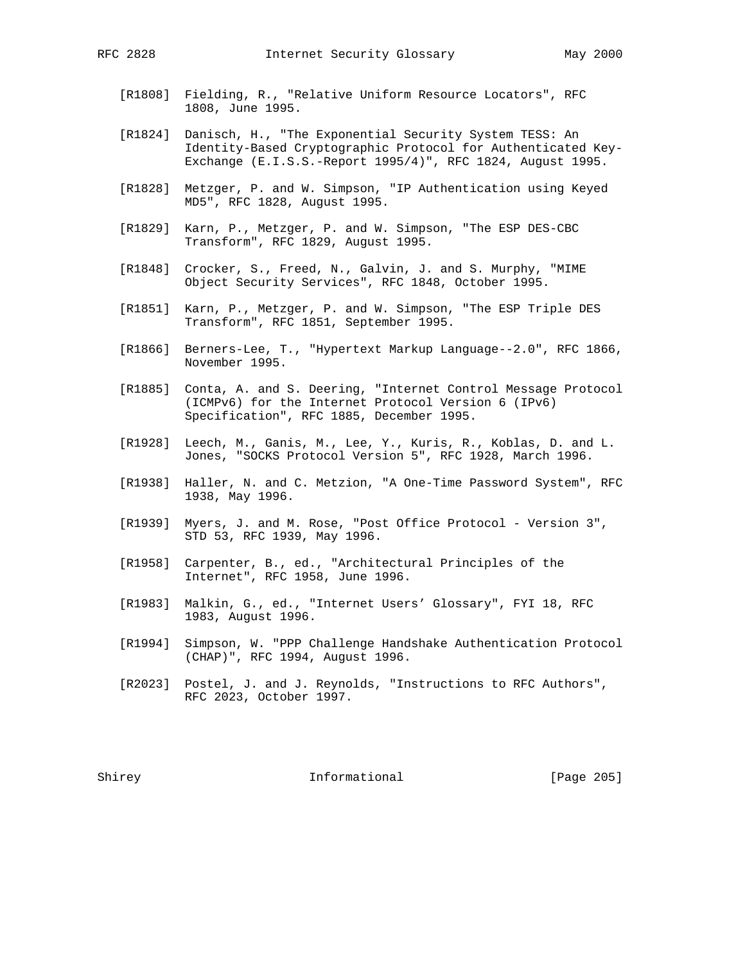- [R1808] Fielding, R., "Relative Uniform Resource Locators", RFC 1808, June 1995.
- [R1824] Danisch, H., "The Exponential Security System TESS: An Identity-Based Cryptographic Protocol for Authenticated Key- Exchange (E.I.S.S.-Report 1995/4)", RFC 1824, August 1995.
- [R1828] Metzger, P. and W. Simpson, "IP Authentication using Keyed MD5", RFC 1828, August 1995.
- [R1829] Karn, P., Metzger, P. and W. Simpson, "The ESP DES-CBC Transform", RFC 1829, August 1995.
- [R1848] Crocker, S., Freed, N., Galvin, J. and S. Murphy, "MIME Object Security Services", RFC 1848, October 1995.
- [R1851] Karn, P., Metzger, P. and W. Simpson, "The ESP Triple DES Transform", RFC 1851, September 1995.
- [R1866] Berners-Lee, T., "Hypertext Markup Language--2.0", RFC 1866, November 1995.
- [R1885] Conta, A. and S. Deering, "Internet Control Message Protocol (ICMPv6) for the Internet Protocol Version 6 (IPv6) Specification", RFC 1885, December 1995.
- [R1928] Leech, M., Ganis, M., Lee, Y., Kuris, R., Koblas, D. and L. Jones, "SOCKS Protocol Version 5", RFC 1928, March 1996.
- [R1938] Haller, N. and C. Metzion, "A One-Time Password System", RFC 1938, May 1996.
- [R1939] Myers, J. and M. Rose, "Post Office Protocol Version 3", STD 53, RFC 1939, May 1996.
- [R1958] Carpenter, B., ed., "Architectural Principles of the Internet", RFC 1958, June 1996.
- [R1983] Malkin, G., ed., "Internet Users' Glossary", FYI 18, RFC 1983, August 1996.
- [R1994] Simpson, W. "PPP Challenge Handshake Authentication Protocol (CHAP)", RFC 1994, August 1996.
- [R2023] Postel, J. and J. Reynolds, "Instructions to RFC Authors", RFC 2023, October 1997.

Shirey **Informational** [Page 205]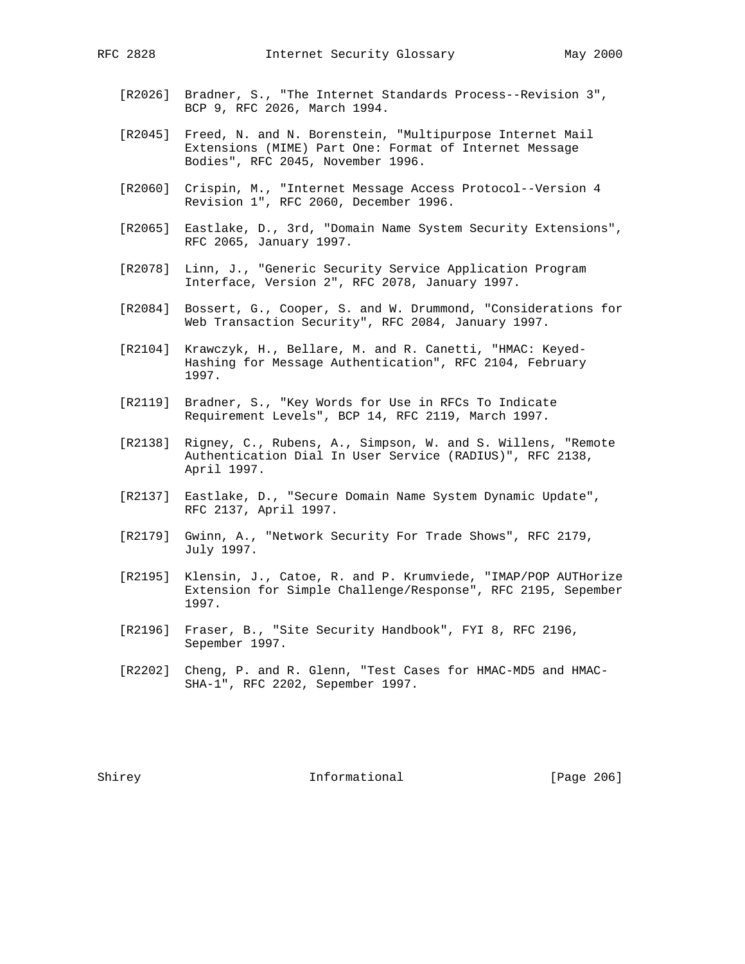- [R2026] Bradner, S., "The Internet Standards Process--Revision 3", BCP 9, RFC 2026, March 1994.
- [R2045] Freed, N. and N. Borenstein, "Multipurpose Internet Mail Extensions (MIME) Part One: Format of Internet Message Bodies", RFC 2045, November 1996.
- [R2060] Crispin, M., "Internet Message Access Protocol--Version 4 Revision 1", RFC 2060, December 1996.
- [R2065] Eastlake, D., 3rd, "Domain Name System Security Extensions", RFC 2065, January 1997.
- [R2078] Linn, J., "Generic Security Service Application Program Interface, Version 2", RFC 2078, January 1997.
- [R2084] Bossert, G., Cooper, S. and W. Drummond, "Considerations for Web Transaction Security", RFC 2084, January 1997.
- [R2104] Krawczyk, H., Bellare, M. and R. Canetti, "HMAC: Keyed- Hashing for Message Authentication", RFC 2104, February 1997.
- [R2119] Bradner, S., "Key Words for Use in RFCs To Indicate Requirement Levels", BCP 14, RFC 2119, March 1997.
- [R2138] Rigney, C., Rubens, A., Simpson, W. and S. Willens, "Remote Authentication Dial In User Service (RADIUS)", RFC 2138, April 1997.
- [R2137] Eastlake, D., "Secure Domain Name System Dynamic Update", RFC 2137, April 1997.
- [R2179] Gwinn, A., "Network Security For Trade Shows", RFC 2179, July 1997.
- [R2195] Klensin, J., Catoe, R. and P. Krumviede, "IMAP/POP AUTHorize Extension for Simple Challenge/Response", RFC 2195, Sepember 1997.
- [R2196] Fraser, B., "Site Security Handbook", FYI 8, RFC 2196, Sepember 1997.
- [R2202] Cheng, P. and R. Glenn, "Test Cases for HMAC-MD5 and HMAC- SHA-1", RFC 2202, Sepember 1997.

Shirey **Informational** [Page 206]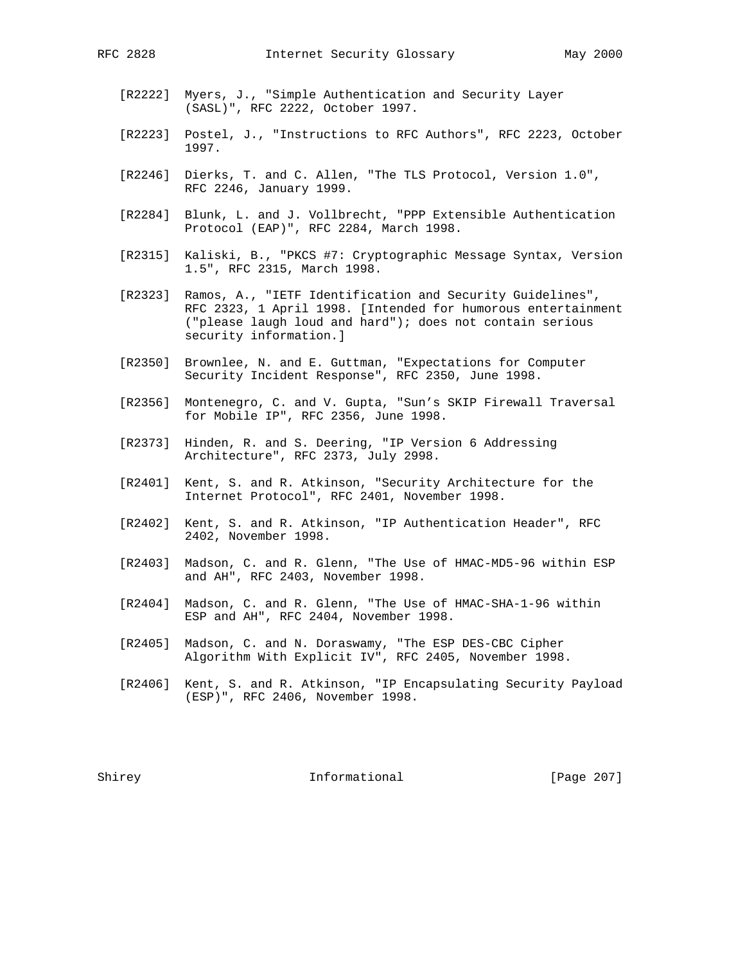- [R2222] Myers, J., "Simple Authentication and Security Layer (SASL)", RFC 2222, October 1997.
- [R2223] Postel, J., "Instructions to RFC Authors", RFC 2223, October 1997.
- [R2246] Dierks, T. and C. Allen, "The TLS Protocol, Version 1.0", RFC 2246, January 1999.
- [R2284] Blunk, L. and J. Vollbrecht, "PPP Extensible Authentication Protocol (EAP)", RFC 2284, March 1998.
- [R2315] Kaliski, B., "PKCS #7: Cryptographic Message Syntax, Version 1.5", RFC 2315, March 1998.
- [R2323] Ramos, A., "IETF Identification and Security Guidelines", RFC 2323, 1 April 1998. [Intended for humorous entertainment ("please laugh loud and hard"); does not contain serious security information.]
- [R2350] Brownlee, N. and E. Guttman, "Expectations for Computer Security Incident Response", RFC 2350, June 1998.
- [R2356] Montenegro, C. and V. Gupta, "Sun's SKIP Firewall Traversal for Mobile IP", RFC 2356, June 1998.
- [R2373] Hinden, R. and S. Deering, "IP Version 6 Addressing Architecture", RFC 2373, July 2998.
- [R2401] Kent, S. and R. Atkinson, "Security Architecture for the Internet Protocol", RFC 2401, November 1998.
- [R2402] Kent, S. and R. Atkinson, "IP Authentication Header", RFC 2402, November 1998.
- [R2403] Madson, C. and R. Glenn, "The Use of HMAC-MD5-96 within ESP and AH", RFC 2403, November 1998.
- [R2404] Madson, C. and R. Glenn, "The Use of HMAC-SHA-1-96 within ESP and AH", RFC 2404, November 1998.
- [R2405] Madson, C. and N. Doraswamy, "The ESP DES-CBC Cipher Algorithm With Explicit IV", RFC 2405, November 1998.
- [R2406] Kent, S. and R. Atkinson, "IP Encapsulating Security Payload (ESP)", RFC 2406, November 1998.

Shirey **Informational** [Page 207]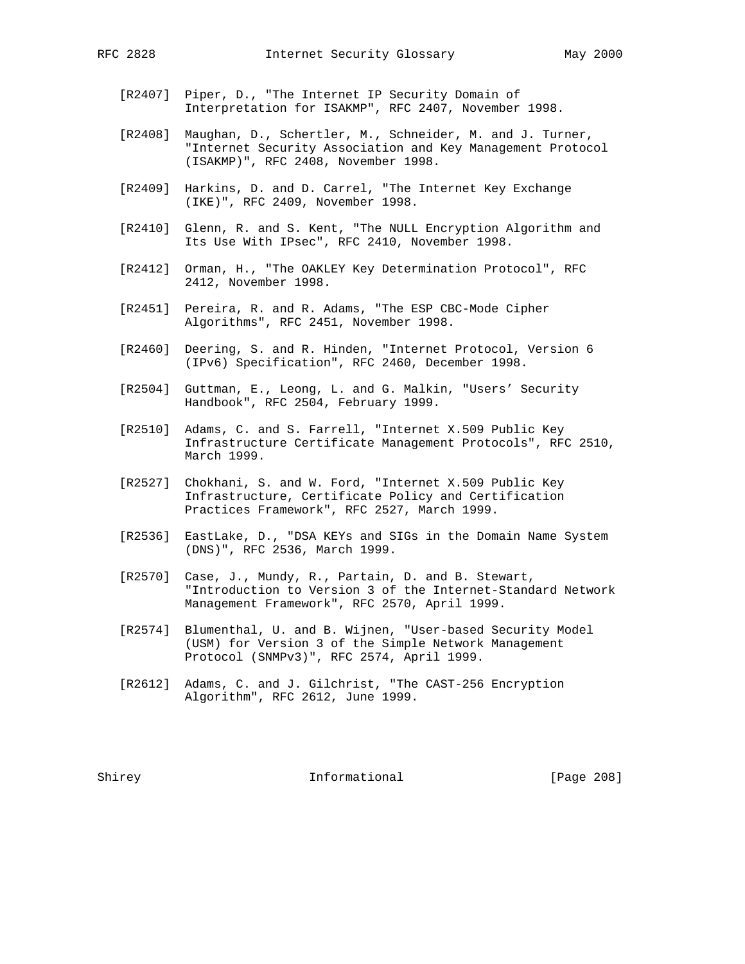- [R2407] Piper, D., "The Internet IP Security Domain of Interpretation for ISAKMP", RFC 2407, November 1998.
- [R2408] Maughan, D., Schertler, M., Schneider, M. and J. Turner, "Internet Security Association and Key Management Protocol (ISAKMP)", RFC 2408, November 1998.
- [R2409] Harkins, D. and D. Carrel, "The Internet Key Exchange (IKE)", RFC 2409, November 1998.
- [R2410] Glenn, R. and S. Kent, "The NULL Encryption Algorithm and Its Use With IPsec", RFC 2410, November 1998.
- [R2412] Orman, H., "The OAKLEY Key Determination Protocol", RFC 2412, November 1998.
- [R2451] Pereira, R. and R. Adams, "The ESP CBC-Mode Cipher Algorithms", RFC 2451, November 1998.
- [R2460] Deering, S. and R. Hinden, "Internet Protocol, Version 6 (IPv6) Specification", RFC 2460, December 1998.
- [R2504] Guttman, E., Leong, L. and G. Malkin, "Users' Security Handbook", RFC 2504, February 1999.
- [R2510] Adams, C. and S. Farrell, "Internet X.509 Public Key Infrastructure Certificate Management Protocols", RFC 2510, March 1999.
- [R2527] Chokhani, S. and W. Ford, "Internet X.509 Public Key Infrastructure, Certificate Policy and Certification Practices Framework", RFC 2527, March 1999.
- [R2536] EastLake, D., "DSA KEYs and SIGs in the Domain Name System (DNS)", RFC 2536, March 1999.
- [R2570] Case, J., Mundy, R., Partain, D. and B. Stewart, "Introduction to Version 3 of the Internet-Standard Network Management Framework", RFC 2570, April 1999.
- [R2574] Blumenthal, U. and B. Wijnen, "User-based Security Model (USM) for Version 3 of the Simple Network Management Protocol (SNMPv3)", RFC 2574, April 1999.
- [R2612] Adams, C. and J. Gilchrist, "The CAST-256 Encryption Algorithm", RFC 2612, June 1999.

Shirey **Informational** [Page 208]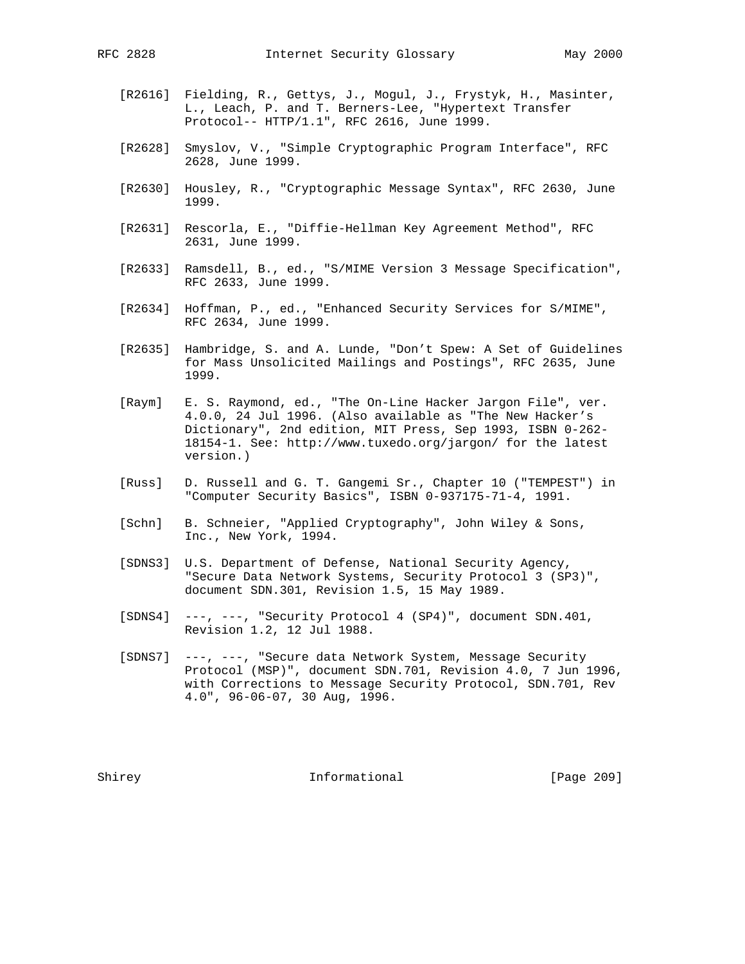- - [R2616] Fielding, R., Gettys, J., Mogul, J., Frystyk, H., Masinter, L., Leach, P. and T. Berners-Lee, "Hypertext Transfer Protocol-- HTTP/1.1", RFC 2616, June 1999.
	- [R2628] Smyslov, V., "Simple Cryptographic Program Interface", RFC 2628, June 1999.
	- [R2630] Housley, R., "Cryptographic Message Syntax", RFC 2630, June 1999.
	- [R2631] Rescorla, E., "Diffie-Hellman Key Agreement Method", RFC 2631, June 1999.
	- [R2633] Ramsdell, B., ed., "S/MIME Version 3 Message Specification", RFC 2633, June 1999.
	- [R2634] Hoffman, P., ed., "Enhanced Security Services for S/MIME", RFC 2634, June 1999.
	- [R2635] Hambridge, S. and A. Lunde, "Don't Spew: A Set of Guidelines for Mass Unsolicited Mailings and Postings", RFC 2635, June 1999.
	- [Raym] E. S. Raymond, ed., "The On-Line Hacker Jargon File", ver. 4.0.0, 24 Jul 1996. (Also available as "The New Hacker's Dictionary", 2nd edition, MIT Press, Sep 1993, ISBN 0-262- 18154-1. See: http://www.tuxedo.org/jargon/ for the latest version.)
	- [Russ] D. Russell and G. T. Gangemi Sr., Chapter 10 ("TEMPEST") in "Computer Security Basics", ISBN 0-937175-71-4, 1991.
	- [Schn] B. Schneier, "Applied Cryptography", John Wiley & Sons, Inc., New York, 1994.
	- [SDNS3] U.S. Department of Defense, National Security Agency, "Secure Data Network Systems, Security Protocol 3 (SP3)", document SDN.301, Revision 1.5, 15 May 1989.
	- [SDNS4] ---, ---, "Security Protocol 4 (SP4)", document SDN.401, Revision 1.2, 12 Jul 1988.
	- [SDNS7] ---, ---, "Secure data Network System, Message Security Protocol (MSP)", document SDN.701, Revision 4.0, 7 Jun 1996, with Corrections to Message Security Protocol, SDN.701, Rev 4.0", 96-06-07, 30 Aug, 1996.

Shirey **Informational** [Page 209]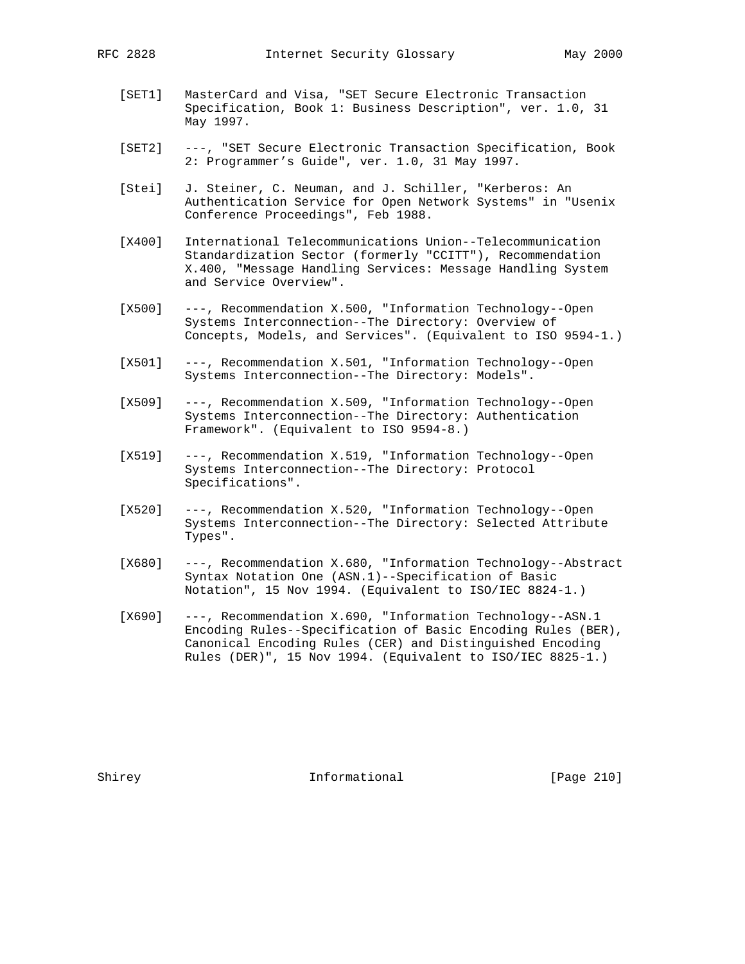- [SET1] MasterCard and Visa, "SET Secure Electronic Transaction Specification, Book 1: Business Description", ver. 1.0, 31 May 1997.
- [SET2] ---, "SET Secure Electronic Transaction Specification, Book 2: Programmer's Guide", ver. 1.0, 31 May 1997.
- [Stei] J. Steiner, C. Neuman, and J. Schiller, "Kerberos: An Authentication Service for Open Network Systems" in "Usenix Conference Proceedings", Feb 1988.
- [X400] International Telecommunications Union--Telecommunication Standardization Sector (formerly "CCITT"), Recommendation X.400, "Message Handling Services: Message Handling System and Service Overview".
- [X500] ---, Recommendation X.500, "Information Technology--Open Systems Interconnection--The Directory: Overview of Concepts, Models, and Services". (Equivalent to ISO 9594-1.)
- [X501] ---, Recommendation X.501, "Information Technology--Open Systems Interconnection--The Directory: Models".
- [X509] ---, Recommendation X.509, "Information Technology--Open Systems Interconnection--The Directory: Authentication Framework". (Equivalent to ISO 9594-8.)
- [X519] ---, Recommendation X.519, "Information Technology--Open Systems Interconnection--The Directory: Protocol Specifications".
- [X520] ---, Recommendation X.520, "Information Technology--Open Systems Interconnection--The Directory: Selected Attribute Types".
- [X680] ---, Recommendation X.680, "Information Technology--Abstract Syntax Notation One (ASN.1)--Specification of Basic Notation", 15 Nov 1994. (Equivalent to ISO/IEC 8824-1.)
- [X690] ---, Recommendation X.690, "Information Technology--ASN.1 Encoding Rules--Specification of Basic Encoding Rules (BER), Canonical Encoding Rules (CER) and Distinguished Encoding Rules (DER)", 15 Nov 1994. (Equivalent to ISO/IEC 8825-1.)

Shirey **Informational** [Page 210]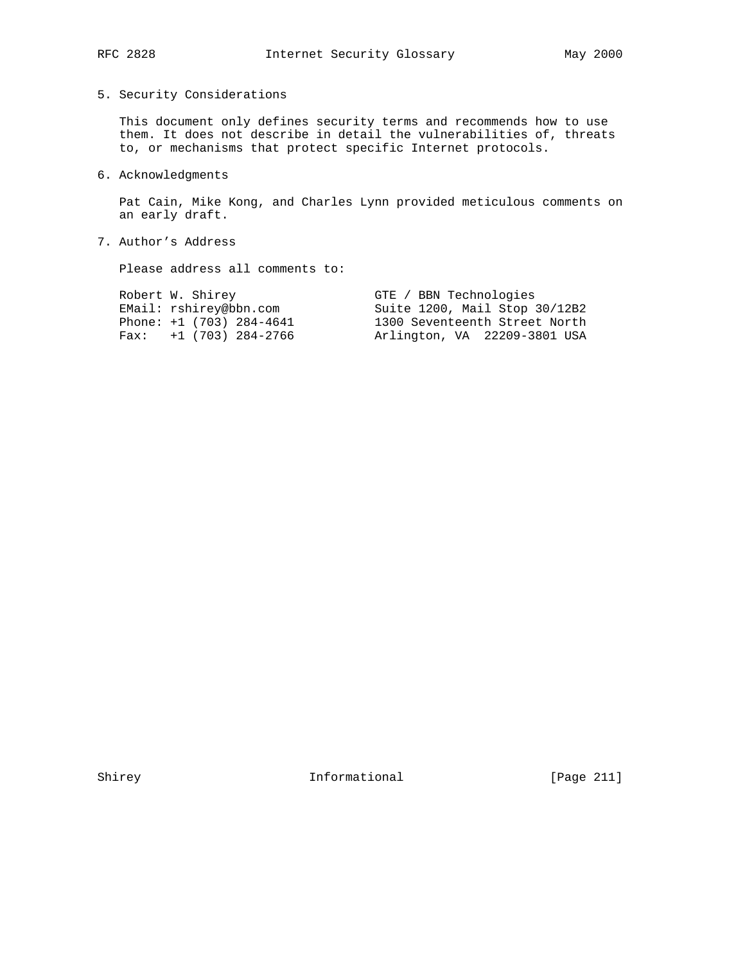## 5. Security Considerations

 This document only defines security terms and recommends how to use them. It does not describe in detail the vulnerabilities of, threats to, or mechanisms that protect specific Internet protocols.

# 6. Acknowledgments

 Pat Cain, Mike Kong, and Charles Lynn provided meticulous comments on an early draft.

# 7. Author's Address

Please address all comments to:

| Robert W. Shirey           | GTE / BBN Technologies        |
|----------------------------|-------------------------------|
| EMail: rshirey@bbn.com     | Suite 1200, Mail Stop 30/12B2 |
| Phone: $+1$ (703) 284-4641 | 1300 Seventeenth Street North |
| Fax: $+1$ (703) 284-2766   | Arlington, VA 22209-3801 USA  |
|                            |                               |

Shirey **Informational** [Page 211]